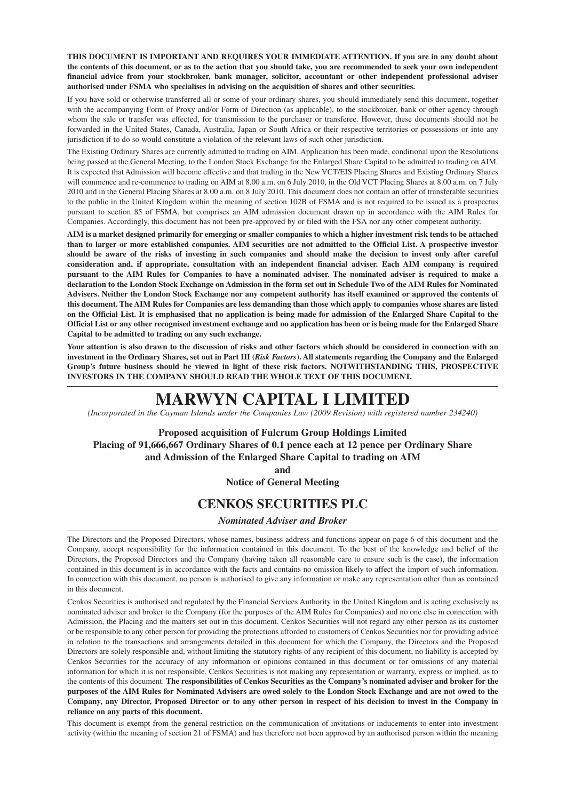**THIS DOCUMENT IS IMPORTANT AND REQUIRES YOUR IMMEDIATE ATTENTION. If you are in any doubt about the contents of this document, or as to the action that you should take, you are recommended to seek your own independent financial advice from your stockbroker, bank manager, solicitor, accountant or other independent professional adviser authorised under FSMA who specialises in advising on the acquisition of shares and other securities.**

If you have sold or otherwise transferred all or some of your ordinary shares, you should immediately send this document, together with the accompanying Form of Proxy and/or Form of Direction (as applicable), to the stockbroker, bank or other agency through whom the sale or transfer was effected, for transmission to the purchaser or transferee. However, these documents should not be forwarded in the United States, Canada, Australia, Japan or South Africa or their respective territories or possessions or into any jurisdiction if to do so would constitute a violation of the relevant laws of such other jurisdiction.

The Existing Ordinary Shares are currently admitted to trading on AIM. Application has been made, conditional upon the Resolutions being passed at the General Meeting, to the London Stock Exchange for the Enlarged Share Capital to be admitted to trading on AIM. It is expected that Admission will become effective and that trading in the New VCT/EIS Placing Shares and Existing Ordinary Shares will commence and re-commence to trading on AIM at 8.00 a.m. on 6 July 2010, in the Old VCT Placing Shares at 8.00 a.m. on 7 July 2010 and in the General Placing Shares at 8.00 a.m. on 8 July 2010. This document does not contain an offer of transferable securities to the public in the United Kingdom within the meaning of section 102B of FSMA and is not required to be issued as a prospectus pursuant to section 85 of FSMA, but comprises an AIM admission document drawn up in accordance with the AIM Rules for Companies. Accordingly, this document has not been pre-approved by or filed with the FSA nor any other competent authority.

**AIM is a market designed primarily for emerging or smaller companies to which a higher investment risk tends to be attached than to larger or more established companies. AIM securities are not admitted to the Official List. A prospective investor should be aware of the risks of investing in such companies and should make the decision to invest only after careful consideration and, if appropriate, consultation with an independent financial adviser. Each AIM company is required pursuant to the AIM Rules for Companies to have a nominated adviser. The nominated adviser is required to make a declaration to the London Stock Exchange on Admission in the form set out in Schedule Two of the AIM Rules for Nominated Advisers. Neither the London Stock Exchange nor any competent authority has itself examined or approved the contents of this document. The AIM Rules for Companies are less demanding than those which apply to companies whose shares are listed on the Official List. It is emphasised that no application is being made for admission of the Enlarged Share Capital to the Official List or any other recognised investment exchange and no application has been or is being made for the Enlarged Share Capital to be admitted to trading on any such exchange.**

**Your attention is also drawn to the discussion of risks and other factors which should be considered in connection with an investment in the Ordinary Shares, set out in Part III (***Risk Factors***). All statements regarding the Company and the Enlarged Group's future business should be viewed in light of these risk factors. NOTWITHSTANDING THIS, PROSPECTIVE INVESTORS IN THE COMPANY SHOULD READ THE WHOLE TEXT OF THIS DOCUMENT.**

# **MARWYN CAPITAL I LIMITED**

*(Incorporated in the Cayman Islands under the Companies Law (2009 Revision) with registered number 234240)*

**Proposed acquisition of Fulcrum Group Holdings Limited Placing of 91,666,667 Ordinary Shares of 0.1 pence each at 12 pence per Ordinary Share and Admission of the Enlarged Share Capital to trading on AIM and**

**Notice of General Meeting**

#### **CENKOS SECURITIES PLC**

#### *Nominated Adviser and Broker*

The Directors and the Proposed Directors, whose names, business address and functions appear on page 6 of this document and the Company, accept responsibility for the information contained in this document. To the best of the knowledge and belief of the Directors, the Proposed Directors and the Company (having taken all reasonable care to ensure such is the case), the information contained in this document is in accordance with the facts and contains no omission likely to affect the import of such information. In connection with this document, no person is authorised to give any information or make any representation other than as contained in this document.

Cenkos Securities is authorised and regulated by the Financial Services Authority in the United Kingdom and is acting exclusively as nominated adviser and broker to the Company (for the purposes of the AIM Rules for Companies) and no one else in connection with Admission, the Placing and the matters set out in this document. Cenkos Securities will not regard any other person as its customer or be responsible to any other person for providing the protections afforded to customers of Cenkos Securities nor for providing advice in relation to the transactions and arrangements detailed in this document for which the Company, the Directors and the Proposed Directors are solely responsible and, without limiting the statutory rights of any recipient of this document, no liability is accepted by Cenkos Securities for the accuracy of any information or opinions contained in this document or for omissions of any material information for which it is not responsible. Cenkos Securities is not making any representation or warranty, express or implied, as to the contents of this document. **The responsibilities of Cenkos Securities as the Company's nominated adviser and broker for the purposes of the AIM Rules for Nominated Advisers are owed solely to the London Stock Exchange and are not owed to the Company, any Director, Proposed Director or to any other person in respect of his decision to invest in the Company in reliance on any parts of this document.**

This document is exempt from the general restriction on the communication of invitations or inducements to enter into investment activity (within the meaning of section 21 of FSMA) and has therefore not been approved by an authorised person within the meaning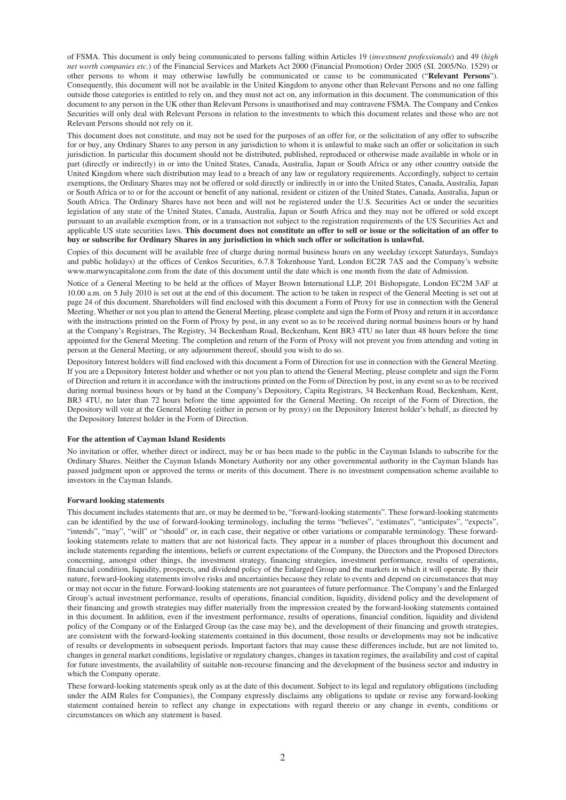of FSMA. This document is only being communicated to persons falling within Articles 19 (*investment professionals*) and 49 (*high net worth companies etc.*) of the Financial Services and Markets Act 2000 (Financial Promotion) Order 2005 (SI. 2005/No. 1529) or other persons to whom it may otherwise lawfully be communicated or cause to be communicated ("**Relevant Persons**"). Consequently, this document will not be available in the United Kingdom to anyone other than Relevant Persons and no one falling outside those categories is entitled to rely on, and they must not act on, any information in this document. The communication of this document to any person in the UK other than Relevant Persons is unauthorised and may contravene FSMA. The Company and Cenkos Securities will only deal with Relevant Persons in relation to the investments to which this document relates and those who are not Relevant Persons should not rely on it.

This document does not constitute, and may not be used for the purposes of an offer for, or the solicitation of any offer to subscribe for or buy, any Ordinary Shares to any person in any jurisdiction to whom it is unlawful to make such an offer or solicitation in such jurisdiction. In particular this document should not be distributed, published, reproduced or otherwise made available in whole or in part (directly or indirectly) in or into the United States, Canada, Australia, Japan or South Africa or any other country outside the United Kingdom where such distribution may lead to a breach of any law or regulatory requirements. Accordingly, subject to certain exemptions, the Ordinary Shares may not be offered or sold directly or indirectly in or into the United States, Canada, Australia, Japan or South Africa or to or for the account or benefit of any national, resident or citizen of the United States, Canada, Australia, Japan or South Africa. The Ordinary Shares have not been and will not be registered under the U.S. Securities Act or under the securities legislation of any state of the United States, Canada, Australia, Japan or South Africa and they may not be offered or sold except pursuant to an available exemption from, or in a transaction not subject to the registration requirements of the US Securities Act and applicable US state securities laws. **This document does not constitute an offer to sell or issue or the solicitation of an offer to buy or subscribe for Ordinary Shares in any jurisdiction in which such offer or solicitation is unlawful.**

Copies of this document will be available free of charge during normal business hours on any weekday (except Saturdays, Sundays and public holidays) at the offices of Cenkos Securities, 6.7.8 Tokenhouse Yard, London EC2R 7AS and the Company's website www.marwyncapitalone.com from the date of this document until the date which is one month from the date of Admission.

Notice of a General Meeting to be held at the offices of Mayer Brown International LLP, 201 Bishopsgate, London EC2M 3AF at 10.00 a.m. on 5 July 2010 is set out at the end of this document. The action to be taken in respect of the General Meeting is set out at page 24 of this document. Shareholders will find enclosed with this document a Form of Proxy for use in connection with the General Meeting. Whether or not you plan to attend the General Meeting, please complete and sign the Form of Proxy and return it in accordance with the instructions printed on the Form of Proxy by post, in any event so as to be received during normal business hours or by hand at the Company's Registrars, The Registry, 34 Beckenham Road, Beckenham, Kent BR3 4TU no later than 48 hours before the time appointed for the General Meeting. The completion and return of the Form of Proxy will not prevent you from attending and voting in person at the General Meeting, or any adjournment thereof, should you wish to do so.

Depository Interest holders will find enclosed with this document a Form of Direction for use in connection with the General Meeting. If you are a Depository Interest holder and whether or not you plan to attend the General Meeting, please complete and sign the Form of Direction and return it in accordance with the instructions printed on the Form of Direction by post, in any event so as to be received during normal business hours or by hand at the Company's Depository, Capita Registrars, 34 Beckenham Road, Beckenham, Kent, BR3 4TU, no later than 72 hours before the time appointed for the General Meeting. On receipt of the Form of Direction, the Depository will vote at the General Meeting (either in person or by proxy) on the Depository Interest holder's behalf, as directed by the Depository Interest holder in the Form of Direction.

#### **For the attention of Cayman Island Residents**

No invitation or offer, whether direct or indirect, may be or has been made to the public in the Cayman Islands to subscribe for the Ordinary Shares. Neither the Cayman Islands Monetary Authority nor any other governmental authority in the Cayman Islands has passed judgment upon or approved the terms or merits of this document. There is no investment compensation scheme available to investors in the Cayman Islands.

#### **Forward looking statements**

This document includes statements that are, or may be deemed to be, "forward-looking statements". These forward-looking statements can be identified by the use of forward-looking terminology, including the terms "believes", "estimates", "anticipates", "expects", "intends", "may", "will" or "should" or, in each case, their negative or other variations or comparable terminology. These forwardlooking statements relate to matters that are not historical facts. They appear in a number of places throughout this document and include statements regarding the intentions, beliefs or current expectations of the Company, the Directors and the Proposed Directors concerning, amongst other things, the investment strategy, financing strategies, investment performance, results of operations, financial condition, liquidity, prospects, and dividend policy of the Enlarged Group and the markets in which it will operate. By their nature, forward-looking statements involve risks and uncertainties because they relate to events and depend on circumstances that may or may not occur in the future. Forward-looking statements are not guarantees of future performance. The Company's and the Enlarged Group's actual investment performance, results of operations, financial condition, liquidity, dividend policy and the development of their financing and growth strategies may differ materially from the impression created by the forward-looking statements contained in this document. In addition, even if the investment performance, results of operations, financial condition, liquidity and dividend policy of the Company or of the Enlarged Group (as the case may be), and the development of their financing and growth strategies, are consistent with the forward-looking statements contained in this document, those results or developments may not be indicative of results or developments in subsequent periods. Important factors that may cause these differences include, but are not limited to, changes in general market conditions, legislative or regulatory changes, changes in taxation regimes, the availability and cost of capital for future investments, the availability of suitable non-recourse financing and the development of the business sector and industry in which the Company operate.

These forward-looking statements speak only as at the date of this document. Subject to its legal and regulatory obligations (including under the AIM Rules for Companies), the Company expressly disclaims any obligations to update or revise any forward-looking statement contained herein to reflect any change in expectations with regard thereto or any change in events, conditions or circumstances on which any statement is based.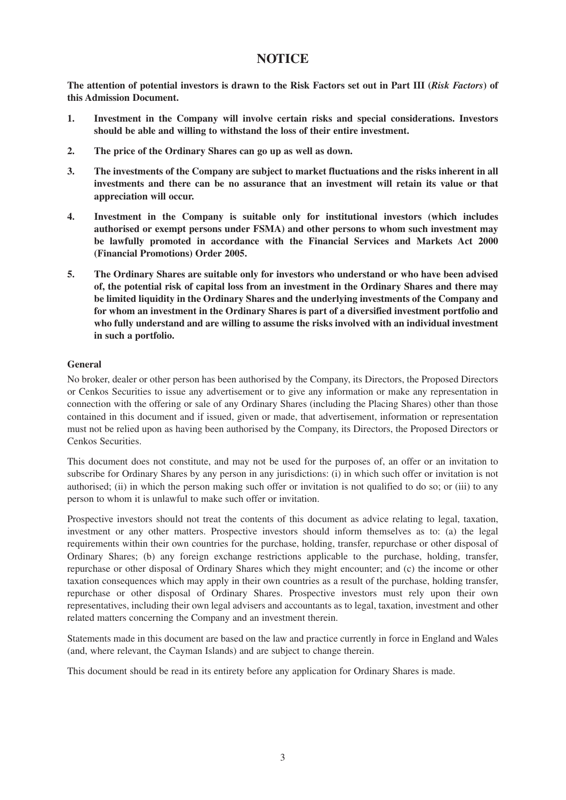## **NOTICE**

**The attention of potential investors is drawn to the Risk Factors set out in Part III (***Risk Factors***) of this Admission Document.**

- **1. Investment in the Company will involve certain risks and special considerations. Investors should be able and willing to withstand the loss of their entire investment.**
- **2. The price of the Ordinary Shares can go up as well as down.**
- **3. The investments of the Company are subject to market fluctuations and the risks inherent in all investments and there can be no assurance that an investment will retain its value or that appreciation will occur.**
- **4. Investment in the Company is suitable only for institutional investors (which includes authorised or exempt persons under FSMA) and other persons to whom such investment may be lawfully promoted in accordance with the Financial Services and Markets Act 2000 (Financial Promotions) Order 2005.**
- **5. The Ordinary Shares are suitable only for investors who understand or who have been advised of, the potential risk of capital loss from an investment in the Ordinary Shares and there may be limited liquidity in the Ordinary Shares and the underlying investments of the Company and for whom an investment in the Ordinary Shares is part of a diversified investment portfolio and who fully understand and are willing to assume the risks involved with an individual investment in such a portfolio.**

#### **General**

No broker, dealer or other person has been authorised by the Company, its Directors, the Proposed Directors or Cenkos Securities to issue any advertisement or to give any information or make any representation in connection with the offering or sale of any Ordinary Shares (including the Placing Shares) other than those contained in this document and if issued, given or made, that advertisement, information or representation must not be relied upon as having been authorised by the Company, its Directors, the Proposed Directors or Cenkos Securities.

This document does not constitute, and may not be used for the purposes of, an offer or an invitation to subscribe for Ordinary Shares by any person in any jurisdictions: (i) in which such offer or invitation is not authorised; (ii) in which the person making such offer or invitation is not qualified to do so; or (iii) to any person to whom it is unlawful to make such offer or invitation.

Prospective investors should not treat the contents of this document as advice relating to legal, taxation, investment or any other matters. Prospective investors should inform themselves as to: (a) the legal requirements within their own countries for the purchase, holding, transfer, repurchase or other disposal of Ordinary Shares; (b) any foreign exchange restrictions applicable to the purchase, holding, transfer, repurchase or other disposal of Ordinary Shares which they might encounter; and (c) the income or other taxation consequences which may apply in their own countries as a result of the purchase, holding transfer, repurchase or other disposal of Ordinary Shares. Prospective investors must rely upon their own representatives, including their own legal advisers and accountants as to legal, taxation, investment and other related matters concerning the Company and an investment therein.

Statements made in this document are based on the law and practice currently in force in England and Wales (and, where relevant, the Cayman Islands) and are subject to change therein.

This document should be read in its entirety before any application for Ordinary Shares is made.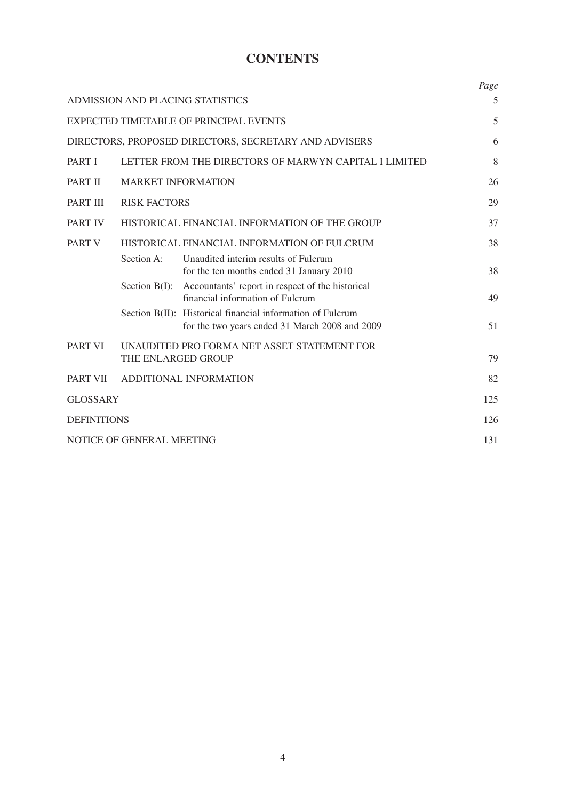# **CONTENTS**

|                    |                           |                                                                                                              | Page |
|--------------------|---------------------------|--------------------------------------------------------------------------------------------------------------|------|
|                    |                           | ADMISSION AND PLACING STATISTICS                                                                             | 5    |
|                    |                           | <b>EXPECTED TIMETABLE OF PRINCIPAL EVENTS</b>                                                                | 5    |
|                    |                           | DIRECTORS, PROPOSED DIRECTORS, SECRETARY AND ADVISERS                                                        | 6    |
| <b>PART I</b>      |                           | LETTER FROM THE DIRECTORS OF MARWYN CAPITAL I LIMITED                                                        | 8    |
| <b>PART II</b>     | <b>MARKET INFORMATION</b> |                                                                                                              |      |
| <b>PART III</b>    | <b>RISK FACTORS</b>       |                                                                                                              | 29   |
| <b>PART IV</b>     |                           | HISTORICAL FINANCIAL INFORMATION OF THE GROUP                                                                | 37   |
| <b>PART V</b>      |                           | HISTORICAL FINANCIAL INFORMATION OF FULCRUM                                                                  | 38   |
|                    | Section A:                | Unaudited interim results of Fulcrum<br>for the ten months ended 31 January 2010                             | 38   |
|                    | Section $B(I)$ :          | Accountants' report in respect of the historical<br>financial information of Fulcrum                         | 49   |
|                    |                           | Section B(II): Historical financial information of Fulcrum<br>for the two years ended 31 March 2008 and 2009 | 51   |
| PART VI            | THE ENLARGED GROUP        | UNAUDITED PRO FORMA NET ASSET STATEMENT FOR                                                                  | 79   |
| <b>PART VII</b>    |                           | ADDITIONAL INFORMATION                                                                                       | 82   |
| <b>GLOSSARY</b>    |                           |                                                                                                              | 125  |
| <b>DEFINITIONS</b> |                           |                                                                                                              | 126  |
|                    | NOTICE OF GENERAL MEETING |                                                                                                              | 131  |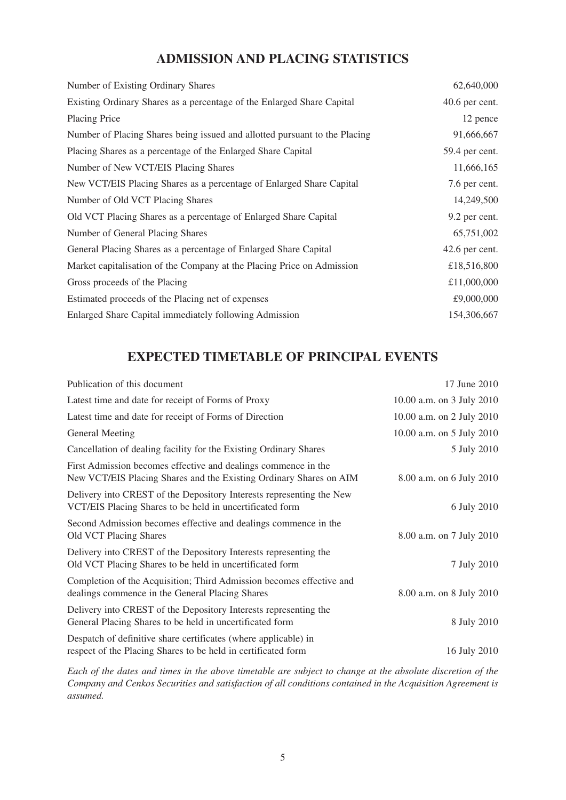# **ADMISSION AND PLACING STATISTICS**

| Number of Existing Ordinary Shares                                         | 62,640,000       |
|----------------------------------------------------------------------------|------------------|
| Existing Ordinary Shares as a percentage of the Enlarged Share Capital     | $40.6$ per cent. |
| <b>Placing Price</b>                                                       | 12 pence         |
| Number of Placing Shares being issued and allotted pursuant to the Placing | 91,666,667       |
| Placing Shares as a percentage of the Enlarged Share Capital               | 59.4 per cent.   |
| Number of New VCT/EIS Placing Shares                                       | 11,666,165       |
| New VCT/EIS Placing Shares as a percentage of Enlarged Share Capital       | 7.6 per cent.    |
| Number of Old VCT Placing Shares                                           | 14,249,500       |
| Old VCT Placing Shares as a percentage of Enlarged Share Capital           | 9.2 per cent.    |
| Number of General Placing Shares                                           | 65,751,002       |
| General Placing Shares as a percentage of Enlarged Share Capital           | $42.6$ per cent. |
| Market capitalisation of the Company at the Placing Price on Admission     | £18,516,800      |
| Gross proceeds of the Placing                                              | £11,000,000      |
| Estimated proceeds of the Placing net of expenses                          | £9,000,000       |
| Enlarged Share Capital immediately following Admission                     | 154,306,667      |

# **EXPECTED TIMETABLE OF PRINCIPAL EVENTS**

| Publication of this document                                                                                                         | 17 June 2010              |
|--------------------------------------------------------------------------------------------------------------------------------------|---------------------------|
| Latest time and date for receipt of Forms of Proxy                                                                                   | 10.00 a.m. on 3 July 2010 |
| Latest time and date for receipt of Forms of Direction                                                                               | 10.00 a.m. on 2 July 2010 |
| General Meeting                                                                                                                      | 10.00 a.m. on 5 July 2010 |
| Cancellation of dealing facility for the Existing Ordinary Shares                                                                    | 5 July 2010               |
| First Admission becomes effective and dealings commence in the<br>New VCT/EIS Placing Shares and the Existing Ordinary Shares on AIM | 8.00 a.m. on 6 July 2010  |
| Delivery into CREST of the Depository Interests representing the New<br>VCT/EIS Placing Shares to be held in uncertificated form     | 6 July 2010               |
| Second Admission becomes effective and dealings commence in the<br>Old VCT Placing Shares                                            | 8.00 a.m. on 7 July 2010  |
| Delivery into CREST of the Depository Interests representing the<br>Old VCT Placing Shares to be held in uncertificated form         | 7 July 2010               |
| Completion of the Acquisition; Third Admission becomes effective and<br>dealings commence in the General Placing Shares              | 8.00 a.m. on 8 July 2010  |
| Delivery into CREST of the Depository Interests representing the<br>General Placing Shares to be held in uncertificated form         | 8 July 2010               |
| Despatch of definitive share certificates (where applicable) in<br>respect of the Placing Shares to be held in certificated form     | 16 July 2010              |
|                                                                                                                                      |                           |

*Each of the dates and times in the above timetable are subject to change at the absolute discretion of the Company and Cenkos Securities and satisfaction of all conditions contained in the Acquisition Agreement is assumed.*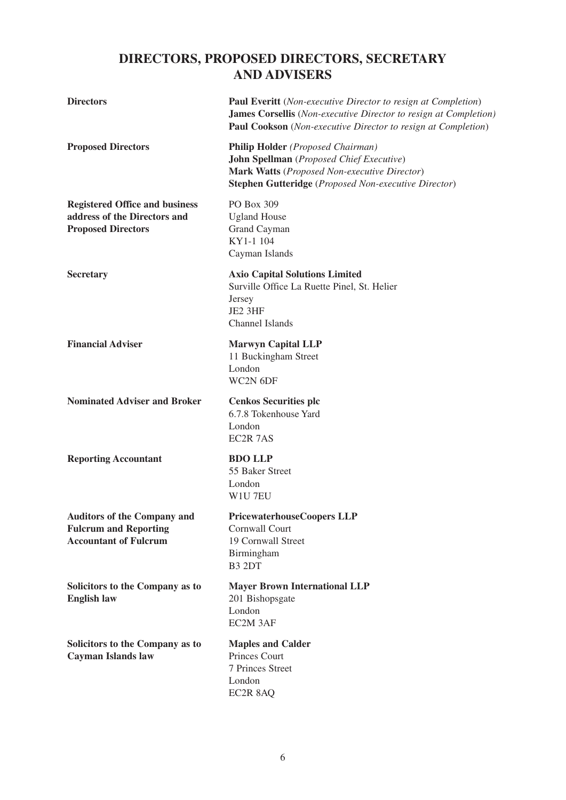# **DIRECTORS, PROPOSED DIRECTORS, SECRETARY AND ADVISERS**

| <b>Directors</b>                                                                                   | Paul Everitt (Non-executive Director to resign at Completion)<br>James Corsellis (Non-executive Director to resign at Completion)<br><b>Paul Cookson</b> (Non-executive Director to resign at Completion) |
|----------------------------------------------------------------------------------------------------|-----------------------------------------------------------------------------------------------------------------------------------------------------------------------------------------------------------|
| <b>Proposed Directors</b>                                                                          | <b>Philip Holder</b> (Proposed Chairman)<br><b>John Spellman</b> (Proposed Chief Executive)<br>Mark Watts (Proposed Non-executive Director)<br>Stephen Gutteridge (Proposed Non-executive Director)       |
| <b>Registered Office and business</b><br>address of the Directors and<br><b>Proposed Directors</b> | PO Box 309<br><b>Ugland House</b><br>Grand Cayman<br>KY1-1 104<br>Cayman Islands                                                                                                                          |
| <b>Secretary</b>                                                                                   | <b>Axio Capital Solutions Limited</b><br>Surville Office La Ruette Pinel, St. Helier<br>Jersey<br>JE2 3HF<br>Channel Islands                                                                              |
| <b>Financial Adviser</b>                                                                           | <b>Marwyn Capital LLP</b><br>11 Buckingham Street<br>London<br>WC2N 6DF                                                                                                                                   |
| <b>Nominated Adviser and Broker</b>                                                                | <b>Cenkos Securities plc</b><br>6.7.8 Tokenhouse Yard<br>London<br>EC2R 7AS                                                                                                                               |
| <b>Reporting Accountant</b>                                                                        | <b>BDO LLP</b><br>55 Baker Street<br>London<br>W1U 7EU                                                                                                                                                    |
| <b>Auditors of the Company and</b><br><b>Fulcrum and Reporting</b><br><b>Accountant of Fulcrum</b> | <b>PricewaterhouseCoopers LLP</b><br><b>Cornwall Court</b><br>19 Cornwall Street<br>Birmingham<br>B3 2DT                                                                                                  |
| Solicitors to the Company as to<br><b>English law</b>                                              | <b>Mayer Brown International LLP</b><br>201 Bishopsgate<br>London<br>EC2M 3AF                                                                                                                             |
| Solicitors to the Company as to<br><b>Cayman Islands law</b>                                       | <b>Maples and Calder</b><br>Princes Court<br>7 Princes Street<br>London<br>EC2R 8AQ                                                                                                                       |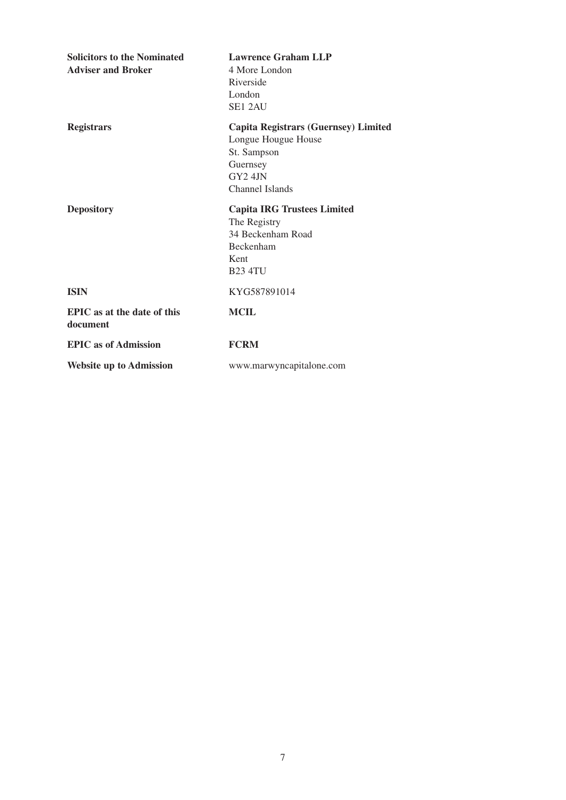| <b>Solicitors to the Nominated</b><br><b>Adviser and Broker</b> | <b>Lawrence Graham LLP</b><br>4 More London<br>Riverside<br>London<br>SE1 2AU                                                                  |
|-----------------------------------------------------------------|------------------------------------------------------------------------------------------------------------------------------------------------|
| <b>Registrars</b>                                               | <b>Capita Registrars (Guernsey) Limited</b><br>Longue Hougue House<br>St. Sampson<br>Guernsey<br>GY <sub>2</sub> 4JN<br><b>Channel Islands</b> |
| <b>Depository</b>                                               | <b>Capita IRG Trustees Limited</b><br>The Registry<br>34 Beckenham Road<br>Beckenham<br>Kent<br><b>B23 4TU</b>                                 |
| <b>ISIN</b>                                                     | KYG587891014                                                                                                                                   |
| EPIC as at the date of this<br>document                         | <b>MCIL</b>                                                                                                                                    |
| <b>EPIC</b> as of Admission                                     | <b>FCRM</b>                                                                                                                                    |
| <b>Website up to Admission</b>                                  | www.marwyncapitalone.com                                                                                                                       |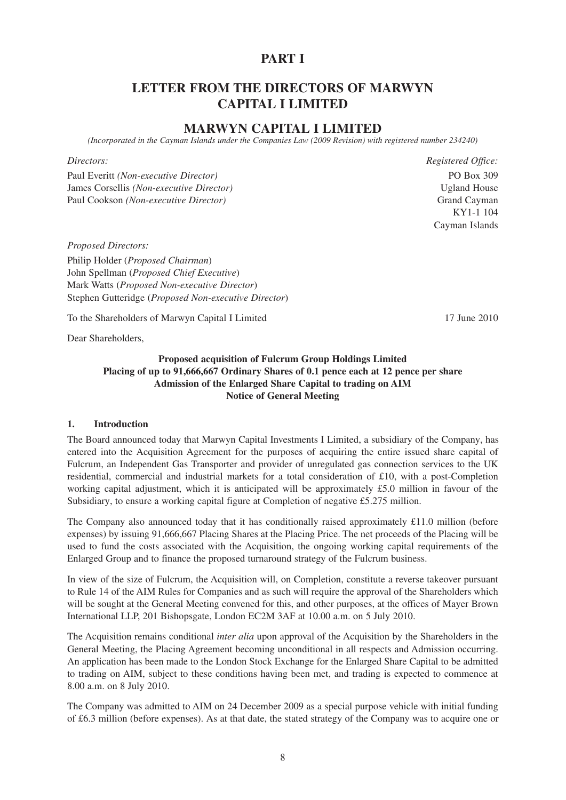# **PART I**

# **LETTER FROM THE DIRECTORS OF MARWYN CAPITAL I LIMITED**

## **MARWYN CAPITAL I LIMITED**

*(Incorporated in the Cayman Islands under the Companies Law (2009 Revision) with registered number 234240)*

Paul Everitt *(Non-executive Director)* PO Box 309 James Corsellis *(Non-executive Director)* Ugland House Paul Cookson *(Non-executive Director)* Grand Cayman

*Directors: Registered Office:* KY1-1 104 Cayman Islands

*Proposed Directors:*

Philip Holder (*Proposed Chairman*) John Spellman (*Proposed Chief Executive*) Mark Watts (*Proposed Non-executive Director*) Stephen Gutteridge (*Proposed Non-executive Director*)

To the Shareholders of Marwyn Capital I Limited 17 June 2010

Dear Shareholders,

#### **Proposed acquisition of Fulcrum Group Holdings Limited Placing of up to 91,666,667 Ordinary Shares of 0.1 pence each at 12 pence per share Admission of the Enlarged Share Capital to trading on AIM Notice of General Meeting**

#### **1. Introduction**

The Board announced today that Marwyn Capital Investments I Limited, a subsidiary of the Company, has entered into the Acquisition Agreement for the purposes of acquiring the entire issued share capital of Fulcrum, an Independent Gas Transporter and provider of unregulated gas connection services to the UK residential, commercial and industrial markets for a total consideration of £10, with a post-Completion working capital adjustment, which it is anticipated will be approximately £5.0 million in favour of the Subsidiary, to ensure a working capital figure at Completion of negative £5.275 million.

The Company also announced today that it has conditionally raised approximately £11.0 million (before expenses) by issuing 91,666,667 Placing Shares at the Placing Price. The net proceeds of the Placing will be used to fund the costs associated with the Acquisition, the ongoing working capital requirements of the Enlarged Group and to finance the proposed turnaround strategy of the Fulcrum business.

In view of the size of Fulcrum, the Acquisition will, on Completion, constitute a reverse takeover pursuant to Rule 14 of the AIM Rules for Companies and as such will require the approval of the Shareholders which will be sought at the General Meeting convened for this, and other purposes, at the offices of Mayer Brown International LLP, 201 Bishopsgate, London EC2M 3AF at 10.00 a.m. on 5 July 2010.

The Acquisition remains conditional *inter alia* upon approval of the Acquisition by the Shareholders in the General Meeting, the Placing Agreement becoming unconditional in all respects and Admission occurring. An application has been made to the London Stock Exchange for the Enlarged Share Capital to be admitted to trading on AIM, subject to these conditions having been met, and trading is expected to commence at 8.00 a.m. on 8 July 2010.

The Company was admitted to AIM on 24 December 2009 as a special purpose vehicle with initial funding of £6.3 million (before expenses). As at that date, the stated strategy of the Company was to acquire one or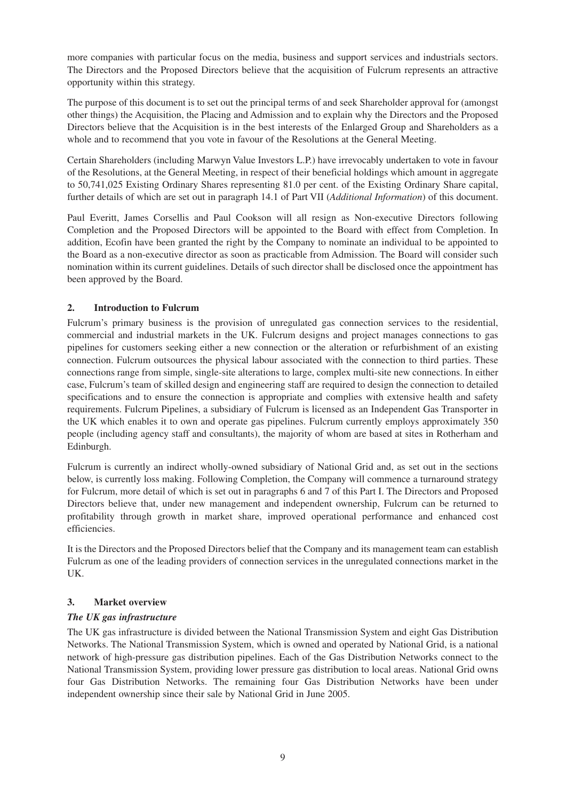more companies with particular focus on the media, business and support services and industrials sectors. The Directors and the Proposed Directors believe that the acquisition of Fulcrum represents an attractive opportunity within this strategy.

The purpose of this document is to set out the principal terms of and seek Shareholder approval for (amongst other things) the Acquisition, the Placing and Admission and to explain why the Directors and the Proposed Directors believe that the Acquisition is in the best interests of the Enlarged Group and Shareholders as a whole and to recommend that you vote in favour of the Resolutions at the General Meeting.

Certain Shareholders (including Marwyn Value Investors L.P.) have irrevocably undertaken to vote in favour of the Resolutions, at the General Meeting, in respect of their beneficial holdings which amount in aggregate to 50,741,025 Existing Ordinary Shares representing 81.0 per cent. of the Existing Ordinary Share capital, further details of which are set out in paragraph 14.1 of Part VII (*Additional Information*) of this document.

Paul Everitt, James Corsellis and Paul Cookson will all resign as Non-executive Directors following Completion and the Proposed Directors will be appointed to the Board with effect from Completion. In addition, Ecofin have been granted the right by the Company to nominate an individual to be appointed to the Board as a non-executive director as soon as practicable from Admission. The Board will consider such nomination within its current guidelines. Details of such director shall be disclosed once the appointment has been approved by the Board.

#### **2. Introduction to Fulcrum**

Fulcrum's primary business is the provision of unregulated gas connection services to the residential, commercial and industrial markets in the UK. Fulcrum designs and project manages connections to gas pipelines for customers seeking either a new connection or the alteration or refurbishment of an existing connection. Fulcrum outsources the physical labour associated with the connection to third parties. These connections range from simple, single-site alterations to large, complex multi-site new connections. In either case, Fulcrum's team of skilled design and engineering staff are required to design the connection to detailed specifications and to ensure the connection is appropriate and complies with extensive health and safety requirements. Fulcrum Pipelines, a subsidiary of Fulcrum is licensed as an Independent Gas Transporter in the UK which enables it to own and operate gas pipelines. Fulcrum currently employs approximately 350 people (including agency staff and consultants), the majority of whom are based at sites in Rotherham and Edinburgh.

Fulcrum is currently an indirect wholly-owned subsidiary of National Grid and, as set out in the sections below, is currently loss making. Following Completion, the Company will commence a turnaround strategy for Fulcrum, more detail of which is set out in paragraphs 6 and 7 of this Part I. The Directors and Proposed Directors believe that, under new management and independent ownership, Fulcrum can be returned to profitability through growth in market share, improved operational performance and enhanced cost efficiencies.

It is the Directors and the Proposed Directors belief that the Company and its management team can establish Fulcrum as one of the leading providers of connection services in the unregulated connections market in the UK.

#### **3. Market overview**

#### *The UK gas infrastructure*

The UK gas infrastructure is divided between the National Transmission System and eight Gas Distribution Networks. The National Transmission System, which is owned and operated by National Grid, is a national network of high-pressure gas distribution pipelines. Each of the Gas Distribution Networks connect to the National Transmission System, providing lower pressure gas distribution to local areas. National Grid owns four Gas Distribution Networks. The remaining four Gas Distribution Networks have been under independent ownership since their sale by National Grid in June 2005.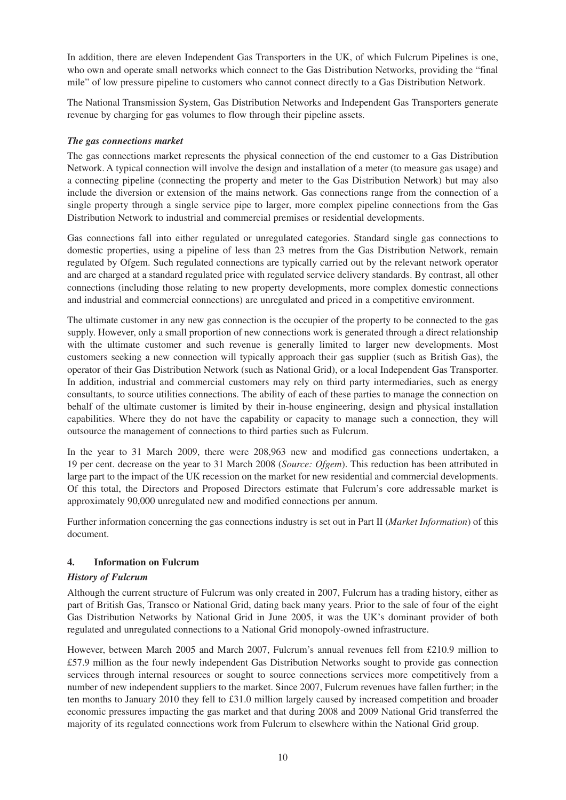In addition, there are eleven Independent Gas Transporters in the UK, of which Fulcrum Pipelines is one, who own and operate small networks which connect to the Gas Distribution Networks, providing the "final mile" of low pressure pipeline to customers who cannot connect directly to a Gas Distribution Network.

The National Transmission System, Gas Distribution Networks and Independent Gas Transporters generate revenue by charging for gas volumes to flow through their pipeline assets.

#### *The gas connections market*

The gas connections market represents the physical connection of the end customer to a Gas Distribution Network. A typical connection will involve the design and installation of a meter (to measure gas usage) and a connecting pipeline (connecting the property and meter to the Gas Distribution Network) but may also include the diversion or extension of the mains network. Gas connections range from the connection of a single property through a single service pipe to larger, more complex pipeline connections from the Gas Distribution Network to industrial and commercial premises or residential developments.

Gas connections fall into either regulated or unregulated categories. Standard single gas connections to domestic properties, using a pipeline of less than 23 metres from the Gas Distribution Network, remain regulated by Ofgem. Such regulated connections are typically carried out by the relevant network operator and are charged at a standard regulated price with regulated service delivery standards. By contrast, all other connections (including those relating to new property developments, more complex domestic connections and industrial and commercial connections) are unregulated and priced in a competitive environment.

The ultimate customer in any new gas connection is the occupier of the property to be connected to the gas supply. However, only a small proportion of new connections work is generated through a direct relationship with the ultimate customer and such revenue is generally limited to larger new developments. Most customers seeking a new connection will typically approach their gas supplier (such as British Gas), the operator of their Gas Distribution Network (such as National Grid), or a local Independent Gas Transporter. In addition, industrial and commercial customers may rely on third party intermediaries, such as energy consultants, to source utilities connections. The ability of each of these parties to manage the connection on behalf of the ultimate customer is limited by their in-house engineering, design and physical installation capabilities. Where they do not have the capability or capacity to manage such a connection, they will outsource the management of connections to third parties such as Fulcrum.

In the year to 31 March 2009, there were 208,963 new and modified gas connections undertaken, a 19 per cent. decrease on the year to 31 March 2008 (*Source: Ofgem*). This reduction has been attributed in large part to the impact of the UK recession on the market for new residential and commercial developments. Of this total, the Directors and Proposed Directors estimate that Fulcrum's core addressable market is approximately 90,000 unregulated new and modified connections per annum.

Further information concerning the gas connections industry is set out in Part II (*Market Information*) of this document.

#### **4. Information on Fulcrum**

#### *History of Fulcrum*

Although the current structure of Fulcrum was only created in 2007, Fulcrum has a trading history, either as part of British Gas, Transco or National Grid, dating back many years. Prior to the sale of four of the eight Gas Distribution Networks by National Grid in June 2005, it was the UK's dominant provider of both regulated and unregulated connections to a National Grid monopoly-owned infrastructure.

However, between March 2005 and March 2007, Fulcrum's annual revenues fell from £210.9 million to £57.9 million as the four newly independent Gas Distribution Networks sought to provide gas connection services through internal resources or sought to source connections services more competitively from a number of new independent suppliers to the market. Since 2007, Fulcrum revenues have fallen further; in the ten months to January 2010 they fell to £31.0 million largely caused by increased competition and broader economic pressures impacting the gas market and that during 2008 and 2009 National Grid transferred the majority of its regulated connections work from Fulcrum to elsewhere within the National Grid group.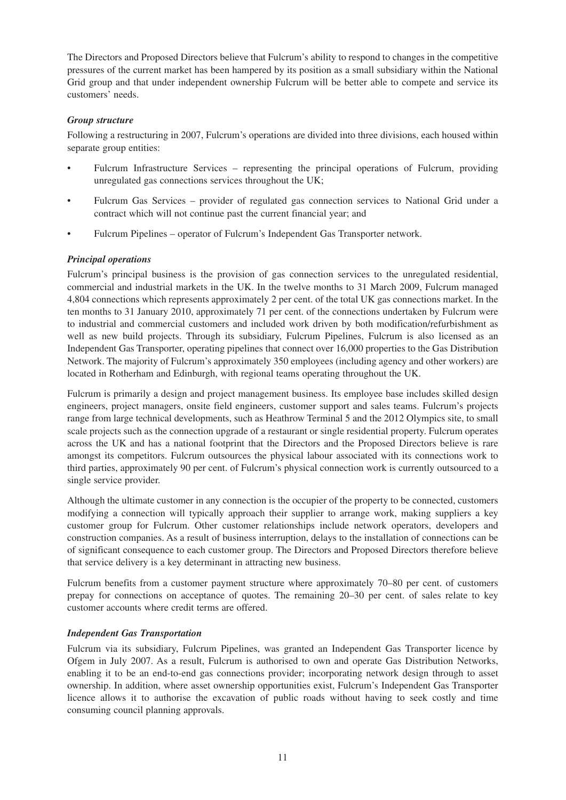The Directors and Proposed Directors believe that Fulcrum's ability to respond to changes in the competitive pressures of the current market has been hampered by its position as a small subsidiary within the National Grid group and that under independent ownership Fulcrum will be better able to compete and service its customers' needs.

#### *Group structure*

Following a restructuring in 2007, Fulcrum's operations are divided into three divisions, each housed within separate group entities:

- Fulcrum Infrastructure Services representing the principal operations of Fulcrum, providing unregulated gas connections services throughout the UK;
- Fulcrum Gas Services provider of regulated gas connection services to National Grid under a contract which will not continue past the current financial year; and
- Fulcrum Pipelines operator of Fulcrum's Independent Gas Transporter network.

#### *Principal operations*

Fulcrum's principal business is the provision of gas connection services to the unregulated residential, commercial and industrial markets in the UK. In the twelve months to 31 March 2009, Fulcrum managed 4,804 connections which represents approximately 2 per cent. of the total UK gas connections market. In the ten months to 31 January 2010, approximately 71 per cent. of the connections undertaken by Fulcrum were to industrial and commercial customers and included work driven by both modification/refurbishment as well as new build projects. Through its subsidiary, Fulcrum Pipelines, Fulcrum is also licensed as an Independent Gas Transporter, operating pipelines that connect over 16,000 properties to the Gas Distribution Network. The majority of Fulcrum's approximately 350 employees (including agency and other workers) are located in Rotherham and Edinburgh, with regional teams operating throughout the UK.

Fulcrum is primarily a design and project management business. Its employee base includes skilled design engineers, project managers, onsite field engineers, customer support and sales teams. Fulcrum's projects range from large technical developments, such as Heathrow Terminal 5 and the 2012 Olympics site, to small scale projects such as the connection upgrade of a restaurant or single residential property. Fulcrum operates across the UK and has a national footprint that the Directors and the Proposed Directors believe is rare amongst its competitors. Fulcrum outsources the physical labour associated with its connections work to third parties, approximately 90 per cent. of Fulcrum's physical connection work is currently outsourced to a single service provider.

Although the ultimate customer in any connection is the occupier of the property to be connected, customers modifying a connection will typically approach their supplier to arrange work, making suppliers a key customer group for Fulcrum. Other customer relationships include network operators, developers and construction companies. As a result of business interruption, delays to the installation of connections can be of significant consequence to each customer group. The Directors and Proposed Directors therefore believe that service delivery is a key determinant in attracting new business.

Fulcrum benefits from a customer payment structure where approximately 70–80 per cent. of customers prepay for connections on acceptance of quotes. The remaining 20–30 per cent. of sales relate to key customer accounts where credit terms are offered.

#### *Independent Gas Transportation*

Fulcrum via its subsidiary, Fulcrum Pipelines, was granted an Independent Gas Transporter licence by Ofgem in July 2007. As a result, Fulcrum is authorised to own and operate Gas Distribution Networks, enabling it to be an end-to-end gas connections provider; incorporating network design through to asset ownership. In addition, where asset ownership opportunities exist, Fulcrum's Independent Gas Transporter licence allows it to authorise the excavation of public roads without having to seek costly and time consuming council planning approvals.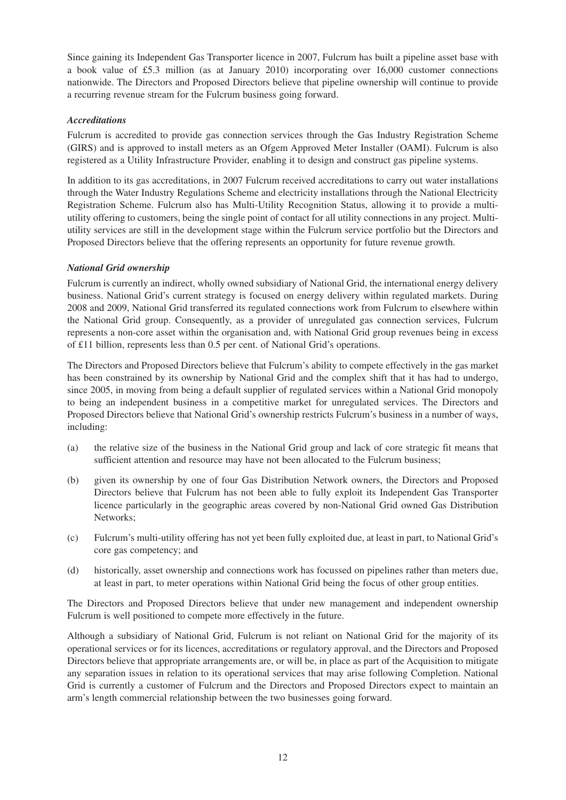Since gaining its Independent Gas Transporter licence in 2007, Fulcrum has built a pipeline asset base with a book value of £5.3 million (as at January 2010) incorporating over 16,000 customer connections nationwide. The Directors and Proposed Directors believe that pipeline ownership will continue to provide a recurring revenue stream for the Fulcrum business going forward.

#### *Accreditations*

Fulcrum is accredited to provide gas connection services through the Gas Industry Registration Scheme (GIRS) and is approved to install meters as an Ofgem Approved Meter Installer (OAMI). Fulcrum is also registered as a Utility Infrastructure Provider, enabling it to design and construct gas pipeline systems.

In addition to its gas accreditations, in 2007 Fulcrum received accreditations to carry out water installations through the Water Industry Regulations Scheme and electricity installations through the National Electricity Registration Scheme. Fulcrum also has Multi-Utility Recognition Status, allowing it to provide a multiutility offering to customers, being the single point of contact for all utility connections in any project. Multiutility services are still in the development stage within the Fulcrum service portfolio but the Directors and Proposed Directors believe that the offering represents an opportunity for future revenue growth.

#### *National Grid ownership*

Fulcrum is currently an indirect, wholly owned subsidiary of National Grid, the international energy delivery business. National Grid's current strategy is focused on energy delivery within regulated markets. During 2008 and 2009, National Grid transferred its regulated connections work from Fulcrum to elsewhere within the National Grid group. Consequently, as a provider of unregulated gas connection services, Fulcrum represents a non-core asset within the organisation and, with National Grid group revenues being in excess of £11 billion, represents less than 0.5 per cent. of National Grid's operations.

The Directors and Proposed Directors believe that Fulcrum's ability to compete effectively in the gas market has been constrained by its ownership by National Grid and the complex shift that it has had to undergo, since 2005, in moving from being a default supplier of regulated services within a National Grid monopoly to being an independent business in a competitive market for unregulated services. The Directors and Proposed Directors believe that National Grid's ownership restricts Fulcrum's business in a number of ways, including:

- (a) the relative size of the business in the National Grid group and lack of core strategic fit means that sufficient attention and resource may have not been allocated to the Fulcrum business;
- (b) given its ownership by one of four Gas Distribution Network owners, the Directors and Proposed Directors believe that Fulcrum has not been able to fully exploit its Independent Gas Transporter licence particularly in the geographic areas covered by non-National Grid owned Gas Distribution Networks;
- (c) Fulcrum's multi-utility offering has not yet been fully exploited due, at least in part, to National Grid's core gas competency; and
- (d) historically, asset ownership and connections work has focussed on pipelines rather than meters due, at least in part, to meter operations within National Grid being the focus of other group entities.

The Directors and Proposed Directors believe that under new management and independent ownership Fulcrum is well positioned to compete more effectively in the future.

Although a subsidiary of National Grid, Fulcrum is not reliant on National Grid for the majority of its operational services or for its licences, accreditations or regulatory approval, and the Directors and Proposed Directors believe that appropriate arrangements are, or will be, in place as part of the Acquisition to mitigate any separation issues in relation to its operational services that may arise following Completion. National Grid is currently a customer of Fulcrum and the Directors and Proposed Directors expect to maintain an arm's length commercial relationship between the two businesses going forward.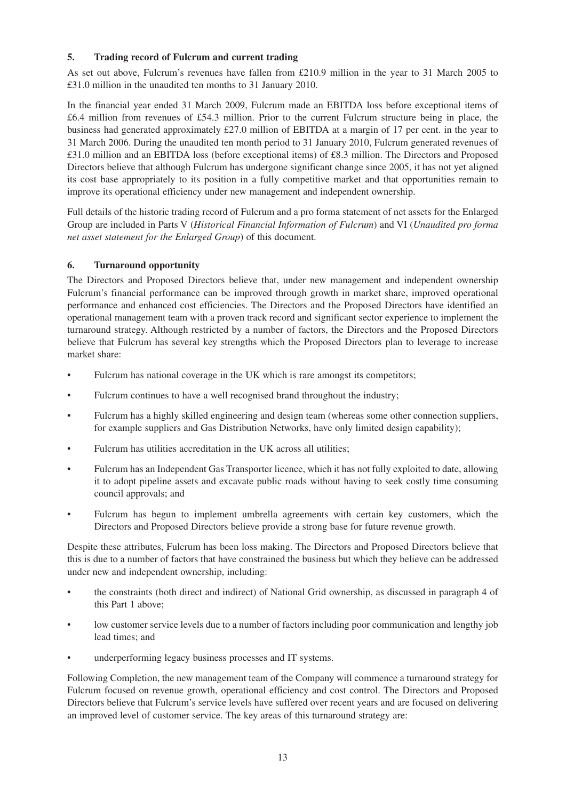#### **5. Trading record of Fulcrum and current trading**

As set out above, Fulcrum's revenues have fallen from £210.9 million in the year to 31 March 2005 to £31.0 million in the unaudited ten months to 31 January 2010.

In the financial year ended 31 March 2009, Fulcrum made an EBITDA loss before exceptional items of £6.4 million from revenues of £54.3 million. Prior to the current Fulcrum structure being in place, the business had generated approximately £27.0 million of EBITDA at a margin of 17 per cent. in the year to 31 March 2006. During the unaudited ten month period to 31 January 2010, Fulcrum generated revenues of £31.0 million and an EBITDA loss (before exceptional items) of £8.3 million. The Directors and Proposed Directors believe that although Fulcrum has undergone significant change since 2005, it has not yet aligned its cost base appropriately to its position in a fully competitive market and that opportunities remain to improve its operational efficiency under new management and independent ownership.

Full details of the historic trading record of Fulcrum and a pro forma statement of net assets for the Enlarged Group are included in Parts V (*Historical Financial Information of Fulcrum*) and VI (*Unaudited pro forma net asset statement for the Enlarged Group*) of this document.

#### **6. Turnaround opportunity**

The Directors and Proposed Directors believe that, under new management and independent ownership Fulcrum's financial performance can be improved through growth in market share, improved operational performance and enhanced cost efficiencies. The Directors and the Proposed Directors have identified an operational management team with a proven track record and significant sector experience to implement the turnaround strategy. Although restricted by a number of factors, the Directors and the Proposed Directors believe that Fulcrum has several key strengths which the Proposed Directors plan to leverage to increase market share:

- Fulcrum has national coverage in the UK which is rare amongst its competitors;
- Fulcrum continues to have a well recognised brand throughout the industry;
- Fulcrum has a highly skilled engineering and design team (whereas some other connection suppliers, for example suppliers and Gas Distribution Networks, have only limited design capability);
- Fulcrum has utilities accreditation in the UK across all utilities;
- Fulcrum has an Independent Gas Transporter licence, which it has not fully exploited to date, allowing it to adopt pipeline assets and excavate public roads without having to seek costly time consuming council approvals; and
- Fulcrum has begun to implement umbrella agreements with certain key customers, which the Directors and Proposed Directors believe provide a strong base for future revenue growth.

Despite these attributes, Fulcrum has been loss making. The Directors and Proposed Directors believe that this is due to a number of factors that have constrained the business but which they believe can be addressed under new and independent ownership, including:

- the constraints (both direct and indirect) of National Grid ownership, as discussed in paragraph 4 of this Part 1 above;
- low customer service levels due to a number of factors including poor communication and lengthy job lead times; and
- underperforming legacy business processes and IT systems.

Following Completion, the new management team of the Company will commence a turnaround strategy for Fulcrum focused on revenue growth, operational efficiency and cost control. The Directors and Proposed Directors believe that Fulcrum's service levels have suffered over recent years and are focused on delivering an improved level of customer service. The key areas of this turnaround strategy are: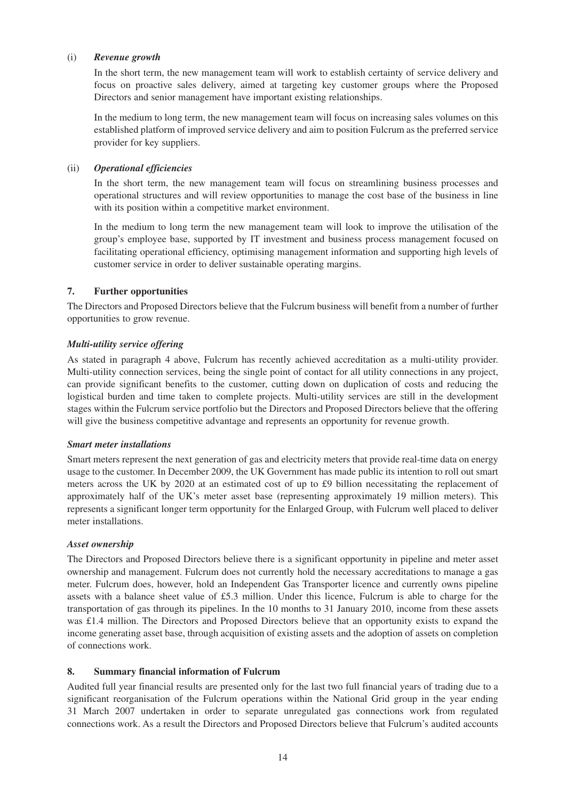#### (i) *Revenue growth*

In the short term, the new management team will work to establish certainty of service delivery and focus on proactive sales delivery, aimed at targeting key customer groups where the Proposed Directors and senior management have important existing relationships.

In the medium to long term, the new management team will focus on increasing sales volumes on this established platform of improved service delivery and aim to position Fulcrum as the preferred service provider for key suppliers.

#### (ii) *Operational efficiencies*

In the short term, the new management team will focus on streamlining business processes and operational structures and will review opportunities to manage the cost base of the business in line with its position within a competitive market environment.

In the medium to long term the new management team will look to improve the utilisation of the group's employee base, supported by IT investment and business process management focused on facilitating operational efficiency, optimising management information and supporting high levels of customer service in order to deliver sustainable operating margins.

#### **7. Further opportunities**

The Directors and Proposed Directors believe that the Fulcrum business will benefit from a number of further opportunities to grow revenue.

#### *Multi-utility service offering*

As stated in paragraph 4 above, Fulcrum has recently achieved accreditation as a multi-utility provider. Multi-utility connection services, being the single point of contact for all utility connections in any project, can provide significant benefits to the customer, cutting down on duplication of costs and reducing the logistical burden and time taken to complete projects. Multi-utility services are still in the development stages within the Fulcrum service portfolio but the Directors and Proposed Directors believe that the offering will give the business competitive advantage and represents an opportunity for revenue growth.

#### *Smart meter installations*

Smart meters represent the next generation of gas and electricity meters that provide real-time data on energy usage to the customer. In December 2009, the UK Government has made public its intention to roll out smart meters across the UK by 2020 at an estimated cost of up to £9 billion necessitating the replacement of approximately half of the UK's meter asset base (representing approximately 19 million meters). This represents a significant longer term opportunity for the Enlarged Group, with Fulcrum well placed to deliver meter installations.

#### *Asset ownership*

The Directors and Proposed Directors believe there is a significant opportunity in pipeline and meter asset ownership and management. Fulcrum does not currently hold the necessary accreditations to manage a gas meter. Fulcrum does, however, hold an Independent Gas Transporter licence and currently owns pipeline assets with a balance sheet value of £5.3 million. Under this licence, Fulcrum is able to charge for the transportation of gas through its pipelines. In the 10 months to 31 January 2010, income from these assets was £1.4 million. The Directors and Proposed Directors believe that an opportunity exists to expand the income generating asset base, through acquisition of existing assets and the adoption of assets on completion of connections work.

#### **8. Summary financial information of Fulcrum**

Audited full year financial results are presented only for the last two full financial years of trading due to a significant reorganisation of the Fulcrum operations within the National Grid group in the year ending 31 March 2007 undertaken in order to separate unregulated gas connections work from regulated connections work. As a result the Directors and Proposed Directors believe that Fulcrum's audited accounts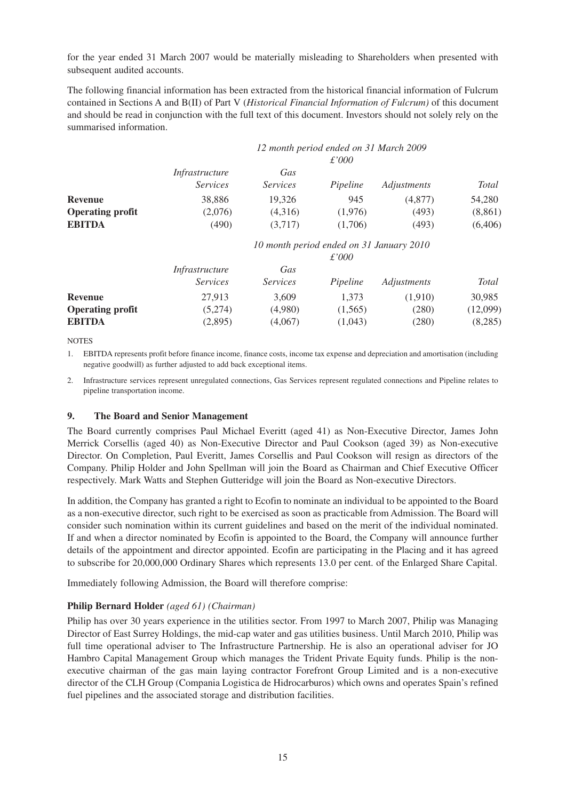for the year ended 31 March 2007 would be materially misleading to Shareholders when presented with subsequent audited accounts.

The following financial information has been extracted from the historical financial information of Fulcrum contained in Sections A and B(II) of Part V (*Historical Financial Information of Fulcrum)* of this document and should be read in conjunction with the full text of this document. Investors should not solely rely on the summarised information.

|                         | 12 month period ended on 31 March 2009   |                 |          |             |              |  |  |  |
|-------------------------|------------------------------------------|-----------------|----------|-------------|--------------|--|--|--|
|                         | $\pounds'000$                            |                 |          |             |              |  |  |  |
|                         | Infrastructure                           | Gas             |          |             |              |  |  |  |
|                         | <i>Services</i>                          | <i>Services</i> | Pipeline | Adjustments | Total        |  |  |  |
| <b>Revenue</b>          | 38,886                                   | 19,326          | 945      | (4,877)     | 54,280       |  |  |  |
| <b>Operating profit</b> | (2,076)                                  | (4,316)         | (1,976)  | (493)       | (8, 861)     |  |  |  |
| <b>EBITDA</b>           | (490)                                    | (3,717)         | (1,706)  | (493)       | (6,406)      |  |  |  |
|                         | 10 month period ended on 31 January 2010 |                 |          |             |              |  |  |  |
|                         |                                          |                 | £'000    |             |              |  |  |  |
|                         | <i>Infrastructure</i>                    | Gas             |          |             |              |  |  |  |
|                         | <i>Services</i>                          | <i>Services</i> | Pipeline | Adjustments | <b>Total</b> |  |  |  |
| <b>Revenue</b>          | 27,913                                   | 3,609           | 1,373    | (1,910)     | 30,985       |  |  |  |
| <b>Operating profit</b> | (5,274)                                  | (4,980)         | (1,565)  | (280)       | (12,099)     |  |  |  |
| <b>EBITDA</b>           | (2,895)                                  | (4,067)         | (1,043)  | (280)       | (8,285)      |  |  |  |

**NOTES** 

1. EBITDA represents profit before finance income, finance costs, income tax expense and depreciation and amortisation (including negative goodwill) as further adjusted to add back exceptional items.

2. Infrastructure services represent unregulated connections, Gas Services represent regulated connections and Pipeline relates to pipeline transportation income.

#### **9. The Board and Senior Management**

The Board currently comprises Paul Michael Everitt (aged 41) as Non-Executive Director, James John Merrick Corsellis (aged 40) as Non-Executive Director and Paul Cookson (aged 39) as Non-executive Director. On Completion, Paul Everitt, James Corsellis and Paul Cookson will resign as directors of the Company. Philip Holder and John Spellman will join the Board as Chairman and Chief Executive Officer respectively. Mark Watts and Stephen Gutteridge will join the Board as Non-executive Directors.

In addition, the Company has granted a right to Ecofin to nominate an individual to be appointed to the Board as a non-executive director, such right to be exercised as soon as practicable from Admission. The Board will consider such nomination within its current guidelines and based on the merit of the individual nominated. If and when a director nominated by Ecofin is appointed to the Board, the Company will announce further details of the appointment and director appointed. Ecofin are participating in the Placing and it has agreed to subscribe for 20,000,000 Ordinary Shares which represents 13.0 per cent. of the Enlarged Share Capital.

Immediately following Admission, the Board will therefore comprise:

#### **Philip Bernard Holder** *(aged 61) (Chairman)*

Philip has over 30 years experience in the utilities sector. From 1997 to March 2007, Philip was Managing Director of East Surrey Holdings, the mid-cap water and gas utilities business. Until March 2010, Philip was full time operational adviser to The Infrastructure Partnership. He is also an operational adviser for JO Hambro Capital Management Group which manages the Trident Private Equity funds. Philip is the nonexecutive chairman of the gas main laying contractor Forefront Group Limited and is a non-executive director of the CLH Group (Compania Logistica de Hidrocarburos) which owns and operates Spain's refined fuel pipelines and the associated storage and distribution facilities.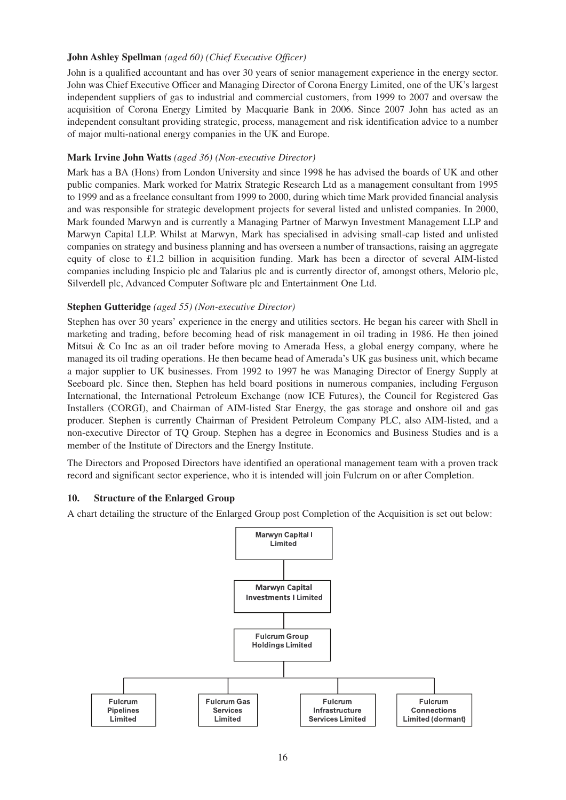#### **John Ashley Spellman** *(aged 60) (Chief Executive Officer)*

John is a qualified accountant and has over 30 years of senior management experience in the energy sector. John was Chief Executive Officer and Managing Director of Corona Energy Limited, one of the UK's largest independent suppliers of gas to industrial and commercial customers, from 1999 to 2007 and oversaw the acquisition of Corona Energy Limited by Macquarie Bank in 2006. Since 2007 John has acted as an independent consultant providing strategic, process, management and risk identification advice to a number of major multi-national energy companies in the UK and Europe.

#### **Mark Irvine John Watts** *(aged 36) (Non-executive Director)*

Mark has a BA (Hons) from London University and since 1998 he has advised the boards of UK and other public companies. Mark worked for Matrix Strategic Research Ltd as a management consultant from 1995 to 1999 and as a freelance consultant from 1999 to 2000, during which time Mark provided financial analysis and was responsible for strategic development projects for several listed and unlisted companies. In 2000, Mark founded Marwyn and is currently a Managing Partner of Marwyn Investment Management LLP and Marwyn Capital LLP. Whilst at Marwyn, Mark has specialised in advising small-cap listed and unlisted companies on strategy and business planning and has overseen a number of transactions, raising an aggregate equity of close to £1.2 billion in acquisition funding. Mark has been a director of several AIM-listed companies including Inspicio plc and Talarius plc and is currently director of, amongst others, Melorio plc, Silverdell plc, Advanced Computer Software plc and Entertainment One Ltd.

#### **Stephen Gutteridge** *(aged 55) (Non-executive Director)*

Stephen has over 30 years' experience in the energy and utilities sectors. He began his career with Shell in marketing and trading, before becoming head of risk management in oil trading in 1986. He then joined Mitsui & Co Inc as an oil trader before moving to Amerada Hess, a global energy company, where he managed its oil trading operations. He then became head of Amerada's UK gas business unit, which became a major supplier to UK businesses. From 1992 to 1997 he was Managing Director of Energy Supply at Seeboard plc. Since then, Stephen has held board positions in numerous companies, including Ferguson International, the International Petroleum Exchange (now ICE Futures), the Council for Registered Gas Installers (CORGI), and Chairman of AIM-listed Star Energy, the gas storage and onshore oil and gas producer. Stephen is currently Chairman of President Petroleum Company PLC, also AIM-listed, and a non-executive Director of TQ Group. Stephen has a degree in Economics and Business Studies and is a member of the Institute of Directors and the Energy Institute.

The Directors and Proposed Directors have identified an operational management team with a proven track record and significant sector experience, who it is intended will join Fulcrum on or after Completion.

#### **10. Structure of the Enlarged Group**

A chart detailing the structure of the Enlarged Group post Completion of the Acquisition is set out below:

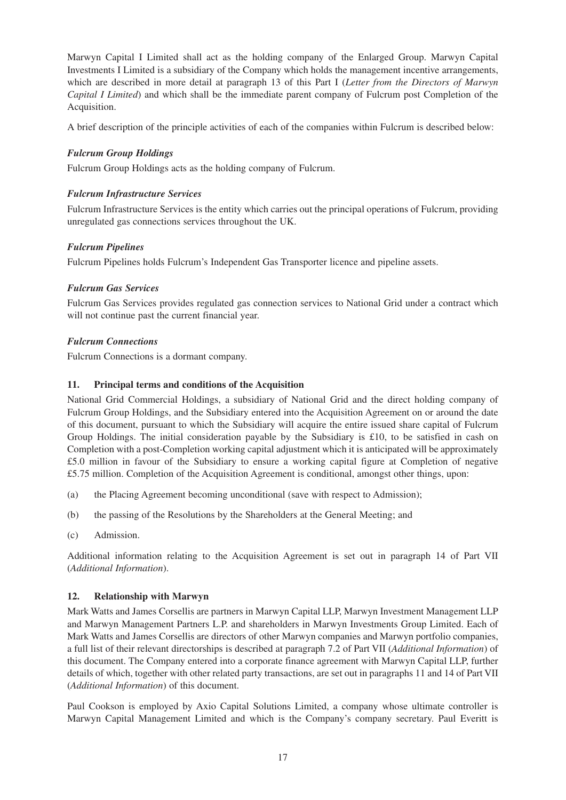Marwyn Capital I Limited shall act as the holding company of the Enlarged Group. Marwyn Capital Investments I Limited is a subsidiary of the Company which holds the management incentive arrangements, which are described in more detail at paragraph 13 of this Part I (*Letter from the Directors of Marwyn Capital I Limited*) and which shall be the immediate parent company of Fulcrum post Completion of the Acquisition.

A brief description of the principle activities of each of the companies within Fulcrum is described below:

#### *Fulcrum Group Holdings*

Fulcrum Group Holdings acts as the holding company of Fulcrum.

#### *Fulcrum Infrastructure Services*

Fulcrum Infrastructure Services is the entity which carries out the principal operations of Fulcrum, providing unregulated gas connections services throughout the UK.

#### *Fulcrum Pipelines*

Fulcrum Pipelines holds Fulcrum's Independent Gas Transporter licence and pipeline assets.

#### *Fulcrum Gas Services*

Fulcrum Gas Services provides regulated gas connection services to National Grid under a contract which will not continue past the current financial year.

#### *Fulcrum Connections*

Fulcrum Connections is a dormant company.

#### **11. Principal terms and conditions of the Acquisition**

National Grid Commercial Holdings, a subsidiary of National Grid and the direct holding company of Fulcrum Group Holdings, and the Subsidiary entered into the Acquisition Agreement on or around the date of this document, pursuant to which the Subsidiary will acquire the entire issued share capital of Fulcrum Group Holdings. The initial consideration payable by the Subsidiary is £10, to be satisfied in cash on Completion with a post-Completion working capital adjustment which it is anticipated will be approximately £5.0 million in favour of the Subsidiary to ensure a working capital figure at Completion of negative £5.75 million. Completion of the Acquisition Agreement is conditional, amongst other things, upon:

- (a) the Placing Agreement becoming unconditional (save with respect to Admission);
- (b) the passing of the Resolutions by the Shareholders at the General Meeting; and
- (c) Admission.

Additional information relating to the Acquisition Agreement is set out in paragraph 14 of Part VII (*Additional Information*).

#### **12. Relationship with Marwyn**

Mark Watts and James Corsellis are partners in Marwyn Capital LLP, Marwyn Investment Management LLP and Marwyn Management Partners L.P. and shareholders in Marwyn Investments Group Limited. Each of Mark Watts and James Corsellis are directors of other Marwyn companies and Marwyn portfolio companies, a full list of their relevant directorships is described at paragraph 7.2 of Part VII (*Additional Information*) of this document. The Company entered into a corporate finance agreement with Marwyn Capital LLP, further details of which, together with other related party transactions, are set out in paragraphs 11 and 14 of Part VII (*Additional Information*) of this document.

Paul Cookson is employed by Axio Capital Solutions Limited, a company whose ultimate controller is Marwyn Capital Management Limited and which is the Company's company secretary. Paul Everitt is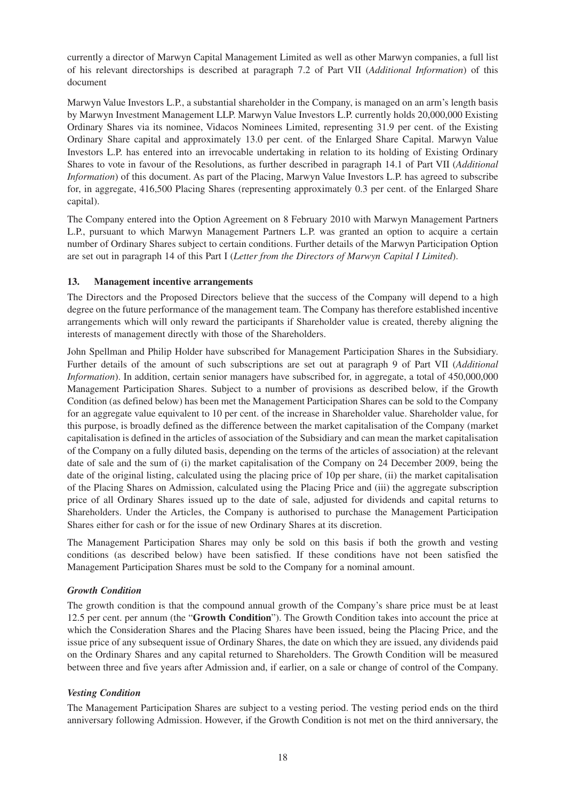currently a director of Marwyn Capital Management Limited as well as other Marwyn companies, a full list of his relevant directorships is described at paragraph 7.2 of Part VII (*Additional Information*) of this document

Marwyn Value Investors L.P., a substantial shareholder in the Company, is managed on an arm's length basis by Marwyn Investment Management LLP. Marwyn Value Investors L.P. currently holds 20,000,000 Existing Ordinary Shares via its nominee, Vidacos Nominees Limited, representing 31.9 per cent. of the Existing Ordinary Share capital and approximately 13.0 per cent. of the Enlarged Share Capital. Marwyn Value Investors L.P. has entered into an irrevocable undertaking in relation to its holding of Existing Ordinary Shares to vote in favour of the Resolutions, as further described in paragraph 14.1 of Part VII (*Additional Information*) of this document. As part of the Placing, Marwyn Value Investors L.P. has agreed to subscribe for, in aggregate, 416,500 Placing Shares (representing approximately 0.3 per cent. of the Enlarged Share capital).

The Company entered into the Option Agreement on 8 February 2010 with Marwyn Management Partners L.P., pursuant to which Marwyn Management Partners L.P. was granted an option to acquire a certain number of Ordinary Shares subject to certain conditions. Further details of the Marwyn Participation Option are set out in paragraph 14 of this Part I (*Letter from the Directors of Marwyn Capital I Limited*).

#### **13. Management incentive arrangements**

The Directors and the Proposed Directors believe that the success of the Company will depend to a high degree on the future performance of the management team. The Company has therefore established incentive arrangements which will only reward the participants if Shareholder value is created, thereby aligning the interests of management directly with those of the Shareholders.

John Spellman and Philip Holder have subscribed for Management Participation Shares in the Subsidiary. Further details of the amount of such subscriptions are set out at paragraph 9 of Part VII (*Additional Information*). In addition, certain senior managers have subscribed for, in aggregate, a total of 450,000,000 Management Participation Shares. Subject to a number of provisions as described below, if the Growth Condition (as defined below) has been met the Management Participation Shares can be sold to the Company for an aggregate value equivalent to 10 per cent. of the increase in Shareholder value. Shareholder value, for this purpose, is broadly defined as the difference between the market capitalisation of the Company (market capitalisation is defined in the articles of association of the Subsidiary and can mean the market capitalisation of the Company on a fully diluted basis, depending on the terms of the articles of association) at the relevant date of sale and the sum of (i) the market capitalisation of the Company on 24 December 2009, being the date of the original listing, calculated using the placing price of 10p per share, (ii) the market capitalisation of the Placing Shares on Admission, calculated using the Placing Price and (iii) the aggregate subscription price of all Ordinary Shares issued up to the date of sale, adjusted for dividends and capital returns to Shareholders. Under the Articles, the Company is authorised to purchase the Management Participation Shares either for cash or for the issue of new Ordinary Shares at its discretion.

The Management Participation Shares may only be sold on this basis if both the growth and vesting conditions (as described below) have been satisfied. If these conditions have not been satisfied the Management Participation Shares must be sold to the Company for a nominal amount.

#### *Growth Condition*

The growth condition is that the compound annual growth of the Company's share price must be at least 12.5 per cent. per annum (the "**Growth Condition**"). The Growth Condition takes into account the price at which the Consideration Shares and the Placing Shares have been issued, being the Placing Price, and the issue price of any subsequent issue of Ordinary Shares, the date on which they are issued, any dividends paid on the Ordinary Shares and any capital returned to Shareholders. The Growth Condition will be measured between three and five years after Admission and, if earlier, on a sale or change of control of the Company.

#### *Vesting Condition*

The Management Participation Shares are subject to a vesting period. The vesting period ends on the third anniversary following Admission. However, if the Growth Condition is not met on the third anniversary, the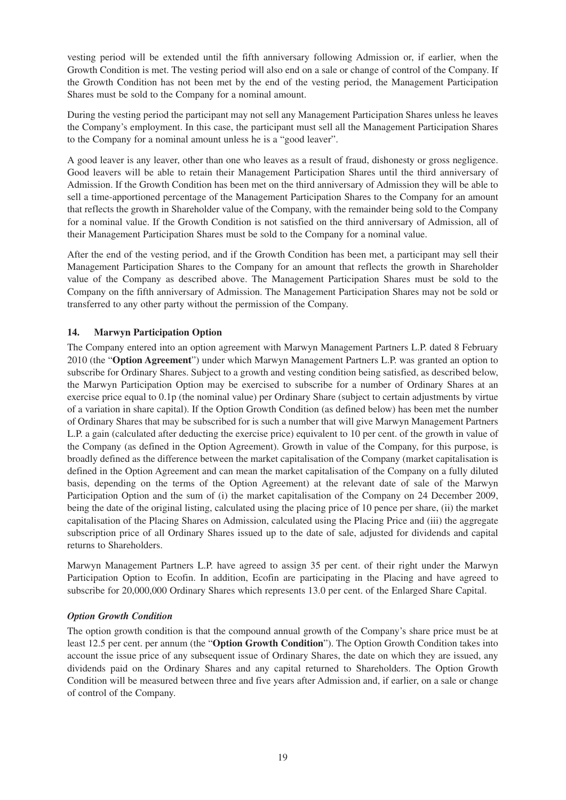vesting period will be extended until the fifth anniversary following Admission or, if earlier, when the Growth Condition is met. The vesting period will also end on a sale or change of control of the Company. If the Growth Condition has not been met by the end of the vesting period, the Management Participation Shares must be sold to the Company for a nominal amount.

During the vesting period the participant may not sell any Management Participation Shares unless he leaves the Company's employment. In this case, the participant must sell all the Management Participation Shares to the Company for a nominal amount unless he is a "good leaver".

A good leaver is any leaver, other than one who leaves as a result of fraud, dishonesty or gross negligence. Good leavers will be able to retain their Management Participation Shares until the third anniversary of Admission. If the Growth Condition has been met on the third anniversary of Admission they will be able to sell a time-apportioned percentage of the Management Participation Shares to the Company for an amount that reflects the growth in Shareholder value of the Company, with the remainder being sold to the Company for a nominal value. If the Growth Condition is not satisfied on the third anniversary of Admission, all of their Management Participation Shares must be sold to the Company for a nominal value.

After the end of the vesting period, and if the Growth Condition has been met, a participant may sell their Management Participation Shares to the Company for an amount that reflects the growth in Shareholder value of the Company as described above. The Management Participation Shares must be sold to the Company on the fifth anniversary of Admission. The Management Participation Shares may not be sold or transferred to any other party without the permission of the Company.

#### **14. Marwyn Participation Option**

The Company entered into an option agreement with Marwyn Management Partners L.P. dated 8 February 2010 (the "**Option Agreement**") under which Marwyn Management Partners L.P. was granted an option to subscribe for Ordinary Shares. Subject to a growth and vesting condition being satisfied, as described below, the Marwyn Participation Option may be exercised to subscribe for a number of Ordinary Shares at an exercise price equal to 0.1p (the nominal value) per Ordinary Share (subject to certain adjustments by virtue of a variation in share capital). If the Option Growth Condition (as defined below) has been met the number of Ordinary Shares that may be subscribed for is such a number that will give Marwyn Management Partners L.P. a gain (calculated after deducting the exercise price) equivalent to 10 per cent. of the growth in value of the Company (as defined in the Option Agreement). Growth in value of the Company, for this purpose, is broadly defined as the difference between the market capitalisation of the Company (market capitalisation is defined in the Option Agreement and can mean the market capitalisation of the Company on a fully diluted basis, depending on the terms of the Option Agreement) at the relevant date of sale of the Marwyn Participation Option and the sum of (i) the market capitalisation of the Company on 24 December 2009, being the date of the original listing, calculated using the placing price of 10 pence per share, (ii) the market capitalisation of the Placing Shares on Admission, calculated using the Placing Price and (iii) the aggregate subscription price of all Ordinary Shares issued up to the date of sale, adjusted for dividends and capital returns to Shareholders.

Marwyn Management Partners L.P. have agreed to assign 35 per cent. of their right under the Marwyn Participation Option to Ecofin. In addition, Ecofin are participating in the Placing and have agreed to subscribe for 20,000,000 Ordinary Shares which represents 13.0 per cent. of the Enlarged Share Capital.

#### *Option Growth Condition*

The option growth condition is that the compound annual growth of the Company's share price must be at least 12.5 per cent. per annum (the "**Option Growth Condition**"). The Option Growth Condition takes into account the issue price of any subsequent issue of Ordinary Shares, the date on which they are issued, any dividends paid on the Ordinary Shares and any capital returned to Shareholders. The Option Growth Condition will be measured between three and five years after Admission and, if earlier, on a sale or change of control of the Company.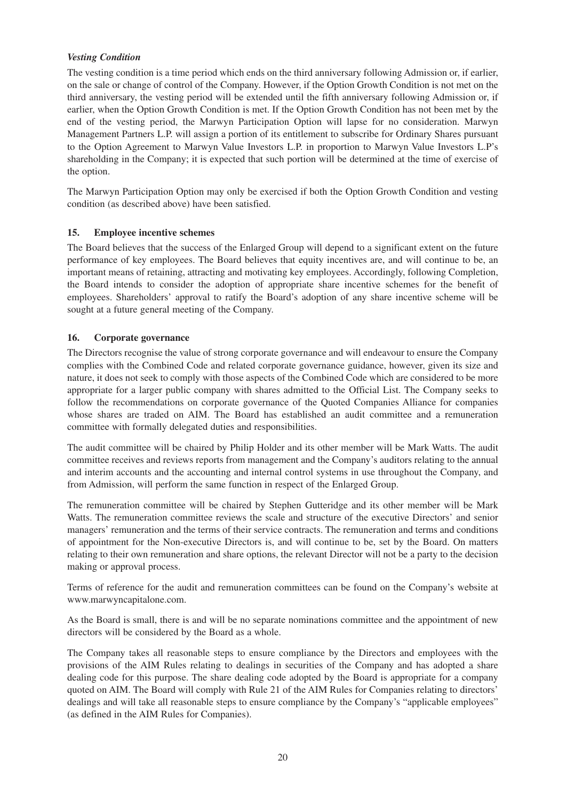#### *Vesting Condition*

The vesting condition is a time period which ends on the third anniversary following Admission or, if earlier, on the sale or change of control of the Company. However, if the Option Growth Condition is not met on the third anniversary, the vesting period will be extended until the fifth anniversary following Admission or, if earlier, when the Option Growth Condition is met. If the Option Growth Condition has not been met by the end of the vesting period, the Marwyn Participation Option will lapse for no consideration. Marwyn Management Partners L.P. will assign a portion of its entitlement to subscribe for Ordinary Shares pursuant to the Option Agreement to Marwyn Value Investors L.P. in proportion to Marwyn Value Investors L.P's shareholding in the Company; it is expected that such portion will be determined at the time of exercise of the option.

The Marwyn Participation Option may only be exercised if both the Option Growth Condition and vesting condition (as described above) have been satisfied.

#### **15. Employee incentive schemes**

The Board believes that the success of the Enlarged Group will depend to a significant extent on the future performance of key employees. The Board believes that equity incentives are, and will continue to be, an important means of retaining, attracting and motivating key employees. Accordingly, following Completion, the Board intends to consider the adoption of appropriate share incentive schemes for the benefit of employees. Shareholders' approval to ratify the Board's adoption of any share incentive scheme will be sought at a future general meeting of the Company.

#### **16. Corporate governance**

The Directors recognise the value of strong corporate governance and will endeavour to ensure the Company complies with the Combined Code and related corporate governance guidance, however, given its size and nature, it does not seek to comply with those aspects of the Combined Code which are considered to be more appropriate for a larger public company with shares admitted to the Official List. The Company seeks to follow the recommendations on corporate governance of the Quoted Companies Alliance for companies whose shares are traded on AIM. The Board has established an audit committee and a remuneration committee with formally delegated duties and responsibilities.

The audit committee will be chaired by Philip Holder and its other member will be Mark Watts. The audit committee receives and reviews reports from management and the Company's auditors relating to the annual and interim accounts and the accounting and internal control systems in use throughout the Company, and from Admission, will perform the same function in respect of the Enlarged Group.

The remuneration committee will be chaired by Stephen Gutteridge and its other member will be Mark Watts. The remuneration committee reviews the scale and structure of the executive Directors' and senior managers' remuneration and the terms of their service contracts. The remuneration and terms and conditions of appointment for the Non-executive Directors is, and will continue to be, set by the Board. On matters relating to their own remuneration and share options, the relevant Director will not be a party to the decision making or approval process.

Terms of reference for the audit and remuneration committees can be found on the Company's website at www.marwyncapitalone.com.

As the Board is small, there is and will be no separate nominations committee and the appointment of new directors will be considered by the Board as a whole.

The Company takes all reasonable steps to ensure compliance by the Directors and employees with the provisions of the AIM Rules relating to dealings in securities of the Company and has adopted a share dealing code for this purpose. The share dealing code adopted by the Board is appropriate for a company quoted on AIM. The Board will comply with Rule 21 of the AIM Rules for Companies relating to directors' dealings and will take all reasonable steps to ensure compliance by the Company's "applicable employees" (as defined in the AIM Rules for Companies).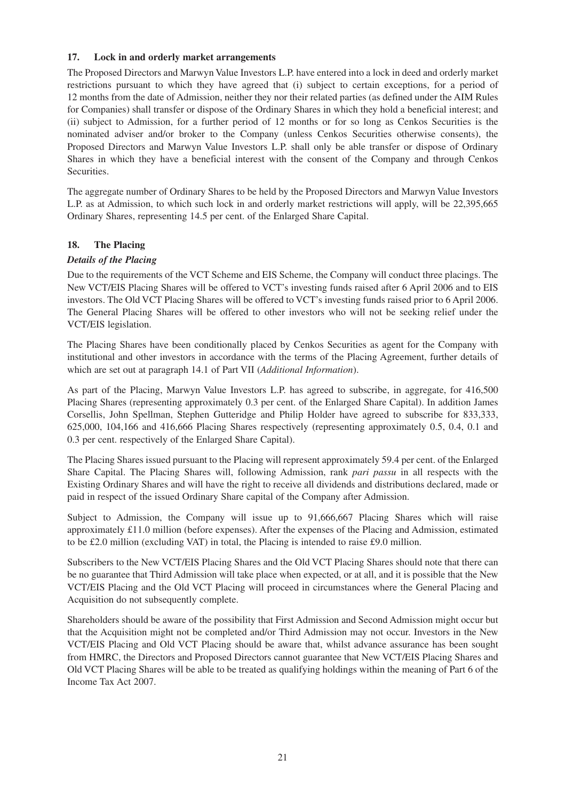#### **17. Lock in and orderly market arrangements**

The Proposed Directors and Marwyn Value Investors L.P. have entered into a lock in deed and orderly market restrictions pursuant to which they have agreed that (i) subject to certain exceptions, for a period of 12 months from the date of Admission, neither they nor their related parties (as defined under the AIM Rules for Companies) shall transfer or dispose of the Ordinary Shares in which they hold a beneficial interest; and (ii) subject to Admission, for a further period of 12 months or for so long as Cenkos Securities is the nominated adviser and/or broker to the Company (unless Cenkos Securities otherwise consents), the Proposed Directors and Marwyn Value Investors L.P. shall only be able transfer or dispose of Ordinary Shares in which they have a beneficial interest with the consent of the Company and through Cenkos Securities.

The aggregate number of Ordinary Shares to be held by the Proposed Directors and Marwyn Value Investors L.P. as at Admission, to which such lock in and orderly market restrictions will apply, will be 22,395,665 Ordinary Shares, representing 14.5 per cent. of the Enlarged Share Capital.

#### **18. The Placing**

#### *Details of the Placing*

Due to the requirements of the VCT Scheme and EIS Scheme, the Company will conduct three placings. The New VCT/EIS Placing Shares will be offered to VCT's investing funds raised after 6 April 2006 and to EIS investors. The Old VCT Placing Shares will be offered to VCT's investing funds raised prior to 6 April 2006. The General Placing Shares will be offered to other investors who will not be seeking relief under the VCT/EIS legislation.

The Placing Shares have been conditionally placed by Cenkos Securities as agent for the Company with institutional and other investors in accordance with the terms of the Placing Agreement, further details of which are set out at paragraph 14.1 of Part VII (*Additional Information*).

As part of the Placing, Marwyn Value Investors L.P. has agreed to subscribe, in aggregate, for 416,500 Placing Shares (representing approximately 0.3 per cent. of the Enlarged Share Capital). In addition James Corsellis, John Spellman, Stephen Gutteridge and Philip Holder have agreed to subscribe for 833,333, 625,000, 104,166 and 416,666 Placing Shares respectively (representing approximately 0.5, 0.4, 0.1 and 0.3 per cent. respectively of the Enlarged Share Capital).

The Placing Shares issued pursuant to the Placing will represent approximately 59.4 per cent. of the Enlarged Share Capital. The Placing Shares will, following Admission, rank *pari passu* in all respects with the Existing Ordinary Shares and will have the right to receive all dividends and distributions declared, made or paid in respect of the issued Ordinary Share capital of the Company after Admission.

Subject to Admission, the Company will issue up to 91,666,667 Placing Shares which will raise approximately £11.0 million (before expenses). After the expenses of the Placing and Admission, estimated to be £2.0 million (excluding VAT) in total, the Placing is intended to raise £9.0 million.

Subscribers to the New VCT/EIS Placing Shares and the Old VCT Placing Shares should note that there can be no guarantee that Third Admission will take place when expected, or at all, and it is possible that the New VCT/EIS Placing and the Old VCT Placing will proceed in circumstances where the General Placing and Acquisition do not subsequently complete.

Shareholders should be aware of the possibility that First Admission and Second Admission might occur but that the Acquisition might not be completed and/or Third Admission may not occur. Investors in the New VCT/EIS Placing and Old VCT Placing should be aware that, whilst advance assurance has been sought from HMRC, the Directors and Proposed Directors cannot guarantee that New VCT/EIS Placing Shares and Old VCT Placing Shares will be able to be treated as qualifying holdings within the meaning of Part 6 of the Income Tax Act 2007.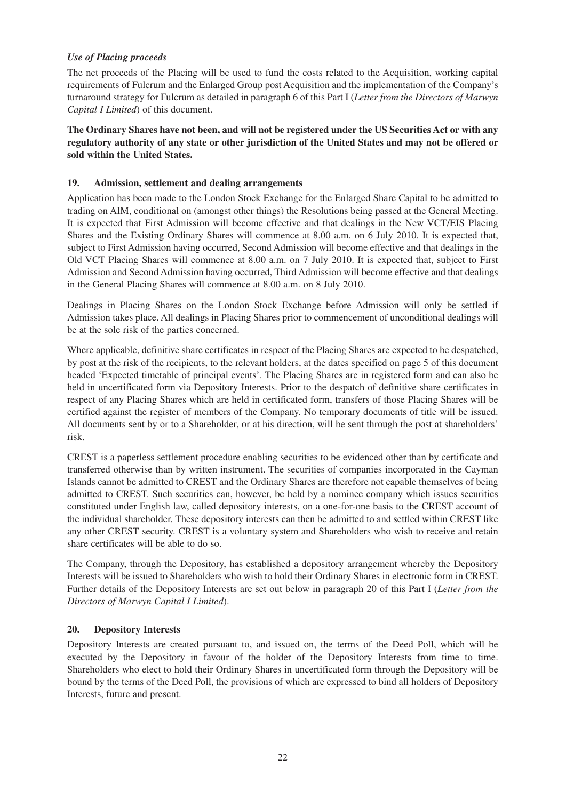#### *Use of Placing proceeds*

The net proceeds of the Placing will be used to fund the costs related to the Acquisition, working capital requirements of Fulcrum and the Enlarged Group post Acquisition and the implementation of the Company's turnaround strategy for Fulcrum as detailed in paragraph 6 of this Part I (*Letter from the Directors of Marwyn Capital I Limited*) of this document.

**The Ordinary Shares have not been, and will not be registered under the US Securities Act or with any regulatory authority of any state or other jurisdiction of the United States and may not be offered or sold within the United States.**

#### **19. Admission, settlement and dealing arrangements**

Application has been made to the London Stock Exchange for the Enlarged Share Capital to be admitted to trading on AIM, conditional on (amongst other things) the Resolutions being passed at the General Meeting. It is expected that First Admission will become effective and that dealings in the New VCT/EIS Placing Shares and the Existing Ordinary Shares will commence at 8.00 a.m. on 6 July 2010. It is expected that, subject to First Admission having occurred, Second Admission will become effective and that dealings in the Old VCT Placing Shares will commence at 8.00 a.m. on 7 July 2010. It is expected that, subject to First Admission and Second Admission having occurred, Third Admission will become effective and that dealings in the General Placing Shares will commence at 8.00 a.m. on 8 July 2010.

Dealings in Placing Shares on the London Stock Exchange before Admission will only be settled if Admission takes place. All dealings in Placing Shares prior to commencement of unconditional dealings will be at the sole risk of the parties concerned.

Where applicable, definitive share certificates in respect of the Placing Shares are expected to be despatched, by post at the risk of the recipients, to the relevant holders, at the dates specified on page 5 of this document headed 'Expected timetable of principal events'. The Placing Shares are in registered form and can also be held in uncertificated form via Depository Interests. Prior to the despatch of definitive share certificates in respect of any Placing Shares which are held in certificated form, transfers of those Placing Shares will be certified against the register of members of the Company. No temporary documents of title will be issued. All documents sent by or to a Shareholder, or at his direction, will be sent through the post at shareholders' risk.

CREST is a paperless settlement procedure enabling securities to be evidenced other than by certificate and transferred otherwise than by written instrument. The securities of companies incorporated in the Cayman Islands cannot be admitted to CREST and the Ordinary Shares are therefore not capable themselves of being admitted to CREST. Such securities can, however, be held by a nominee company which issues securities constituted under English law, called depository interests, on a one-for-one basis to the CREST account of the individual shareholder. These depository interests can then be admitted to and settled within CREST like any other CREST security. CREST is a voluntary system and Shareholders who wish to receive and retain share certificates will be able to do so.

The Company, through the Depository, has established a depository arrangement whereby the Depository Interests will be issued to Shareholders who wish to hold their Ordinary Shares in electronic form in CREST. Further details of the Depository Interests are set out below in paragraph 20 of this Part I (*Letter from the Directors of Marwyn Capital I Limited*).

#### **20. Depository Interests**

Depository Interests are created pursuant to, and issued on, the terms of the Deed Poll, which will be executed by the Depository in favour of the holder of the Depository Interests from time to time. Shareholders who elect to hold their Ordinary Shares in uncertificated form through the Depository will be bound by the terms of the Deed Poll, the provisions of which are expressed to bind all holders of Depository Interests, future and present.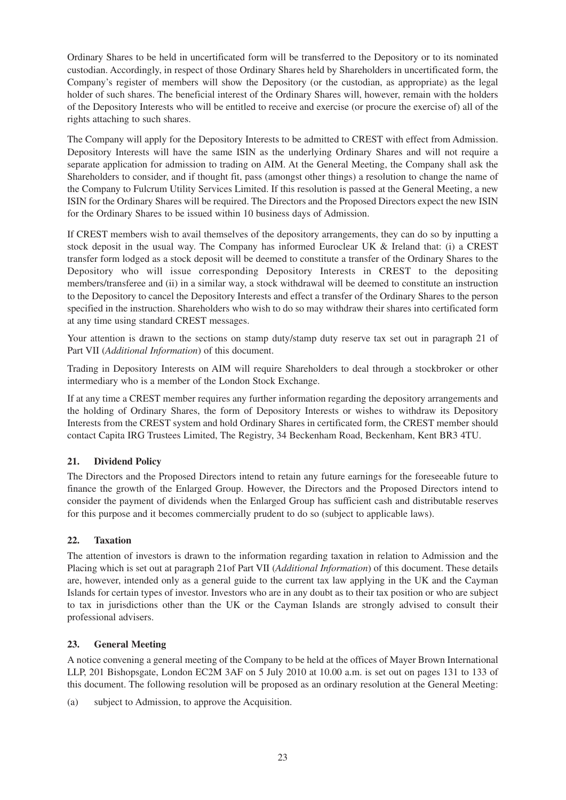Ordinary Shares to be held in uncertificated form will be transferred to the Depository or to its nominated custodian. Accordingly, in respect of those Ordinary Shares held by Shareholders in uncertificated form, the Company's register of members will show the Depository (or the custodian, as appropriate) as the legal holder of such shares. The beneficial interest of the Ordinary Shares will, however, remain with the holders of the Depository Interests who will be entitled to receive and exercise (or procure the exercise of) all of the rights attaching to such shares.

The Company will apply for the Depository Interests to be admitted to CREST with effect from Admission. Depository Interests will have the same ISIN as the underlying Ordinary Shares and will not require a separate application for admission to trading on AIM. At the General Meeting, the Company shall ask the Shareholders to consider, and if thought fit, pass (amongst other things) a resolution to change the name of the Company to Fulcrum Utility Services Limited. If this resolution is passed at the General Meeting, a new ISIN for the Ordinary Shares will be required. The Directors and the Proposed Directors expect the new ISIN for the Ordinary Shares to be issued within 10 business days of Admission.

If CREST members wish to avail themselves of the depository arrangements, they can do so by inputting a stock deposit in the usual way. The Company has informed Euroclear UK & Ireland that: (i) a CREST transfer form lodged as a stock deposit will be deemed to constitute a transfer of the Ordinary Shares to the Depository who will issue corresponding Depository Interests in CREST to the depositing members/transferee and (ii) in a similar way, a stock withdrawal will be deemed to constitute an instruction to the Depository to cancel the Depository Interests and effect a transfer of the Ordinary Shares to the person specified in the instruction. Shareholders who wish to do so may withdraw their shares into certificated form at any time using standard CREST messages.

Your attention is drawn to the sections on stamp duty/stamp duty reserve tax set out in paragraph 21 of Part VII (*Additional Information*) of this document.

Trading in Depository Interests on AIM will require Shareholders to deal through a stockbroker or other intermediary who is a member of the London Stock Exchange.

If at any time a CREST member requires any further information regarding the depository arrangements and the holding of Ordinary Shares, the form of Depository Interests or wishes to withdraw its Depository Interests from the CREST system and hold Ordinary Shares in certificated form, the CREST member should contact Capita IRG Trustees Limited, The Registry, 34 Beckenham Road, Beckenham, Kent BR3 4TU.

#### **21. Dividend Policy**

The Directors and the Proposed Directors intend to retain any future earnings for the foreseeable future to finance the growth of the Enlarged Group. However, the Directors and the Proposed Directors intend to consider the payment of dividends when the Enlarged Group has sufficient cash and distributable reserves for this purpose and it becomes commercially prudent to do so (subject to applicable laws).

#### **22. Taxation**

The attention of investors is drawn to the information regarding taxation in relation to Admission and the Placing which is set out at paragraph 21of Part VII (*Additional Information*) of this document. These details are, however, intended only as a general guide to the current tax law applying in the UK and the Cayman Islands for certain types of investor. Investors who are in any doubt as to their tax position or who are subject to tax in jurisdictions other than the UK or the Cayman Islands are strongly advised to consult their professional advisers.

#### **23. General Meeting**

A notice convening a general meeting of the Company to be held at the offices of Mayer Brown International LLP, 201 Bishopsgate, London EC2M 3AF on 5 July 2010 at 10.00 a.m. is set out on pages 131 to 133 of this document. The following resolution will be proposed as an ordinary resolution at the General Meeting:

(a) subject to Admission, to approve the Acquisition.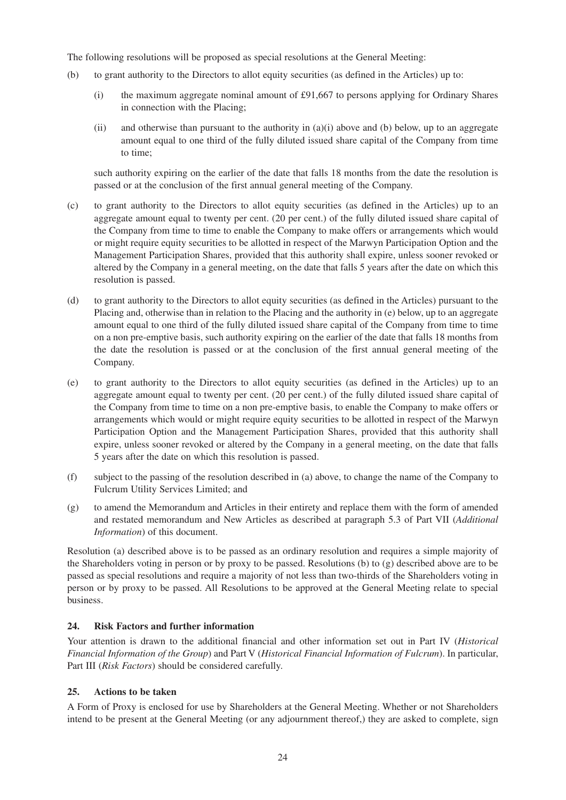The following resolutions will be proposed as special resolutions at the General Meeting:

- (b) to grant authority to the Directors to allot equity securities (as defined in the Articles) up to:
	- (i) the maximum aggregate nominal amount of £91,667 to persons applying for Ordinary Shares in connection with the Placing;
	- (ii) and otherwise than pursuant to the authority in (a)(i) above and (b) below, up to an aggregate amount equal to one third of the fully diluted issued share capital of the Company from time to time;

such authority expiring on the earlier of the date that falls 18 months from the date the resolution is passed or at the conclusion of the first annual general meeting of the Company.

- (c) to grant authority to the Directors to allot equity securities (as defined in the Articles) up to an aggregate amount equal to twenty per cent. (20 per cent.) of the fully diluted issued share capital of the Company from time to time to enable the Company to make offers or arrangements which would or might require equity securities to be allotted in respect of the Marwyn Participation Option and the Management Participation Shares, provided that this authority shall expire, unless sooner revoked or altered by the Company in a general meeting, on the date that falls 5 years after the date on which this resolution is passed.
- (d) to grant authority to the Directors to allot equity securities (as defined in the Articles) pursuant to the Placing and, otherwise than in relation to the Placing and the authority in (e) below, up to an aggregate amount equal to one third of the fully diluted issued share capital of the Company from time to time on a non pre-emptive basis, such authority expiring on the earlier of the date that falls 18 months from the date the resolution is passed or at the conclusion of the first annual general meeting of the Company.
- (e) to grant authority to the Directors to allot equity securities (as defined in the Articles) up to an aggregate amount equal to twenty per cent. (20 per cent.) of the fully diluted issued share capital of the Company from time to time on a non pre-emptive basis, to enable the Company to make offers or arrangements which would or might require equity securities to be allotted in respect of the Marwyn Participation Option and the Management Participation Shares, provided that this authority shall expire, unless sooner revoked or altered by the Company in a general meeting, on the date that falls 5 years after the date on which this resolution is passed.
- (f) subject to the passing of the resolution described in (a) above, to change the name of the Company to Fulcrum Utility Services Limited; and
- (g) to amend the Memorandum and Articles in their entirety and replace them with the form of amended and restated memorandum and New Articles as described at paragraph 5.3 of Part VII (*Additional Information*) of this document.

Resolution (a) described above is to be passed as an ordinary resolution and requires a simple majority of the Shareholders voting in person or by proxy to be passed. Resolutions (b) to (g) described above are to be passed as special resolutions and require a majority of not less than two-thirds of the Shareholders voting in person or by proxy to be passed. All Resolutions to be approved at the General Meeting relate to special business.

#### **24. Risk Factors and further information**

Your attention is drawn to the additional financial and other information set out in Part IV (*Historical Financial Information of the Group*) and Part V (*Historical Financial Information of Fulcrum*). In particular, Part III (*Risk Factors*) should be considered carefully.

#### **25. Actions to be taken**

A Form of Proxy is enclosed for use by Shareholders at the General Meeting. Whether or not Shareholders intend to be present at the General Meeting (or any adjournment thereof,) they are asked to complete, sign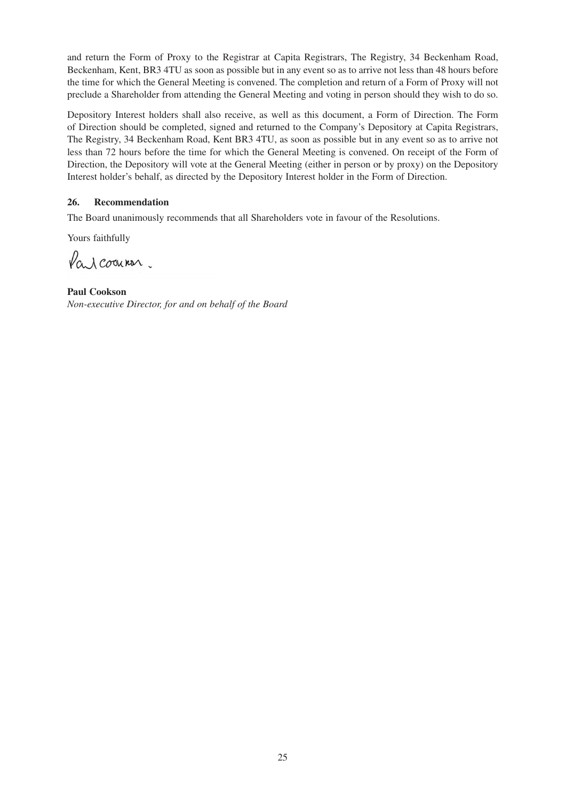and return the Form of Proxy to the Registrar at Capita Registrars, The Registry, 34 Beckenham Road, Beckenham, Kent, BR3 4TU as soon as possible but in any event so as to arrive not less than 48 hours before the time for which the General Meeting is convened. The completion and return of a Form of Proxy will not preclude a Shareholder from attending the General Meeting and voting in person should they wish to do so.

Depository Interest holders shall also receive, as well as this document, a Form of Direction. The Form of Direction should be completed, signed and returned to the Company's Depository at Capita Registrars, The Registry, 34 Beckenham Road, Kent BR3 4TU, as soon as possible but in any event so as to arrive not less than 72 hours before the time for which the General Meeting is convened. On receipt of the Form of Direction, the Depository will vote at the General Meeting (either in person or by proxy) on the Depository Interest holder's behalf, as directed by the Depository Interest holder in the Form of Direction.

#### **26. Recommendation**

The Board unanimously recommends that all Shareholders vote in favour of the Resolutions.

Yours faithfully

Paul coouror.

**Paul Cookson** *Non-executive Director, for and on behalf of the Board*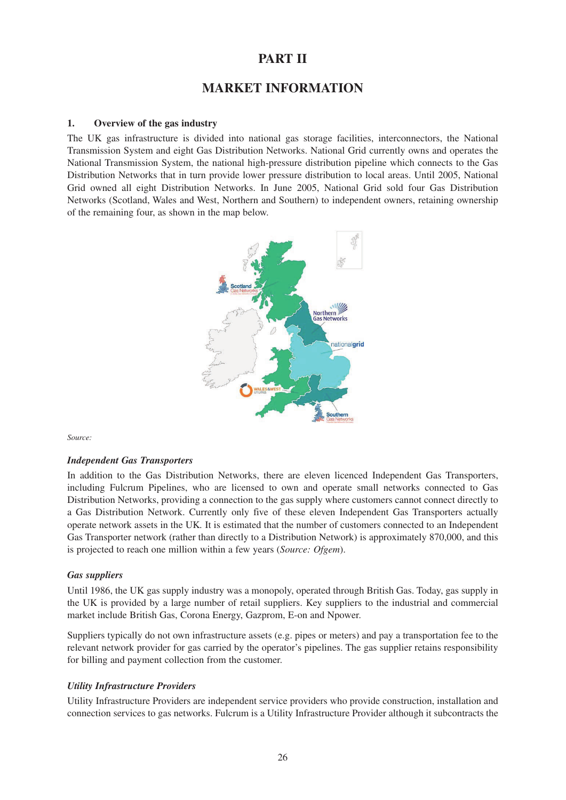# **PART II**

# **MARKET INFORMATION**

#### **1. Overview of the gas industry**

The UK gas infrastructure is divided into national gas storage facilities, interconnectors, the National Transmission System and eight Gas Distribution Networks. National Grid currently owns and operates the National Transmission System, the national high-pressure distribution pipeline which connects to the Gas Distribution Networks that in turn provide lower pressure distribution to local areas. Until 2005, National Grid owned all eight Distribution Networks. In June 2005, National Grid sold four Gas Distribution Networks (Scotland, Wales and West, Northern and Southern) to independent owners, retaining ownership of the remaining four, as shown in the map below.



*Source:*

#### *Independent Gas Transporters*

In addition to the Gas Distribution Networks, there are eleven licenced Independent Gas Transporters, including Fulcrum Pipelines, who are licensed to own and operate small networks connected to Gas Distribution Networks, providing a connection to the gas supply where customers cannot connect directly to a Gas Distribution Network. Currently only five of these eleven Independent Gas Transporters actually operate network assets in the UK*.* It is estimated that the number of customers connected to an Independent Gas Transporter network (rather than directly to a Distribution Network) is approximately 870,000, and this is projected to reach one million within a few years (*Source: Ofgem*).

#### *Gas suppliers*

Until 1986, the UK gas supply industry was a monopoly, operated through British Gas. Today, gas supply in the UK is provided by a large number of retail suppliers. Key suppliers to the industrial and commercial market include British Gas, Corona Energy, Gazprom, E-on and Npower.

Suppliers typically do not own infrastructure assets (e.g. pipes or meters) and pay a transportation fee to the relevant network provider for gas carried by the operator's pipelines. The gas supplier retains responsibility for billing and payment collection from the customer.

#### *Utility Infrastructure Providers*

Utility Infrastructure Providers are independent service providers who provide construction, installation and connection services to gas networks. Fulcrum is a Utility Infrastructure Provider although it subcontracts the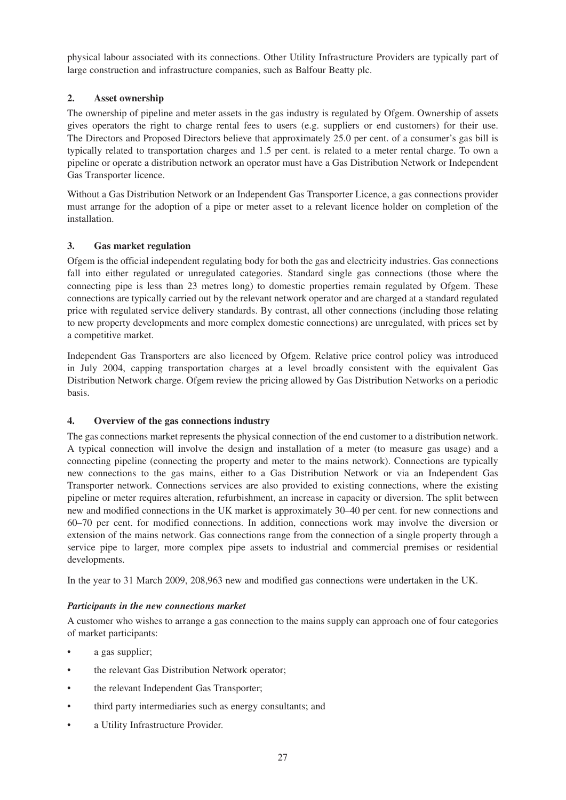physical labour associated with its connections. Other Utility Infrastructure Providers are typically part of large construction and infrastructure companies, such as Balfour Beatty plc.

### **2. Asset ownership**

The ownership of pipeline and meter assets in the gas industry is regulated by Ofgem. Ownership of assets gives operators the right to charge rental fees to users (e.g. suppliers or end customers) for their use. The Directors and Proposed Directors believe that approximately 25.0 per cent. of a consumer's gas bill is typically related to transportation charges and 1.5 per cent. is related to a meter rental charge. To own a pipeline or operate a distribution network an operator must have a Gas Distribution Network or Independent Gas Transporter licence.

Without a Gas Distribution Network or an Independent Gas Transporter Licence, a gas connections provider must arrange for the adoption of a pipe or meter asset to a relevant licence holder on completion of the installation.

#### **3. Gas market regulation**

Ofgem is the official independent regulating body for both the gas and electricity industries. Gas connections fall into either regulated or unregulated categories. Standard single gas connections (those where the connecting pipe is less than 23 metres long) to domestic properties remain regulated by Ofgem. These connections are typically carried out by the relevant network operator and are charged at a standard regulated price with regulated service delivery standards. By contrast, all other connections (including those relating to new property developments and more complex domestic connections) are unregulated, with prices set by a competitive market.

Independent Gas Transporters are also licenced by Ofgem. Relative price control policy was introduced in July 2004, capping transportation charges at a level broadly consistent with the equivalent Gas Distribution Network charge. Ofgem review the pricing allowed by Gas Distribution Networks on a periodic basis.

#### **4. Overview of the gas connections industry**

The gas connections market represents the physical connection of the end customer to a distribution network. A typical connection will involve the design and installation of a meter (to measure gas usage) and a connecting pipeline (connecting the property and meter to the mains network). Connections are typically new connections to the gas mains, either to a Gas Distribution Network or via an Independent Gas Transporter network. Connections services are also provided to existing connections, where the existing pipeline or meter requires alteration, refurbishment, an increase in capacity or diversion. The split between new and modified connections in the UK market is approximately 30–40 per cent. for new connections and 60–70 per cent. for modified connections. In addition, connections work may involve the diversion or extension of the mains network. Gas connections range from the connection of a single property through a service pipe to larger, more complex pipe assets to industrial and commercial premises or residential developments.

In the year to 31 March 2009, 208,963 new and modified gas connections were undertaken in the UK.

#### *Participants in the new connections market*

A customer who wishes to arrange a gas connection to the mains supply can approach one of four categories of market participants:

- a gas supplier:
- the relevant Gas Distribution Network operator;
- the relevant Independent Gas Transporter;
- third party intermediaries such as energy consultants; and
- a Utility Infrastructure Provider.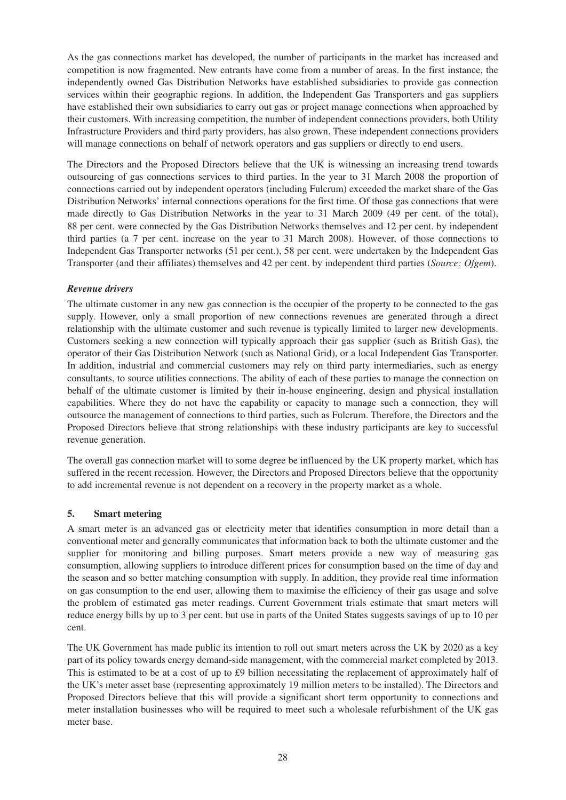As the gas connections market has developed, the number of participants in the market has increased and competition is now fragmented. New entrants have come from a number of areas. In the first instance, the independently owned Gas Distribution Networks have established subsidiaries to provide gas connection services within their geographic regions. In addition, the Independent Gas Transporters and gas suppliers have established their own subsidiaries to carry out gas or project manage connections when approached by their customers. With increasing competition, the number of independent connections providers, both Utility Infrastructure Providers and third party providers, has also grown. These independent connections providers will manage connections on behalf of network operators and gas suppliers or directly to end users.

The Directors and the Proposed Directors believe that the UK is witnessing an increasing trend towards outsourcing of gas connections services to third parties. In the year to 31 March 2008 the proportion of connections carried out by independent operators (including Fulcrum) exceeded the market share of the Gas Distribution Networks' internal connections operations for the first time. Of those gas connections that were made directly to Gas Distribution Networks in the year to 31 March 2009 (49 per cent. of the total), 88 per cent. were connected by the Gas Distribution Networks themselves and 12 per cent. by independent third parties (a 7 per cent. increase on the year to 31 March 2008). However, of those connections to Independent Gas Transporter networks (51 per cent.), 58 per cent. were undertaken by the Independent Gas Transporter (and their affiliates) themselves and 42 per cent. by independent third parties (*Source: Ofgem*).

#### *Revenue drivers*

The ultimate customer in any new gas connection is the occupier of the property to be connected to the gas supply. However, only a small proportion of new connections revenues are generated through a direct relationship with the ultimate customer and such revenue is typically limited to larger new developments. Customers seeking a new connection will typically approach their gas supplier (such as British Gas), the operator of their Gas Distribution Network (such as National Grid), or a local Independent Gas Transporter. In addition, industrial and commercial customers may rely on third party intermediaries, such as energy consultants, to source utilities connections. The ability of each of these parties to manage the connection on behalf of the ultimate customer is limited by their in-house engineering, design and physical installation capabilities. Where they do not have the capability or capacity to manage such a connection, they will outsource the management of connections to third parties, such as Fulcrum. Therefore, the Directors and the Proposed Directors believe that strong relationships with these industry participants are key to successful revenue generation.

The overall gas connection market will to some degree be influenced by the UK property market, which has suffered in the recent recession. However, the Directors and Proposed Directors believe that the opportunity to add incremental revenue is not dependent on a recovery in the property market as a whole.

#### **5. Smart metering**

A smart meter is an advanced gas or electricity meter that identifies consumption in more detail than a conventional meter and generally communicates that information back to both the ultimate customer and the supplier for monitoring and billing purposes. Smart meters provide a new way of measuring gas consumption, allowing suppliers to introduce different prices for consumption based on the time of day and the season and so better matching consumption with supply. In addition, they provide real time information on gas consumption to the end user, allowing them to maximise the efficiency of their gas usage and solve the problem of estimated gas meter readings. Current Government trials estimate that smart meters will reduce energy bills by up to 3 per cent. but use in parts of the United States suggests savings of up to 10 per cent.

The UK Government has made public its intention to roll out smart meters across the UK by 2020 as a key part of its policy towards energy demand-side management, with the commercial market completed by 2013. This is estimated to be at a cost of up to £9 billion necessitating the replacement of approximately half of the UK's meter asset base (representing approximately 19 million meters to be installed). The Directors and Proposed Directors believe that this will provide a significant short term opportunity to connections and meter installation businesses who will be required to meet such a wholesale refurbishment of the UK gas meter base.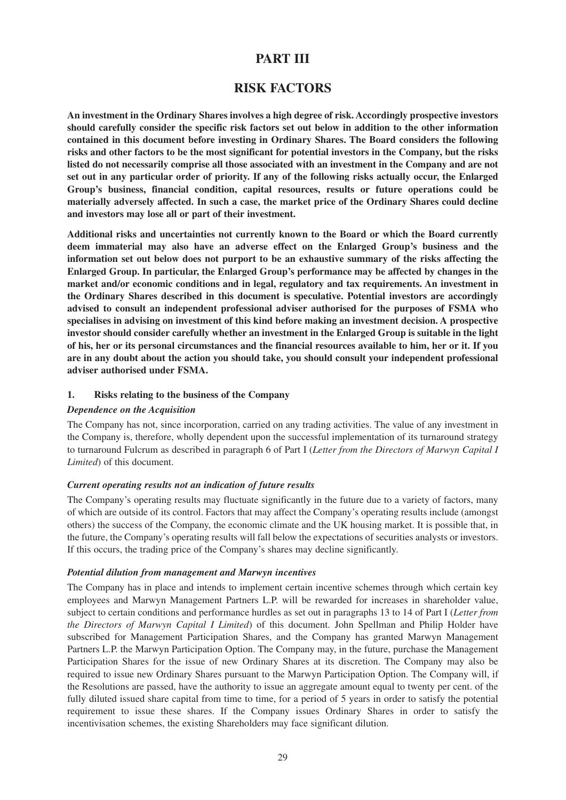# **PART III**

## **RISK FACTORS**

**An investment in the Ordinary Shares involves a high degree of risk. Accordingly prospective investors should carefully consider the specific risk factors set out below in addition to the other information contained in this document before investing in Ordinary Shares. The Board considers the following risks and other factors to be the most significant for potential investors in the Company, but the risks listed do not necessarily comprise all those associated with an investment in the Company and are not set out in any particular order of priority. If any of the following risks actually occur, the Enlarged Group's business, financial condition, capital resources, results or future operations could be materially adversely affected. In such a case, the market price of the Ordinary Shares could decline and investors may lose all or part of their investment.**

**Additional risks and uncertainties not currently known to the Board or which the Board currently deem immaterial may also have an adverse effect on the Enlarged Group's business and the information set out below does not purport to be an exhaustive summary of the risks affecting the Enlarged Group. In particular, the Enlarged Group's performance may be affected by changes in the market and/or economic conditions and in legal, regulatory and tax requirements. An investment in the Ordinary Shares described in this document is speculative. Potential investors are accordingly advised to consult an independent professional adviser authorised for the purposes of FSMA who specialises in advising on investment of this kind before making an investment decision. A prospective investor should consider carefully whether an investment in the Enlarged Group is suitable in the light of his, her or its personal circumstances and the financial resources available to him, her or it. If you are in any doubt about the action you should take, you should consult your independent professional adviser authorised under FSMA.**

#### **1. Risks relating to the business of the Company**

#### *Dependence on the Acquisition*

The Company has not, since incorporation, carried on any trading activities. The value of any investment in the Company is, therefore, wholly dependent upon the successful implementation of its turnaround strategy to turnaround Fulcrum as described in paragraph 6 of Part I (*Letter from the Directors of Marwyn Capital I Limited*) of this document.

#### *Current operating results not an indication of future results*

The Company's operating results may fluctuate significantly in the future due to a variety of factors, many of which are outside of its control. Factors that may affect the Company's operating results include (amongst others) the success of the Company, the economic climate and the UK housing market. It is possible that, in the future, the Company's operating results will fall below the expectations of securities analysts or investors. If this occurs, the trading price of the Company's shares may decline significantly.

#### *Potential dilution from management and Marwyn incentives*

The Company has in place and intends to implement certain incentive schemes through which certain key employees and Marwyn Management Partners L.P. will be rewarded for increases in shareholder value, subject to certain conditions and performance hurdles as set out in paragraphs 13 to 14 of Part I (*Letter from the Directors of Marwyn Capital I Limited*) of this document. John Spellman and Philip Holder have subscribed for Management Participation Shares, and the Company has granted Marwyn Management Partners L.P. the Marwyn Participation Option. The Company may, in the future, purchase the Management Participation Shares for the issue of new Ordinary Shares at its discretion. The Company may also be required to issue new Ordinary Shares pursuant to the Marwyn Participation Option. The Company will, if the Resolutions are passed, have the authority to issue an aggregate amount equal to twenty per cent. of the fully diluted issued share capital from time to time, for a period of 5 years in order to satisfy the potential requirement to issue these shares. If the Company issues Ordinary Shares in order to satisfy the incentivisation schemes, the existing Shareholders may face significant dilution.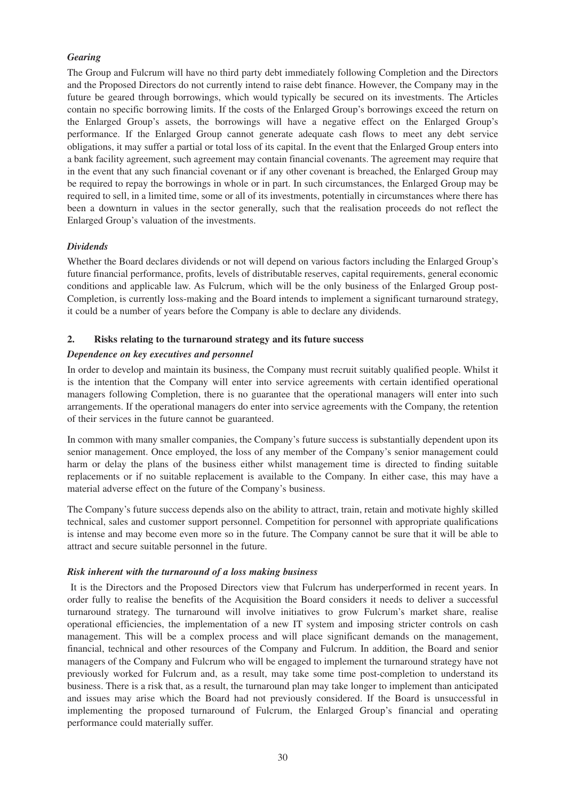#### *Gearing*

The Group and Fulcrum will have no third party debt immediately following Completion and the Directors and the Proposed Directors do not currently intend to raise debt finance. However, the Company may in the future be geared through borrowings, which would typically be secured on its investments. The Articles contain no specific borrowing limits. If the costs of the Enlarged Group's borrowings exceed the return on the Enlarged Group's assets, the borrowings will have a negative effect on the Enlarged Group's performance. If the Enlarged Group cannot generate adequate cash flows to meet any debt service obligations, it may suffer a partial or total loss of its capital. In the event that the Enlarged Group enters into a bank facility agreement, such agreement may contain financial covenants. The agreement may require that in the event that any such financial covenant or if any other covenant is breached, the Enlarged Group may be required to repay the borrowings in whole or in part. In such circumstances, the Enlarged Group may be required to sell, in a limited time, some or all of its investments, potentially in circumstances where there has been a downturn in values in the sector generally, such that the realisation proceeds do not reflect the Enlarged Group's valuation of the investments.

#### *Dividends*

Whether the Board declares dividends or not will depend on various factors including the Enlarged Group's future financial performance, profits, levels of distributable reserves, capital requirements, general economic conditions and applicable law. As Fulcrum, which will be the only business of the Enlarged Group post-Completion, is currently loss-making and the Board intends to implement a significant turnaround strategy, it could be a number of years before the Company is able to declare any dividends.

#### **2. Risks relating to the turnaround strategy and its future success**

#### *Dependence on key executives and personnel*

In order to develop and maintain its business, the Company must recruit suitably qualified people. Whilst it is the intention that the Company will enter into service agreements with certain identified operational managers following Completion, there is no guarantee that the operational managers will enter into such arrangements. If the operational managers do enter into service agreements with the Company, the retention of their services in the future cannot be guaranteed.

In common with many smaller companies, the Company's future success is substantially dependent upon its senior management. Once employed, the loss of any member of the Company's senior management could harm or delay the plans of the business either whilst management time is directed to finding suitable replacements or if no suitable replacement is available to the Company. In either case, this may have a material adverse effect on the future of the Company's business.

The Company's future success depends also on the ability to attract, train, retain and motivate highly skilled technical, sales and customer support personnel. Competition for personnel with appropriate qualifications is intense and may become even more so in the future. The Company cannot be sure that it will be able to attract and secure suitable personnel in the future.

#### *Risk inherent with the turnaround of a loss making business*

It is the Directors and the Proposed Directors view that Fulcrum has underperformed in recent years. In order fully to realise the benefits of the Acquisition the Board considers it needs to deliver a successful turnaround strategy. The turnaround will involve initiatives to grow Fulcrum's market share, realise operational efficiencies, the implementation of a new IT system and imposing stricter controls on cash management. This will be a complex process and will place significant demands on the management, financial, technical and other resources of the Company and Fulcrum. In addition, the Board and senior managers of the Company and Fulcrum who will be engaged to implement the turnaround strategy have not previously worked for Fulcrum and, as a result, may take some time post-completion to understand its business. There is a risk that, as a result, the turnaround plan may take longer to implement than anticipated and issues may arise which the Board had not previously considered. If the Board is unsuccessful in implementing the proposed turnaround of Fulcrum, the Enlarged Group's financial and operating performance could materially suffer.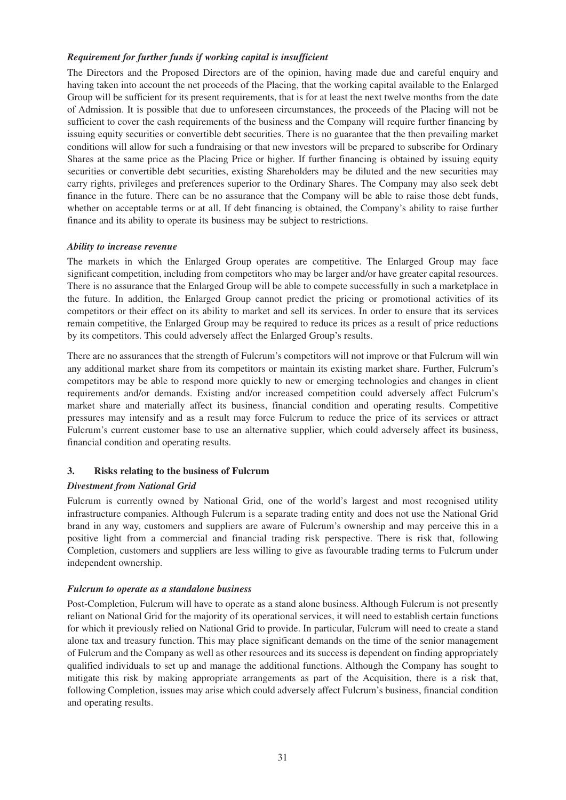#### *Requirement for further funds if working capital is insufficient*

The Directors and the Proposed Directors are of the opinion, having made due and careful enquiry and having taken into account the net proceeds of the Placing, that the working capital available to the Enlarged Group will be sufficient for its present requirements, that is for at least the next twelve months from the date of Admission. It is possible that due to unforeseen circumstances, the proceeds of the Placing will not be sufficient to cover the cash requirements of the business and the Company will require further financing by issuing equity securities or convertible debt securities. There is no guarantee that the then prevailing market conditions will allow for such a fundraising or that new investors will be prepared to subscribe for Ordinary Shares at the same price as the Placing Price or higher. If further financing is obtained by issuing equity securities or convertible debt securities, existing Shareholders may be diluted and the new securities may carry rights, privileges and preferences superior to the Ordinary Shares. The Company may also seek debt finance in the future. There can be no assurance that the Company will be able to raise those debt funds, whether on acceptable terms or at all. If debt financing is obtained, the Company's ability to raise further finance and its ability to operate its business may be subject to restrictions.

#### *Ability to increase revenue*

The markets in which the Enlarged Group operates are competitive. The Enlarged Group may face significant competition, including from competitors who may be larger and/or have greater capital resources. There is no assurance that the Enlarged Group will be able to compete successfully in such a marketplace in the future. In addition, the Enlarged Group cannot predict the pricing or promotional activities of its competitors or their effect on its ability to market and sell its services. In order to ensure that its services remain competitive, the Enlarged Group may be required to reduce its prices as a result of price reductions by its competitors. This could adversely affect the Enlarged Group's results.

There are no assurances that the strength of Fulcrum's competitors will not improve or that Fulcrum will win any additional market share from its competitors or maintain its existing market share. Further, Fulcrum's competitors may be able to respond more quickly to new or emerging technologies and changes in client requirements and/or demands. Existing and/or increased competition could adversely affect Fulcrum's market share and materially affect its business, financial condition and operating results. Competitive pressures may intensify and as a result may force Fulcrum to reduce the price of its services or attract Fulcrum's current customer base to use an alternative supplier, which could adversely affect its business, financial condition and operating results.

#### **3. Risks relating to the business of Fulcrum**

#### *Divestment from National Grid*

Fulcrum is currently owned by National Grid, one of the world's largest and most recognised utility infrastructure companies. Although Fulcrum is a separate trading entity and does not use the National Grid brand in any way, customers and suppliers are aware of Fulcrum's ownership and may perceive this in a positive light from a commercial and financial trading risk perspective. There is risk that, following Completion, customers and suppliers are less willing to give as favourable trading terms to Fulcrum under independent ownership.

#### *Fulcrum to operate as a standalone business*

Post-Completion, Fulcrum will have to operate as a stand alone business. Although Fulcrum is not presently reliant on National Grid for the majority of its operational services, it will need to establish certain functions for which it previously relied on National Grid to provide. In particular, Fulcrum will need to create a stand alone tax and treasury function. This may place significant demands on the time of the senior management of Fulcrum and the Company as well as other resources and its success is dependent on finding appropriately qualified individuals to set up and manage the additional functions. Although the Company has sought to mitigate this risk by making appropriate arrangements as part of the Acquisition, there is a risk that, following Completion, issues may arise which could adversely affect Fulcrum's business, financial condition and operating results.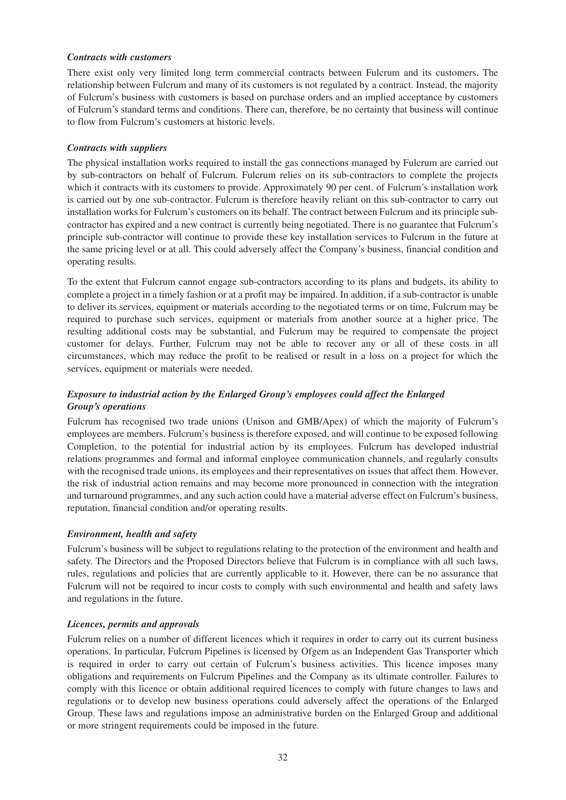#### *Contracts with customers*

There exist only very limited long term commercial contracts between Fulcrum and its customers. The relationship between Fulcrum and many of its customers is not regulated by a contract. Instead, the majority of Fulcrum's business with customers is based on purchase orders and an implied acceptance by customers of Fulcrum's standard terms and conditions. There can, therefore, be no certainty that business will continue to flow from Fulcrum's customers at historic levels.

#### *Contracts with suppliers*

The physical installation works required to install the gas connections managed by Fulcrum are carried out by sub-contractors on behalf of Fulcrum. Fulcrum relies on its sub-contractors to complete the projects which it contracts with its customers to provide. Approximately 90 per cent. of Fulcrum's installation work is carried out by one sub-contractor. Fulcrum is therefore heavily reliant on this sub-contractor to carry out installation works for Fulcrum's customers on its behalf. The contract between Fulcrum and its principle subcontractor has expired and a new contract is currently being negotiated. There is no guarantee that Fulcrum's principle sub-contractor will continue to provide these key installation services to Fulcrum in the future at the same pricing level or at all. This could adversely affect the Company's business, financial condition and operating results.

To the extent that Fulcrum cannot engage sub-contractors according to its plans and budgets, its ability to complete a project in a timely fashion or at a profit may be impaired. In addition, if a sub-contractor is unable to deliver its services, equipment or materials according to the negotiated terms or on time, Fulcrum may be required to purchase such services, equipment or materials from another source at a higher price. The resulting additional costs may be substantial, and Fulcrum may be required to compensate the project customer for delays. Further, Fulcrum may not be able to recover any or all of these costs in all circumstances, which may reduce the profit to be realised or result in a loss on a project for which the services, equipment or materials were needed.

#### *Exposure to industrial action by the Enlarged Group's employees could affect the Enlarged Group's operations*

Fulcrum has recognised two trade unions (Unison and GMB/Apex) of which the majority of Fulcrum's employees are members. Fulcrum's business is therefore exposed, and will continue to be exposed following Completion, to the potential for industrial action by its employees. Fulcrum has developed industrial relations programmes and formal and informal employee communication channels, and regularly consults with the recognised trade unions, its employees and their representatives on issues that affect them. However, the risk of industrial action remains and may become more pronounced in connection with the integration and turnaround programmes, and any such action could have a material adverse effect on Fulcrum's business, reputation, financial condition and/or operating results.

#### *Environment, health and safety*

Fulcrum's business will be subject to regulations relating to the protection of the environment and health and safety. The Directors and the Proposed Directors believe that Fulcrum is in compliance with all such laws, rules, regulations and policies that are currently applicable to it. However, there can be no assurance that Fulcrum will not be required to incur costs to comply with such environmental and health and safety laws and regulations in the future.

#### *Licences, permits and approvals*

Fulcrum relies on a number of different licences which it requires in order to carry out its current business operations. In particular, Fulcrum Pipelines is licensed by Ofgem as an Independent Gas Transporter which is required in order to carry out certain of Fulcrum's business activities. This licence imposes many obligations and requirements on Fulcrum Pipelines and the Company as its ultimate controller. Failures to comply with this licence or obtain additional required licences to comply with future changes to laws and regulations or to develop new business operations could adversely affect the operations of the Enlarged Group. These laws and regulations impose an administrative burden on the Enlarged Group and additional or more stringent requirements could be imposed in the future.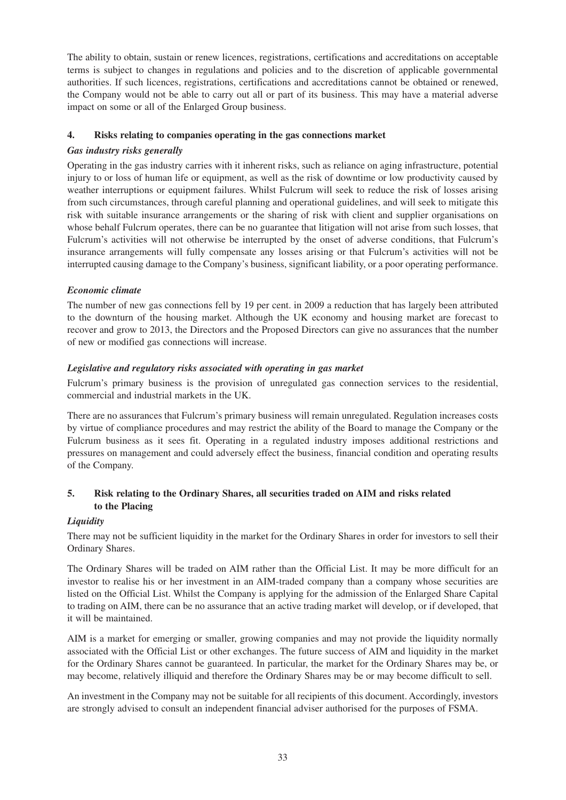The ability to obtain, sustain or renew licences, registrations, certifications and accreditations on acceptable terms is subject to changes in regulations and policies and to the discretion of applicable governmental authorities. If such licences, registrations, certifications and accreditations cannot be obtained or renewed, the Company would not be able to carry out all or part of its business. This may have a material adverse impact on some or all of the Enlarged Group business.

#### **4. Risks relating to companies operating in the gas connections market**

#### *Gas industry risks generally*

Operating in the gas industry carries with it inherent risks, such as reliance on aging infrastructure, potential injury to or loss of human life or equipment, as well as the risk of downtime or low productivity caused by weather interruptions or equipment failures. Whilst Fulcrum will seek to reduce the risk of losses arising from such circumstances, through careful planning and operational guidelines, and will seek to mitigate this risk with suitable insurance arrangements or the sharing of risk with client and supplier organisations on whose behalf Fulcrum operates, there can be no guarantee that litigation will not arise from such losses, that Fulcrum's activities will not otherwise be interrupted by the onset of adverse conditions, that Fulcrum's insurance arrangements will fully compensate any losses arising or that Fulcrum's activities will not be interrupted causing damage to the Company's business, significant liability, or a poor operating performance.

#### *Economic climate*

The number of new gas connections fell by 19 per cent. in 2009 a reduction that has largely been attributed to the downturn of the housing market. Although the UK economy and housing market are forecast to recover and grow to 2013, the Directors and the Proposed Directors can give no assurances that the number of new or modified gas connections will increase.

#### *Legislative and regulatory risks associated with operating in gas market*

Fulcrum's primary business is the provision of unregulated gas connection services to the residential, commercial and industrial markets in the UK.

There are no assurances that Fulcrum's primary business will remain unregulated. Regulation increases costs by virtue of compliance procedures and may restrict the ability of the Board to manage the Company or the Fulcrum business as it sees fit. Operating in a regulated industry imposes additional restrictions and pressures on management and could adversely effect the business, financial condition and operating results of the Company.

#### **5. Risk relating to the Ordinary Shares, all securities traded on AIM and risks related to the Placing**

#### *Liquidity*

There may not be sufficient liquidity in the market for the Ordinary Shares in order for investors to sell their Ordinary Shares.

The Ordinary Shares will be traded on AIM rather than the Official List. It may be more difficult for an investor to realise his or her investment in an AIM-traded company than a company whose securities are listed on the Official List. Whilst the Company is applying for the admission of the Enlarged Share Capital to trading on AIM, there can be no assurance that an active trading market will develop, or if developed, that it will be maintained.

AIM is a market for emerging or smaller, growing companies and may not provide the liquidity normally associated with the Official List or other exchanges. The future success of AIM and liquidity in the market for the Ordinary Shares cannot be guaranteed. In particular, the market for the Ordinary Shares may be, or may become, relatively illiquid and therefore the Ordinary Shares may be or may become difficult to sell.

An investment in the Company may not be suitable for all recipients of this document. Accordingly, investors are strongly advised to consult an independent financial adviser authorised for the purposes of FSMA.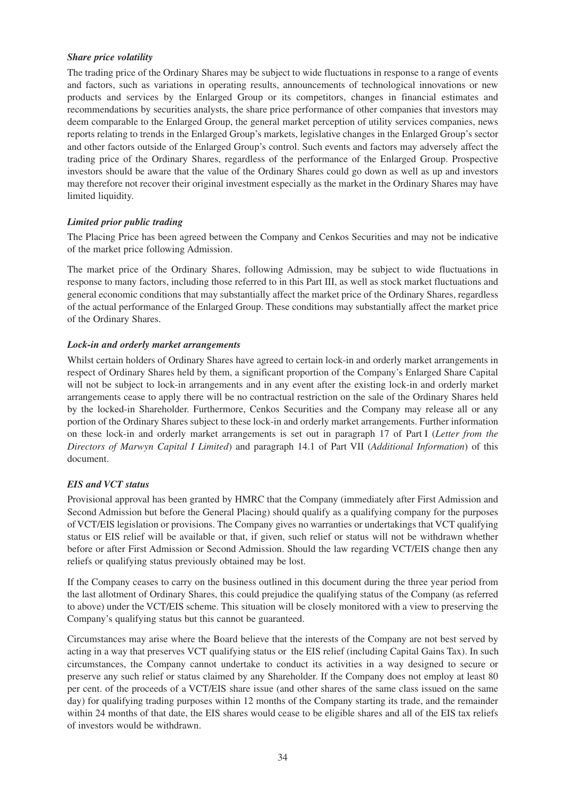#### *Share price volatility*

The trading price of the Ordinary Shares may be subject to wide fluctuations in response to a range of events and factors, such as variations in operating results, announcements of technological innovations or new products and services by the Enlarged Group or its competitors, changes in financial estimates and recommendations by securities analysts, the share price performance of other companies that investors may deem comparable to the Enlarged Group, the general market perception of utility services companies, news reports relating to trends in the Enlarged Group's markets, legislative changes in the Enlarged Group's sector and other factors outside of the Enlarged Group's control. Such events and factors may adversely affect the trading price of the Ordinary Shares, regardless of the performance of the Enlarged Group. Prospective investors should be aware that the value of the Ordinary Shares could go down as well as up and investors may therefore not recover their original investment especially as the market in the Ordinary Shares may have limited liquidity.

#### *Limited prior public trading*

The Placing Price has been agreed between the Company and Cenkos Securities and may not be indicative of the market price following Admission.

The market price of the Ordinary Shares, following Admission, may be subject to wide fluctuations in response to many factors, including those referred to in this Part III, as well as stock market fluctuations and general economic conditions that may substantially affect the market price of the Ordinary Shares, regardless of the actual performance of the Enlarged Group. These conditions may substantially affect the market price of the Ordinary Shares.

#### *Lock-in and orderly market arrangements*

Whilst certain holders of Ordinary Shares have agreed to certain lock-in and orderly market arrangements in respect of Ordinary Shares held by them, a significant proportion of the Company's Enlarged Share Capital will not be subject to lock-in arrangements and in any event after the existing lock-in and orderly market arrangements cease to apply there will be no contractual restriction on the sale of the Ordinary Shares held by the locked-in Shareholder. Furthermore, Cenkos Securities and the Company may release all or any portion of the Ordinary Shares subject to these lock-in and orderly market arrangements. Further information on these lock-in and orderly market arrangements is set out in paragraph 17 of Part I (*Letter from the Directors of Marwyn Capital I Limited*) and paragraph 14.1 of Part VII (*Additional Information*) of this document.

#### *EIS and VCT status*

Provisional approval has been granted by HMRC that the Company (immediately after First Admission and Second Admission but before the General Placing) should qualify as a qualifying company for the purposes of VCT/EIS legislation or provisions. The Company gives no warranties or undertakings that VCT qualifying status or EIS relief will be available or that, if given, such relief or status will not be withdrawn whether before or after First Admission or Second Admission. Should the law regarding VCT/EIS change then any reliefs or qualifying status previously obtained may be lost.

If the Company ceases to carry on the business outlined in this document during the three year period from the last allotment of Ordinary Shares, this could prejudice the qualifying status of the Company (as referred to above) under the VCT/EIS scheme. This situation will be closely monitored with a view to preserving the Company's qualifying status but this cannot be guaranteed.

Circumstances may arise where the Board believe that the interests of the Company are not best served by acting in a way that preserves VCT qualifying status or the EIS relief (including Capital Gains Tax). In such circumstances, the Company cannot undertake to conduct its activities in a way designed to secure or preserve any such relief or status claimed by any Shareholder. If the Company does not employ at least 80 per cent. of the proceeds of a VCT/EIS share issue (and other shares of the same class issued on the same day) for qualifying trading purposes within 12 months of the Company starting its trade, and the remainder within 24 months of that date, the EIS shares would cease to be eligible shares and all of the EIS tax reliefs of investors would be withdrawn.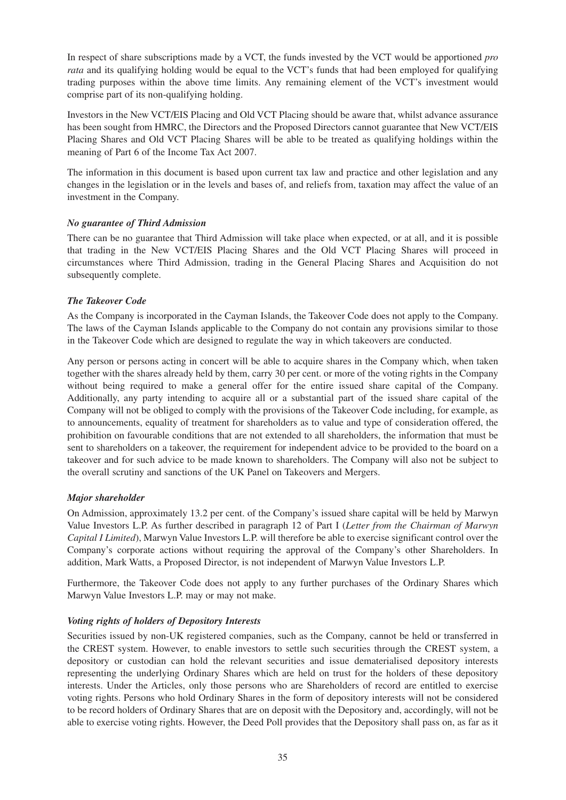In respect of share subscriptions made by a VCT, the funds invested by the VCT would be apportioned *pro rata* and its qualifying holding would be equal to the VCT's funds that had been employed for qualifying trading purposes within the above time limits. Any remaining element of the VCT's investment would comprise part of its non-qualifying holding.

Investors in the New VCT/EIS Placing and Old VCT Placing should be aware that, whilst advance assurance has been sought from HMRC, the Directors and the Proposed Directors cannot guarantee that New VCT/EIS Placing Shares and Old VCT Placing Shares will be able to be treated as qualifying holdings within the meaning of Part 6 of the Income Tax Act 2007.

The information in this document is based upon current tax law and practice and other legislation and any changes in the legislation or in the levels and bases of, and reliefs from, taxation may affect the value of an investment in the Company.

#### *No guarantee of Third Admission*

There can be no guarantee that Third Admission will take place when expected, or at all, and it is possible that trading in the New VCT/EIS Placing Shares and the Old VCT Placing Shares will proceed in circumstances where Third Admission, trading in the General Placing Shares and Acquisition do not subsequently complete.

#### *The Takeover Code*

As the Company is incorporated in the Cayman Islands, the Takeover Code does not apply to the Company. The laws of the Cayman Islands applicable to the Company do not contain any provisions similar to those in the Takeover Code which are designed to regulate the way in which takeovers are conducted.

Any person or persons acting in concert will be able to acquire shares in the Company which, when taken together with the shares already held by them, carry 30 per cent. or more of the voting rights in the Company without being required to make a general offer for the entire issued share capital of the Company. Additionally, any party intending to acquire all or a substantial part of the issued share capital of the Company will not be obliged to comply with the provisions of the Takeover Code including, for example, as to announcements, equality of treatment for shareholders as to value and type of consideration offered, the prohibition on favourable conditions that are not extended to all shareholders, the information that must be sent to shareholders on a takeover, the requirement for independent advice to be provided to the board on a takeover and for such advice to be made known to shareholders. The Company will also not be subject to the overall scrutiny and sanctions of the UK Panel on Takeovers and Mergers.

#### *Major shareholder*

On Admission, approximately 13.2 per cent. of the Company's issued share capital will be held by Marwyn Value Investors L.P. As further described in paragraph 12 of Part I (*Letter from the Chairman of Marwyn Capital I Limited*), Marwyn Value Investors L.P. will therefore be able to exercise significant control over the Company's corporate actions without requiring the approval of the Company's other Shareholders. In addition, Mark Watts, a Proposed Director, is not independent of Marwyn Value Investors L.P.

Furthermore, the Takeover Code does not apply to any further purchases of the Ordinary Shares which Marwyn Value Investors L.P. may or may not make.

#### *Voting rights of holders of Depository Interests*

Securities issued by non-UK registered companies, such as the Company, cannot be held or transferred in the CREST system. However, to enable investors to settle such securities through the CREST system, a depository or custodian can hold the relevant securities and issue dematerialised depository interests representing the underlying Ordinary Shares which are held on trust for the holders of these depository interests. Under the Articles, only those persons who are Shareholders of record are entitled to exercise voting rights. Persons who hold Ordinary Shares in the form of depository interests will not be considered to be record holders of Ordinary Shares that are on deposit with the Depository and, accordingly, will not be able to exercise voting rights. However, the Deed Poll provides that the Depository shall pass on, as far as it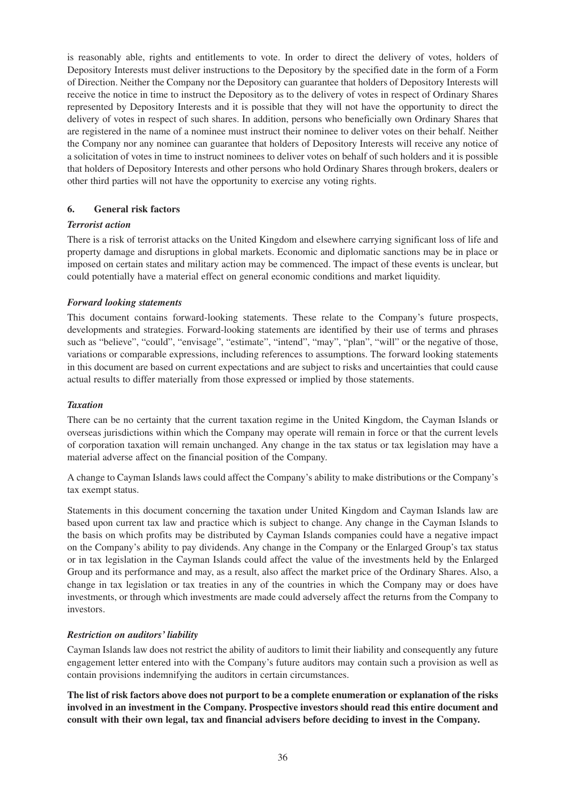is reasonably able, rights and entitlements to vote. In order to direct the delivery of votes, holders of Depository Interests must deliver instructions to the Depository by the specified date in the form of a Form of Direction. Neither the Company nor the Depository can guarantee that holders of Depository Interests will receive the notice in time to instruct the Depository as to the delivery of votes in respect of Ordinary Shares represented by Depository Interests and it is possible that they will not have the opportunity to direct the delivery of votes in respect of such shares. In addition, persons who beneficially own Ordinary Shares that are registered in the name of a nominee must instruct their nominee to deliver votes on their behalf. Neither the Company nor any nominee can guarantee that holders of Depository Interests will receive any notice of a solicitation of votes in time to instruct nominees to deliver votes on behalf of such holders and it is possible that holders of Depository Interests and other persons who hold Ordinary Shares through brokers, dealers or other third parties will not have the opportunity to exercise any voting rights.

#### **6. General risk factors**

#### *Terrorist action*

There is a risk of terrorist attacks on the United Kingdom and elsewhere carrying significant loss of life and property damage and disruptions in global markets. Economic and diplomatic sanctions may be in place or imposed on certain states and military action may be commenced. The impact of these events is unclear, but could potentially have a material effect on general economic conditions and market liquidity.

#### *Forward looking statements*

This document contains forward-looking statements. These relate to the Company's future prospects, developments and strategies. Forward-looking statements are identified by their use of terms and phrases such as "believe", "could", "envisage", "estimate", "intend", "may", "plan", "will" or the negative of those, variations or comparable expressions, including references to assumptions. The forward looking statements in this document are based on current expectations and are subject to risks and uncertainties that could cause actual results to differ materially from those expressed or implied by those statements.

#### *Taxation*

There can be no certainty that the current taxation regime in the United Kingdom, the Cayman Islands or overseas jurisdictions within which the Company may operate will remain in force or that the current levels of corporation taxation will remain unchanged. Any change in the tax status or tax legislation may have a material adverse affect on the financial position of the Company.

A change to Cayman Islands laws could affect the Company's ability to make distributions or the Company's tax exempt status.

Statements in this document concerning the taxation under United Kingdom and Cayman Islands law are based upon current tax law and practice which is subject to change. Any change in the Cayman Islands to the basis on which profits may be distributed by Cayman Islands companies could have a negative impact on the Company's ability to pay dividends. Any change in the Company or the Enlarged Group's tax status or in tax legislation in the Cayman Islands could affect the value of the investments held by the Enlarged Group and its performance and may, as a result, also affect the market price of the Ordinary Shares. Also, a change in tax legislation or tax treaties in any of the countries in which the Company may or does have investments, or through which investments are made could adversely affect the returns from the Company to investors.

#### *Restriction on auditors' liability*

Cayman Islands law does not restrict the ability of auditors to limit their liability and consequently any future engagement letter entered into with the Company's future auditors may contain such a provision as well as contain provisions indemnifying the auditors in certain circumstances.

**The list of risk factors above does not purport to be a complete enumeration or explanation of the risks involved in an investment in the Company. Prospective investors should read this entire document and consult with their own legal, tax and financial advisers before deciding to invest in the Company.**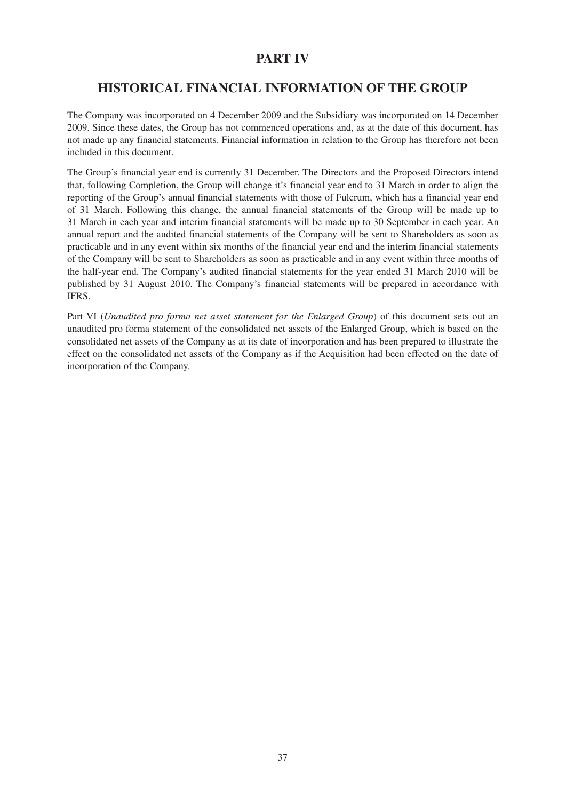# **PART IV**

# **HISTORICAL FINANCIAL INFORMATION OF THE GROUP**

The Company was incorporated on 4 December 2009 and the Subsidiary was incorporated on 14 December 2009. Since these dates, the Group has not commenced operations and, as at the date of this document, has not made up any financial statements. Financial information in relation to the Group has therefore not been included in this document.

The Group's financial year end is currently 31 December. The Directors and the Proposed Directors intend that, following Completion, the Group will change it's financial year end to 31 March in order to align the reporting of the Group's annual financial statements with those of Fulcrum, which has a financial year end of 31 March. Following this change, the annual financial statements of the Group will be made up to 31 March in each year and interim financial statements will be made up to 30 September in each year. An annual report and the audited financial statements of the Company will be sent to Shareholders as soon as practicable and in any event within six months of the financial year end and the interim financial statements of the Company will be sent to Shareholders as soon as practicable and in any event within three months of the half-year end. The Company's audited financial statements for the year ended 31 March 2010 will be published by 31 August 2010. The Company's financial statements will be prepared in accordance with IFRS.

Part VI (*Unaudited pro forma net asset statement for the Enlarged Group*) of this document sets out an unaudited pro forma statement of the consolidated net assets of the Enlarged Group, which is based on the consolidated net assets of the Company as at its date of incorporation and has been prepared to illustrate the effect on the consolidated net assets of the Company as if the Acquisition had been effected on the date of incorporation of the Company.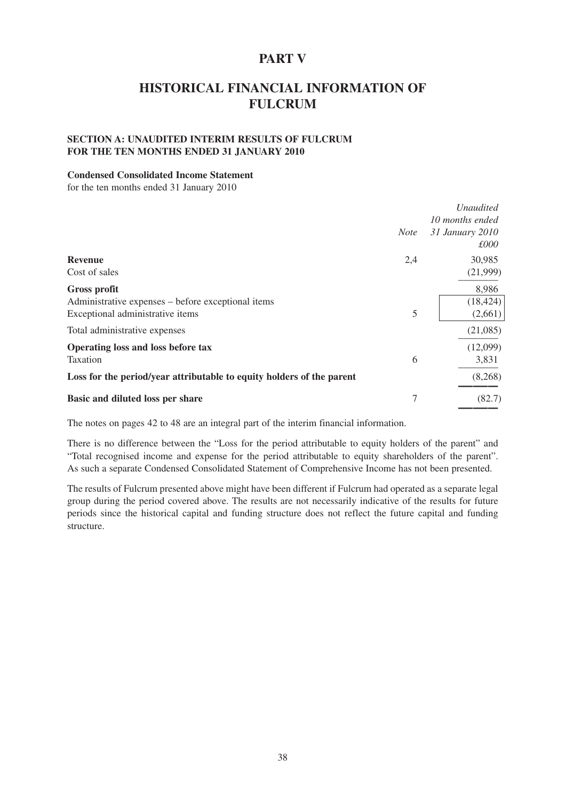## **PART V**

# **HISTORICAL FINANCIAL INFORMATION OF FULCRUM**

#### **SECTION A: UNAUDITED INTERIM RESULTS OF FULCRUM FOR THE TEN MONTHS ENDED 31 JANUARY 2010**

#### **Condensed Consolidated Income Statement**

for the ten months ended 31 January 2010

|                                                                       |             | <i>Unaudited</i> |
|-----------------------------------------------------------------------|-------------|------------------|
|                                                                       |             | 10 months ended  |
|                                                                       | <i>Note</i> | 31 January 2010  |
|                                                                       |             | £000             |
| <b>Revenue</b>                                                        | 2,4         | 30,985           |
| Cost of sales                                                         |             | (21,999)         |
| <b>Gross profit</b>                                                   |             | 8,986            |
| Administrative expenses – before exceptional items                    |             | (18, 424)        |
| Exceptional administrative items                                      | 5           | (2,661)          |
| Total administrative expenses                                         |             | (21,085)         |
| Operating loss and loss before tax                                    |             | (12,099)         |
| Taxation                                                              | 6           | 3,831            |
| Loss for the period/year attributable to equity holders of the parent |             | (8,268)          |
| Basic and diluted loss per share                                      | 7           | (82.7)           |
|                                                                       |             |                  |

The notes on pages 42 to 48 are an integral part of the interim financial information.

There is no difference between the "Loss for the period attributable to equity holders of the parent" and "Total recognised income and expense for the period attributable to equity shareholders of the parent". As such a separate Condensed Consolidated Statement of Comprehensive Income has not been presented.

The results of Fulcrum presented above might have been different if Fulcrum had operated as a separate legal group during the period covered above. The results are not necessarily indicative of the results for future periods since the historical capital and funding structure does not reflect the future capital and funding structure.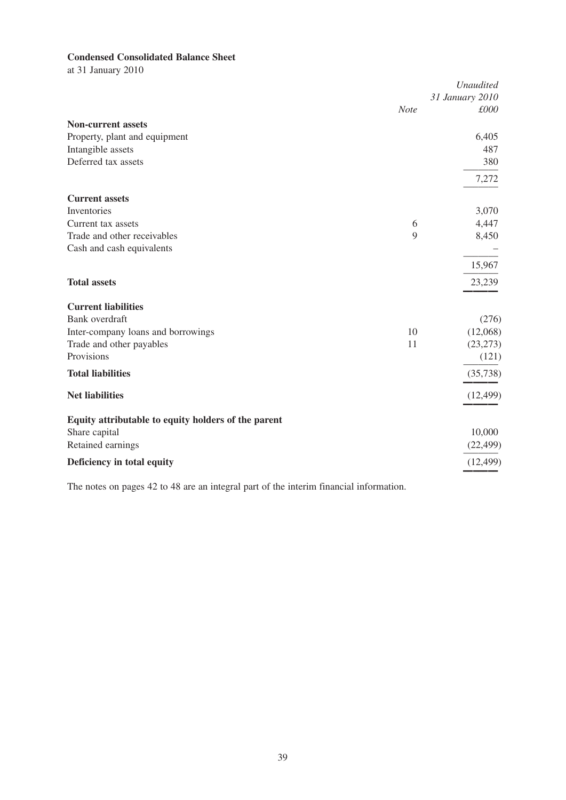## **Condensed Consolidated Balance Sheet**

at 31 January 2010

|                                                     |      | <b>Unaudited</b> |
|-----------------------------------------------------|------|------------------|
|                                                     |      | 31 January 2010  |
|                                                     | Note | £000             |
| <b>Non-current assets</b>                           |      |                  |
| Property, plant and equipment                       |      | 6,405            |
| Intangible assets                                   |      | 487              |
| Deferred tax assets                                 |      | 380              |
|                                                     |      | 7,272            |
| <b>Current assets</b>                               |      |                  |
| <b>Inventories</b>                                  |      | 3,070            |
| Current tax assets                                  | 6    | 4,447            |
| Trade and other receivables                         | 9    | 8,450            |
| Cash and cash equivalents                           |      |                  |
|                                                     |      | 15,967           |
| <b>Total assets</b>                                 |      | 23,239           |
| <b>Current liabilities</b>                          |      |                  |
| <b>Bank</b> overdraft                               |      | (276)            |
| Inter-company loans and borrowings                  | 10   | (12,068)         |
| Trade and other payables                            | 11   | (23, 273)        |
| Provisions                                          |      | (121)            |
| <b>Total liabilities</b>                            |      | (35, 738)        |
| <b>Net liabilities</b>                              |      | (12, 499)        |
| Equity attributable to equity holders of the parent |      |                  |
| Share capital                                       |      | 10,000           |
| Retained earnings                                   |      | (22, 499)        |
| Deficiency in total equity                          |      | (12, 499)        |
|                                                     |      |                  |

The notes on pages 42 to 48 are an integral part of the interim financial information.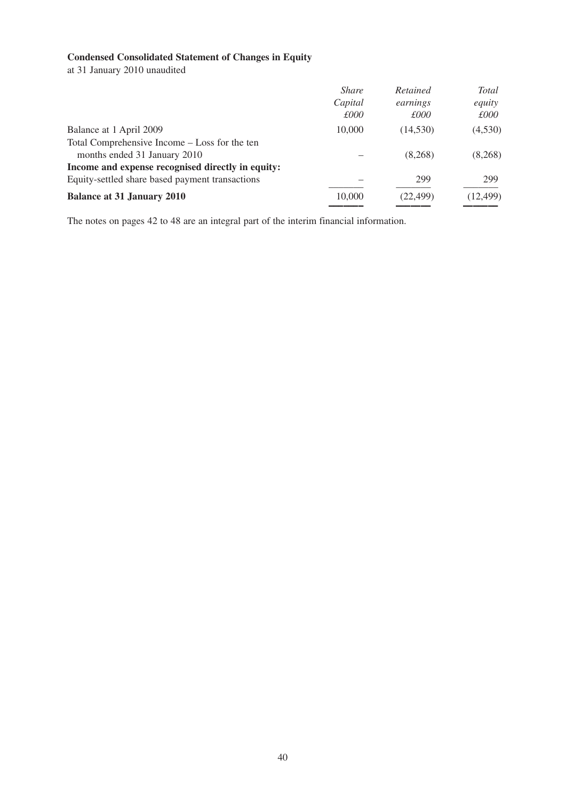## **Condensed Consolidated Statement of Changes in Equity**

at 31 January 2010 unaudited

|                                                                               | <i>Share</i><br>Capital<br>$\pounds$ 000 | Retained<br>earnings<br>£000 | Total<br>equity<br>£000 |
|-------------------------------------------------------------------------------|------------------------------------------|------------------------------|-------------------------|
| Balance at 1 April 2009                                                       | 10,000                                   | (14,530)                     | (4,530)                 |
| Total Comprehensive Income - Loss for the ten<br>months ended 31 January 2010 |                                          | (8,268)                      | (8,268)                 |
| Income and expense recognised directly in equity:                             |                                          |                              |                         |
| Equity-settled share based payment transactions                               |                                          | 299                          | 299                     |
| <b>Balance at 31 January 2010</b>                                             | 10,000                                   | (22, 499)                    | (12, 499)               |

The notes on pages 42 to 48 are an integral part of the interim financial information.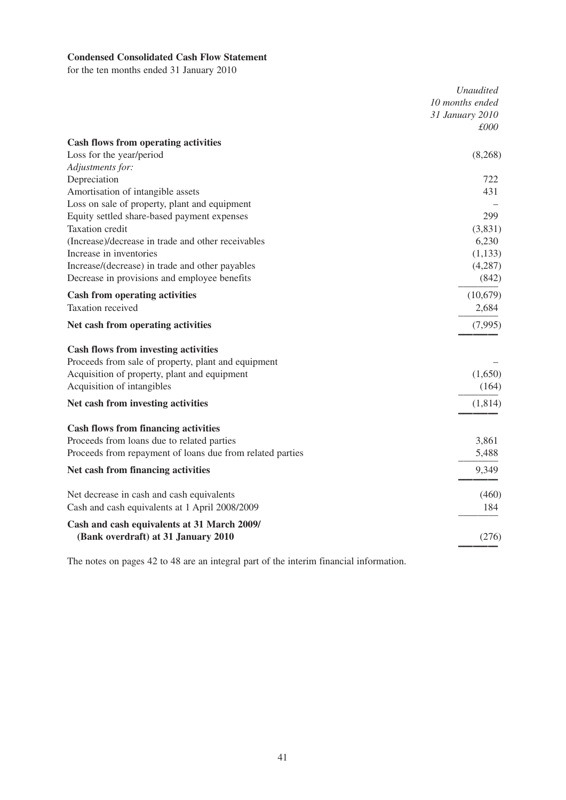## **Condensed Consolidated Cash Flow Statement**

for the ten months ended 31 January 2010

|                                                           | <b>Unaudited</b> |
|-----------------------------------------------------------|------------------|
|                                                           | 10 months ended  |
|                                                           | 31 January 2010  |
|                                                           | £000             |
| <b>Cash flows from operating activities</b>               |                  |
| Loss for the year/period                                  | (8,268)          |
| Adjustments for:                                          |                  |
| Depreciation                                              | 722              |
| Amortisation of intangible assets                         | 431              |
| Loss on sale of property, plant and equipment             |                  |
| Equity settled share-based payment expenses               | 299              |
| Taxation credit                                           | (3,831)          |
| (Increase)/decrease in trade and other receivables        | 6,230            |
| Increase in inventories                                   | (1, 133)         |
| Increase/(decrease) in trade and other payables           | (4,287)          |
| Decrease in provisions and employee benefits              | (842)            |
| <b>Cash from operating activities</b>                     | (10,679)         |
| Taxation received                                         | 2,684            |
| Net cash from operating activities                        | (7,995)          |
| <b>Cash flows from investing activities</b>               |                  |
| Proceeds from sale of property, plant and equipment       |                  |
| Acquisition of property, plant and equipment              | (1,650)          |
| Acquisition of intangibles                                | (164)            |
| Net cash from investing activities                        | (1, 814)         |
|                                                           |                  |
| <b>Cash flows from financing activities</b>               |                  |
| Proceeds from loans due to related parties                | 3,861            |
| Proceeds from repayment of loans due from related parties | 5,488            |
| Net cash from financing activities                        | 9,349            |
| Net decrease in cash and cash equivalents                 | (460)            |
| Cash and cash equivalents at 1 April 2008/2009            | 184              |
|                                                           |                  |
| Cash and cash equivalents at 31 March 2009/               |                  |
| (Bank overdraft) at 31 January 2010                       | (276)            |
|                                                           |                  |

The notes on pages 42 to 48 are an integral part of the interim financial information.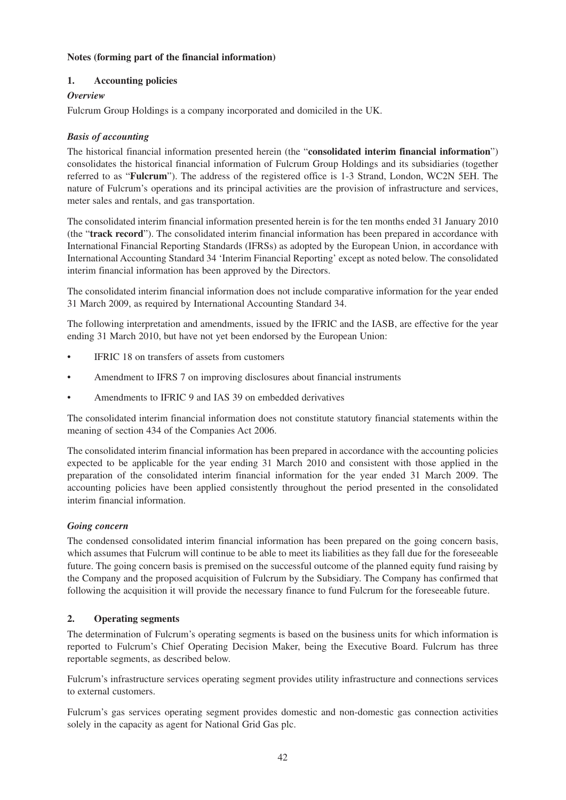## **Notes (forming part of the financial information)**

## **1. Accounting policies**

## *Overview*

Fulcrum Group Holdings is a company incorporated and domiciled in the UK.

## *Basis of accounting*

The historical financial information presented herein (the "**consolidated interim financial information**") consolidates the historical financial information of Fulcrum Group Holdings and its subsidiaries (together referred to as "**Fulcrum**"). The address of the registered office is 1-3 Strand, London, WC2N 5EH. The nature of Fulcrum's operations and its principal activities are the provision of infrastructure and services, meter sales and rentals, and gas transportation.

The consolidated interim financial information presented herein is for the ten months ended 31 January 2010 (the "**track record**"). The consolidated interim financial information has been prepared in accordance with International Financial Reporting Standards (IFRSs) as adopted by the European Union, in accordance with International Accounting Standard 34 'Interim Financial Reporting' except as noted below. The consolidated interim financial information has been approved by the Directors.

The consolidated interim financial information does not include comparative information for the year ended 31 March 2009, as required by International Accounting Standard 34.

The following interpretation and amendments, issued by the IFRIC and the IASB, are effective for the year ending 31 March 2010, but have not yet been endorsed by the European Union:

- IFRIC 18 on transfers of assets from customers
- Amendment to IFRS 7 on improving disclosures about financial instruments
- Amendments to IFRIC 9 and IAS 39 on embedded derivatives

The consolidated interim financial information does not constitute statutory financial statements within the meaning of section 434 of the Companies Act 2006.

The consolidated interim financial information has been prepared in accordance with the accounting policies expected to be applicable for the year ending 31 March 2010 and consistent with those applied in the preparation of the consolidated interim financial information for the year ended 31 March 2009. The accounting policies have been applied consistently throughout the period presented in the consolidated interim financial information.

#### *Going concern*

The condensed consolidated interim financial information has been prepared on the going concern basis, which assumes that Fulcrum will continue to be able to meet its liabilities as they fall due for the foreseeable future. The going concern basis is premised on the successful outcome of the planned equity fund raising by the Company and the proposed acquisition of Fulcrum by the Subsidiary. The Company has confirmed that following the acquisition it will provide the necessary finance to fund Fulcrum for the foreseeable future.

#### **2. Operating segments**

The determination of Fulcrum's operating segments is based on the business units for which information is reported to Fulcrum's Chief Operating Decision Maker, being the Executive Board. Fulcrum has three reportable segments, as described below.

Fulcrum's infrastructure services operating segment provides utility infrastructure and connections services to external customers.

Fulcrum's gas services operating segment provides domestic and non-domestic gas connection activities solely in the capacity as agent for National Grid Gas plc.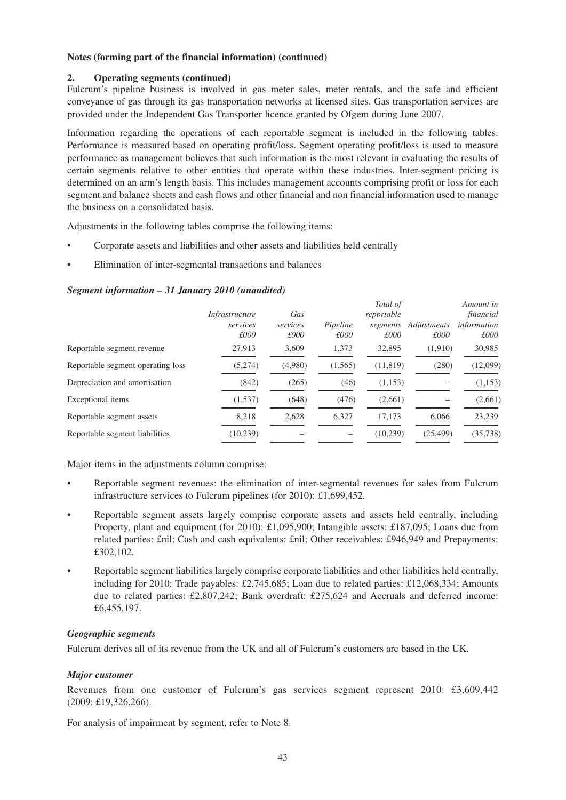#### **2. Operating segments (continued)**

Fulcrum's pipeline business is involved in gas meter sales, meter rentals, and the safe and efficient conveyance of gas through its gas transportation networks at licensed sites. Gas transportation services are provided under the Independent Gas Transporter licence granted by Ofgem during June 2007.

Information regarding the operations of each reportable segment is included in the following tables. Performance is measured based on operating profit/loss. Segment operating profit/loss is used to measure performance as management believes that such information is the most relevant in evaluating the results of certain segments relative to other entities that operate within these industries. Inter-segment pricing is determined on an arm's length basis. This includes management accounts comprising profit or loss for each segment and balance sheets and cash flows and other financial and non financial information used to manage the business on a consolidated basis.

Adjustments in the following tables comprise the following items:

- Corporate assets and liabilities and other assets and liabilities held centrally
- Elimination of inter-segmental transactions and balances

#### *Segment information – 31 January 2010 (unaudited)*

|                                   |                       |          |          | Total of   |             | Amount in   |
|-----------------------------------|-----------------------|----------|----------|------------|-------------|-------------|
|                                   | <i>Infrastructure</i> | Gas      |          | reportable |             | financial   |
|                                   | services              | services | Pipeline | segments   | Adjustments | information |
|                                   | £000                  | £000     | £000     | £000       | £000        | £000        |
| Reportable segment revenue        | 27,913                | 3,609    | 1,373    | 32,895     | (1,910)     | 30,985      |
| Reportable segment operating loss | (5,274)               | (4,980)  | (1, 565) | (11, 819)  | (280)       | (12,099)    |
| Depreciation and amortisation     | (842)                 | (265)    | (46)     | (1,153)    |             | (1, 153)    |
| Exceptional items                 | (1,537)               | (648)    | (476)    | (2,661)    |             | (2,661)     |
| Reportable segment assets         | 8,218                 | 2,628    | 6,327    | 17,173     | 6.066       | 23,239      |
| Reportable segment liabilities    | (10, 239)             |          |          | (10, 239)  | (25, 499)   | (35, 738)   |
|                                   |                       |          |          |            |             |             |

Major items in the adjustments column comprise:

- Reportable segment revenues: the elimination of inter-segmental revenues for sales from Fulcrum infrastructure services to Fulcrum pipelines (for 2010): £1,699,452.
- Reportable segment assets largely comprise corporate assets and assets held centrally, including Property, plant and equipment (for 2010): £1,095,900; Intangible assets: £187,095; Loans due from related parties: £nil; Cash and cash equivalents: £nil; Other receivables: £946,949 and Prepayments: £302,102.
- Reportable segment liabilities largely comprise corporate liabilities and other liabilities held centrally, including for 2010: Trade payables: £2,745,685; Loan due to related parties: £12,068,334; Amounts due to related parties: £2,807,242; Bank overdraft: £275,624 and Accruals and deferred income: £6,455,197.

#### *Geographic segments*

Fulcrum derives all of its revenue from the UK and all of Fulcrum's customers are based in the UK.

#### *Major customer*

Revenues from one customer of Fulcrum's gas services segment represent 2010: £3,609,442 (2009: £19,326,266).

For analysis of impairment by segment, refer to Note 8.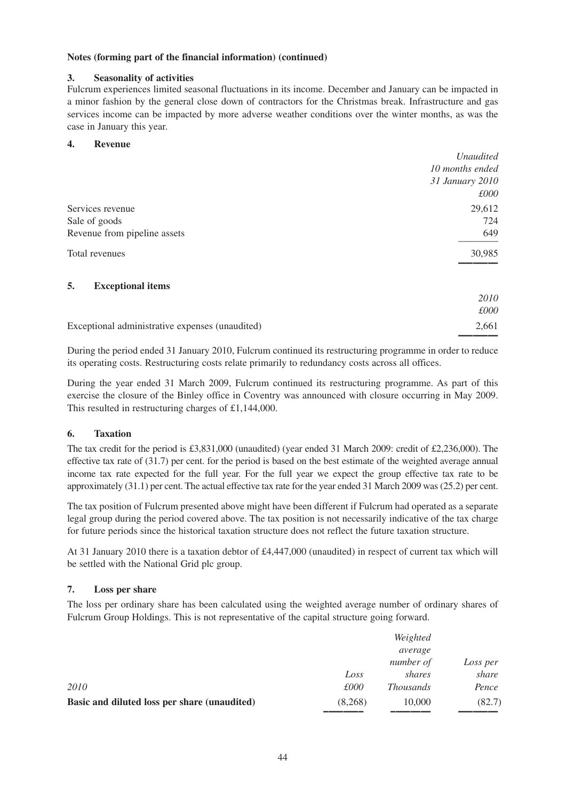#### **3. Seasonality of activities**

Fulcrum experiences limited seasonal fluctuations in its income. December and January can be impacted in a minor fashion by the general close down of contractors for the Christmas break. Infrastructure and gas services income can be impacted by more adverse weather conditions over the winter months, as was the case in January this year.

#### **4. Revenue**

|                                                 | <b>Unaudited</b> |
|-------------------------------------------------|------------------|
|                                                 | 10 months ended  |
|                                                 | 31 January 2010  |
|                                                 | $\pounds$ 000    |
| Services revenue                                | 29,612           |
| Sale of goods                                   | 724              |
| Revenue from pipeline assets                    | 649              |
| Total revenues                                  | 30,985           |
| 5.<br><b>Exceptional items</b>                  |                  |
|                                                 | 2010             |
|                                                 | $\pounds$ 000    |
| Exceptional administrative expenses (unaudited) | 2,661            |

During the period ended 31 January 2010, Fulcrum continued its restructuring programme in order to reduce its operating costs. Restructuring costs relate primarily to redundancy costs across all offices.

––––––––

During the year ended 31 March 2009, Fulcrum continued its restructuring programme. As part of this exercise the closure of the Binley office in Coventry was announced with closure occurring in May 2009. This resulted in restructuring charges of £1,144,000.

#### **6. Taxation**

The tax credit for the period is £3,831,000 (unaudited) (year ended 31 March 2009: credit of £2,236,000). The effective tax rate of (31.7) per cent. for the period is based on the best estimate of the weighted average annual income tax rate expected for the full year. For the full year we expect the group effective tax rate to be approximately (31.1) per cent. The actual effective tax rate for the year ended 31 March 2009 was (25.2) per cent.

The tax position of Fulcrum presented above might have been different if Fulcrum had operated as a separate legal group during the period covered above. The tax position is not necessarily indicative of the tax charge for future periods since the historical taxation structure does not reflect the future taxation structure.

At 31 January 2010 there is a taxation debtor of £4,447,000 (unaudited) in respect of current tax which will be settled with the National Grid plc group.

#### **7. Loss per share**

The loss per ordinary share has been calculated using the weighted average number of ordinary shares of Fulcrum Group Holdings. This is not representative of the capital structure going forward.

|                                              |               | Weighted         |          |
|----------------------------------------------|---------------|------------------|----------|
|                                              |               | average          |          |
|                                              |               | number of        | Loss per |
|                                              | Loss          | shares           | share    |
| 2010                                         | $\pounds$ 000 | <i>Thousands</i> | Pence    |
| Basic and diluted loss per share (unaudited) | (8,268)       | 10,000           | (82.7)   |
|                                              |               |                  |          |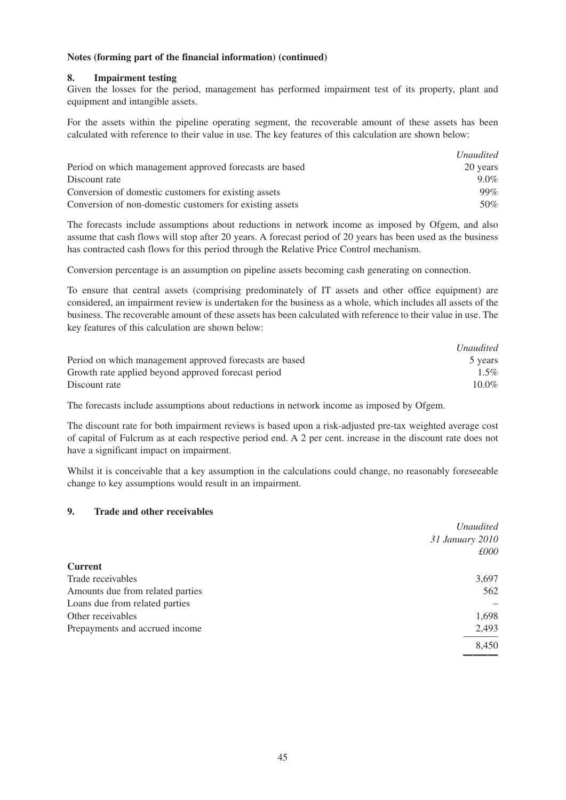#### **8. Impairment testing**

Given the losses for the period, management has performed impairment test of its property, plant and equipment and intangible assets.

For the assets within the pipeline operating segment, the recoverable amount of these assets has been calculated with reference to their value in use. The key features of this calculation are shown below:

|                                                          | <i>Unaudited</i> |
|----------------------------------------------------------|------------------|
| Period on which management approved forecasts are based  | 20 years         |
| Discount rate                                            | $9.0\%$          |
| Conversion of domestic customers for existing assets     | 99%              |
| Conversion of non-domestic customers for existing assets | 50%              |

The forecasts include assumptions about reductions in network income as imposed by Ofgem, and also assume that cash flows will stop after 20 years. A forecast period of 20 years has been used as the business has contracted cash flows for this period through the Relative Price Control mechanism.

Conversion percentage is an assumption on pipeline assets becoming cash generating on connection.

To ensure that central assets (comprising predominately of IT assets and other office equipment) are considered, an impairment review is undertaken for the business as a whole, which includes all assets of the business. The recoverable amount of these assets has been calculated with reference to their value in use. The key features of this calculation are shown below:

|                                                         | <i>Unaudited</i> |
|---------------------------------------------------------|------------------|
| Period on which management approved forecasts are based | 5 years          |
| Growth rate applied beyond approved forecast period     | $1.5\%$          |
| Discount rate                                           | $10.0\%$         |

The forecasts include assumptions about reductions in network income as imposed by Ofgem.

The discount rate for both impairment reviews is based upon a risk-adjusted pre-tax weighted average cost of capital of Fulcrum as at each respective period end. A 2 per cent. increase in the discount rate does not have a significant impact on impairment.

Whilst it is conceivable that a key assumption in the calculations could change, no reasonably foreseeable change to key assumptions would result in an impairment.

#### **9. Trade and other receivables**

|                                  | <b>Unaudited</b> |
|----------------------------------|------------------|
|                                  | 31 January 2010  |
|                                  | $\pounds 000$    |
| <b>Current</b>                   |                  |
| Trade receivables                | 3,697            |
| Amounts due from related parties | 562              |
| Loans due from related parties   |                  |
| Other receivables                | 1,698            |
| Prepayments and accrued income   | 2,493            |
|                                  | 8,450            |
|                                  |                  |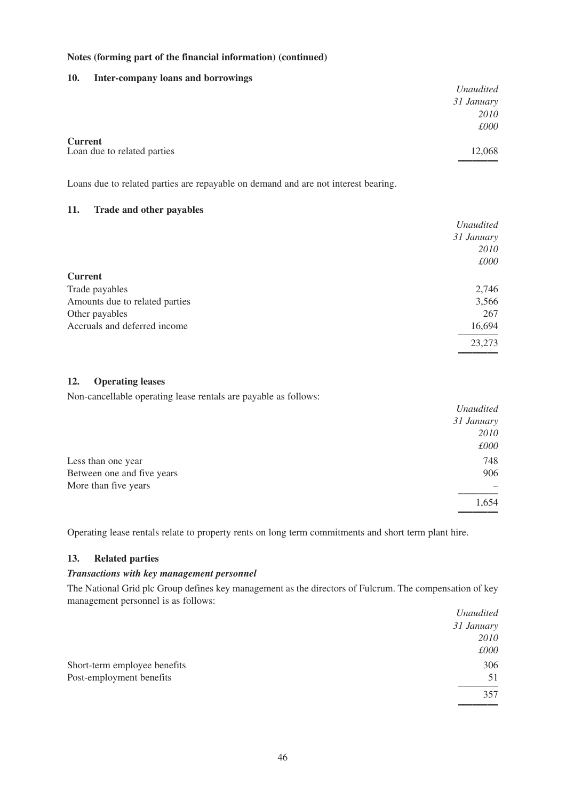#### **10. Inter-company loans and borrowings**

|                             | <b>Unaudited</b> |
|-----------------------------|------------------|
|                             | 31 January       |
|                             | 2010             |
|                             | £000             |
| <b>Current</b>              |                  |
| Loan due to related parties | 12,068           |
|                             |                  |

Loans due to related parties are repayable on demand and are not interest bearing.

#### **11. Trade and other payables**

|                                | <i>Unaudited</i> |
|--------------------------------|------------------|
|                                | 31 January       |
|                                | 2010             |
|                                | $\pounds$ 000    |
| <b>Current</b>                 |                  |
| Trade payables                 | 2,746            |
| Amounts due to related parties | 3,566            |
| Other payables                 | 267              |
| Accruals and deferred income   | 16,694           |
|                                | 23,273           |

––––––––

––––––––

## **12. Operating leases**

Non-cancellable operating lease rentals are payable as follows:

|                            | Unaudited  |
|----------------------------|------------|
|                            | 31 January |
|                            | 2010       |
|                            | £000       |
| Less than one year         | 748        |
| Between one and five years | 906        |
| More than five years       |            |
|                            | 1,654      |

Operating lease rentals relate to property rents on long term commitments and short term plant hire.

## **13. Related parties**

#### *Transactions with key management personnel*

The National Grid plc Group defines key management as the directors of Fulcrum. The compensation of key management personnel is as follows:

|                              | <b>Unaudited</b> |
|------------------------------|------------------|
|                              | 31 January       |
|                              | 2010             |
|                              | £000             |
| Short-term employee benefits | 306              |
| Post-employment benefits     | 51               |
|                              | 357              |
|                              |                  |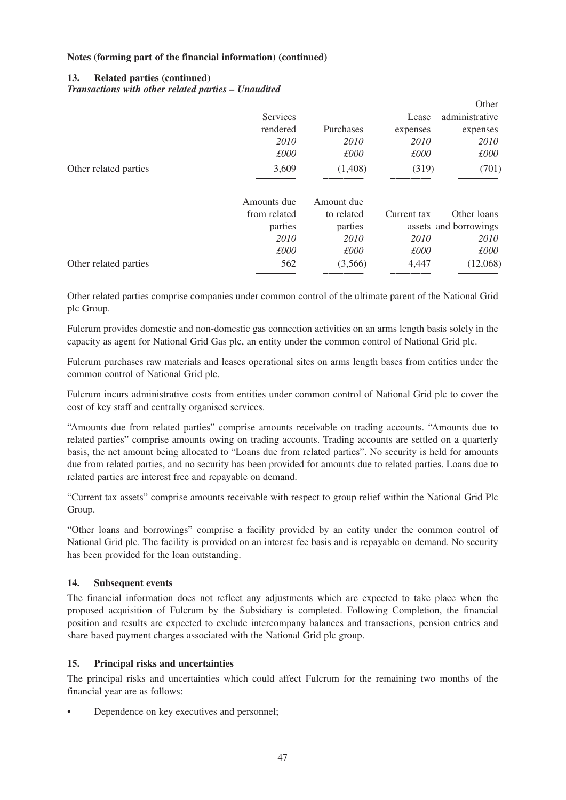## **13. Related parties (continued)**

*Transactions with other related parties – Unaudited*

|                       |              |            |             | Other                 |
|-----------------------|--------------|------------|-------------|-----------------------|
|                       | Services     |            | Lease       | administrative        |
|                       | rendered     | Purchases  | expenses    | expenses              |
|                       | 2010         | 2010       | 2010        | 2010                  |
|                       | £000         | £000       | £000        | £000                  |
| Other related parties | 3,609        | (1,408)    | (319)       | (701)                 |
|                       |              |            |             |                       |
|                       | Amounts due  | Amount due |             |                       |
|                       | from related | to related | Current tax | Other loans           |
|                       | parties      | parties    |             | assets and borrowings |
|                       | 2010         | 2010       | 2010        | 2010                  |
|                       | £000         | £000       | £000        | £000                  |
| Other related parties | 562          | (3,566)    | 4,447       | (12,068)              |
|                       |              |            |             |                       |

Other related parties comprise companies under common control of the ultimate parent of the National Grid plc Group.

Fulcrum provides domestic and non-domestic gas connection activities on an arms length basis solely in the capacity as agent for National Grid Gas plc, an entity under the common control of National Grid plc.

Fulcrum purchases raw materials and leases operational sites on arms length bases from entities under the common control of National Grid plc.

Fulcrum incurs administrative costs from entities under common control of National Grid plc to cover the cost of key staff and centrally organised services.

"Amounts due from related parties" comprise amounts receivable on trading accounts. "Amounts due to related parties" comprise amounts owing on trading accounts. Trading accounts are settled on a quarterly basis, the net amount being allocated to "Loans due from related parties". No security is held for amounts due from related parties, and no security has been provided for amounts due to related parties. Loans due to related parties are interest free and repayable on demand.

"Current tax assets" comprise amounts receivable with respect to group relief within the National Grid Plc Group.

"Other loans and borrowings" comprise a facility provided by an entity under the common control of National Grid plc. The facility is provided on an interest fee basis and is repayable on demand. No security has been provided for the loan outstanding.

#### **14. Subsequent events**

The financial information does not reflect any adjustments which are expected to take place when the proposed acquisition of Fulcrum by the Subsidiary is completed. Following Completion, the financial position and results are expected to exclude intercompany balances and transactions, pension entries and share based payment charges associated with the National Grid plc group.

#### **15. Principal risks and uncertainties**

The principal risks and uncertainties which could affect Fulcrum for the remaining two months of the financial year are as follows:

Dependence on key executives and personnel;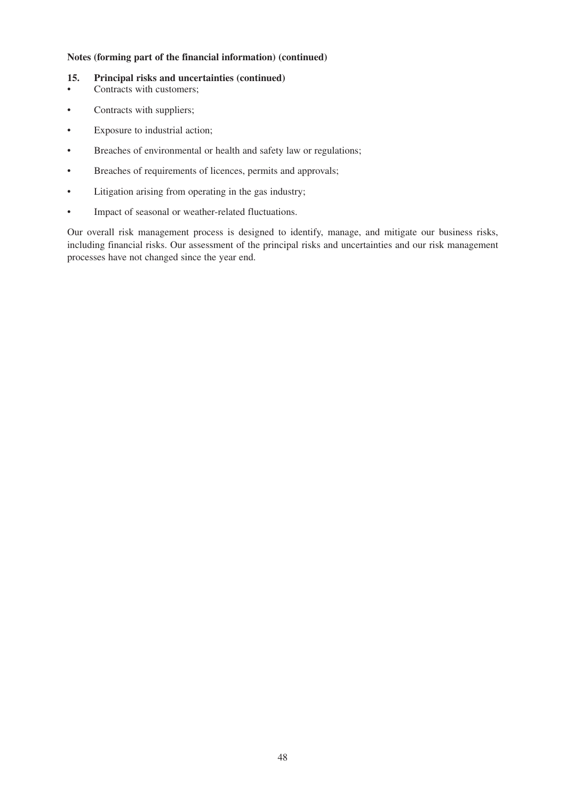#### **15. Principal risks and uncertainties (continued)**

- Contracts with customers;
- Contracts with suppliers;
- Exposure to industrial action;
- Breaches of environmental or health and safety law or regulations;
- Breaches of requirements of licences, permits and approvals;
- Litigation arising from operating in the gas industry;
- Impact of seasonal or weather-related fluctuations.

Our overall risk management process is designed to identify, manage, and mitigate our business risks, including financial risks. Our assessment of the principal risks and uncertainties and our risk management processes have not changed since the year end.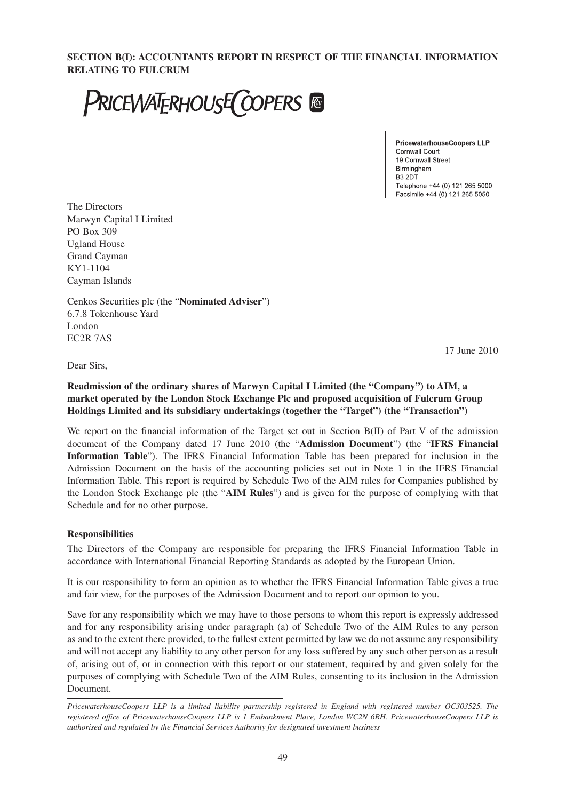## **SECTION B(I): ACCOUNTANTS REPORT IN RESPECT OF THE FINANCIAL INFORMATION RELATING TO FULCRUM**

# PRICEWATERHOUSE COPERS &

**PricewaterhouseCoopers LLP** Cornwall Court 19 Cornwall Street Birmingham **B3 2DT** Telephone +44 (0) 121 265 5000 Facsimile +44 (0) 121 265 5050

The Directors Marwyn Capital I Limited PO Box 309 Ugland House Grand Cayman KY1-1104 Cayman Islands

Cenkos Securities plc (the "**Nominated Adviser**") 6.7.8 Tokenhouse Yard London EC2R 7AS

17 June 2010

Dear Sirs,

## **Readmission of the ordinary shares of Marwyn Capital I Limited (the "Company") to AIM, a market operated by the London Stock Exchange Plc and proposed acquisition of Fulcrum Group Holdings Limited and its subsidiary undertakings (together the "Target") (the "Transaction")**

We report on the financial information of the Target set out in Section B(II) of Part V of the admission document of the Company dated 17 June 2010 (the "**Admission Document**") (the "**IFRS Financial Information Table**"). The IFRS Financial Information Table has been prepared for inclusion in the Admission Document on the basis of the accounting policies set out in Note 1 in the IFRS Financial Information Table. This report is required by Schedule Two of the AIM rules for Companies published by the London Stock Exchange plc (the "**AIM Rules**") and is given for the purpose of complying with that Schedule and for no other purpose.

#### **Responsibilities**

The Directors of the Company are responsible for preparing the IFRS Financial Information Table in accordance with International Financial Reporting Standards as adopted by the European Union.

It is our responsibility to form an opinion as to whether the IFRS Financial Information Table gives a true and fair view, for the purposes of the Admission Document and to report our opinion to you.

Save for any responsibility which we may have to those persons to whom this report is expressly addressed and for any responsibility arising under paragraph (a) of Schedule Two of the AIM Rules to any person as and to the extent there provided, to the fullest extent permitted by law we do not assume any responsibility and will not accept any liability to any other person for any loss suffered by any such other person as a result of, arising out of, or in connection with this report or our statement, required by and given solely for the purposes of complying with Schedule Two of the AIM Rules, consenting to its inclusion in the Admission Document.

*PricewaterhouseCoopers LLP is a limited liability partnership registered in England with registered number OC303525. The registered office of PricewaterhouseCoopers LLP is 1 Embankment Place, London WC2N 6RH. PricewaterhouseCoopers LLP is authorised and regulated by the Financial Services Authority for designated investment business*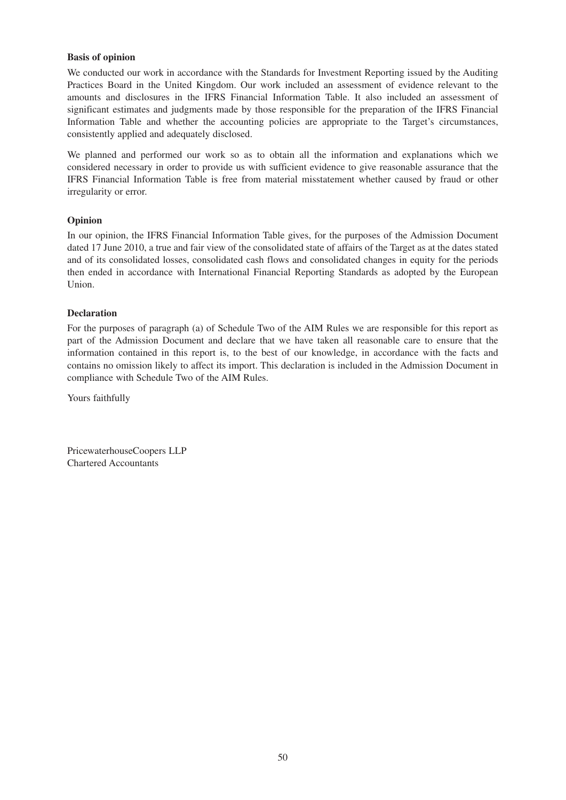#### **Basis of opinion**

We conducted our work in accordance with the Standards for Investment Reporting issued by the Auditing Practices Board in the United Kingdom. Our work included an assessment of evidence relevant to the amounts and disclosures in the IFRS Financial Information Table. It also included an assessment of significant estimates and judgments made by those responsible for the preparation of the IFRS Financial Information Table and whether the accounting policies are appropriate to the Target's circumstances, consistently applied and adequately disclosed.

We planned and performed our work so as to obtain all the information and explanations which we considered necessary in order to provide us with sufficient evidence to give reasonable assurance that the IFRS Financial Information Table is free from material misstatement whether caused by fraud or other irregularity or error.

#### **Opinion**

In our opinion, the IFRS Financial Information Table gives, for the purposes of the Admission Document dated 17 June 2010, a true and fair view of the consolidated state of affairs of the Target as at the dates stated and of its consolidated losses, consolidated cash flows and consolidated changes in equity for the periods then ended in accordance with International Financial Reporting Standards as adopted by the European Union.

#### **Declaration**

For the purposes of paragraph (a) of Schedule Two of the AIM Rules we are responsible for this report as part of the Admission Document and declare that we have taken all reasonable care to ensure that the information contained in this report is, to the best of our knowledge, in accordance with the facts and contains no omission likely to affect its import. This declaration is included in the Admission Document in compliance with Schedule Two of the AIM Rules.

Yours faithfully

PricewaterhouseCoopers LLP Chartered Accountants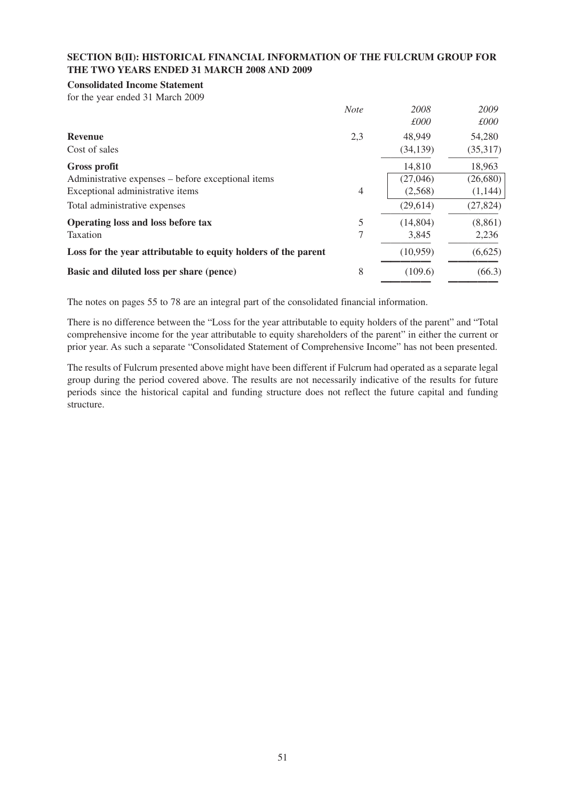## **SECTION B(II): HISTORICAL FINANCIAL INFORMATION OF THE FULCRUM GROUP FOR THE TWO YEARS ENDED 31 MARCH 2008 AND 2009**

#### **Consolidated Income Statement**

for the year ended 31 March 2009

|                                                                | <b>Note</b> | 2008<br>£000 | 2009<br>£000 |
|----------------------------------------------------------------|-------------|--------------|--------------|
| <b>Revenue</b>                                                 | 2,3         | 48,949       | 54,280       |
| Cost of sales                                                  |             | (34, 139)    | (35,317)     |
| Gross profit                                                   |             | 14,810       | 18,963       |
| Administrative expenses – before exceptional items             |             | (27,046)     | (26,680)     |
| Exceptional administrative items                               | 4           | (2,568)      | (1,144)      |
| Total administrative expenses                                  |             | (29,614)     | (27, 824)    |
| Operating loss and loss before tax                             | 5           | (14, 804)    | (8, 861)     |
| Taxation                                                       | 7           | 3,845        | 2,236        |
| Loss for the year attributable to equity holders of the parent |             | (10, 959)    | (6,625)      |
| Basic and diluted loss per share (pence)                       | 8           | (109.6)      | (66.3)       |

The notes on pages 55 to 78 are an integral part of the consolidated financial information.

There is no difference between the "Loss for the year attributable to equity holders of the parent" and "Total comprehensive income for the year attributable to equity shareholders of the parent" in either the current or prior year. As such a separate "Consolidated Statement of Comprehensive Income" has not been presented.

————— —————

The results of Fulcrum presented above might have been different if Fulcrum had operated as a separate legal group during the period covered above. The results are not necessarily indicative of the results for future periods since the historical capital and funding structure does not reflect the future capital and funding structure.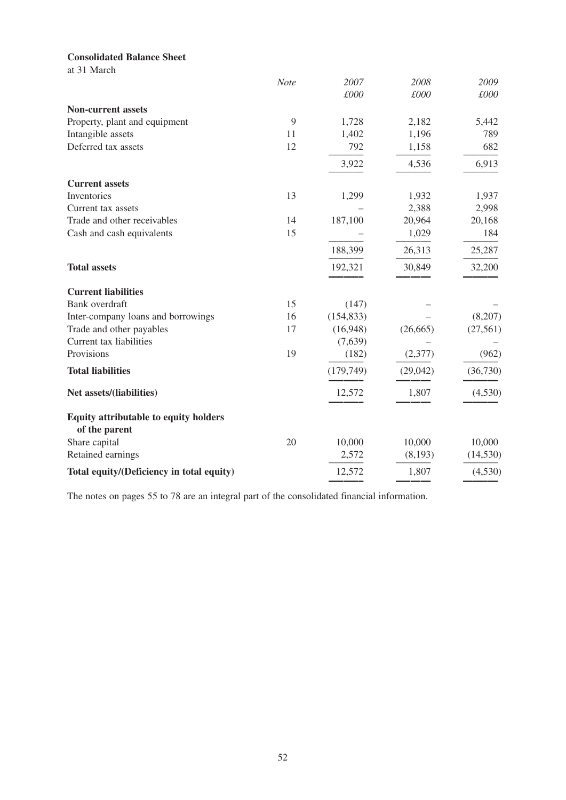## **Consolidated Balance Sheet**

at 31 March

|                                                               | Note | 2007       | 2008      | 2009      |
|---------------------------------------------------------------|------|------------|-----------|-----------|
|                                                               |      | £000       | £000      | £000      |
| <b>Non-current assets</b>                                     |      |            |           |           |
| Property, plant and equipment                                 | 9    | 1,728      | 2,182     | 5,442     |
| Intangible assets                                             | 11   | 1,402      | 1,196     | 789       |
| Deferred tax assets                                           | 12   | 792        | 1,158     | 682       |
|                                                               |      | 3,922      | 4,536     | 6,913     |
| <b>Current assets</b>                                         |      |            |           |           |
| Inventories                                                   | 13   | 1,299      | 1,932     | 1,937     |
| Current tax assets                                            |      |            | 2,388     | 2,998     |
| Trade and other receivables                                   | 14   | 187,100    | 20,964    | 20,168    |
| Cash and cash equivalents                                     | 15   |            | 1,029     | 184       |
|                                                               |      | 188,399    | 26,313    | 25,287    |
| <b>Total assets</b>                                           |      | 192,321    | 30,849    | 32,200    |
| <b>Current liabilities</b>                                    |      |            |           |           |
| <b>Bank</b> overdraft                                         | 15   | (147)      |           |           |
| Inter-company loans and borrowings                            | 16   | (154, 833) |           | (8,207)   |
| Trade and other payables                                      | 17   | (16,948)   | (26, 665) | (27, 561) |
| Current tax liabilities                                       |      | (7,639)    |           |           |
| Provisions                                                    | 19   | (182)      | (2,377)   | (962)     |
| <b>Total liabilities</b>                                      |      | (179, 749) | (29, 042) | (36,730)  |
| Net assets/(liabilities)                                      |      | 12,572     | 1,807     | (4,530)   |
| <b>Equity attributable to equity holders</b><br>of the parent |      |            |           |           |
| Share capital                                                 | 20   | 10,000     | 10,000    | 10,000    |
| Retained earnings                                             |      | 2,572      | (8,193)   | (14, 530) |
| Total equity/(Deficiency in total equity)                     |      | 12,572     | 1,807     | (4,530)   |
|                                                               |      |            |           |           |

The notes on pages 55 to 78 are an integral part of the consolidated financial information.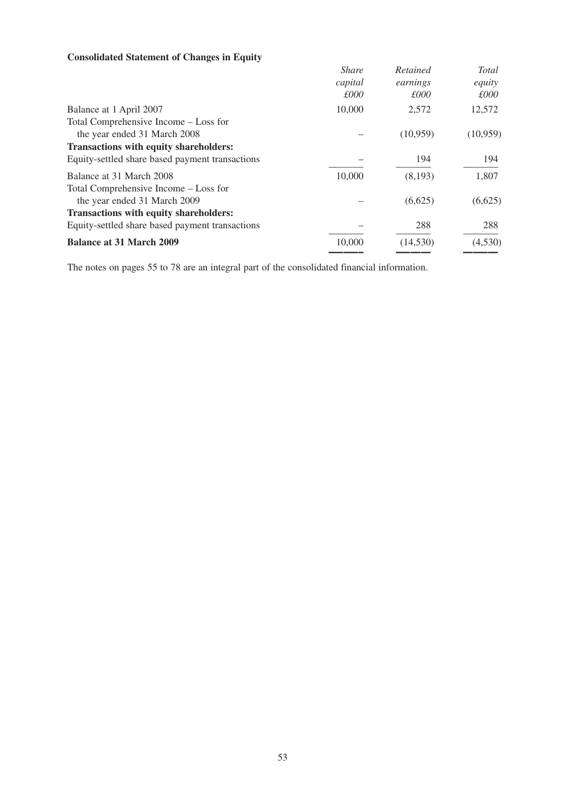|                                                 | <b>Share</b> | Retained | Total     |
|-------------------------------------------------|--------------|----------|-----------|
|                                                 | capital      | earnings | equity    |
|                                                 | £000         | £000     | £000      |
| Balance at 1 April 2007                         | 10,000       | 2,572    | 12,572    |
| Total Comprehensive Income – Loss for           |              |          |           |
| the year ended 31 March 2008                    |              | (10,959) | (10, 959) |
| Transactions with equity shareholders:          |              |          |           |
| Equity-settled share based payment transactions |              | 194      | 194       |
| Balance at 31 March 2008                        | 10,000       | (8,193)  | 1,807     |
| Total Comprehensive Income – Loss for           |              |          |           |
| the year ended 31 March 2009                    |              | (6,625)  | (6,625)   |
| Transactions with equity shareholders:          |              |          |           |
| Equity-settled share based payment transactions |              | 288      | 288       |
| <b>Balance at 31 March 2009</b>                 | 10,000       | (14,530) | (4,530)   |
|                                                 |              |          |           |

#### **Consolidated Statement of Changes in Equity**

The notes on pages 55 to 78 are an integral part of the consolidated financial information.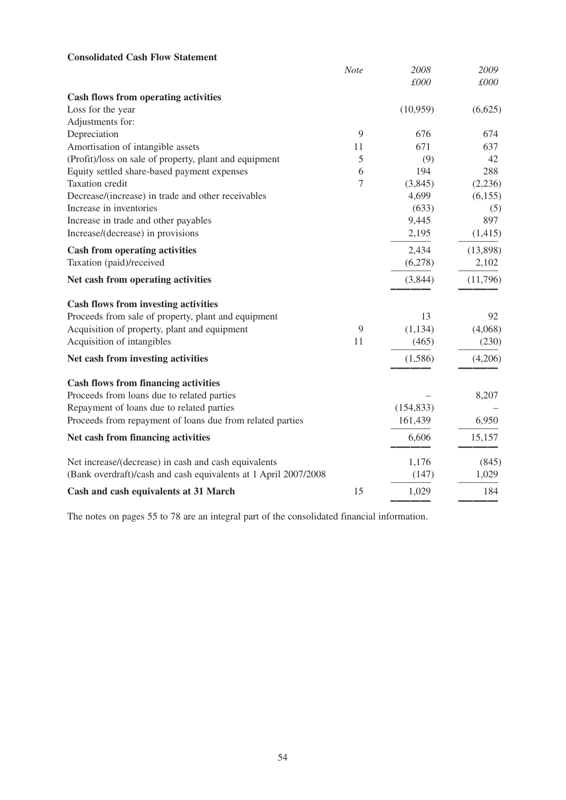| <b>Consolidated Cash Flow Statement</b>                         |             |            |          |
|-----------------------------------------------------------------|-------------|------------|----------|
|                                                                 | <b>Note</b> | 2008       | 2009     |
|                                                                 |             | £000       | £000     |
| <b>Cash flows from operating activities</b>                     |             |            |          |
| Loss for the year                                               |             | (10, 959)  | (6,625)  |
| Adjustments for:                                                |             |            |          |
| Depreciation                                                    | 9           | 676        | 674      |
| Amortisation of intangible assets                               | 11          | 671        | 637      |
| (Profit)/loss on sale of property, plant and equipment          | 5           | (9)        | 42       |
| Equity settled share-based payment expenses                     | 6           | 194        | 288      |
| Taxation credit                                                 | 7           | (3,845)    | (2,236)  |
| Decrease/(increase) in trade and other receivables              |             | 4,699      | (6,155)  |
| Increase in inventories                                         |             | (633)      | (5)      |
| Increase in trade and other payables                            |             | 9,445      | 897      |
| Increase/(decrease) in provisions                               |             | 2,195      | (1,415)  |
| <b>Cash from operating activities</b>                           |             | 2,434      | (13,898) |
| Taxation (paid)/received                                        |             | (6,278)    | 2,102    |
| Net cash from operating activities                              |             | (3,844)    | (11,796) |
| <b>Cash flows from investing activities</b>                     |             |            |          |
| Proceeds from sale of property, plant and equipment             |             | 13         | 92       |
| Acquisition of property, plant and equipment                    | 9           | (1, 134)   | (4,068)  |
| Acquisition of intangibles                                      | 11          | (465)      | (230)    |
| Net cash from investing activities                              |             | (1,586)    | (4,206)  |
| <b>Cash flows from financing activities</b>                     |             |            |          |
| Proceeds from loans due to related parties                      |             |            | 8,207    |
| Repayment of loans due to related parties                       |             | (154, 833) |          |
| Proceeds from repayment of loans due from related parties       |             | 161,439    | 6,950    |
| Net cash from financing activities                              |             | 6,606      | 15,157   |
| Net increase/(decrease) in cash and cash equivalents            |             | 1,176      | (845)    |
| (Bank overdraft)/cash and cash equivalents at 1 April 2007/2008 |             | (147)      | 1,029    |
| Cash and cash equivalents at 31 March                           | 15          | 1,029      | 184      |

The notes on pages 55 to 78 are an integral part of the consolidated financial information.

–––––––– ––––––––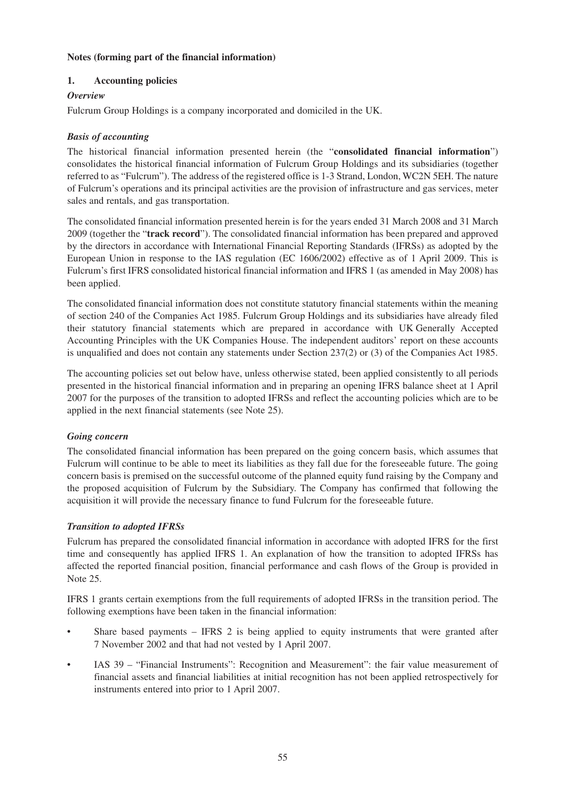#### **Notes (forming part of the financial information)**

## **1. Accounting policies**

## *Overview*

Fulcrum Group Holdings is a company incorporated and domiciled in the UK.

## *Basis of accounting*

The historical financial information presented herein (the "**consolidated financial information**") consolidates the historical financial information of Fulcrum Group Holdings and its subsidiaries (together referred to as "Fulcrum"). The address of the registered office is 1-3 Strand, London, WC2N 5EH. The nature of Fulcrum's operations and its principal activities are the provision of infrastructure and gas services, meter sales and rentals, and gas transportation.

The consolidated financial information presented herein is for the years ended 31 March 2008 and 31 March 2009 (together the "**track record**"). The consolidated financial information has been prepared and approved by the directors in accordance with International Financial Reporting Standards (IFRSs) as adopted by the European Union in response to the IAS regulation (EC 1606/2002) effective as of 1 April 2009. This is Fulcrum's first IFRS consolidated historical financial information and IFRS 1 (as amended in May 2008) has been applied.

The consolidated financial information does not constitute statutory financial statements within the meaning of section 240 of the Companies Act 1985. Fulcrum Group Holdings and its subsidiaries have already filed their statutory financial statements which are prepared in accordance with UK Generally Accepted Accounting Principles with the UK Companies House. The independent auditors' report on these accounts is unqualified and does not contain any statements under Section 237(2) or (3) of the Companies Act 1985.

The accounting policies set out below have, unless otherwise stated, been applied consistently to all periods presented in the historical financial information and in preparing an opening IFRS balance sheet at 1 April 2007 for the purposes of the transition to adopted IFRSs and reflect the accounting policies which are to be applied in the next financial statements (see Note 25).

## *Going concern*

The consolidated financial information has been prepared on the going concern basis, which assumes that Fulcrum will continue to be able to meet its liabilities as they fall due for the foreseeable future. The going concern basis is premised on the successful outcome of the planned equity fund raising by the Company and the proposed acquisition of Fulcrum by the Subsidiary. The Company has confirmed that following the acquisition it will provide the necessary finance to fund Fulcrum for the foreseeable future.

## *Transition to adopted IFRSs*

Fulcrum has prepared the consolidated financial information in accordance with adopted IFRS for the first time and consequently has applied IFRS 1. An explanation of how the transition to adopted IFRSs has affected the reported financial position, financial performance and cash flows of the Group is provided in Note 25.

IFRS 1 grants certain exemptions from the full requirements of adopted IFRSs in the transition period. The following exemptions have been taken in the financial information:

- Share based payments IFRS 2 is being applied to equity instruments that were granted after 7 November 2002 and that had not vested by 1 April 2007.
- IAS 39 "Financial Instruments": Recognition and Measurement": the fair value measurement of financial assets and financial liabilities at initial recognition has not been applied retrospectively for instruments entered into prior to 1 April 2007.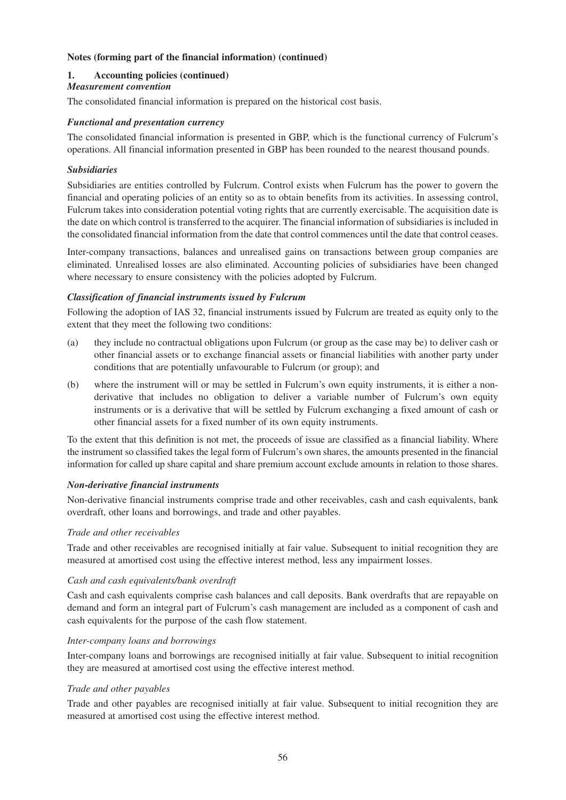## **1. Accounting policies (continued)**

## *Measurement convention*

The consolidated financial information is prepared on the historical cost basis.

## *Functional and presentation currency*

The consolidated financial information is presented in GBP, which is the functional currency of Fulcrum's operations. All financial information presented in GBP has been rounded to the nearest thousand pounds.

## *Subsidiaries*

Subsidiaries are entities controlled by Fulcrum. Control exists when Fulcrum has the power to govern the financial and operating policies of an entity so as to obtain benefits from its activities. In assessing control, Fulcrum takes into consideration potential voting rights that are currently exercisable. The acquisition date is the date on which control is transferred to the acquirer. The financial information of subsidiaries is included in the consolidated financial information from the date that control commences until the date that control ceases.

Inter-company transactions, balances and unrealised gains on transactions between group companies are eliminated. Unrealised losses are also eliminated. Accounting policies of subsidiaries have been changed where necessary to ensure consistency with the policies adopted by Fulcrum.

## *Classification of financial instruments issued by Fulcrum*

Following the adoption of IAS 32, financial instruments issued by Fulcrum are treated as equity only to the extent that they meet the following two conditions:

- (a) they include no contractual obligations upon Fulcrum (or group as the case may be) to deliver cash or other financial assets or to exchange financial assets or financial liabilities with another party under conditions that are potentially unfavourable to Fulcrum (or group); and
- (b) where the instrument will or may be settled in Fulcrum's own equity instruments, it is either a nonderivative that includes no obligation to deliver a variable number of Fulcrum's own equity instruments or is a derivative that will be settled by Fulcrum exchanging a fixed amount of cash or other financial assets for a fixed number of its own equity instruments.

To the extent that this definition is not met, the proceeds of issue are classified as a financial liability. Where the instrument so classified takes the legal form of Fulcrum's own shares, the amounts presented in the financial information for called up share capital and share premium account exclude amounts in relation to those shares.

#### *Non-derivative financial instruments*

Non-derivative financial instruments comprise trade and other receivables, cash and cash equivalents, bank overdraft, other loans and borrowings, and trade and other payables.

#### *Trade and other receivables*

Trade and other receivables are recognised initially at fair value. Subsequent to initial recognition they are measured at amortised cost using the effective interest method, less any impairment losses.

## *Cash and cash equivalents/bank overdraft*

Cash and cash equivalents comprise cash balances and call deposits. Bank overdrafts that are repayable on demand and form an integral part of Fulcrum's cash management are included as a component of cash and cash equivalents for the purpose of the cash flow statement.

#### *Inter-company loans and borrowings*

Inter-company loans and borrowings are recognised initially at fair value. Subsequent to initial recognition they are measured at amortised cost using the effective interest method.

## *Trade and other payables*

Trade and other payables are recognised initially at fair value. Subsequent to initial recognition they are measured at amortised cost using the effective interest method.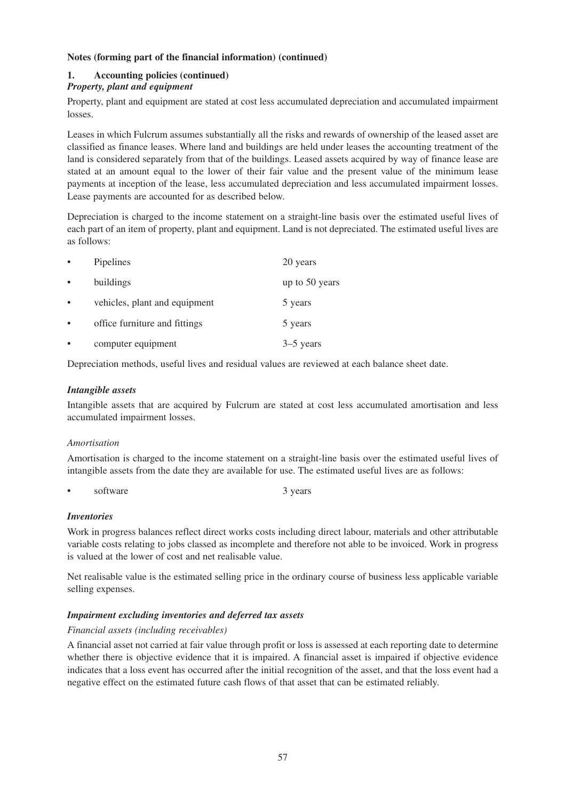## **1. Accounting policies (continued)**

## *Property, plant and equipment*

Property, plant and equipment are stated at cost less accumulated depreciation and accumulated impairment losses.

Leases in which Fulcrum assumes substantially all the risks and rewards of ownership of the leased asset are classified as finance leases. Where land and buildings are held under leases the accounting treatment of the land is considered separately from that of the buildings. Leased assets acquired by way of finance lease are stated at an amount equal to the lower of their fair value and the present value of the minimum lease payments at inception of the lease, less accumulated depreciation and less accumulated impairment losses. Lease payments are accounted for as described below.

Depreciation is charged to the income statement on a straight-line basis over the estimated useful lives of each part of an item of property, plant and equipment. Land is not depreciated. The estimated useful lives are as follows:

| $\bullet$ | Pipelines                     | 20 years       |
|-----------|-------------------------------|----------------|
| $\bullet$ | buildings                     | up to 50 years |
| $\bullet$ | vehicles, plant and equipment | 5 years        |
| $\bullet$ | office furniture and fittings | 5 years        |
|           | computer equipment            | $3-5$ years    |

Depreciation methods, useful lives and residual values are reviewed at each balance sheet date.

## *Intangible assets*

Intangible assets that are acquired by Fulcrum are stated at cost less accumulated amortisation and less accumulated impairment losses.

## *Amortisation*

Amortisation is charged to the income statement on a straight-line basis over the estimated useful lives of intangible assets from the date they are available for use. The estimated useful lives are as follows:

software 3 years 3 years

#### *Inventories*

Work in progress balances reflect direct works costs including direct labour, materials and other attributable variable costs relating to jobs classed as incomplete and therefore not able to be invoiced. Work in progress is valued at the lower of cost and net realisable value.

Net realisable value is the estimated selling price in the ordinary course of business less applicable variable selling expenses.

## *Impairment excluding inventories and deferred tax assets*

#### *Financial assets (including receivables)*

A financial asset not carried at fair value through profit or loss is assessed at each reporting date to determine whether there is objective evidence that it is impaired. A financial asset is impaired if objective evidence indicates that a loss event has occurred after the initial recognition of the asset, and that the loss event had a negative effect on the estimated future cash flows of that asset that can be estimated reliably.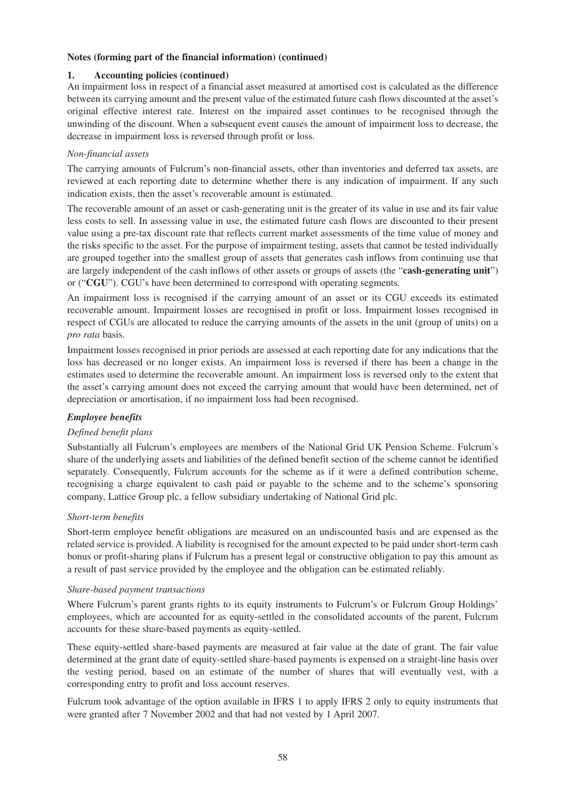#### **1. Accounting policies (continued)**

An impairment loss in respect of a financial asset measured at amortised cost is calculated as the difference between its carrying amount and the present value of the estimated future cash flows discounted at the asset's original effective interest rate. Interest on the impaired asset continues to be recognised through the unwinding of the discount. When a subsequent event causes the amount of impairment loss to decrease, the decrease in impairment loss is reversed through profit or loss.

#### *Non-financial assets*

The carrying amounts of Fulcrum's non-financial assets, other than inventories and deferred tax assets, are reviewed at each reporting date to determine whether there is any indication of impairment. If any such indication exists, then the asset's recoverable amount is estimated.

The recoverable amount of an asset or cash-generating unit is the greater of its value in use and its fair value less costs to sell. In assessing value in use, the estimated future cash flows are discounted to their present value using a pre-tax discount rate that reflects current market assessments of the time value of money and the risks specific to the asset. For the purpose of impairment testing, assets that cannot be tested individually are grouped together into the smallest group of assets that generates cash inflows from continuing use that are largely independent of the cash inflows of other assets or groups of assets (the "**cash-generating unit**") or ("**CGU**"). CGU's have been determined to correspond with operating segments.

An impairment loss is recognised if the carrying amount of an asset or its CGU exceeds its estimated recoverable amount. Impairment losses are recognised in profit or loss. Impairment losses recognised in respect of CGUs are allocated to reduce the carrying amounts of the assets in the unit (group of units) on a *pro rata* basis.

Impairment losses recognised in prior periods are assessed at each reporting date for any indications that the loss has decreased or no longer exists. An impairment loss is reversed if there has been a change in the estimates used to determine the recoverable amount. An impairment loss is reversed only to the extent that the asset's carrying amount does not exceed the carrying amount that would have been determined, net of depreciation or amortisation, if no impairment loss had been recognised.

#### *Employee benefits*

#### *Defined benefit plans*

Substantially all Fulcrum's employees are members of the National Grid UK Pension Scheme. Fulcrum's share of the underlying assets and liabilities of the defined benefit section of the scheme cannot be identified separately. Consequently, Fulcrum accounts for the scheme as if it were a defined contribution scheme, recognising a charge equivalent to cash paid or payable to the scheme and to the scheme's sponsoring company, Lattice Group plc, a fellow subsidiary undertaking of National Grid plc.

#### *Short-term benefits*

Short-term employee benefit obligations are measured on an undiscounted basis and are expensed as the related service is provided. A liability is recognised for the amount expected to be paid under short-term cash bonus or profit-sharing plans if Fulcrum has a present legal or constructive obligation to pay this amount as a result of past service provided by the employee and the obligation can be estimated reliably.

#### *Share-based payment transactions*

Where Fulcrum's parent grants rights to its equity instruments to Fulcrum's or Fulcrum Group Holdings' employees, which are accounted for as equity-settled in the consolidated accounts of the parent, Fulcrum accounts for these share-based payments as equity-settled.

These equity-settled share-based payments are measured at fair value at the date of grant. The fair value determined at the grant date of equity-settled share-based payments is expensed on a straight-line basis over the vesting period, based on an estimate of the number of shares that will eventually vest, with a corresponding entry to profit and loss account reserves.

Fulcrum took advantage of the option available in IFRS 1 to apply IFRS 2 only to equity instruments that were granted after 7 November 2002 and that had not vested by 1 April 2007.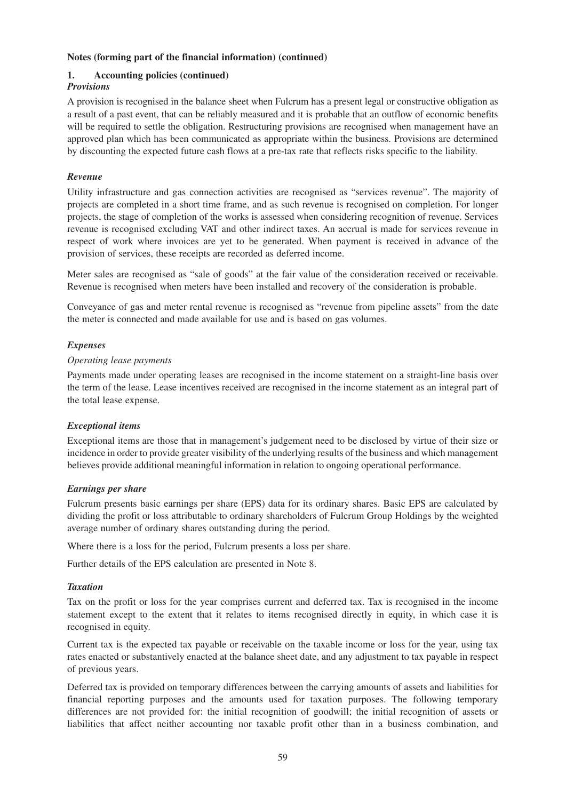#### **1. Accounting policies (continued)**

## *Provisions*

A provision is recognised in the balance sheet when Fulcrum has a present legal or constructive obligation as a result of a past event, that can be reliably measured and it is probable that an outflow of economic benefits will be required to settle the obligation. Restructuring provisions are recognised when management have an approved plan which has been communicated as appropriate within the business. Provisions are determined by discounting the expected future cash flows at a pre-tax rate that reflects risks specific to the liability.

## *Revenue*

Utility infrastructure and gas connection activities are recognised as "services revenue". The majority of projects are completed in a short time frame, and as such revenue is recognised on completion. For longer projects, the stage of completion of the works is assessed when considering recognition of revenue. Services revenue is recognised excluding VAT and other indirect taxes. An accrual is made for services revenue in respect of work where invoices are yet to be generated. When payment is received in advance of the provision of services, these receipts are recorded as deferred income.

Meter sales are recognised as "sale of goods" at the fair value of the consideration received or receivable. Revenue is recognised when meters have been installed and recovery of the consideration is probable.

Conveyance of gas and meter rental revenue is recognised as "revenue from pipeline assets" from the date the meter is connected and made available for use and is based on gas volumes.

## *Expenses*

#### *Operating lease payments*

Payments made under operating leases are recognised in the income statement on a straight-line basis over the term of the lease. Lease incentives received are recognised in the income statement as an integral part of the total lease expense.

#### *Exceptional items*

Exceptional items are those that in management's judgement need to be disclosed by virtue of their size or incidence in order to provide greater visibility of the underlying results of the business and which management believes provide additional meaningful information in relation to ongoing operational performance.

#### *Earnings per share*

Fulcrum presents basic earnings per share (EPS) data for its ordinary shares. Basic EPS are calculated by dividing the profit or loss attributable to ordinary shareholders of Fulcrum Group Holdings by the weighted average number of ordinary shares outstanding during the period.

Where there is a loss for the period, Fulcrum presents a loss per share.

Further details of the EPS calculation are presented in Note 8.

#### *Taxation*

Tax on the profit or loss for the year comprises current and deferred tax. Tax is recognised in the income statement except to the extent that it relates to items recognised directly in equity, in which case it is recognised in equity.

Current tax is the expected tax payable or receivable on the taxable income or loss for the year, using tax rates enacted or substantively enacted at the balance sheet date, and any adjustment to tax payable in respect of previous years.

Deferred tax is provided on temporary differences between the carrying amounts of assets and liabilities for financial reporting purposes and the amounts used for taxation purposes. The following temporary differences are not provided for: the initial recognition of goodwill; the initial recognition of assets or liabilities that affect neither accounting nor taxable profit other than in a business combination, and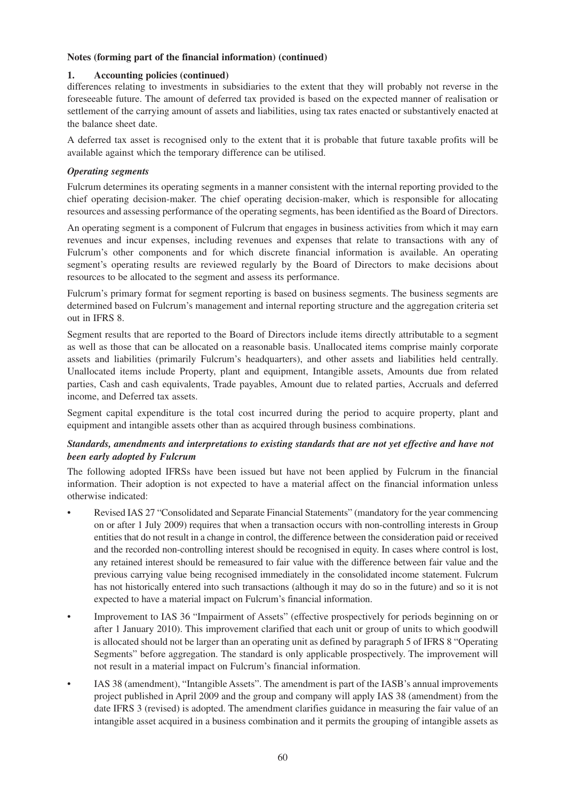## **1. Accounting policies (continued)**

differences relating to investments in subsidiaries to the extent that they will probably not reverse in the foreseeable future. The amount of deferred tax provided is based on the expected manner of realisation or settlement of the carrying amount of assets and liabilities, using tax rates enacted or substantively enacted at the balance sheet date.

A deferred tax asset is recognised only to the extent that it is probable that future taxable profits will be available against which the temporary difference can be utilised.

## *Operating segments*

Fulcrum determines its operating segments in a manner consistent with the internal reporting provided to the chief operating decision-maker. The chief operating decision-maker, which is responsible for allocating resources and assessing performance of the operating segments, has been identified as the Board of Directors.

An operating segment is a component of Fulcrum that engages in business activities from which it may earn revenues and incur expenses, including revenues and expenses that relate to transactions with any of Fulcrum's other components and for which discrete financial information is available. An operating segment's operating results are reviewed regularly by the Board of Directors to make decisions about resources to be allocated to the segment and assess its performance.

Fulcrum's primary format for segment reporting is based on business segments. The business segments are determined based on Fulcrum's management and internal reporting structure and the aggregation criteria set out in IFRS 8.

Segment results that are reported to the Board of Directors include items directly attributable to a segment as well as those that can be allocated on a reasonable basis. Unallocated items comprise mainly corporate assets and liabilities (primarily Fulcrum's headquarters), and other assets and liabilities held centrally. Unallocated items include Property, plant and equipment, Intangible assets, Amounts due from related parties, Cash and cash equivalents, Trade payables, Amount due to related parties, Accruals and deferred income, and Deferred tax assets.

Segment capital expenditure is the total cost incurred during the period to acquire property, plant and equipment and intangible assets other than as acquired through business combinations.

## *Standards, amendments and interpretations to existing standards that are not yet effective and have not been early adopted by Fulcrum*

The following adopted IFRSs have been issued but have not been applied by Fulcrum in the financial information. Their adoption is not expected to have a material affect on the financial information unless otherwise indicated:

- Revised IAS 27 "Consolidated and Separate Financial Statements" (mandatory for the year commencing on or after 1 July 2009) requires that when a transaction occurs with non-controlling interests in Group entities that do not result in a change in control, the difference between the consideration paid or received and the recorded non-controlling interest should be recognised in equity. In cases where control is lost, any retained interest should be remeasured to fair value with the difference between fair value and the previous carrying value being recognised immediately in the consolidated income statement. Fulcrum has not historically entered into such transactions (although it may do so in the future) and so it is not expected to have a material impact on Fulcrum's financial information.
- Improvement to IAS 36 "Impairment of Assets" (effective prospectively for periods beginning on or after 1 January 2010). This improvement clarified that each unit or group of units to which goodwill is allocated should not be larger than an operating unit as defined by paragraph 5 of IFRS 8 "Operating Segments" before aggregation. The standard is only applicable prospectively. The improvement will not result in a material impact on Fulcrum's financial information.
- IAS 38 (amendment), "Intangible Assets". The amendment is part of the IASB's annual improvements project published in April 2009 and the group and company will apply IAS 38 (amendment) from the date IFRS 3 (revised) is adopted. The amendment clarifies guidance in measuring the fair value of an intangible asset acquired in a business combination and it permits the grouping of intangible assets as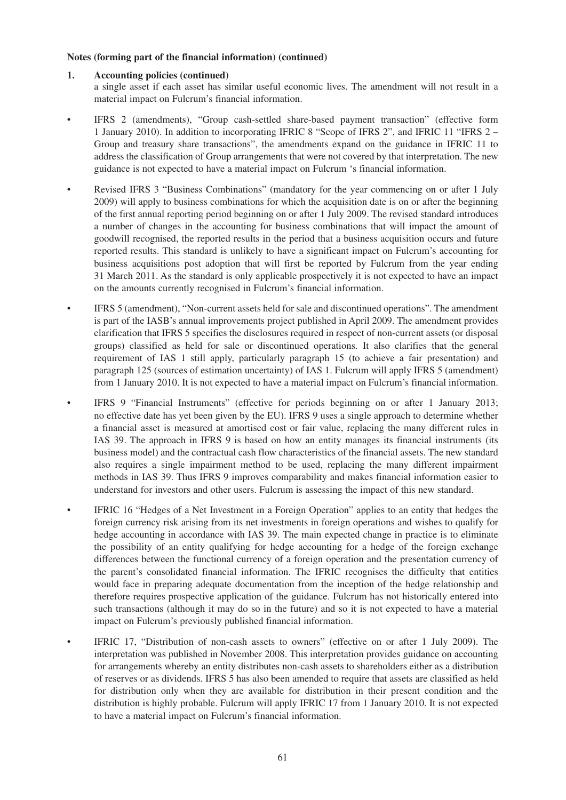#### **1. Accounting policies (continued)**

a single asset if each asset has similar useful economic lives. The amendment will not result in a material impact on Fulcrum's financial information.

- IFRS 2 (amendments), "Group cash-settled share-based payment transaction" (effective form 1 January 2010). In addition to incorporating IFRIC 8 "Scope of IFRS 2", and IFRIC 11 "IFRS 2 – Group and treasury share transactions", the amendments expand on the guidance in IFRIC 11 to address the classification of Group arrangements that were not covered by that interpretation. The new guidance is not expected to have a material impact on Fulcrum 's financial information.
- Revised IFRS 3 "Business Combinations" (mandatory for the year commencing on or after 1 July 2009) will apply to business combinations for which the acquisition date is on or after the beginning of the first annual reporting period beginning on or after 1 July 2009. The revised standard introduces a number of changes in the accounting for business combinations that will impact the amount of goodwill recognised, the reported results in the period that a business acquisition occurs and future reported results. This standard is unlikely to have a significant impact on Fulcrum's accounting for business acquisitions post adoption that will first be reported by Fulcrum from the year ending 31 March 2011. As the standard is only applicable prospectively it is not expected to have an impact on the amounts currently recognised in Fulcrum's financial information.
- IFRS 5 (amendment), "Non-current assets held for sale and discontinued operations". The amendment is part of the IASB's annual improvements project published in April 2009. The amendment provides clarification that IFRS 5 specifies the disclosures required in respect of non-current assets (or disposal groups) classified as held for sale or discontinued operations. It also clarifies that the general requirement of IAS 1 still apply, particularly paragraph 15 (to achieve a fair presentation) and paragraph 125 (sources of estimation uncertainty) of IAS 1. Fulcrum will apply IFRS 5 (amendment) from 1 January 2010. It is not expected to have a material impact on Fulcrum's financial information.
- IFRS 9 "Financial Instruments" (effective for periods beginning on or after 1 January 2013; no effective date has yet been given by the EU). IFRS 9 uses a single approach to determine whether a financial asset is measured at amortised cost or fair value, replacing the many different rules in IAS 39. The approach in IFRS 9 is based on how an entity manages its financial instruments (its business model) and the contractual cash flow characteristics of the financial assets. The new standard also requires a single impairment method to be used, replacing the many different impairment methods in IAS 39. Thus IFRS 9 improves comparability and makes financial information easier to understand for investors and other users. Fulcrum is assessing the impact of this new standard.
- IFRIC 16 "Hedges of a Net Investment in a Foreign Operation" applies to an entity that hedges the foreign currency risk arising from its net investments in foreign operations and wishes to qualify for hedge accounting in accordance with IAS 39. The main expected change in practice is to eliminate the possibility of an entity qualifying for hedge accounting for a hedge of the foreign exchange differences between the functional currency of a foreign operation and the presentation currency of the parent's consolidated financial information. The IFRIC recognises the difficulty that entities would face in preparing adequate documentation from the inception of the hedge relationship and therefore requires prospective application of the guidance. Fulcrum has not historically entered into such transactions (although it may do so in the future) and so it is not expected to have a material impact on Fulcrum's previously published financial information.
- IFRIC 17, "Distribution of non-cash assets to owners" (effective on or after 1 July 2009). The interpretation was published in November 2008. This interpretation provides guidance on accounting for arrangements whereby an entity distributes non-cash assets to shareholders either as a distribution of reserves or as dividends. IFRS 5 has also been amended to require that assets are classified as held for distribution only when they are available for distribution in their present condition and the distribution is highly probable. Fulcrum will apply IFRIC 17 from 1 January 2010. It is not expected to have a material impact on Fulcrum's financial information.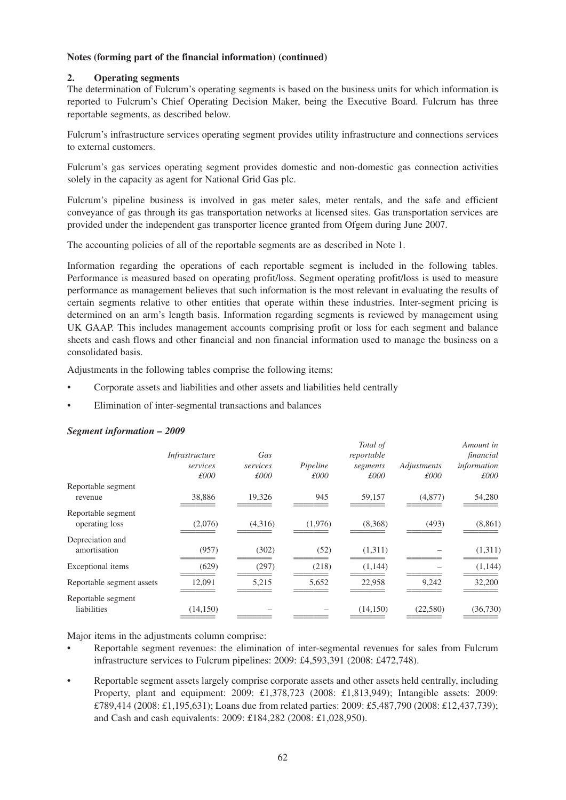#### **2. Operating segments**

The determination of Fulcrum's operating segments is based on the business units for which information is reported to Fulcrum's Chief Operating Decision Maker, being the Executive Board. Fulcrum has three reportable segments, as described below.

Fulcrum's infrastructure services operating segment provides utility infrastructure and connections services to external customers.

Fulcrum's gas services operating segment provides domestic and non-domestic gas connection activities solely in the capacity as agent for National Grid Gas plc.

Fulcrum's pipeline business is involved in gas meter sales, meter rentals, and the safe and efficient conveyance of gas through its gas transportation networks at licensed sites. Gas transportation services are provided under the independent gas transporter licence granted from Ofgem during June 2007.

The accounting policies of all of the reportable segments are as described in Note 1.

Information regarding the operations of each reportable segment is included in the following tables. Performance is measured based on operating profit/loss. Segment operating profit/loss is used to measure performance as management believes that such information is the most relevant in evaluating the results of certain segments relative to other entities that operate within these industries. Inter-segment pricing is determined on an arm's length basis. Information regarding segments is reviewed by management using UK GAAP. This includes management accounts comprising profit or loss for each segment and balance sheets and cash flows and other financial and non financial information used to manage the business on a consolidated basis.

Adjustments in the following tables comprise the following items:

- Corporate assets and liabilities and other assets and liabilities held centrally
- Elimination of inter-segmental transactions and balances

|           |                                                                |                                      | Total of            |                                   | Amount in            |
|-----------|----------------------------------------------------------------|--------------------------------------|---------------------|-----------------------------------|----------------------|
|           |                                                                |                                      |                     |                                   | financial            |
|           |                                                                |                                      |                     |                                   | information          |
|           | £000                                                           | £000                                 | £000                | £000                              | £000                 |
|           |                                                                |                                      |                     |                                   |                      |
|           |                                                                | 945                                  | 59,157              | (4,877)                           | 54,280               |
|           |                                                                |                                      |                     |                                   |                      |
|           |                                                                |                                      |                     |                                   | (8, 861)             |
|           |                                                                |                                      |                     |                                   |                      |
| (957)     | (302)                                                          | (52)                                 | (1,311)             |                                   | (1,311)              |
| (629)     | (297)                                                          | (218)                                | (1,144)             |                                   | (1,144)              |
| 12,091    | 5,215                                                          | 5,652                                | 22,958              | 9,242                             | 32,200               |
|           |                                                                |                                      |                     |                                   |                      |
| (14, 150) |                                                                |                                      | (14, 150)           | (22,580)                          | (36,730)             |
|           | <i>Infrastructure</i><br>services<br>£000<br>38,886<br>(2,076) | Gas<br>services<br>19,326<br>(4,316) | Pipeline<br>(1,976) | reportable<br>segments<br>(8,368) | Adjustments<br>(493) |

#### *Segment information – 2009*

Major items in the adjustments column comprise:

- Reportable segment revenues: the elimination of inter-segmental revenues for sales from Fulcrum infrastructure services to Fulcrum pipelines: 2009: £4,593,391 (2008: £472,748).
- Reportable segment assets largely comprise corporate assets and other assets held centrally, including Property, plant and equipment: 2009: £1,378,723 (2008: £1,813,949); Intangible assets: 2009: £789,414 (2008: £1,195,631); Loans due from related parties: 2009: £5,487,790 (2008: £12,437,739); and Cash and cash equivalents: 2009: £184,282 (2008: £1,028,950).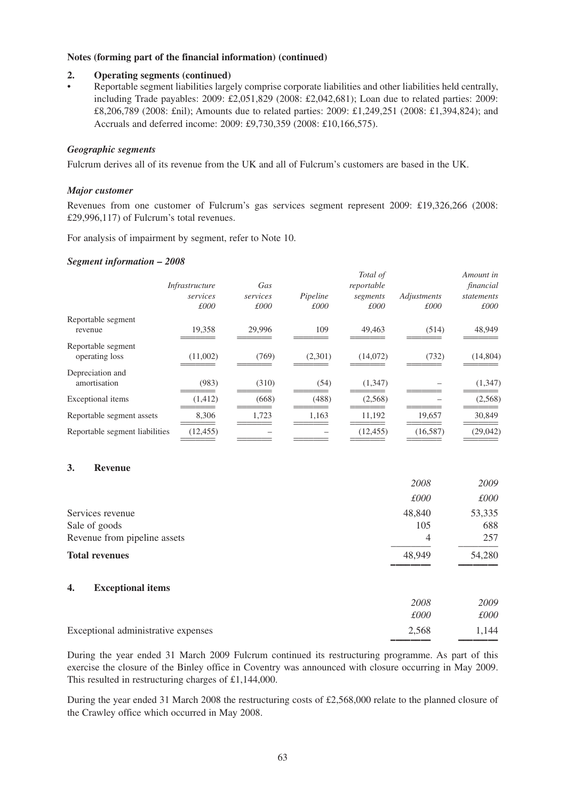#### **2. Operating segments (continued)**

• Reportable segment liabilities largely comprise corporate liabilities and other liabilities held centrally, including Trade payables: 2009: £2,051,829 (2008: £2,042,681); Loan due to related parties: 2009: £8,206,789 (2008: £nil); Amounts due to related parties: 2009: £1,249,251 (2008: £1,394,824); and Accruals and deferred income: 2009: £9,730,359 (2008: £10,166,575).

#### *Geographic segments*

Fulcrum derives all of its revenue from the UK and all of Fulcrum's customers are based in the UK.

#### *Major customer*

Revenues from one customer of Fulcrum's gas services segment represent 2009: £19,326,266 (2008: £29,996,117) of Fulcrum's total revenues.

For analysis of impairment by segment, refer to Note 10.

#### *Segment information – 2008*

|                                      | <i>Infrastructure</i> | Gas              |                  | Total of<br>reportable |                     | Amount in<br>financial |
|--------------------------------------|-----------------------|------------------|------------------|------------------------|---------------------|------------------------|
|                                      | services<br>£000      | services<br>£000 | Pipeline<br>£000 | segments<br>£000       | Adjustments<br>£000 | statements<br>£000     |
| Reportable segment                   |                       |                  |                  |                        |                     |                        |
| revenue                              | 19,358                | 29,996           | 109              | 49,463                 | (514)               | 48,949                 |
| Reportable segment<br>operating loss | (11,002)              | (769)            | (2,301)          | (14,072)               | (732)               | (14, 804)              |
| Depreciation and<br>amortisation     | (983)                 | (310)            | (54)             | (1,347)                |                     | (1, 347)               |
| Exceptional items                    | (1, 412)              | (668)            | (488)            | (2,568)                |                     | (2,568)                |
| Reportable segment assets            | 8,306                 | 1,723            | 1,163            | 11,192                 | 19,657              | 30,849                 |
| Reportable segment liabilities       | (12, 455)             |                  |                  | (12, 455)              | (16, 587)           | (29,042)               |

#### **3. Revenue**

|                                              | 2008   | 2009          |
|----------------------------------------------|--------|---------------|
|                                              | £000   | $\pounds$ 000 |
| Services revenue                             | 48,840 | 53,335        |
| Sale of goods                                | 105    | 688           |
| Revenue from pipeline assets                 | 4      | 257           |
| <b>Total revenues</b>                        | 48,949 | 54,280        |
| $\overline{4}$ .<br><b>Exceptional items</b> |        |               |
|                                              | 2008   | 2009          |
|                                              | £000   | $\pounds$ 000 |
| Exceptional administrative expenses          | 2,568  | 1,144         |

During the year ended 31 March 2009 Fulcrum continued its restructuring programme. As part of this exercise the closure of the Binley office in Coventry was announced with closure occurring in May 2009. This resulted in restructuring charges of £1,144,000.

–––––––– ––––––––

During the year ended 31 March 2008 the restructuring costs of £2,568,000 relate to the planned closure of the Crawley office which occurred in May 2008.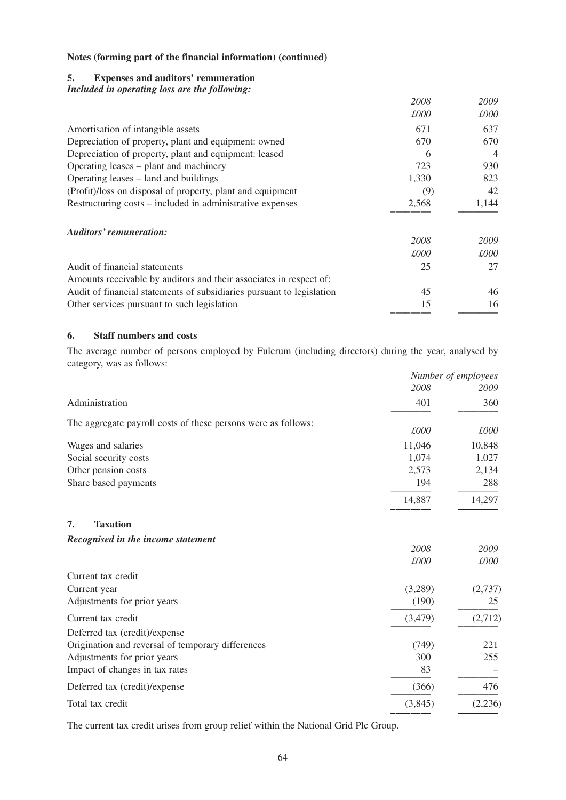## **5. Expenses and auditors' remuneration**

#### *Included in operating loss are the following:*

|                                                                       | 2008  | 2009           |
|-----------------------------------------------------------------------|-------|----------------|
|                                                                       | £000  | £000           |
| Amortisation of intangible assets                                     | 671   | 637            |
| Depreciation of property, plant and equipment: owned                  | 670   | 670            |
| Depreciation of property, plant and equipment: leased                 | 6     | $\overline{4}$ |
| Operating leases – plant and machinery                                | 723   | 930            |
| Operating leases – land and buildings                                 | 1,330 | 823            |
| (Profit)/loss on disposal of property, plant and equipment            | (9)   | 42             |
| Restructuring costs – included in administrative expenses             | 2,568 | 1,144          |
| <b>Auditors' remuneration:</b>                                        |       |                |
|                                                                       | 2008  | 2009           |
|                                                                       | £000  | £000           |
| Audit of financial statements                                         | 25    | 27             |
| Amounts receivable by auditors and their associates in respect of:    |       |                |
| Audit of financial statements of subsidiaries pursuant to legislation | 45    | 46             |
| Other services pursuant to such legislation                           | 15    | 16             |

#### **6. Staff numbers and costs**

The average number of persons employed by Fulcrum (including directors) during the year, analysed by category, was as follows:  $N \cup L \cup L \cup L$ 

|                                                               | Number of employees |         |
|---------------------------------------------------------------|---------------------|---------|
|                                                               | 2008                | 2009    |
| Administration                                                | 401                 | 360     |
| The aggregate payroll costs of these persons were as follows: | £000                | £000    |
| Wages and salaries                                            | 11,046              | 10,848  |
| Social security costs                                         | 1,074               | 1,027   |
| Other pension costs                                           | 2,573               | 2,134   |
| Share based payments                                          | 194                 | 288     |
|                                                               | 14,887              | 14,297  |
| 7.<br><b>Taxation</b>                                         |                     |         |
| Recognised in the income statement                            |                     |         |
|                                                               | 2008                | 2009    |
|                                                               | £000                | £000    |
| Current tax credit                                            |                     |         |
| Current year                                                  | (3,289)             | (2,737) |
| Adjustments for prior years                                   | (190)               | 25      |
| Current tax credit                                            | (3,479)             | (2,712) |
| Deferred tax (credit)/expense                                 |                     |         |
| Origination and reversal of temporary differences             | (749)               | 221     |
| Adjustments for prior years                                   | 300                 | 255     |
| Impact of changes in tax rates                                | 83                  |         |
| Deferred tax (credit)/expense                                 | (366)               | 476     |
| Total tax credit                                              | (3,845)             | (2,236) |
|                                                               |                     |         |

The current tax credit arises from group relief within the National Grid Plc Group.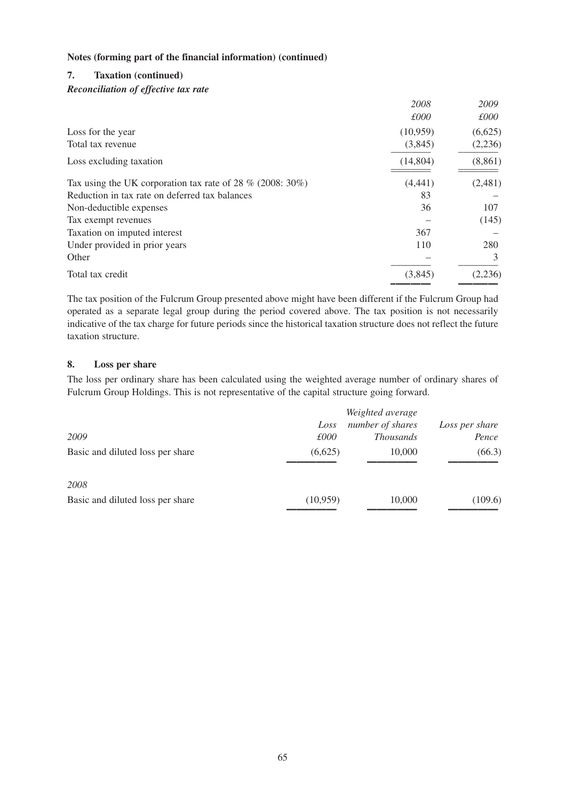## **7. Taxation (continued)**

## *Reconciliation of effective tax rate*

|                                                             | 2008      | 2009     |
|-------------------------------------------------------------|-----------|----------|
|                                                             | £000      | £000     |
| Loss for the year                                           | (10,959)  | (6,625)  |
| Total tax revenue                                           | (3,845)   | (2,236)  |
| Loss excluding taxation                                     | (14, 804) | (8, 861) |
| Tax using the UK corporation tax rate of 28 $%$ (2008: 30%) | (4, 441)  | (2,481)  |
| Reduction in tax rate on deferred tax balances              | 83        |          |
| Non-deductible expenses                                     | 36        | 107      |
| Tax exempt revenues                                         |           | (145)    |
| Taxation on imputed interest                                | 367       |          |
| Under provided in prior years                               | 110       | 280      |
| Other                                                       |           | 3        |
| Total tax credit                                            | (3,845)   | (2,236)  |
|                                                             |           |          |

The tax position of the Fulcrum Group presented above might have been different if the Fulcrum Group had operated as a separate legal group during the period covered above. The tax position is not necessarily indicative of the tax charge for future periods since the historical taxation structure does not reflect the future taxation structure.

## **8. Loss per share**

The loss per ordinary share has been calculated using the weighted average number of ordinary shares of Fulcrum Group Holdings. This is not representative of the capital structure going forward.

|                                  | Weighted average |                                      |                         |  |  |
|----------------------------------|------------------|--------------------------------------|-------------------------|--|--|
| 2009                             | Loss<br>£000     | number of shares<br><b>Thousands</b> | Loss per share<br>Pence |  |  |
| Basic and diluted loss per share | (6,625)          | 10,000                               | (66.3)                  |  |  |
| 2008                             |                  |                                      |                         |  |  |
| Basic and diluted loss per share | (10,959)         | 10,000                               | (109.6)                 |  |  |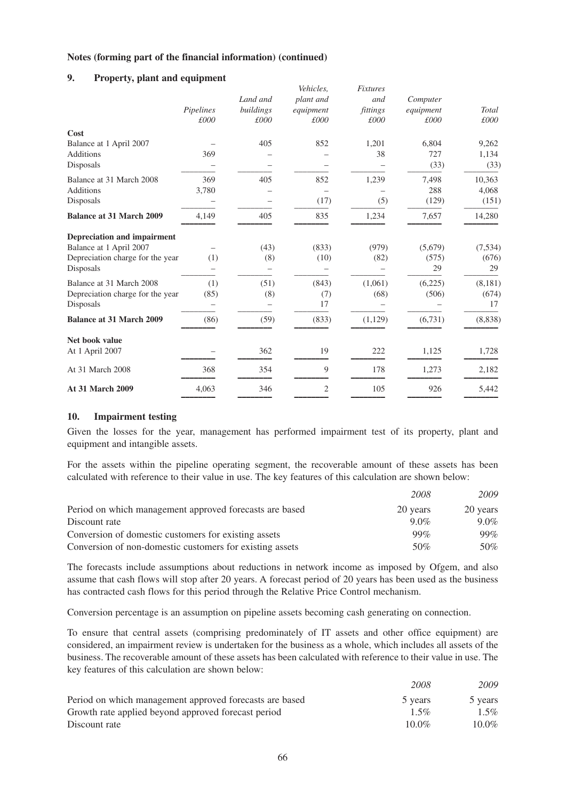#### **9. Property, plant and equipment**

|                                                                                                                | Pipelines<br>£000 | Land and<br>buildings<br>£000 | Vehicles.<br>plant and<br>equipment<br>£000 | <b>Fixtures</b><br>and<br>fittings<br>£000 | Computer<br>equipment<br>£000 | <b>Total</b><br>£000     |
|----------------------------------------------------------------------------------------------------------------|-------------------|-------------------------------|---------------------------------------------|--------------------------------------------|-------------------------------|--------------------------|
| Cost<br>Balance at 1 April 2007<br><b>Additions</b><br>Disposals                                               | 369               | 405                           | 852                                         | 1,201<br>38                                | 6,804<br>727<br>(33)          | 9,262<br>1,134<br>(33)   |
| Balance at 31 March 2008<br><b>Additions</b><br>Disposals                                                      | 369<br>3,780      | 405                           | 852<br>(17)                                 | 1,239<br>(5)                               | 7,498<br>288<br>(129)         | 10,363<br>4,068<br>(151) |
| <b>Balance at 31 March 2009</b>                                                                                | 4,149             | 405                           | 835                                         | 1,234                                      | 7,657                         | 14,280                   |
| <b>Depreciation and impairment</b><br>Balance at 1 April 2007<br>Depreciation charge for the year<br>Disposals | (1)               | (43)<br>(8)                   | (833)<br>(10)                               | (979)<br>(82)                              | (5,679)<br>(575)<br>29        | (7,534)<br>(676)<br>29   |
| Balance at 31 March 2008<br>Depreciation charge for the year<br>Disposals                                      | (1)<br>(85)       | (51)<br>(8)                   | (843)<br>(7)<br>17                          | (1,061)<br>(68)                            | (6,225)<br>(506)              | (8,181)<br>(674)<br>17   |
| <b>Balance at 31 March 2009</b>                                                                                | (86)              | (59)                          | (833)                                       | (1, 129)                                   | (6,731)                       | (8, 838)                 |
| Net book value<br>At 1 April 2007                                                                              |                   | 362                           | 19                                          | 222                                        | 1,125                         | 1,728                    |
| At 31 March 2008                                                                                               | 368               | 354                           | 9                                           | 178                                        | 1,273                         | 2,182                    |
| <b>At 31 March 2009</b>                                                                                        | 4,063             | 346                           | 2                                           | 105                                        | 926                           | 5,442                    |

#### **10. Impairment testing**

Given the losses for the year, management has performed impairment test of its property, plant and equipment and intangible assets.

For the assets within the pipeline operating segment, the recoverable amount of these assets has been calculated with reference to their value in use. The key features of this calculation are shown below:

|                                                          | 2008     | 2009     |
|----------------------------------------------------------|----------|----------|
| Period on which management approved forecasts are based  | 20 years | 20 years |
| Discount rate                                            | $9.0\%$  | $9.0\%$  |
| Conversion of domestic customers for existing assets     | $99\%$   | 99%      |
| Conversion of non-domestic customers for existing assets | 50%      | 50%      |

The forecasts include assumptions about reductions in network income as imposed by Ofgem, and also assume that cash flows will stop after 20 years. A forecast period of 20 years has been used as the business has contracted cash flows for this period through the Relative Price Control mechanism.

Conversion percentage is an assumption on pipeline assets becoming cash generating on connection.

To ensure that central assets (comprising predominately of IT assets and other office equipment) are considered, an impairment review is undertaken for the business as a whole, which includes all assets of the business. The recoverable amount of these assets has been calculated with reference to their value in use. The key features of this calculation are shown below:

|                                                         | 2008     | 2009     |
|---------------------------------------------------------|----------|----------|
| Period on which management approved forecasts are based | 5 years  | 5 years  |
| Growth rate applied beyond approved forecast period     | $1.5\%$  | $1.5\%$  |
| Discount rate                                           | $10.0\%$ | $10.0\%$ |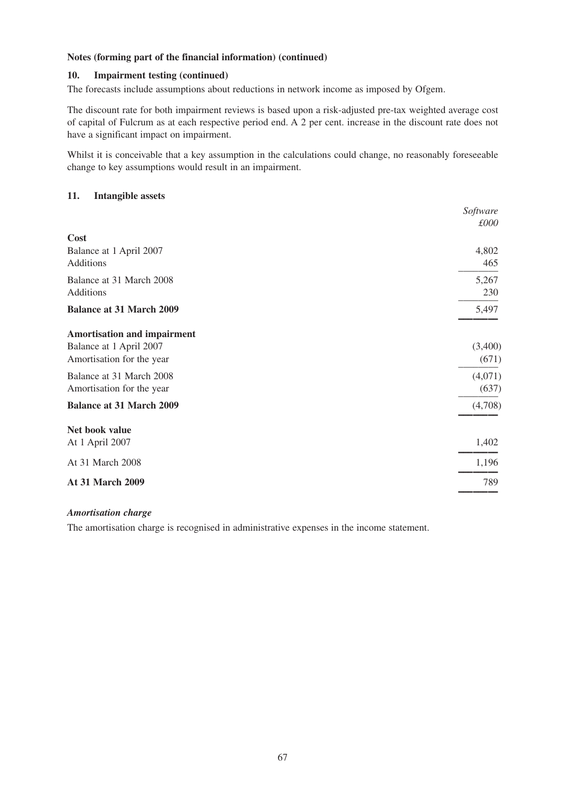#### **10. Impairment testing (continued)**

The forecasts include assumptions about reductions in network income as imposed by Ofgem.

The discount rate for both impairment reviews is based upon a risk-adjusted pre-tax weighted average cost of capital of Fulcrum as at each respective period end. A 2 per cent. increase in the discount rate does not have a significant impact on impairment.

Whilst it is conceivable that a key assumption in the calculations could change, no reasonably foreseeable change to key assumptions would result in an impairment.

#### **11. Intangible assets**

|                                                                                            | Software         |
|--------------------------------------------------------------------------------------------|------------------|
|                                                                                            | $\pounds$ 000    |
| Cost<br>Balance at 1 April 2007<br><b>Additions</b>                                        | 4,802<br>465     |
| Balance at 31 March 2008<br><b>Additions</b>                                               | 5,267<br>230     |
| <b>Balance at 31 March 2009</b>                                                            | 5,497            |
| <b>Amortisation and impairment</b><br>Balance at 1 April 2007<br>Amortisation for the year | (3,400)<br>(671) |
| Balance at 31 March 2008<br>Amortisation for the year                                      | (4,071)<br>(637) |
| <b>Balance at 31 March 2009</b>                                                            | (4,708)          |
| Net book value<br>At 1 April 2007                                                          | 1,402            |
| At 31 March 2008                                                                           | 1,196            |
| At 31 March 2009                                                                           | 789              |
|                                                                                            |                  |

#### *Amortisation charge*

The amortisation charge is recognised in administrative expenses in the income statement.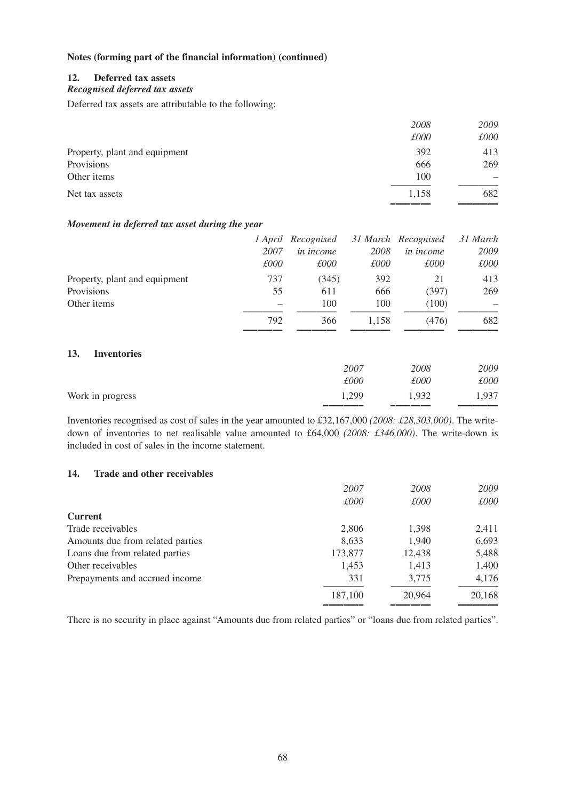#### **12. Deferred tax assets**

## *Recognised deferred tax assets*

Deferred tax assets are attributable to the following:

|                               | 2008  | 2009          |
|-------------------------------|-------|---------------|
|                               | £000  | $\pounds$ 000 |
| Property, plant and equipment | 392   | 413           |
| Provisions                    | 666   | 269           |
| Other items                   | 100   |               |
| Net tax assets                | 1,158 | 682           |
|                               |       |               |

#### *Movement in deferred tax asset during the year*

|                               |      | 1 April Recognised |       | 31 March Recognised | 31 March |
|-------------------------------|------|--------------------|-------|---------------------|----------|
|                               | 2007 | <i>in income</i>   | 2008  | in income           | 2009     |
|                               | £000 | £000               | £000  | £000                | £000     |
| Property, plant and equipment | 737  | (345)              | 392   | 21                  | 413      |
| Provisions                    | 55   | 611                | 666   | (397)               | 269      |
| Other items                   |      | 100                | 100   | (100)               |          |
|                               | 792  | 366                | 1,158 | (476)               | 682      |
| 13.<br><b>Inventories</b>     |      |                    |       |                     |          |
|                               |      |                    | 2007  | 2008                | 2009     |
|                               |      |                    | £000  | £000                | £000     |
| Work in progress              |      |                    | 1,299 | 1,932               | 1,937    |

Inventories recognised as cost of sales in the year amounted to £32,167,000 *(2008: £28,303,000)*. The writedown of inventories to net realisable value amounted to £64,000 *(2008: £346,000)*. The write-down is included in cost of sales in the income statement.

–––––––– –––––––– ––––––––

## **14. Trade and other receivables**

|                                  | 2007          | 2008          | 2009          |
|----------------------------------|---------------|---------------|---------------|
|                                  | $\pounds$ 000 | $\pounds$ 000 | $\pounds$ 000 |
| <b>Current</b>                   |               |               |               |
| Trade receivables                | 2,806         | 1,398         | 2,411         |
| Amounts due from related parties | 8,633         | 1,940         | 6,693         |
| Loans due from related parties   | 173,877       | 12,438        | 5,488         |
| Other receivables                | 1,453         | 1,413         | 1,400         |
| Prepayments and accrued income   | 331           | 3,775         | 4,176         |
|                                  | 187,100       | 20,964        | 20,168        |
|                                  |               |               |               |

There is no security in place against "Amounts due from related parties" or "loans due from related parties".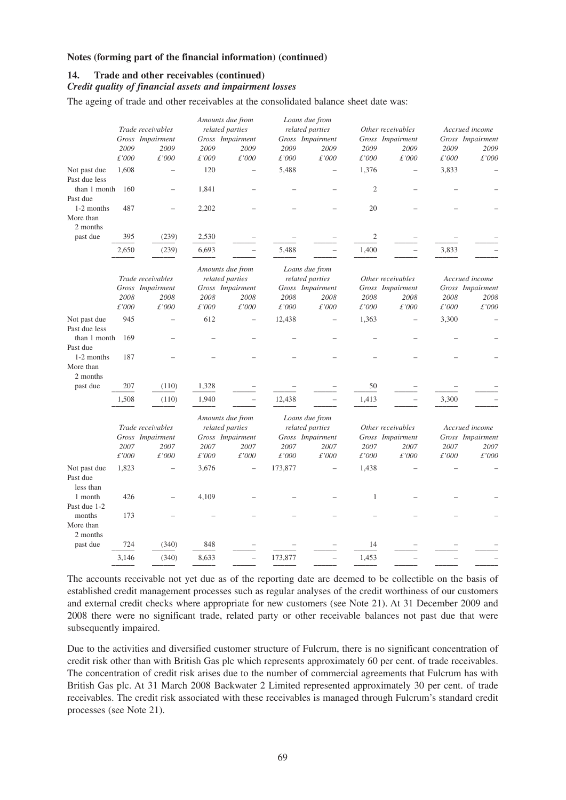#### **14. Trade and other receivables (continued)**

#### *Credit quality of financial assets and impairment losses*

The ageing of trade and other receivables at the consolidated balance sheet date was:

|                                       |                       | Trade receivables                                              |               | Amounts due from<br>related parties                                              |               | Loans due from<br>related parties                                              |                       | Other receivables                                      |               | Accrued income                                      |
|---------------------------------------|-----------------------|----------------------------------------------------------------|---------------|----------------------------------------------------------------------------------|---------------|--------------------------------------------------------------------------------|-----------------------|--------------------------------------------------------|---------------|-----------------------------------------------------|
|                                       | 2009                  | Gross Impairment<br>2009                                       | 2009          | Gross Impairment<br>2009                                                         | 2009          | Gross Impairment<br>2009                                                       | 2009                  | Gross Impairment<br>2009                               | 2009          | Gross Impairment<br>2009                            |
|                                       | $\pounds'000$         | £'000                                                          | $\pounds'000$ | £'000                                                                            | £'000         | £'000                                                                          | $\pounds'000$         | £'000                                                  | $\pounds'000$ | £'000                                               |
| Not past due<br>Past due less         | 1,608                 |                                                                | 120           |                                                                                  | 5,488         |                                                                                | 1,376                 | $\overline{\phantom{0}}$                               | 3,833         |                                                     |
| than 1 month<br>Past due              | 160                   |                                                                | 1,841         |                                                                                  |               |                                                                                | $\overline{2}$        |                                                        |               |                                                     |
| 1-2 months<br>More than<br>2 months   | 487                   |                                                                | 2,202         |                                                                                  |               |                                                                                | 20                    |                                                        |               |                                                     |
| past due                              | 395                   | (239)                                                          | 2,530         |                                                                                  |               |                                                                                | 2                     |                                                        |               |                                                     |
|                                       | 2,650                 | (239)                                                          | 6,693         |                                                                                  | 5,488         |                                                                                | 1,400                 |                                                        | 3,833         |                                                     |
|                                       |                       | Trade receivables                                              |               | Amounts due from<br>related parties                                              |               | Loans due from<br>related parties                                              |                       | Other receivables                                      |               | Accrued income                                      |
|                                       | 2008                  | Gross Impairment<br>2008                                       | 2008          | Gross Impairment<br>2008                                                         | 2008          | Gross Impairment<br>2008                                                       | 2008                  | Gross Impairment<br>2008                               | 2008          | Gross Impairment<br>2008                            |
|                                       | £'000                 | £'000                                                          | $\pounds'000$ | £'000                                                                            | $\pounds'000$ | £'000                                                                          | £'000                 | £'000                                                  | £'000         | £'000                                               |
| Not past due                          | 945                   |                                                                | 612           | $\overline{\phantom{0}}$                                                         | 12,438        |                                                                                | 1,363                 |                                                        | 3,300         |                                                     |
| Past due less<br>than 1 month         | 169                   |                                                                |               |                                                                                  |               |                                                                                |                       |                                                        |               |                                                     |
| Past due                              |                       |                                                                |               |                                                                                  |               |                                                                                |                       |                                                        |               |                                                     |
| 1-2 months<br>More than<br>2 months   | 187                   |                                                                |               |                                                                                  |               |                                                                                |                       |                                                        |               |                                                     |
| past due                              | 207                   | (110)                                                          | 1,328         |                                                                                  |               |                                                                                | 50                    |                                                        |               |                                                     |
|                                       | 1,508                 | (110)                                                          | 1,940         |                                                                                  | 12,438        |                                                                                | 1,413                 |                                                        | 3,300         |                                                     |
|                                       | 2007<br>$\pounds'000$ | Trade receivables<br>Gross Impairment<br>2007<br>$\pounds'000$ | 2007<br>£'000 | Amounts due from<br>related parties<br>Gross Impairment<br>2007<br>$\pounds'000$ | 2007<br>£'000 | Loans due from<br>related parties<br>Gross Impairment<br>2007<br>$\pounds'000$ | 2007<br>$\pounds'000$ | Other receivables<br>Gross Impairment<br>2007<br>£'000 | 2007<br>£'000 | Accrued income<br>Gross Impairment<br>2007<br>£'000 |
| Not past due<br>Past due<br>less than | 1,823                 |                                                                | 3,676         |                                                                                  | 173,877       |                                                                                | 1,438                 |                                                        |               |                                                     |
| 1 month<br>Past due 1-2               | 426                   |                                                                | 4.109         |                                                                                  |               |                                                                                | $\mathbf{1}$          |                                                        |               |                                                     |
| months<br>More than<br>2 months       | 173                   |                                                                |               |                                                                                  |               |                                                                                |                       |                                                        |               |                                                     |
| past due                              | 724                   | (340)                                                          | 848           |                                                                                  |               |                                                                                | 14                    |                                                        |               |                                                     |
|                                       | 3,146                 | (340)                                                          | 8,633         |                                                                                  | 173,877       |                                                                                | 1,453                 |                                                        |               |                                                     |

The accounts receivable not yet due as of the reporting date are deemed to be collectible on the basis of established credit management processes such as regular analyses of the credit worthiness of our customers and external credit checks where appropriate for new customers (see Note 21). At 31 December 2009 and 2008 there were no significant trade, related party or other receivable balances not past due that were subsequently impaired.

Due to the activities and diversified customer structure of Fulcrum, there is no significant concentration of credit risk other than with British Gas plc which represents approximately 60 per cent. of trade receivables. The concentration of credit risk arises due to the number of commercial agreements that Fulcrum has with British Gas plc. At 31 March 2008 Backwater 2 Limited represented approximately 30 per cent. of trade receivables. The credit risk associated with these receivables is managed through Fulcrum's standard credit processes (see Note 21).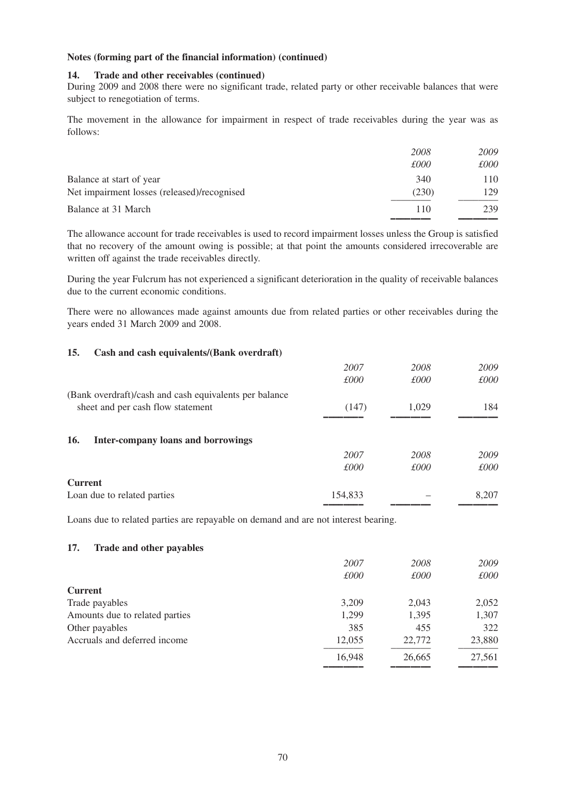#### **14. Trade and other receivables (continued)**

During 2009 and 2008 there were no significant trade, related party or other receivable balances that were subject to renegotiation of terms.

The movement in the allowance for impairment in respect of trade receivables during the year was as follows:

|                                             | 2008<br>£000 | 2009<br>£000 |
|---------------------------------------------|--------------|--------------|
| Balance at start of year                    | 340          | 110          |
| Net impairment losses (released)/recognised | (230)        | 129          |
| Balance at 31 March                         | 110          | 239          |
|                                             |              |              |

The allowance account for trade receivables is used to record impairment losses unless the Group is satisfied that no recovery of the amount owing is possible; at that point the amounts considered irrecoverable are written off against the trade receivables directly.

During the year Fulcrum has not experienced a significant deterioration in the quality of receivable balances due to the current economic conditions.

There were no allowances made against amounts due from related parties or other receivables during the years ended 31 March 2009 and 2008.

#### **15. Cash and cash equivalents/(Bank overdraft)**

|                                                         | 2007          | 2008          | 2009  |
|---------------------------------------------------------|---------------|---------------|-------|
|                                                         | $\pounds$ 000 | $\pounds$ 000 | £000  |
| (Bank overdraft)/cash and cash equivalents per balance  |               |               |       |
| sheet and per cash flow statement                       | (147)         | 1.029         | 184   |
|                                                         |               |               |       |
| <b>16.</b><br><b>Inter-company loans and borrowings</b> |               |               |       |
|                                                         | 2007          | 2008          | 2009  |
|                                                         | £000          | £000          | £000  |
| <b>Current</b>                                          |               |               |       |
| Loan due to related parties                             | 154,833       |               | 8,207 |

–––––––– –––––––– ––––––––

Loans due to related parties are repayable on demand and are not interest bearing.

#### **17. Trade and other payables**

|                                | 2007   | 2008   | 2009          |
|--------------------------------|--------|--------|---------------|
|                                | £000   | £000   | $\pounds$ 000 |
| <b>Current</b>                 |        |        |               |
| Trade payables                 | 3,209  | 2,043  | 2,052         |
| Amounts due to related parties | 1,299  | 1,395  | 1,307         |
| Other payables                 | 385    | 455    | 322           |
| Accruals and deferred income   | 12,055 | 22,772 | 23,880        |
|                                | 16,948 | 26,665 | 27,561        |
|                                |        |        |               |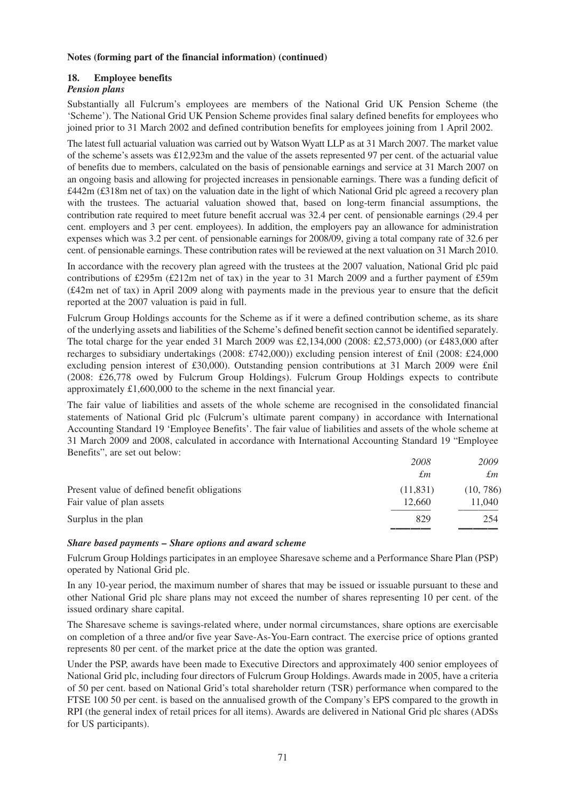#### **18. Employee benefits**

## *Pension plans*

Substantially all Fulcrum's employees are members of the National Grid UK Pension Scheme (the 'Scheme'). The National Grid UK Pension Scheme provides final salary defined benefits for employees who joined prior to 31 March 2002 and defined contribution benefits for employees joining from 1 April 2002.

The latest full actuarial valuation was carried out by Watson Wyatt LLP as at 31 March 2007. The market value of the scheme's assets was £12,923m and the value of the assets represented 97 per cent. of the actuarial value of benefits due to members, calculated on the basis of pensionable earnings and service at 31 March 2007 on an ongoing basis and allowing for projected increases in pensionable earnings. There was a funding deficit of £442m (£318m net of tax) on the valuation date in the light of which National Grid plc agreed a recovery plan with the trustees. The actuarial valuation showed that, based on long-term financial assumptions, the contribution rate required to meet future benefit accrual was 32.4 per cent. of pensionable earnings (29.4 per cent. employers and 3 per cent. employees). In addition, the employers pay an allowance for administration expenses which was 3.2 per cent. of pensionable earnings for 2008/09, giving a total company rate of 32.6 per cent. of pensionable earnings. These contribution rates will be reviewed at the next valuation on 31 March 2010.

In accordance with the recovery plan agreed with the trustees at the 2007 valuation, National Grid plc paid contributions of £295m (£212m net of tax) in the year to 31 March 2009 and a further payment of £59m (£42m net of tax) in April 2009 along with payments made in the previous year to ensure that the deficit reported at the 2007 valuation is paid in full.

Fulcrum Group Holdings accounts for the Scheme as if it were a defined contribution scheme, as its share of the underlying assets and liabilities of the Scheme's defined benefit section cannot be identified separately. The total charge for the year ended 31 March 2009 was £2,134,000 (2008: £2,573,000) (or £483,000 after recharges to subsidiary undertakings (2008: £742,000)) excluding pension interest of £nil (2008: £24,000 excluding pension interest of £30,000). Outstanding pension contributions at 31 March 2009 were £nil (2008: £26,778 owed by Fulcrum Group Holdings). Fulcrum Group Holdings expects to contribute approximately £1,600,000 to the scheme in the next financial year.

The fair value of liabilities and assets of the whole scheme are recognised in the consolidated financial statements of National Grid plc (Fulcrum's ultimate parent company) in accordance with International Accounting Standard 19 'Employee Benefits'. The fair value of liabilities and assets of the whole scheme at 31 March 2009 and 2008, calculated in accordance with International Accounting Standard 19 "Employee Benefits", are set out below:

|                                              | 2008     | 2009        |
|----------------------------------------------|----------|-------------|
|                                              | £т       | $\pounds m$ |
| Present value of defined benefit obligations | (11,831) | (10, 786)   |
| Fair value of plan assets                    | 12.660   | 11,040      |
| Surplus in the plan                          | 829      | 254         |

#### *Share based payments – Share options and award scheme*

Fulcrum Group Holdings participates in an employee Sharesave scheme and a Performance Share Plan (PSP) operated by National Grid plc.

–––––––– ––––––––

In any 10-year period, the maximum number of shares that may be issued or issuable pursuant to these and other National Grid plc share plans may not exceed the number of shares representing 10 per cent. of the issued ordinary share capital.

The Sharesave scheme is savings-related where, under normal circumstances, share options are exercisable on completion of a three and/or five year Save-As-You-Earn contract. The exercise price of options granted represents 80 per cent. of the market price at the date the option was granted.

Under the PSP, awards have been made to Executive Directors and approximately 400 senior employees of National Grid plc, including four directors of Fulcrum Group Holdings. Awards made in 2005, have a criteria of 50 per cent. based on National Grid's total shareholder return (TSR) performance when compared to the FTSE 100 50 per cent. is based on the annualised growth of the Company's EPS compared to the growth in RPI (the general index of retail prices for all items). Awards are delivered in National Grid plc shares (ADSs for US participants).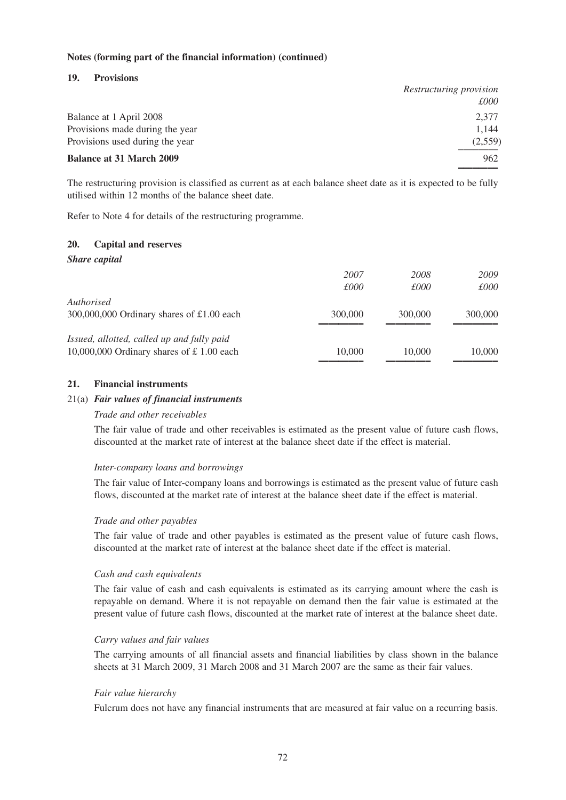#### **19. Provisions**

|                                 | Restructuring provision |  |
|---------------------------------|-------------------------|--|
|                                 | £000                    |  |
| Balance at 1 April 2008         | 2,377                   |  |
| Provisions made during the year | 1.144                   |  |
| Provisions used during the year | (2,559)                 |  |
| <b>Balance at 31 March 2009</b> | 962                     |  |
|                                 |                         |  |

The restructuring provision is classified as current as at each balance sheet date as it is expected to be fully utilised within 12 months of the balance sheet date.

Refer to Note 4 for details of the restructuring programme.

#### **20. Capital and reserves**

#### *Share capital*

|                                                                                        | 2007<br>£000 | 2008<br>£000 | 2009<br>£000 |
|----------------------------------------------------------------------------------------|--------------|--------------|--------------|
| Authorised<br>300,000,000 Ordinary shares of $£1.00$ each                              | 300,000      | 300,000      | 300,000      |
| Issued, allotted, called up and fully paid<br>10,000,000 Ordinary shares of £1.00 each | 10,000       | 10,000       | 10,000       |

#### **21. Financial instruments**

#### 21(a) *Fair values of financial instruments*

#### *Trade and other receivables*

The fair value of trade and other receivables is estimated as the present value of future cash flows, discounted at the market rate of interest at the balance sheet date if the effect is material.

#### *Inter-company loans and borrowings*

The fair value of Inter-company loans and borrowings is estimated as the present value of future cash flows, discounted at the market rate of interest at the balance sheet date if the effect is material.

#### *Trade and other payables*

The fair value of trade and other payables is estimated as the present value of future cash flows, discounted at the market rate of interest at the balance sheet date if the effect is material.

#### *Cash and cash equivalents*

The fair value of cash and cash equivalents is estimated as its carrying amount where the cash is repayable on demand. Where it is not repayable on demand then the fair value is estimated at the present value of future cash flows, discounted at the market rate of interest at the balance sheet date.

#### *Carry values and fair values*

The carrying amounts of all financial assets and financial liabilities by class shown in the balance sheets at 31 March 2009, 31 March 2008 and 31 March 2007 are the same as their fair values.

#### *Fair value hierarchy*

Fulcrum does not have any financial instruments that are measured at fair value on a recurring basis.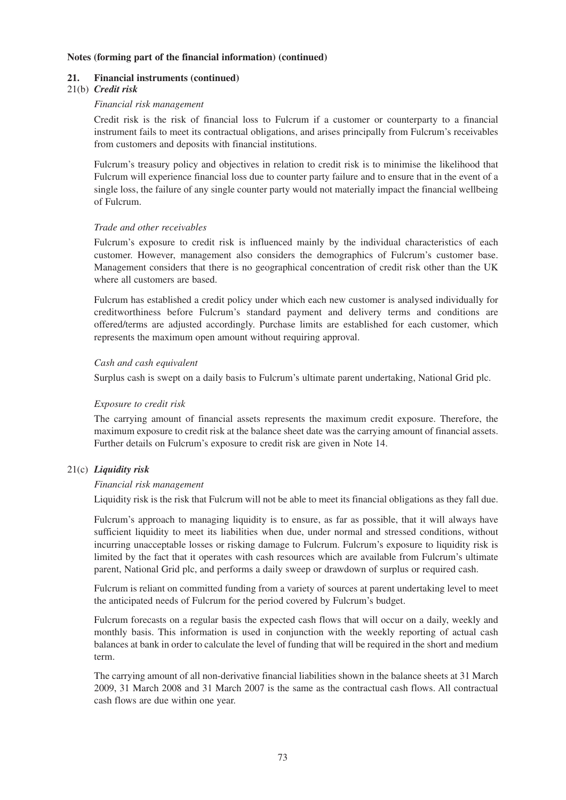# **21. Financial instruments (continued)**

# 21(b) *Credit risk*

### *Financial risk management*

Credit risk is the risk of financial loss to Fulcrum if a customer or counterparty to a financial instrument fails to meet its contractual obligations, and arises principally from Fulcrum's receivables from customers and deposits with financial institutions.

Fulcrum's treasury policy and objectives in relation to credit risk is to minimise the likelihood that Fulcrum will experience financial loss due to counter party failure and to ensure that in the event of a single loss, the failure of any single counter party would not materially impact the financial wellbeing of Fulcrum.

# *Trade and other receivables*

Fulcrum's exposure to credit risk is influenced mainly by the individual characteristics of each customer. However, management also considers the demographics of Fulcrum's customer base. Management considers that there is no geographical concentration of credit risk other than the UK where all customers are based.

Fulcrum has established a credit policy under which each new customer is analysed individually for creditworthiness before Fulcrum's standard payment and delivery terms and conditions are offered/terms are adjusted accordingly. Purchase limits are established for each customer, which represents the maximum open amount without requiring approval.

# *Cash and cash equivalent*

Surplus cash is swept on a daily basis to Fulcrum's ultimate parent undertaking, National Grid plc.

### *Exposure to credit risk*

The carrying amount of financial assets represents the maximum credit exposure. Therefore, the maximum exposure to credit risk at the balance sheet date was the carrying amount of financial assets. Further details on Fulcrum's exposure to credit risk are given in Note 14.

# 21(c) *Liquidity risk*

### *Financial risk management*

Liquidity risk is the risk that Fulcrum will not be able to meet its financial obligations as they fall due.

Fulcrum's approach to managing liquidity is to ensure, as far as possible, that it will always have sufficient liquidity to meet its liabilities when due, under normal and stressed conditions, without incurring unacceptable losses or risking damage to Fulcrum. Fulcrum's exposure to liquidity risk is limited by the fact that it operates with cash resources which are available from Fulcrum's ultimate parent, National Grid plc, and performs a daily sweep or drawdown of surplus or required cash.

Fulcrum is reliant on committed funding from a variety of sources at parent undertaking level to meet the anticipated needs of Fulcrum for the period covered by Fulcrum's budget.

Fulcrum forecasts on a regular basis the expected cash flows that will occur on a daily, weekly and monthly basis. This information is used in conjunction with the weekly reporting of actual cash balances at bank in order to calculate the level of funding that will be required in the short and medium term.

The carrying amount of all non-derivative financial liabilities shown in the balance sheets at 31 March 2009, 31 March 2008 and 31 March 2007 is the same as the contractual cash flows. All contractual cash flows are due within one year.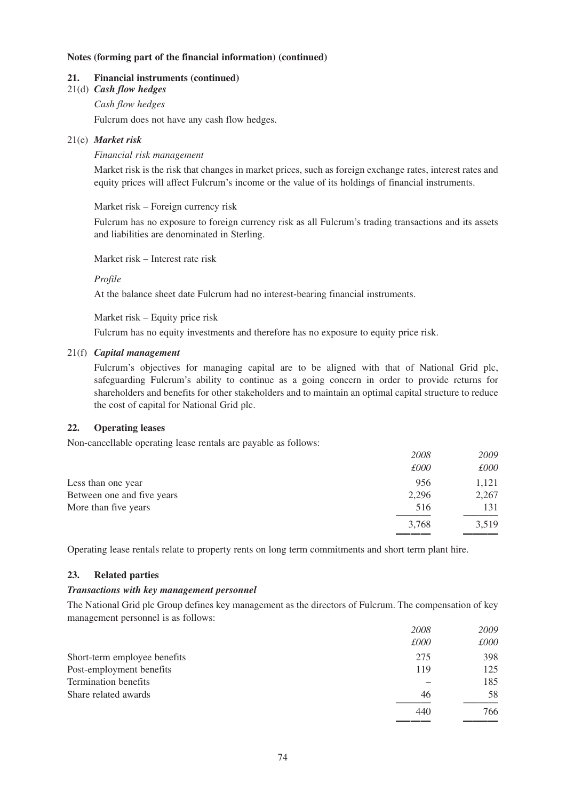# **21. Financial instruments (continued)**

# 21(d) *Cash flow hedges*

*Cash flow hedges*

Fulcrum does not have any cash flow hedges.

# 21(e) *Market risk*

# *Financial risk management*

Market risk is the risk that changes in market prices, such as foreign exchange rates, interest rates and equity prices will affect Fulcrum's income or the value of its holdings of financial instruments.

# Market risk – Foreign currency risk

Fulcrum has no exposure to foreign currency risk as all Fulcrum's trading transactions and its assets and liabilities are denominated in Sterling.

Market risk – Interest rate risk

# *Profile*

At the balance sheet date Fulcrum had no interest-bearing financial instruments.

Market risk – Equity price risk

Fulcrum has no equity investments and therefore has no exposure to equity price risk.

# 21(f) *Capital management*

Fulcrum's objectives for managing capital are to be aligned with that of National Grid plc, safeguarding Fulcrum's ability to continue as a going concern in order to provide returns for shareholders and benefits for other stakeholders and to maintain an optimal capital structure to reduce the cost of capital for National Grid plc.

### **22. Operating leases**

Non-cancellable operating lease rentals are payable as follows:

|                            | 2008  | 2009          |
|----------------------------|-------|---------------|
|                            | £000  | $\pounds$ 000 |
| Less than one year         | 956   | 1,121         |
| Between one and five years | 2,296 | 2,267         |
| More than five years       | 516   | 131           |
|                            | 3,768 | 3,519         |
|                            |       |               |

Operating lease rentals relate to property rents on long term commitments and short term plant hire.

# **23. Related parties**

### *Transactions with key management personnel*

The National Grid plc Group defines key management as the directors of Fulcrum. The compensation of key management personnel is as follows:

|                              | 2008 | 2009 |
|------------------------------|------|------|
|                              | £000 | £000 |
| Short-term employee benefits | 275  | 398  |
| Post-employment benefits     | 119  | 125  |
| Termination benefits         |      | 185  |
| Share related awards         | 46   | 58   |
|                              | 440  | 766  |

––––––– –––––––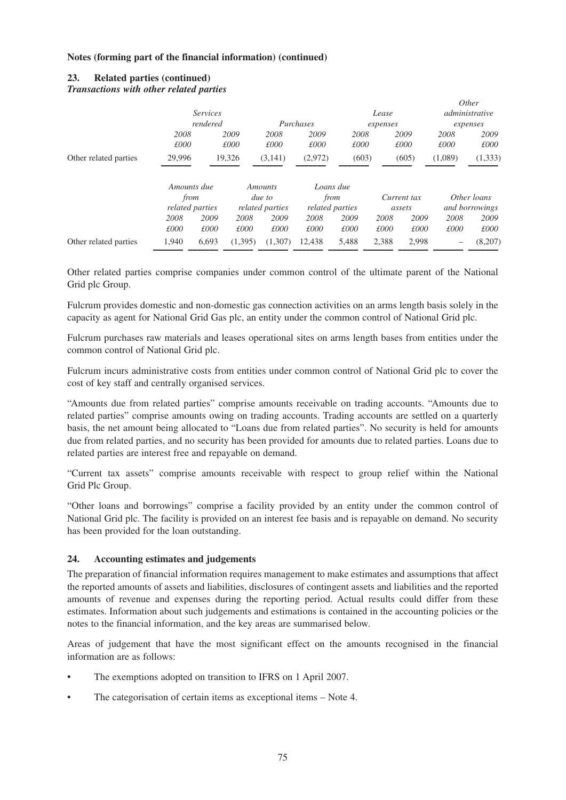# **23. Related parties (continued)**

*Transactions with other related parties*

|                       |                     |                 |         |                   |           |                   |          |             |                | <i>Other</i>   |
|-----------------------|---------------------|-----------------|---------|-------------------|-----------|-------------------|----------|-------------|----------------|----------------|
|                       |                     | <b>Services</b> |         |                   |           |                   | Lease    |             | administrative |                |
|                       |                     | rendered        |         |                   | Purchases |                   | expenses |             | expenses       |                |
|                       | 2008                |                 | 2009    | 2008              | 2009      | 2008              |          | 2009        | 2008           | 2009           |
|                       | £000                |                 | £000    | £000              | £000      | £000              |          | £000        | £000           | £000           |
| Other related parties | 29,996              |                 | 19,326  | (3,141)           | (2,972)   | (603)             |          | (605)       | (1,089)        | (1,333)        |
|                       | Amounts due<br>from |                 |         | Amounts<br>due to |           | Loans due<br>from |          | Current tax |                | Other loans    |
|                       |                     | related parties |         | related parties   |           | related parties   |          | assets      |                | and borrowings |
|                       | 2008                | 2009            | 2008    | 2009              | 2008      | 2009              | 2008     | 2009        | 2008           | 2009           |
|                       | £000                | £000            | £000    | £000              | £000      | £000              | £000     | £000        | £000           | £000           |
| Other related parties | 1,940               | 6,693           | (1,395) | (1,307)           | 12.438    | 5,488             | 2,388    | 2,998       |                | (8,207)        |
|                       |                     |                 |         |                   |           |                   |          |             |                |                |

Other related parties comprise companies under common control of the ultimate parent of the National Grid plc Group.

Fulcrum provides domestic and non-domestic gas connection activities on an arms length basis solely in the capacity as agent for National Grid Gas plc, an entity under the common control of National Grid plc.

Fulcrum purchases raw materials and leases operational sites on arms length bases from entities under the common control of National Grid plc.

Fulcrum incurs administrative costs from entities under common control of National Grid plc to cover the cost of key staff and centrally organised services.

"Amounts due from related parties" comprise amounts receivable on trading accounts. "Amounts due to related parties" comprise amounts owing on trading accounts. Trading accounts are settled on a quarterly basis, the net amount being allocated to "Loans due from related parties". No security is held for amounts due from related parties, and no security has been provided for amounts due to related parties. Loans due to related parties are interest free and repayable on demand.

"Current tax assets" comprise amounts receivable with respect to group relief within the National Grid Plc Group.

"Other loans and borrowings" comprise a facility provided by an entity under the common control of National Grid plc. The facility is provided on an interest fee basis and is repayable on demand. No security has been provided for the loan outstanding.

# **24. Accounting estimates and judgements**

The preparation of financial information requires management to make estimates and assumptions that affect the reported amounts of assets and liabilities, disclosures of contingent assets and liabilities and the reported amounts of revenue and expenses during the reporting period. Actual results could differ from these estimates. Information about such judgements and estimations is contained in the accounting policies or the notes to the financial information, and the key areas are summarised below.

Areas of judgement that have the most significant effect on the amounts recognised in the financial information are as follows:

- The exemptions adopted on transition to IFRS on 1 April 2007.
- The categorisation of certain items as exceptional items Note 4.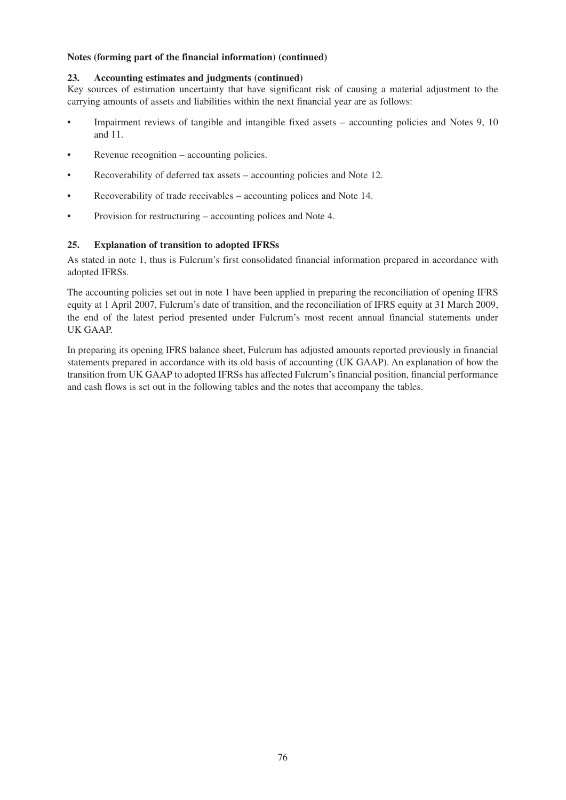# **23. Accounting estimates and judgments (continued)**

Key sources of estimation uncertainty that have significant risk of causing a material adjustment to the carrying amounts of assets and liabilities within the next financial year are as follows:

- Impairment reviews of tangible and intangible fixed assets accounting policies and Notes 9, 10 and 11.
- Revenue recognition accounting policies.
- Recoverability of deferred tax assets accounting policies and Note 12.
- Recoverability of trade receivables accounting polices and Note 14.
- Provision for restructuring accounting polices and Note 4.

# **25. Explanation of transition to adopted IFRSs**

As stated in note 1, thus is Fulcrum's first consolidated financial information prepared in accordance with adopted IFRSs.

The accounting policies set out in note 1 have been applied in preparing the reconciliation of opening IFRS equity at 1 April 2007, Fulcrum's date of transition, and the reconciliation of IFRS equity at 31 March 2009, the end of the latest period presented under Fulcrum's most recent annual financial statements under UK GAAP.

In preparing its opening IFRS balance sheet, Fulcrum has adjusted amounts reported previously in financial statements prepared in accordance with its old basis of accounting (UK GAAP). An explanation of how the transition from UK GAAP to adopted IFRSs has affected Fulcrum's financial position, financial performance and cash flows is set out in the following tables and the notes that accompany the tables.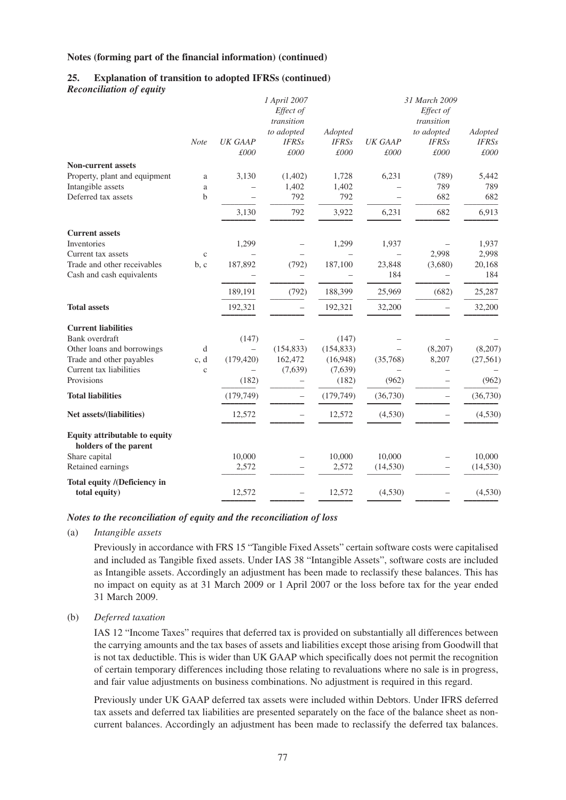# **25. Explanation of transition to adopted IFRSs (continued)**

*Reconciliation of equity*

|                                                               |              |                          | 1 April 2007<br>Effect of<br>transition |                      |                        | 31 March 2009<br>Effect of<br>transition |                      |
|---------------------------------------------------------------|--------------|--------------------------|-----------------------------------------|----------------------|------------------------|------------------------------------------|----------------------|
|                                                               |              |                          | to adopted                              | Adopted              |                        | to adopted                               | Adopted              |
|                                                               | <b>Note</b>  | <b>UK GAAP</b><br>£000   | <b>IFRSs</b><br>£000                    | <b>IFRSs</b><br>£000 | <b>UK GAAP</b><br>£000 | <b>IFRSs</b><br>£000                     | <b>IFRSs</b><br>£000 |
| <b>Non-current assets</b>                                     |              |                          |                                         |                      |                        |                                          |                      |
| Property, plant and equipment                                 | a            | 3,130                    | (1,402)                                 | 1,728                | 6,231                  | (789)                                    | 5,442                |
| Intangible assets                                             | a            |                          | 1,402                                   | 1,402                |                        | 789                                      | 789                  |
| Deferred tax assets                                           | b            | $\overline{\phantom{0}}$ | 792                                     | 792                  |                        | 682                                      | 682                  |
|                                                               |              | 3,130                    | 792                                     | 3,922                | 6,231                  | 682                                      | 6,913                |
| <b>Current assets</b>                                         |              |                          |                                         |                      |                        |                                          |                      |
| Inventories                                                   |              | 1,299                    |                                         | 1,299                | 1,937                  |                                          | 1,937                |
| Current tax assets                                            | $\rm{c}$     |                          |                                         |                      |                        | 2,998                                    | 2,998                |
| Trade and other receivables                                   | b, c         | 187,892                  | (792)                                   | 187,100              | 23,848                 | (3,680)                                  | 20,168               |
| Cash and cash equivalents                                     |              |                          |                                         |                      | 184                    |                                          | 184                  |
|                                                               |              | 189,191                  | (792)                                   | 188,399              | 25,969                 | (682)                                    | 25,287               |
| <b>Total assets</b>                                           |              | 192,321                  | $\overline{\phantom{0}}$                | 192,321              | 32,200                 | $\overline{\phantom{0}}$                 | 32,200               |
| <b>Current liabilities</b>                                    |              |                          |                                         |                      |                        |                                          |                      |
| Bank overdraft                                                |              | (147)                    |                                         | (147)                |                        |                                          |                      |
| Other loans and borrowings                                    | d            |                          | (154, 833)                              | (154, 833)           |                        | (8,207)                                  | (8,207)              |
| Trade and other payables                                      | c, d         | (179, 420)               | 162,472                                 | (16,948)             | (35,768)               | 8,207                                    | (27, 561)            |
| Current tax liabilities                                       | $\mathbf{C}$ |                          | (7,639)                                 | (7,639)              |                        |                                          |                      |
| Provisions                                                    |              | (182)                    |                                         | (182)                | (962)                  |                                          | (962)                |
| <b>Total liabilities</b>                                      |              | (179, 749)               |                                         | (179, 749)           | (36,730)               |                                          | (36,730)             |
| Net assets/(liabilities)                                      |              | 12,572                   | -                                       | 12,572               | (4,530)                |                                          | (4,530)              |
| <b>Equity attributable to equity</b><br>holders of the parent |              |                          |                                         |                      |                        |                                          |                      |
| Share capital                                                 |              | 10,000                   |                                         | 10,000               | 10,000                 |                                          | 10,000               |
| Retained earnings                                             |              | 2,572                    |                                         | 2,572                | (14, 530)              |                                          | (14, 530)            |
| Total equity /(Deficiency in                                  |              |                          |                                         |                      |                        |                                          |                      |
| total equity)                                                 |              | 12,572                   |                                         | 12,572               | (4,530)                |                                          | (4,530)              |

### *Notes to the reconciliation of equity and the reconciliation of loss*

(a) *Intangible assets*

Previously in accordance with FRS 15 "Tangible Fixed Assets" certain software costs were capitalised and included as Tangible fixed assets. Under IAS 38 "Intangible Assets", software costs are included as Intangible assets. Accordingly an adjustment has been made to reclassify these balances. This has no impact on equity as at 31 March 2009 or 1 April 2007 or the loss before tax for the year ended 31 March 2009.

(b) *Deferred taxation*

IAS 12 "Income Taxes" requires that deferred tax is provided on substantially all differences between the carrying amounts and the tax bases of assets and liabilities except those arising from Goodwill that is not tax deductible. This is wider than UK GAAP which specifically does not permit the recognition of certain temporary differences including those relating to revaluations where no sale is in progress, and fair value adjustments on business combinations. No adjustment is required in this regard.

Previously under UK GAAP deferred tax assets were included within Debtors. Under IFRS deferred tax assets and deferred tax liabilities are presented separately on the face of the balance sheet as noncurrent balances. Accordingly an adjustment has been made to reclassify the deferred tax balances.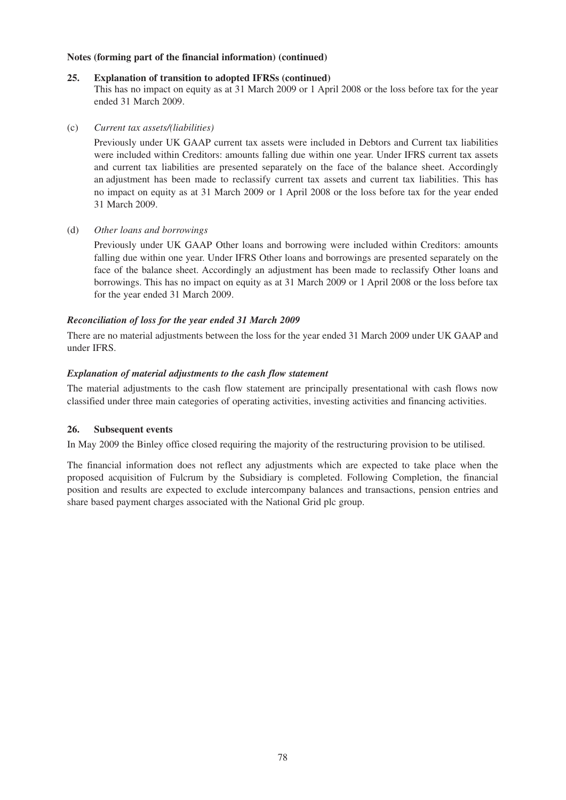# **25. Explanation of transition to adopted IFRSs (continued)**

This has no impact on equity as at 31 March 2009 or 1 April 2008 or the loss before tax for the year ended 31 March 2009.

(c) *Current tax assets/(liabilities)*

Previously under UK GAAP current tax assets were included in Debtors and Current tax liabilities were included within Creditors: amounts falling due within one year. Under IFRS current tax assets and current tax liabilities are presented separately on the face of the balance sheet. Accordingly an adjustment has been made to reclassify current tax assets and current tax liabilities. This has no impact on equity as at 31 March 2009 or 1 April 2008 or the loss before tax for the year ended 31 March 2009.

(d) *Other loans and borrowings*

Previously under UK GAAP Other loans and borrowing were included within Creditors: amounts falling due within one year. Under IFRS Other loans and borrowings are presented separately on the face of the balance sheet. Accordingly an adjustment has been made to reclassify Other loans and borrowings. This has no impact on equity as at 31 March 2009 or 1 April 2008 or the loss before tax for the year ended 31 March 2009.

# *Reconciliation of loss for the year ended 31 March 2009*

There are no material adjustments between the loss for the year ended 31 March 2009 under UK GAAP and under IFRS.

# *Explanation of material adjustments to the cash flow statement*

The material adjustments to the cash flow statement are principally presentational with cash flows now classified under three main categories of operating activities, investing activities and financing activities.

# **26. Subsequent events**

In May 2009 the Binley office closed requiring the majority of the restructuring provision to be utilised.

The financial information does not reflect any adjustments which are expected to take place when the proposed acquisition of Fulcrum by the Subsidiary is completed. Following Completion, the financial position and results are expected to exclude intercompany balances and transactions, pension entries and share based payment charges associated with the National Grid plc group.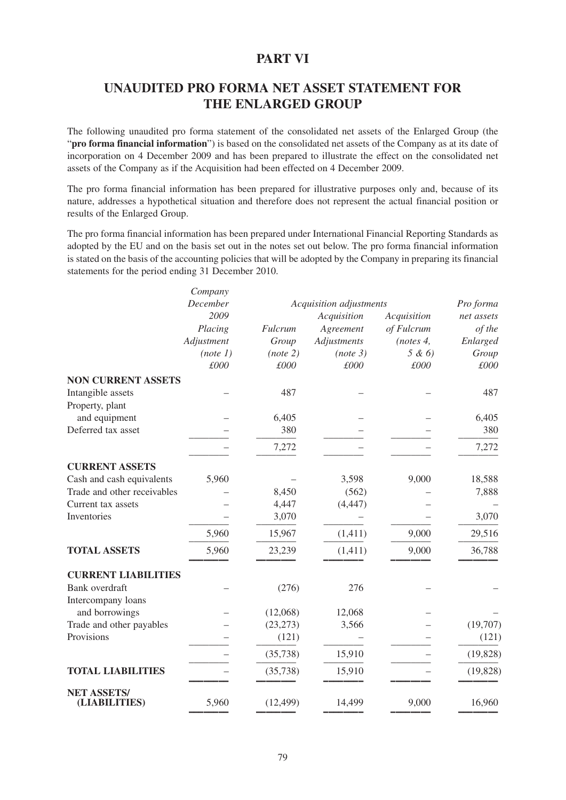# **PART VI**

# **UNAUDITED PRO FORMA NET ASSET STATEMENT FOR THE ENLARGED GROUP**

The following unaudited pro forma statement of the consolidated net assets of the Enlarged Group (the "**pro forma financial information**") is based on the consolidated net assets of the Company as at its date of incorporation on 4 December 2009 and has been prepared to illustrate the effect on the consolidated net assets of the Company as if the Acquisition had been effected on 4 December 2009.

The pro forma financial information has been prepared for illustrative purposes only and, because of its nature, addresses a hypothetical situation and therefore does not represent the actual financial position or results of the Enlarged Group.

The pro forma financial information has been prepared under International Financial Reporting Standards as adopted by the EU and on the basis set out in the notes set out below. The pro forma financial information is stated on the basis of the accounting policies that will be adopted by the Company in preparing its financial statements for the period ending 31 December 2010.

|                             | Company    |           |                         |             |            |
|-----------------------------|------------|-----------|-------------------------|-------------|------------|
|                             | December   |           | Acquisition adjustments |             | Pro forma  |
|                             | 2009       |           | Acquisition             | Acquisition | net assets |
|                             | Placing    | Fulcrum   | Agreement               | of Fulcrum  | of the     |
|                             | Adjustment | Group     | Adjustments             | (notes 4,   | Enlarged   |
|                             | (note 1)   | (note 2)  | (note 3)                | 5 & 6       | Group      |
|                             | £000       | £000      | £000                    | £000        | £000       |
| <b>NON CURRENT ASSETS</b>   |            |           |                         |             |            |
| Intangible assets           |            | 487       |                         |             | 487        |
| Property, plant             |            |           |                         |             |            |
| and equipment               |            | 6,405     |                         |             | 6,405      |
| Deferred tax asset          |            | 380       |                         |             | 380        |
|                             |            | 7,272     |                         |             | 7,272      |
| <b>CURRENT ASSETS</b>       |            |           |                         |             |            |
| Cash and cash equivalents   | 5,960      |           | 3,598                   | 9,000       | 18,588     |
| Trade and other receivables |            | 8,450     | (562)                   |             | 7,888      |
| Current tax assets          |            | 4,447     | (4, 447)                |             |            |
| Inventories                 |            | 3,070     |                         |             | 3,070      |
|                             | 5,960      | 15,967    | (1,411)                 | 9,000       | 29,516     |
| <b>TOTAL ASSETS</b>         | 5,960      | 23,239    | (1,411)                 | 9,000       | 36,788     |
| <b>CURRENT LIABILITIES</b>  |            |           |                         |             |            |
| <b>Bank</b> overdraft       |            | (276)     | 276                     |             |            |
| Intercompany loans          |            |           |                         |             |            |
| and borrowings              |            | (12,068)  | 12,068                  |             |            |
| Trade and other payables    |            | (23, 273) | 3,566                   |             | (19,707)   |
| Provisions                  |            | (121)     |                         |             | (121)      |
|                             |            | (35, 738) | 15,910                  |             | (19, 828)  |
| <b>TOTAL LIABILITIES</b>    |            | (35, 738) | 15,910                  |             | (19, 828)  |
| <b>NET ASSETS/</b>          |            |           |                         |             |            |
| (LIABILITIES)               | 5,960      | (12, 499) | 14,499                  | 9,000       | 16,960     |
|                             |            |           |                         |             |            |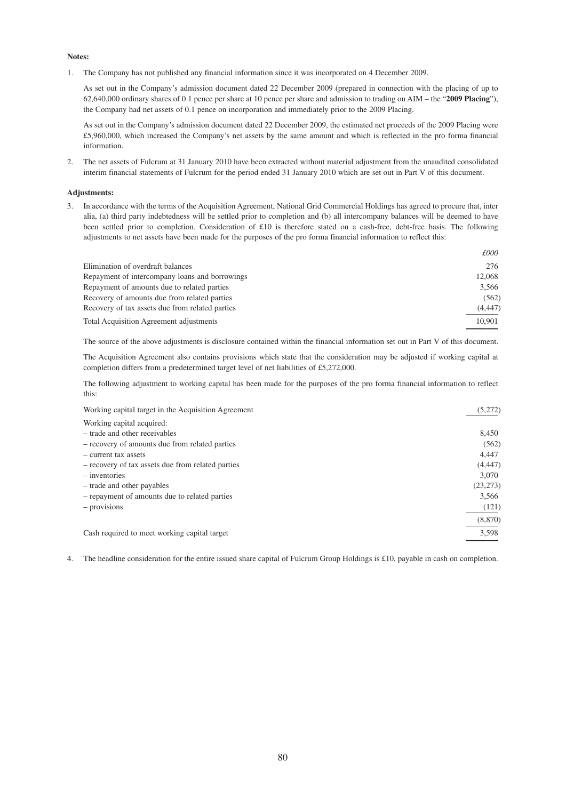#### **Notes:**

1. The Company has not published any financial information since it was incorporated on 4 December 2009.

As set out in the Company's admission document dated 22 December 2009 (prepared in connection with the placing of up to 62,640,000 ordinary shares of 0.1 pence per share at 10 pence per share and admission to trading on AIM – the "**2009 Placing**"), the Company had net assets of 0.1 pence on incorporation and immediately prior to the 2009 Placing.

As set out in the Company's admission document dated 22 December 2009, the estimated net proceeds of the 2009 Placing were £5,960,000, which increased the Company's net assets by the same amount and which is reflected in the pro forma financial information.

2. The net assets of Fulcrum at 31 January 2010 have been extracted without material adjustment from the unaudited consolidated interim financial statements of Fulcrum for the period ended 31 January 2010 which are set out in Part V of this document.

#### **Adjustments:**

3. In accordance with the terms of the Acquisition Agreement, National Grid Commercial Holdings has agreed to procure that, inter alia, (a) third party indebtedness will be settled prior to completion and (b) all intercompany balances will be deemed to have been settled prior to completion. Consideration of £10 is therefore stated on a cash-free, debt-free basis. The following adjustments to net assets have been made for the purposes of the pro forma financial information to reflect this:

|                                                 | £000     |
|-------------------------------------------------|----------|
| Elimination of overdraft balances               | 276      |
| Repayment of intercompany loans and borrowings  | 12,068   |
| Repayment of amounts due to related parties     | 3.566    |
| Recovery of amounts due from related parties    | (562)    |
| Recovery of tax assets due from related parties | (4, 447) |
| Total Acquisition Agreement adjustments         | 10,901   |

The source of the above adjustments is disclosure contained within the financial information set out in Part V of this document.

The Acquisition Agreement also contains provisions which state that the consideration may be adjusted if working capital at completion differs from a predetermined target level of net liabilities of £5,272,000.

The following adjustment to working capital has been made for the purposes of the pro forma financial information to reflect this:

| Working capital target in the Acquisition Agreement | (5,272)   |
|-----------------------------------------------------|-----------|
| Working capital acquired:                           |           |
| – trade and other receivables                       | 8,450     |
| - recovery of amounts due from related parties      | (562)     |
| - current tax assets                                | 4,447     |
| - recovery of tax assets due from related parties   | (4, 447)  |
| $-$ inventories                                     | 3.070     |
| - trade and other payables                          | (23, 273) |
| - repayment of amounts due to related parties       | 3.566     |
| $-$ provisions                                      | (121)     |
|                                                     | (8,870)   |
| Cash required to meet working capital target        | 3,598     |
|                                                     |           |

4. The headline consideration for the entire issued share capital of Fulcrum Group Holdings is £10, payable in cash on completion.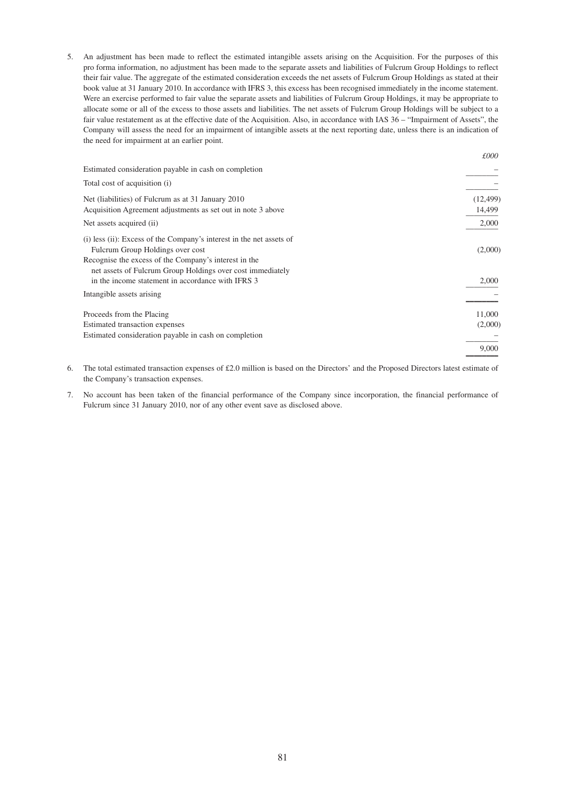5. An adjustment has been made to reflect the estimated intangible assets arising on the Acquisition. For the purposes of this pro forma information, no adjustment has been made to the separate assets and liabilities of Fulcrum Group Holdings to reflect their fair value. The aggregate of the estimated consideration exceeds the net assets of Fulcrum Group Holdings as stated at their book value at 31 January 2010. In accordance with IFRS 3, this excess has been recognised immediately in the income statement. Were an exercise performed to fair value the separate assets and liabilities of Fulcrum Group Holdings, it may be appropriate to allocate some or all of the excess to those assets and liabilities. The net assets of Fulcrum Group Holdings will be subject to a fair value restatement as at the effective date of the Acquisition. Also, in accordance with IAS 36 – "Impairment of Assets", the Company will assess the need for an impairment of intangible assets at the next reporting date, unless there is an indication of the need for impairment at an earlier point.

|                                                                      | £000      |
|----------------------------------------------------------------------|-----------|
| Estimated consideration payable in cash on completion                |           |
| Total cost of acquisition (i)                                        |           |
| Net (liabilities) of Fulcrum as at 31 January 2010                   | (12, 499) |
| Acquisition Agreement adjustments as set out in note 3 above         | 14,499    |
| Net assets acquired (ii)                                             | 2,000     |
| (i) less (ii): Excess of the Company's interest in the net assets of |           |
| Fulcrum Group Holdings over cost                                     | (2,000)   |
| Recognise the excess of the Company's interest in the                |           |
| net assets of Fulcrum Group Holdings over cost immediately           |           |
| in the income statement in accordance with IFRS 3                    | 2,000     |
| Intangible assets arising                                            |           |
| Proceeds from the Placing                                            | 11,000    |
| Estimated transaction expenses                                       | (2,000)   |
| Estimated consideration payable in cash on completion                |           |
|                                                                      | 9,000     |
|                                                                      |           |

- 6. The total estimated transaction expenses of £2.0 million is based on the Directors' and the Proposed Directors latest estimate of the Company's transaction expenses.
- 7. No account has been taken of the financial performance of the Company since incorporation, the financial performance of Fulcrum since 31 January 2010, nor of any other event save as disclosed above.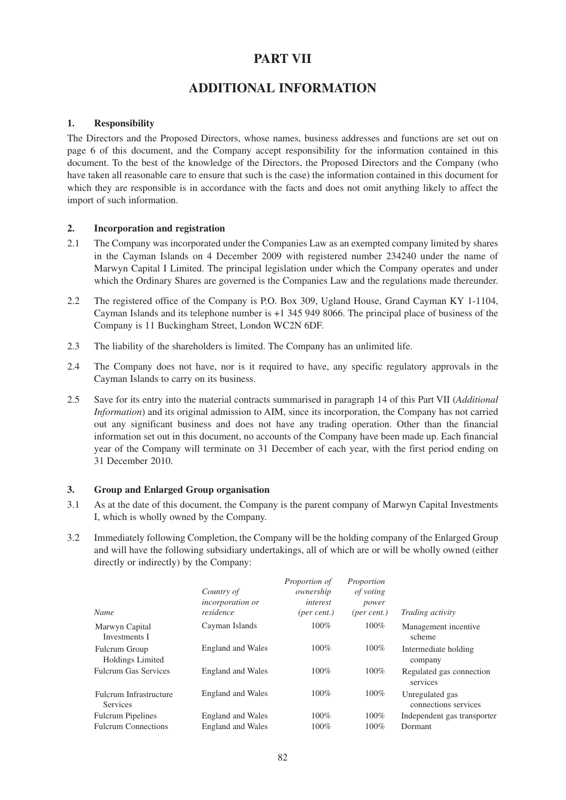# **PART VII**

# **ADDITIONAL INFORMATION**

# **1. Responsibility**

The Directors and the Proposed Directors, whose names, business addresses and functions are set out on page 6 of this document, and the Company accept responsibility for the information contained in this document. To the best of the knowledge of the Directors, the Proposed Directors and the Company (who have taken all reasonable care to ensure that such is the case) the information contained in this document for which they are responsible is in accordance with the facts and does not omit anything likely to affect the import of such information.

# **2. Incorporation and registration**

- 2.1 The Company was incorporated under the Companies Law as an exempted company limited by shares in the Cayman Islands on 4 December 2009 with registered number 234240 under the name of Marwyn Capital I Limited. The principal legislation under which the Company operates and under which the Ordinary Shares are governed is the Companies Law and the regulations made thereunder.
- 2.2 The registered office of the Company is P.O. Box 309, Ugland House, Grand Cayman KY 1-1104, Cayman Islands and its telephone number is +1 345 949 8066. The principal place of business of the Company is 11 Buckingham Street, London WC2N 6DF.
- 2.3 The liability of the shareholders is limited. The Company has an unlimited life.
- 2.4 The Company does not have, nor is it required to have, any specific regulatory approvals in the Cayman Islands to carry on its business.
- 2.5 Save for its entry into the material contracts summarised in paragraph 14 of this Part VII (*Additional Information*) and its original admission to AIM, since its incorporation, the Company has not carried out any significant business and does not have any trading operation. Other than the financial information set out in this document, no accounts of the Company have been made up. Each financial year of the Company will terminate on 31 December of each year, with the first period ending on 31 December 2010.

# **3. Group and Enlarged Group organisation**

- 3.1 As at the date of this document, the Company is the parent company of Marwyn Capital Investments I, which is wholly owned by the Company.
- 3.2 Immediately following Completion, the Company will be the holding company of the Enlarged Group and will have the following subsidiary undertakings, all of which are or will be wholly owned (either directly or indirectly) by the Company:

| Name                                      | Country of<br>incorporation or<br>residence | Proportion of<br>ownership<br>interest<br>(per cent.) | Proportion<br>of voting<br>power<br>(per cent.) | <i>Trading activity</i>                 |
|-------------------------------------------|---------------------------------------------|-------------------------------------------------------|-------------------------------------------------|-----------------------------------------|
| Marwyn Capital<br>Investments I           | Cayman Islands                              | $100\%$                                               | $100\%$                                         | Management incentive<br>scheme          |
| Fulcrum Group<br><b>Holdings Limited</b>  | <b>England and Wales</b>                    | $100\%$                                               | $100\%$                                         | Intermediate holding<br>company         |
| <b>Fulcrum Gas Services</b>               | <b>England and Wales</b>                    | 100%                                                  | $100\%$                                         | Regulated gas connection<br>services    |
| Fulcrum Infrastructure<br><b>Services</b> | <b>England and Wales</b>                    | $100\%$                                               | $100\%$                                         | Unregulated gas<br>connections services |
| <b>Fulcrum Pipelines</b>                  | <b>England and Wales</b>                    | $100\%$                                               | $100\%$                                         | Independent gas transporter             |
| <b>Fulcrum Connections</b>                | <b>England and Wales</b>                    | 100%                                                  | 100%                                            | Dormant                                 |
|                                           |                                             |                                                       |                                                 |                                         |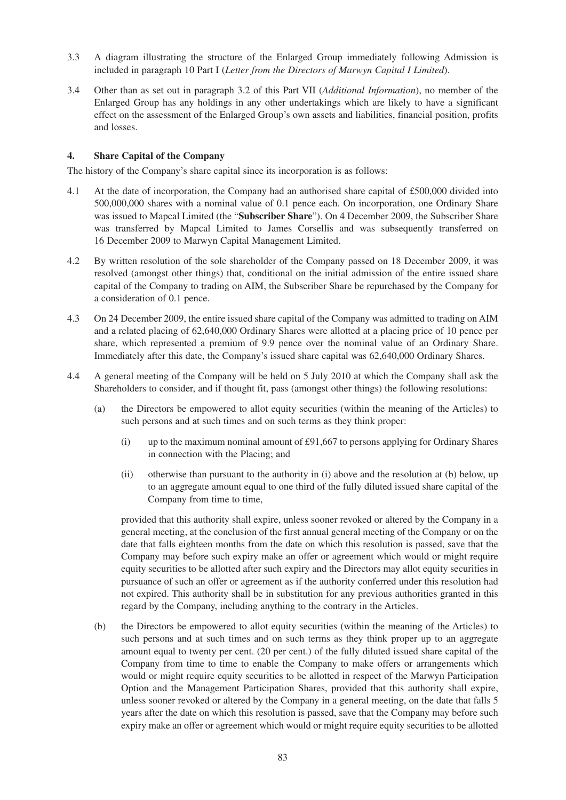- 3.3 A diagram illustrating the structure of the Enlarged Group immediately following Admission is included in paragraph 10 Part I (*Letter from the Directors of Marwyn Capital I Limited*).
- 3.4 Other than as set out in paragraph 3.2 of this Part VII (*Additional Information*), no member of the Enlarged Group has any holdings in any other undertakings which are likely to have a significant effect on the assessment of the Enlarged Group's own assets and liabilities, financial position, profits and losses.

# **4. Share Capital of the Company**

The history of the Company's share capital since its incorporation is as follows:

- 4.1 At the date of incorporation, the Company had an authorised share capital of £500,000 divided into 500,000,000 shares with a nominal value of 0.1 pence each. On incorporation, one Ordinary Share was issued to Mapcal Limited (the "**Subscriber Share**"). On 4 December 2009, the Subscriber Share was transferred by Mapcal Limited to James Corsellis and was subsequently transferred on 16 December 2009 to Marwyn Capital Management Limited.
- 4.2 By written resolution of the sole shareholder of the Company passed on 18 December 2009, it was resolved (amongst other things) that, conditional on the initial admission of the entire issued share capital of the Company to trading on AIM, the Subscriber Share be repurchased by the Company for a consideration of 0.1 pence.
- 4.3 On 24 December 2009, the entire issued share capital of the Company was admitted to trading on AIM and a related placing of 62,640,000 Ordinary Shares were allotted at a placing price of 10 pence per share, which represented a premium of 9.9 pence over the nominal value of an Ordinary Share. Immediately after this date, the Company's issued share capital was 62,640,000 Ordinary Shares.
- 4.4 A general meeting of the Company will be held on 5 July 2010 at which the Company shall ask the Shareholders to consider, and if thought fit, pass (amongst other things) the following resolutions:
	- (a) the Directors be empowered to allot equity securities (within the meaning of the Articles) to such persons and at such times and on such terms as they think proper:
		- (i) up to the maximum nominal amount of £91,667 to persons applying for Ordinary Shares in connection with the Placing; and
		- (ii) otherwise than pursuant to the authority in (i) above and the resolution at (b) below, up to an aggregate amount equal to one third of the fully diluted issued share capital of the Company from time to time,

provided that this authority shall expire, unless sooner revoked or altered by the Company in a general meeting, at the conclusion of the first annual general meeting of the Company or on the date that falls eighteen months from the date on which this resolution is passed, save that the Company may before such expiry make an offer or agreement which would or might require equity securities to be allotted after such expiry and the Directors may allot equity securities in pursuance of such an offer or agreement as if the authority conferred under this resolution had not expired. This authority shall be in substitution for any previous authorities granted in this regard by the Company, including anything to the contrary in the Articles.

(b) the Directors be empowered to allot equity securities (within the meaning of the Articles) to such persons and at such times and on such terms as they think proper up to an aggregate amount equal to twenty per cent. (20 per cent.) of the fully diluted issued share capital of the Company from time to time to enable the Company to make offers or arrangements which would or might require equity securities to be allotted in respect of the Marwyn Participation Option and the Management Participation Shares, provided that this authority shall expire, unless sooner revoked or altered by the Company in a general meeting, on the date that falls 5 years after the date on which this resolution is passed, save that the Company may before such expiry make an offer or agreement which would or might require equity securities to be allotted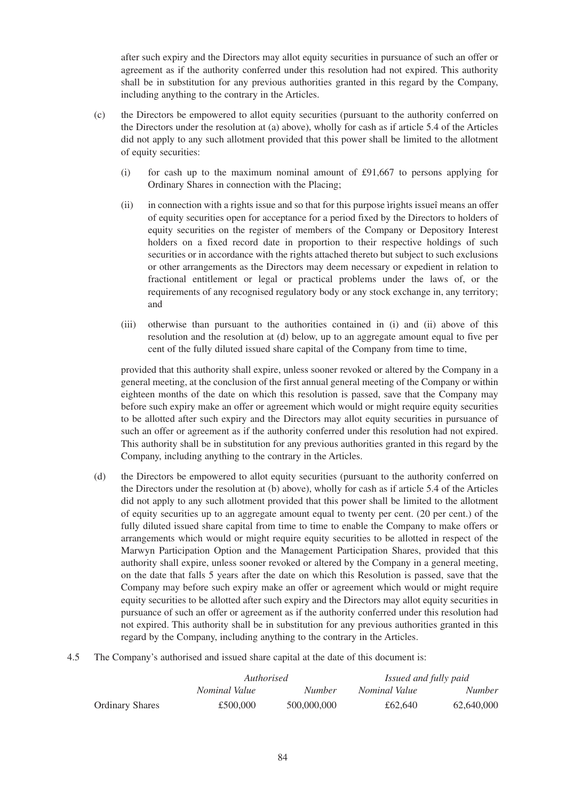after such expiry and the Directors may allot equity securities in pursuance of such an offer or agreement as if the authority conferred under this resolution had not expired. This authority shall be in substitution for any previous authorities granted in this regard by the Company, including anything to the contrary in the Articles.

- (c) the Directors be empowered to allot equity securities (pursuant to the authority conferred on the Directors under the resolution at (a) above), wholly for cash as if article 5.4 of the Articles did not apply to any such allotment provided that this power shall be limited to the allotment of equity securities:
	- (i) for cash up to the maximum nominal amount of  $\text{\pounds}91,667$  to persons applying for Ordinary Shares in connection with the Placing;
	- (ii) in connection with a rights issue and so that for this purpose ìrights issueî means an offer of equity securities open for acceptance for a period fixed by the Directors to holders of equity securities on the register of members of the Company or Depository Interest holders on a fixed record date in proportion to their respective holdings of such securities or in accordance with the rights attached thereto but subject to such exclusions or other arrangements as the Directors may deem necessary or expedient in relation to fractional entitlement or legal or practical problems under the laws of, or the requirements of any recognised regulatory body or any stock exchange in, any territory; and
	- (iii) otherwise than pursuant to the authorities contained in (i) and (ii) above of this resolution and the resolution at (d) below, up to an aggregate amount equal to five per cent of the fully diluted issued share capital of the Company from time to time,

provided that this authority shall expire, unless sooner revoked or altered by the Company in a general meeting, at the conclusion of the first annual general meeting of the Company or within eighteen months of the date on which this resolution is passed, save that the Company may before such expiry make an offer or agreement which would or might require equity securities to be allotted after such expiry and the Directors may allot equity securities in pursuance of such an offer or agreement as if the authority conferred under this resolution had not expired. This authority shall be in substitution for any previous authorities granted in this regard by the Company, including anything to the contrary in the Articles.

- (d) the Directors be empowered to allot equity securities (pursuant to the authority conferred on the Directors under the resolution at (b) above), wholly for cash as if article 5.4 of the Articles did not apply to any such allotment provided that this power shall be limited to the allotment of equity securities up to an aggregate amount equal to twenty per cent. (20 per cent.) of the fully diluted issued share capital from time to time to enable the Company to make offers or arrangements which would or might require equity securities to be allotted in respect of the Marwyn Participation Option and the Management Participation Shares, provided that this authority shall expire, unless sooner revoked or altered by the Company in a general meeting, on the date that falls 5 years after the date on which this Resolution is passed, save that the Company may before such expiry make an offer or agreement which would or might require equity securities to be allotted after such expiry and the Directors may allot equity securities in pursuance of such an offer or agreement as if the authority conferred under this resolution had not expired. This authority shall be in substitution for any previous authorities granted in this regard by the Company, including anything to the contrary in the Articles.
- 4.5 The Company's authorised and issued share capital at the date of this document is:

|                        | Authorised           |               | <i>Issued and fully paid</i> |               |
|------------------------|----------------------|---------------|------------------------------|---------------|
|                        | <i>Nominal Value</i> | <i>Number</i> | <i>Nominal Value</i>         | <i>Number</i> |
| <b>Ordinary Shares</b> | £500,000             | 500,000,000   | £62,640                      | 62,640,000    |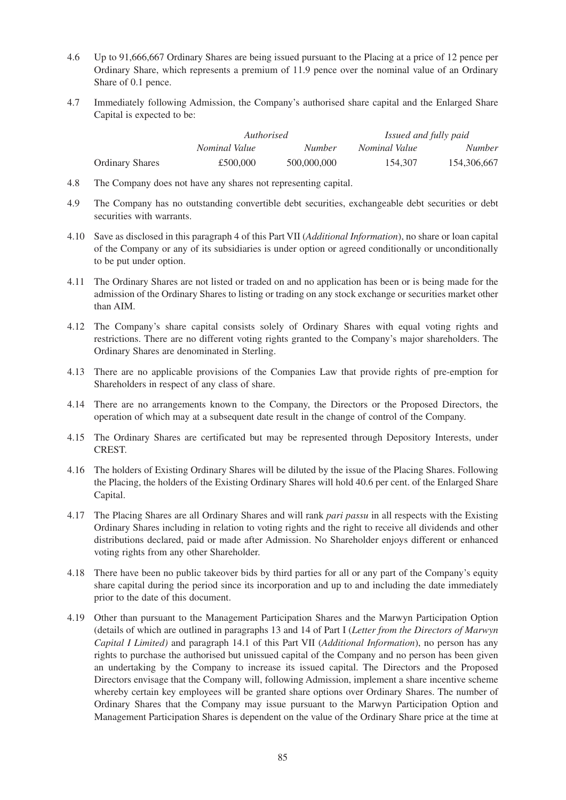- 4.6 Up to 91,666,667 Ordinary Shares are being issued pursuant to the Placing at a price of 12 pence per Ordinary Share, which represents a premium of 11.9 pence over the nominal value of an Ordinary Share of 0.1 pence.
- 4.7 Immediately following Admission, the Company's authorised share capital and the Enlarged Share Capital is expected to be:

|                        | <i>Authorised</i>    |               | <i>Issued and fully paid</i> |               |
|------------------------|----------------------|---------------|------------------------------|---------------|
|                        | <i>Nominal Value</i> | <i>Number</i> | Nominal Value                | <i>Number</i> |
| <b>Ordinary Shares</b> | £500,000             | 500,000,000   | 154.307                      | 154,306,667   |

- 4.8 The Company does not have any shares not representing capital.
- 4.9 The Company has no outstanding convertible debt securities, exchangeable debt securities or debt securities with warrants.
- 4.10 Save as disclosed in this paragraph 4 of this Part VII (*Additional Information*), no share or loan capital of the Company or any of its subsidiaries is under option or agreed conditionally or unconditionally to be put under option.
- 4.11 The Ordinary Shares are not listed or traded on and no application has been or is being made for the admission of the Ordinary Shares to listing or trading on any stock exchange or securities market other than AIM.
- 4.12 The Company's share capital consists solely of Ordinary Shares with equal voting rights and restrictions. There are no different voting rights granted to the Company's major shareholders. The Ordinary Shares are denominated in Sterling.
- 4.13 There are no applicable provisions of the Companies Law that provide rights of pre-emption for Shareholders in respect of any class of share.
- 4.14 There are no arrangements known to the Company, the Directors or the Proposed Directors, the operation of which may at a subsequent date result in the change of control of the Company.
- 4.15 The Ordinary Shares are certificated but may be represented through Depository Interests, under CREST.
- 4.16 The holders of Existing Ordinary Shares will be diluted by the issue of the Placing Shares. Following the Placing, the holders of the Existing Ordinary Shares will hold 40.6 per cent. of the Enlarged Share Capital.
- 4.17 The Placing Shares are all Ordinary Shares and will rank *pari passu* in all respects with the Existing Ordinary Shares including in relation to voting rights and the right to receive all dividends and other distributions declared, paid or made after Admission. No Shareholder enjoys different or enhanced voting rights from any other Shareholder.
- 4.18 There have been no public takeover bids by third parties for all or any part of the Company's equity share capital during the period since its incorporation and up to and including the date immediately prior to the date of this document.
- 4.19 Other than pursuant to the Management Participation Shares and the Marwyn Participation Option (details of which are outlined in paragraphs 13 and 14 of Part I (*Letter from the Directors of Marwyn Capital I Limited)* and paragraph 14.1 of this Part VII (*Additional Information*), no person has any rights to purchase the authorised but unissued capital of the Company and no person has been given an undertaking by the Company to increase its issued capital. The Directors and the Proposed Directors envisage that the Company will, following Admission, implement a share incentive scheme whereby certain key employees will be granted share options over Ordinary Shares. The number of Ordinary Shares that the Company may issue pursuant to the Marwyn Participation Option and Management Participation Shares is dependent on the value of the Ordinary Share price at the time at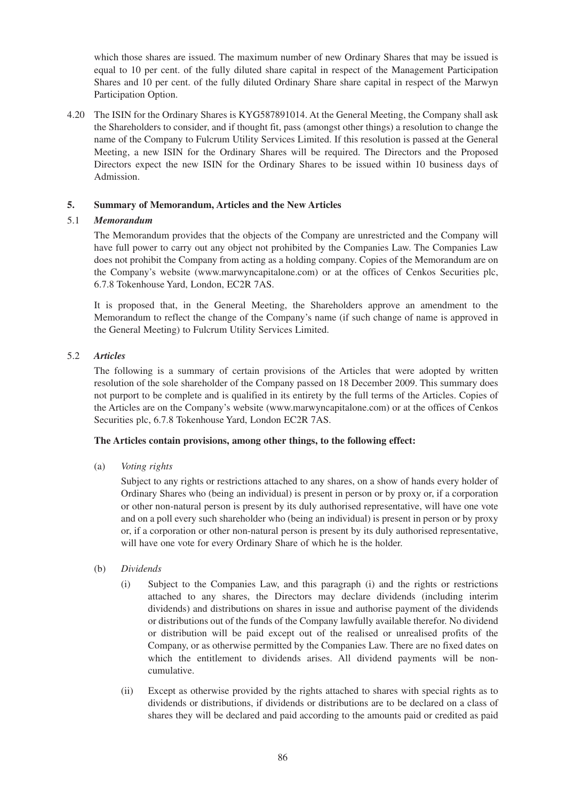which those shares are issued. The maximum number of new Ordinary Shares that may be issued is equal to 10 per cent. of the fully diluted share capital in respect of the Management Participation Shares and 10 per cent. of the fully diluted Ordinary Share share capital in respect of the Marwyn Participation Option.

4.20 The ISIN for the Ordinary Shares is KYG587891014. At the General Meeting, the Company shall ask the Shareholders to consider, and if thought fit, pass (amongst other things) a resolution to change the name of the Company to Fulcrum Utility Services Limited. If this resolution is passed at the General Meeting, a new ISIN for the Ordinary Shares will be required. The Directors and the Proposed Directors expect the new ISIN for the Ordinary Shares to be issued within 10 business days of Admission.

# **5. Summary of Memorandum, Articles and the New Articles**

# 5.1 *Memorandum*

The Memorandum provides that the objects of the Company are unrestricted and the Company will have full power to carry out any object not prohibited by the Companies Law. The Companies Law does not prohibit the Company from acting as a holding company. Copies of the Memorandum are on the Company's website (www.marwyncapitalone.com) or at the offices of Cenkos Securities plc, 6.7.8 Tokenhouse Yard, London, EC2R 7AS.

It is proposed that, in the General Meeting, the Shareholders approve an amendment to the Memorandum to reflect the change of the Company's name (if such change of name is approved in the General Meeting) to Fulcrum Utility Services Limited.

# 5.2 *Articles*

The following is a summary of certain provisions of the Articles that were adopted by written resolution of the sole shareholder of the Company passed on 18 December 2009. This summary does not purport to be complete and is qualified in its entirety by the full terms of the Articles. Copies of the Articles are on the Company's website (www.marwyncapitalone.com) or at the offices of Cenkos Securities plc, 6.7.8 Tokenhouse Yard, London EC2R 7AS.

# **The Articles contain provisions, among other things, to the following effect:**

(a) *Voting rights*

Subject to any rights or restrictions attached to any shares, on a show of hands every holder of Ordinary Shares who (being an individual) is present in person or by proxy or, if a corporation or other non-natural person is present by its duly authorised representative, will have one vote and on a poll every such shareholder who (being an individual) is present in person or by proxy or, if a corporation or other non-natural person is present by its duly authorised representative, will have one vote for every Ordinary Share of which he is the holder.

- (b) *Dividends*
	- (i) Subject to the Companies Law, and this paragraph (i) and the rights or restrictions attached to any shares, the Directors may declare dividends (including interim dividends) and distributions on shares in issue and authorise payment of the dividends or distributions out of the funds of the Company lawfully available therefor. No dividend or distribution will be paid except out of the realised or unrealised profits of the Company, or as otherwise permitted by the Companies Law. There are no fixed dates on which the entitlement to dividends arises. All dividend payments will be noncumulative.
	- (ii) Except as otherwise provided by the rights attached to shares with special rights as to dividends or distributions, if dividends or distributions are to be declared on a class of shares they will be declared and paid according to the amounts paid or credited as paid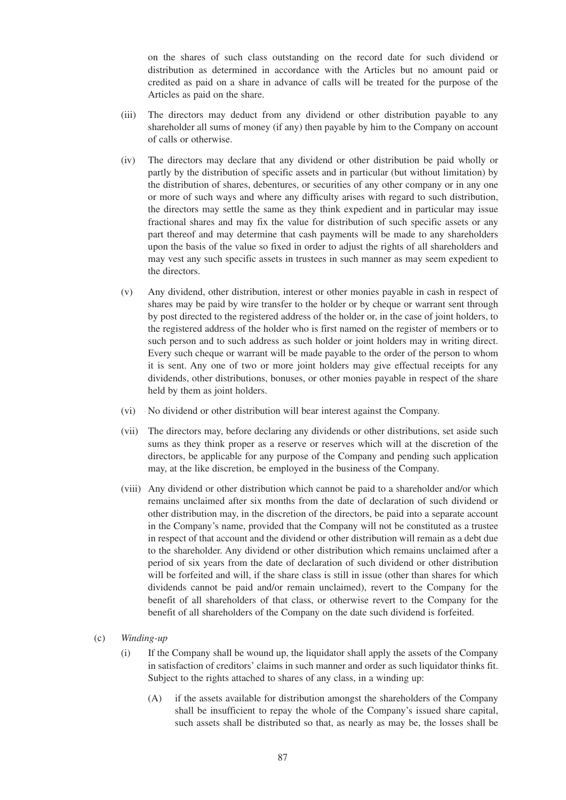on the shares of such class outstanding on the record date for such dividend or distribution as determined in accordance with the Articles but no amount paid or credited as paid on a share in advance of calls will be treated for the purpose of the Articles as paid on the share.

- (iii) The directors may deduct from any dividend or other distribution payable to any shareholder all sums of money (if any) then payable by him to the Company on account of calls or otherwise.
- (iv) The directors may declare that any dividend or other distribution be paid wholly or partly by the distribution of specific assets and in particular (but without limitation) by the distribution of shares, debentures, or securities of any other company or in any one or more of such ways and where any difficulty arises with regard to such distribution, the directors may settle the same as they think expedient and in particular may issue fractional shares and may fix the value for distribution of such specific assets or any part thereof and may determine that cash payments will be made to any shareholders upon the basis of the value so fixed in order to adjust the rights of all shareholders and may vest any such specific assets in trustees in such manner as may seem expedient to the directors.
- (v) Any dividend, other distribution, interest or other monies payable in cash in respect of shares may be paid by wire transfer to the holder or by cheque or warrant sent through by post directed to the registered address of the holder or, in the case of joint holders, to the registered address of the holder who is first named on the register of members or to such person and to such address as such holder or joint holders may in writing direct. Every such cheque or warrant will be made payable to the order of the person to whom it is sent. Any one of two or more joint holders may give effectual receipts for any dividends, other distributions, bonuses, or other monies payable in respect of the share held by them as joint holders.
- (vi) No dividend or other distribution will bear interest against the Company.
- (vii) The directors may, before declaring any dividends or other distributions, set aside such sums as they think proper as a reserve or reserves which will at the discretion of the directors, be applicable for any purpose of the Company and pending such application may, at the like discretion, be employed in the business of the Company.
- (viii) Any dividend or other distribution which cannot be paid to a shareholder and/or which remains unclaimed after six months from the date of declaration of such dividend or other distribution may, in the discretion of the directors, be paid into a separate account in the Company's name, provided that the Company will not be constituted as a trustee in respect of that account and the dividend or other distribution will remain as a debt due to the shareholder. Any dividend or other distribution which remains unclaimed after a period of six years from the date of declaration of such dividend or other distribution will be forfeited and will, if the share class is still in issue (other than shares for which dividends cannot be paid and/or remain unclaimed), revert to the Company for the benefit of all shareholders of that class, or otherwise revert to the Company for the benefit of all shareholders of the Company on the date such dividend is forfeited.
- (c) *Winding-up*
	- (i) If the Company shall be wound up, the liquidator shall apply the assets of the Company in satisfaction of creditors' claims in such manner and order as such liquidator thinks fit. Subject to the rights attached to shares of any class, in a winding up:
		- (A) if the assets available for distribution amongst the shareholders of the Company shall be insufficient to repay the whole of the Company's issued share capital, such assets shall be distributed so that, as nearly as may be, the losses shall be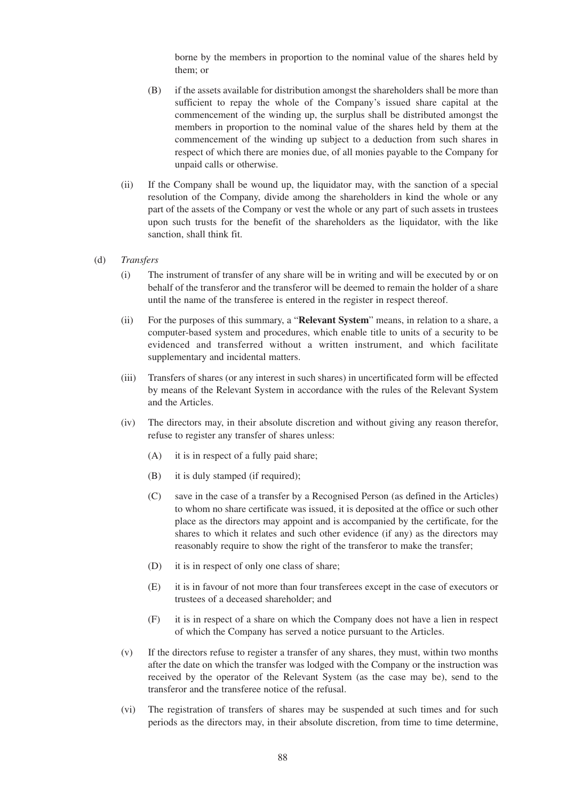borne by the members in proportion to the nominal value of the shares held by them; or

- (B) if the assets available for distribution amongst the shareholders shall be more than sufficient to repay the whole of the Company's issued share capital at the commencement of the winding up, the surplus shall be distributed amongst the members in proportion to the nominal value of the shares held by them at the commencement of the winding up subject to a deduction from such shares in respect of which there are monies due, of all monies payable to the Company for unpaid calls or otherwise.
- (ii) If the Company shall be wound up, the liquidator may, with the sanction of a special resolution of the Company, divide among the shareholders in kind the whole or any part of the assets of the Company or vest the whole or any part of such assets in trustees upon such trusts for the benefit of the shareholders as the liquidator, with the like sanction, shall think fit.

### (d) *Transfers*

- (i) The instrument of transfer of any share will be in writing and will be executed by or on behalf of the transferor and the transferor will be deemed to remain the holder of a share until the name of the transferee is entered in the register in respect thereof.
- (ii) For the purposes of this summary, a "**Relevant System**" means, in relation to a share, a computer-based system and procedures, which enable title to units of a security to be evidenced and transferred without a written instrument, and which facilitate supplementary and incidental matters.
- (iii) Transfers of shares (or any interest in such shares) in uncertificated form will be effected by means of the Relevant System in accordance with the rules of the Relevant System and the Articles.
- (iv) The directors may, in their absolute discretion and without giving any reason therefor, refuse to register any transfer of shares unless:
	- (A) it is in respect of a fully paid share;
	- (B) it is duly stamped (if required);
	- (C) save in the case of a transfer by a Recognised Person (as defined in the Articles) to whom no share certificate was issued, it is deposited at the office or such other place as the directors may appoint and is accompanied by the certificate, for the shares to which it relates and such other evidence (if any) as the directors may reasonably require to show the right of the transferor to make the transfer;
	- (D) it is in respect of only one class of share;
	- (E) it is in favour of not more than four transferees except in the case of executors or trustees of a deceased shareholder; and
	- (F) it is in respect of a share on which the Company does not have a lien in respect of which the Company has served a notice pursuant to the Articles.
- (v) If the directors refuse to register a transfer of any shares, they must, within two months after the date on which the transfer was lodged with the Company or the instruction was received by the operator of the Relevant System (as the case may be), send to the transferor and the transferee notice of the refusal.
- (vi) The registration of transfers of shares may be suspended at such times and for such periods as the directors may, in their absolute discretion, from time to time determine,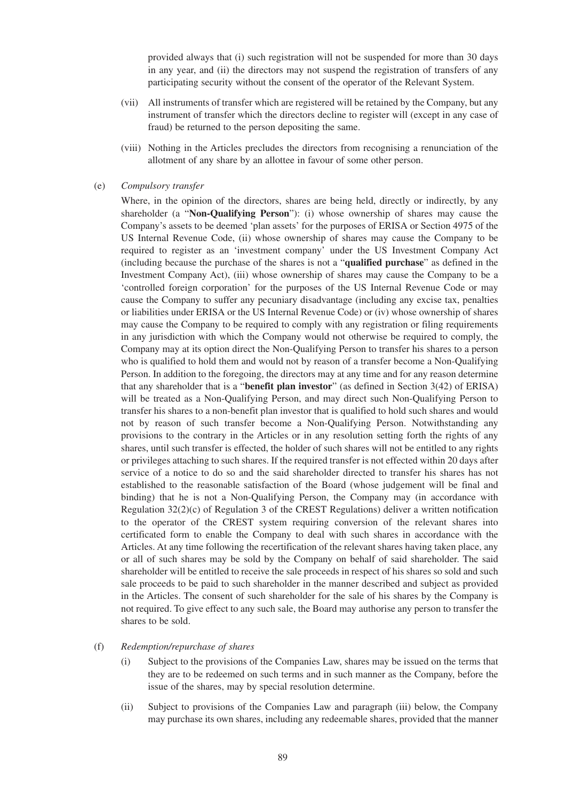provided always that (i) such registration will not be suspended for more than 30 days in any year, and (ii) the directors may not suspend the registration of transfers of any participating security without the consent of the operator of the Relevant System.

- (vii) All instruments of transfer which are registered will be retained by the Company, but any instrument of transfer which the directors decline to register will (except in any case of fraud) be returned to the person depositing the same.
- (viii) Nothing in the Articles precludes the directors from recognising a renunciation of the allotment of any share by an allottee in favour of some other person.
- (e) *Compulsory transfer*

Where, in the opinion of the directors, shares are being held, directly or indirectly, by any shareholder (a "**Non-Qualifying Person**"): (i) whose ownership of shares may cause the Company's assets to be deemed 'plan assets' for the purposes of ERISA or Section 4975 of the US Internal Revenue Code, (ii) whose ownership of shares may cause the Company to be required to register as an 'investment company' under the US Investment Company Act (including because the purchase of the shares is not a "**qualified purchase**" as defined in the Investment Company Act), (iii) whose ownership of shares may cause the Company to be a 'controlled foreign corporation' for the purposes of the US Internal Revenue Code or may cause the Company to suffer any pecuniary disadvantage (including any excise tax, penalties or liabilities under ERISA or the US Internal Revenue Code) or (iv) whose ownership of shares may cause the Company to be required to comply with any registration or filing requirements in any jurisdiction with which the Company would not otherwise be required to comply, the Company may at its option direct the Non-Qualifying Person to transfer his shares to a person who is qualified to hold them and would not by reason of a transfer become a Non-Qualifying Person. In addition to the foregoing, the directors may at any time and for any reason determine that any shareholder that is a "**benefit plan investor**" (as defined in Section 3(42) of ERISA) will be treated as a Non-Qualifying Person, and may direct such Non-Qualifying Person to transfer his shares to a non-benefit plan investor that is qualified to hold such shares and would not by reason of such transfer become a Non-Qualifying Person. Notwithstanding any provisions to the contrary in the Articles or in any resolution setting forth the rights of any shares, until such transfer is effected, the holder of such shares will not be entitled to any rights or privileges attaching to such shares. If the required transfer is not effected within 20 days after service of a notice to do so and the said shareholder directed to transfer his shares has not established to the reasonable satisfaction of the Board (whose judgement will be final and binding) that he is not a Non-Qualifying Person, the Company may (in accordance with Regulation  $32(2)(c)$  of Regulation 3 of the CREST Regulations) deliver a written notification to the operator of the CREST system requiring conversion of the relevant shares into certificated form to enable the Company to deal with such shares in accordance with the Articles. At any time following the recertification of the relevant shares having taken place, any or all of such shares may be sold by the Company on behalf of said shareholder. The said shareholder will be entitled to receive the sale proceeds in respect of his shares so sold and such sale proceeds to be paid to such shareholder in the manner described and subject as provided in the Articles. The consent of such shareholder for the sale of his shares by the Company is not required. To give effect to any such sale, the Board may authorise any person to transfer the shares to be sold.

### (f) *Redemption/repurchase of shares*

- (i) Subject to the provisions of the Companies Law, shares may be issued on the terms that they are to be redeemed on such terms and in such manner as the Company, before the issue of the shares, may by special resolution determine.
- (ii) Subject to provisions of the Companies Law and paragraph (iii) below, the Company may purchase its own shares, including any redeemable shares, provided that the manner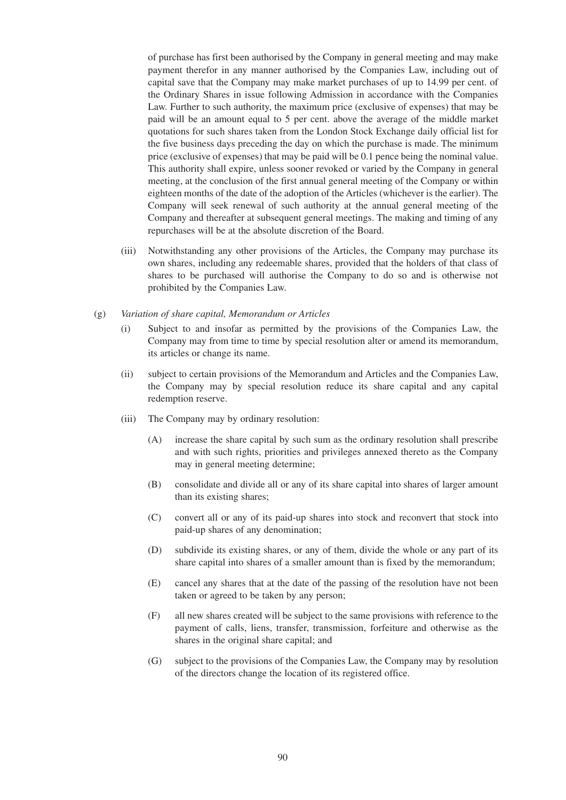of purchase has first been authorised by the Company in general meeting and may make payment therefor in any manner authorised by the Companies Law, including out of capital save that the Company may make market purchases of up to 14.99 per cent. of the Ordinary Shares in issue following Admission in accordance with the Companies Law. Further to such authority, the maximum price (exclusive of expenses) that may be paid will be an amount equal to 5 per cent. above the average of the middle market quotations for such shares taken from the London Stock Exchange daily official list for the five business days preceding the day on which the purchase is made. The minimum price (exclusive of expenses) that may be paid will be 0.1 pence being the nominal value. This authority shall expire, unless sooner revoked or varied by the Company in general meeting, at the conclusion of the first annual general meeting of the Company or within eighteen months of the date of the adoption of the Articles (whichever is the earlier). The Company will seek renewal of such authority at the annual general meeting of the Company and thereafter at subsequent general meetings. The making and timing of any repurchases will be at the absolute discretion of the Board.

- (iii) Notwithstanding any other provisions of the Articles, the Company may purchase its own shares, including any redeemable shares, provided that the holders of that class of shares to be purchased will authorise the Company to do so and is otherwise not prohibited by the Companies Law.
- (g) *Variation of share capital, Memorandum or Articles*
	- (i) Subject to and insofar as permitted by the provisions of the Companies Law, the Company may from time to time by special resolution alter or amend its memorandum, its articles or change its name.
	- (ii) subject to certain provisions of the Memorandum and Articles and the Companies Law, the Company may by special resolution reduce its share capital and any capital redemption reserve.
	- (iii) The Company may by ordinary resolution:
		- (A) increase the share capital by such sum as the ordinary resolution shall prescribe and with such rights, priorities and privileges annexed thereto as the Company may in general meeting determine;
		- (B) consolidate and divide all or any of its share capital into shares of larger amount than its existing shares;
		- (C) convert all or any of its paid-up shares into stock and reconvert that stock into paid-up shares of any denomination;
		- (D) subdivide its existing shares, or any of them, divide the whole or any part of its share capital into shares of a smaller amount than is fixed by the memorandum;
		- (E) cancel any shares that at the date of the passing of the resolution have not been taken or agreed to be taken by any person;
		- (F) all new shares created will be subject to the same provisions with reference to the payment of calls, liens, transfer, transmission, forfeiture and otherwise as the shares in the original share capital; and
		- (G) subject to the provisions of the Companies Law, the Company may by resolution of the directors change the location of its registered office.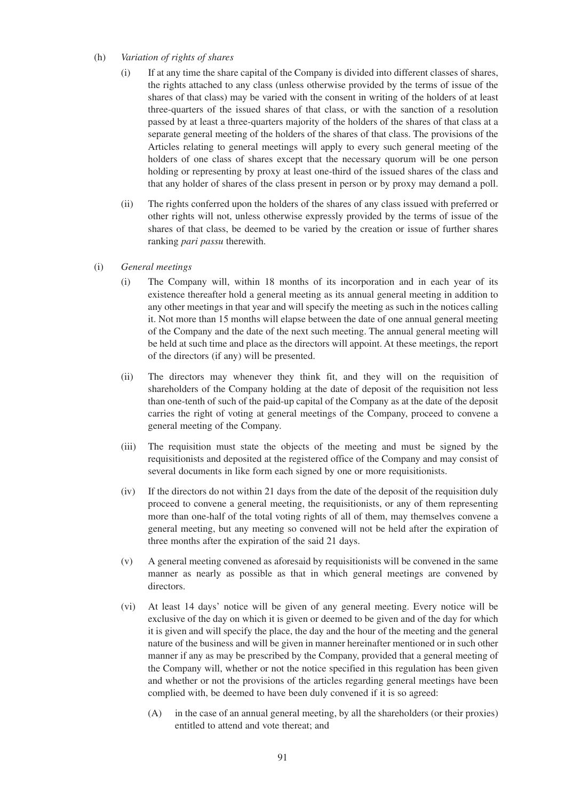### (h) *Variation of rights of shares*

- (i) If at any time the share capital of the Company is divided into different classes of shares, the rights attached to any class (unless otherwise provided by the terms of issue of the shares of that class) may be varied with the consent in writing of the holders of at least three-quarters of the issued shares of that class, or with the sanction of a resolution passed by at least a three-quarters majority of the holders of the shares of that class at a separate general meeting of the holders of the shares of that class. The provisions of the Articles relating to general meetings will apply to every such general meeting of the holders of one class of shares except that the necessary quorum will be one person holding or representing by proxy at least one-third of the issued shares of the class and that any holder of shares of the class present in person or by proxy may demand a poll.
- (ii) The rights conferred upon the holders of the shares of any class issued with preferred or other rights will not, unless otherwise expressly provided by the terms of issue of the shares of that class, be deemed to be varied by the creation or issue of further shares ranking *pari passu* therewith.

# (i) *General meetings*

- (i) The Company will, within 18 months of its incorporation and in each year of its existence thereafter hold a general meeting as its annual general meeting in addition to any other meetings in that year and will specify the meeting as such in the notices calling it. Not more than 15 months will elapse between the date of one annual general meeting of the Company and the date of the next such meeting. The annual general meeting will be held at such time and place as the directors will appoint. At these meetings, the report of the directors (if any) will be presented.
- (ii) The directors may whenever they think fit, and they will on the requisition of shareholders of the Company holding at the date of deposit of the requisition not less than one-tenth of such of the paid-up capital of the Company as at the date of the deposit carries the right of voting at general meetings of the Company, proceed to convene a general meeting of the Company.
- (iii) The requisition must state the objects of the meeting and must be signed by the requisitionists and deposited at the registered office of the Company and may consist of several documents in like form each signed by one or more requisitionists.
- (iv) If the directors do not within 21 days from the date of the deposit of the requisition duly proceed to convene a general meeting, the requisitionists, or any of them representing more than one-half of the total voting rights of all of them, may themselves convene a general meeting, but any meeting so convened will not be held after the expiration of three months after the expiration of the said 21 days.
- (v) A general meeting convened as aforesaid by requisitionists will be convened in the same manner as nearly as possible as that in which general meetings are convened by directors.
- (vi) At least 14 days' notice will be given of any general meeting. Every notice will be exclusive of the day on which it is given or deemed to be given and of the day for which it is given and will specify the place, the day and the hour of the meeting and the general nature of the business and will be given in manner hereinafter mentioned or in such other manner if any as may be prescribed by the Company, provided that a general meeting of the Company will, whether or not the notice specified in this regulation has been given and whether or not the provisions of the articles regarding general meetings have been complied with, be deemed to have been duly convened if it is so agreed:
	- (A) in the case of an annual general meeting, by all the shareholders (or their proxies) entitled to attend and vote thereat; and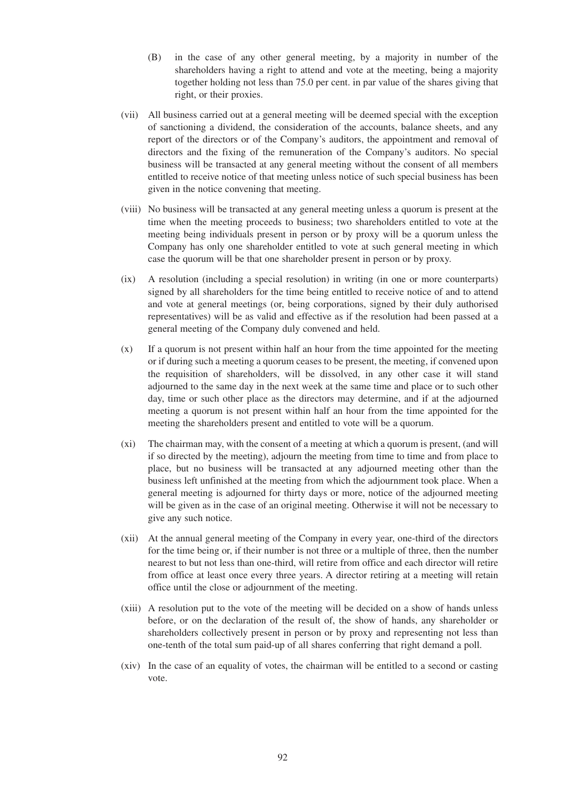- (B) in the case of any other general meeting, by a majority in number of the shareholders having a right to attend and vote at the meeting, being a majority together holding not less than 75.0 per cent. in par value of the shares giving that right, or their proxies.
- (vii) All business carried out at a general meeting will be deemed special with the exception of sanctioning a dividend, the consideration of the accounts, balance sheets, and any report of the directors or of the Company's auditors, the appointment and removal of directors and the fixing of the remuneration of the Company's auditors. No special business will be transacted at any general meeting without the consent of all members entitled to receive notice of that meeting unless notice of such special business has been given in the notice convening that meeting.
- (viii) No business will be transacted at any general meeting unless a quorum is present at the time when the meeting proceeds to business; two shareholders entitled to vote at the meeting being individuals present in person or by proxy will be a quorum unless the Company has only one shareholder entitled to vote at such general meeting in which case the quorum will be that one shareholder present in person or by proxy.
- (ix) A resolution (including a special resolution) in writing (in one or more counterparts) signed by all shareholders for the time being entitled to receive notice of and to attend and vote at general meetings (or, being corporations, signed by their duly authorised representatives) will be as valid and effective as if the resolution had been passed at a general meeting of the Company duly convened and held.
- $(x)$  If a quorum is not present within half an hour from the time appointed for the meeting or if during such a meeting a quorum ceases to be present, the meeting, if convened upon the requisition of shareholders, will be dissolved, in any other case it will stand adjourned to the same day in the next week at the same time and place or to such other day, time or such other place as the directors may determine, and if at the adjourned meeting a quorum is not present within half an hour from the time appointed for the meeting the shareholders present and entitled to vote will be a quorum.
- (xi) The chairman may, with the consent of a meeting at which a quorum is present, (and will if so directed by the meeting), adjourn the meeting from time to time and from place to place, but no business will be transacted at any adjourned meeting other than the business left unfinished at the meeting from which the adjournment took place. When a general meeting is adjourned for thirty days or more, notice of the adjourned meeting will be given as in the case of an original meeting. Otherwise it will not be necessary to give any such notice.
- (xii) At the annual general meeting of the Company in every year, one-third of the directors for the time being or, if their number is not three or a multiple of three, then the number nearest to but not less than one-third, will retire from office and each director will retire from office at least once every three years. A director retiring at a meeting will retain office until the close or adjournment of the meeting.
- (xiii) A resolution put to the vote of the meeting will be decided on a show of hands unless before, or on the declaration of the result of, the show of hands, any shareholder or shareholders collectively present in person or by proxy and representing not less than one-tenth of the total sum paid-up of all shares conferring that right demand a poll.
- (xiv) In the case of an equality of votes, the chairman will be entitled to a second or casting vote.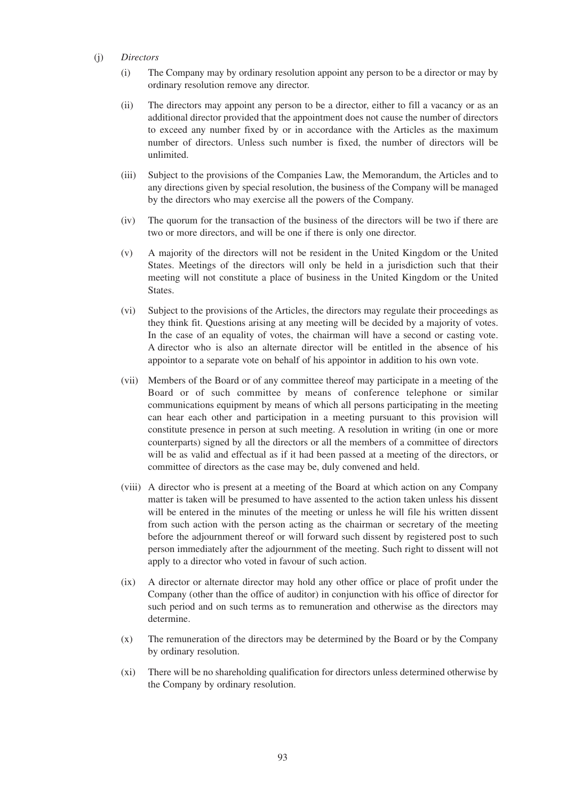- (j) *Directors*
	- (i) The Company may by ordinary resolution appoint any person to be a director or may by ordinary resolution remove any director.
	- (ii) The directors may appoint any person to be a director, either to fill a vacancy or as an additional director provided that the appointment does not cause the number of directors to exceed any number fixed by or in accordance with the Articles as the maximum number of directors. Unless such number is fixed, the number of directors will be unlimited.
	- (iii) Subject to the provisions of the Companies Law, the Memorandum, the Articles and to any directions given by special resolution, the business of the Company will be managed by the directors who may exercise all the powers of the Company.
	- (iv) The quorum for the transaction of the business of the directors will be two if there are two or more directors, and will be one if there is only one director.
	- (v) A majority of the directors will not be resident in the United Kingdom or the United States. Meetings of the directors will only be held in a jurisdiction such that their meeting will not constitute a place of business in the United Kingdom or the United States.
	- (vi) Subject to the provisions of the Articles, the directors may regulate their proceedings as they think fit. Questions arising at any meeting will be decided by a majority of votes. In the case of an equality of votes, the chairman will have a second or casting vote. A director who is also an alternate director will be entitled in the absence of his appointor to a separate vote on behalf of his appointor in addition to his own vote.
	- (vii) Members of the Board or of any committee thereof may participate in a meeting of the Board or of such committee by means of conference telephone or similar communications equipment by means of which all persons participating in the meeting can hear each other and participation in a meeting pursuant to this provision will constitute presence in person at such meeting. A resolution in writing (in one or more counterparts) signed by all the directors or all the members of a committee of directors will be as valid and effectual as if it had been passed at a meeting of the directors, or committee of directors as the case may be, duly convened and held.
	- (viii) A director who is present at a meeting of the Board at which action on any Company matter is taken will be presumed to have assented to the action taken unless his dissent will be entered in the minutes of the meeting or unless he will file his written dissent from such action with the person acting as the chairman or secretary of the meeting before the adjournment thereof or will forward such dissent by registered post to such person immediately after the adjournment of the meeting. Such right to dissent will not apply to a director who voted in favour of such action.
	- (ix) A director or alternate director may hold any other office or place of profit under the Company (other than the office of auditor) in conjunction with his office of director for such period and on such terms as to remuneration and otherwise as the directors may determine.
	- (x) The remuneration of the directors may be determined by the Board or by the Company by ordinary resolution.
	- (xi) There will be no shareholding qualification for directors unless determined otherwise by the Company by ordinary resolution.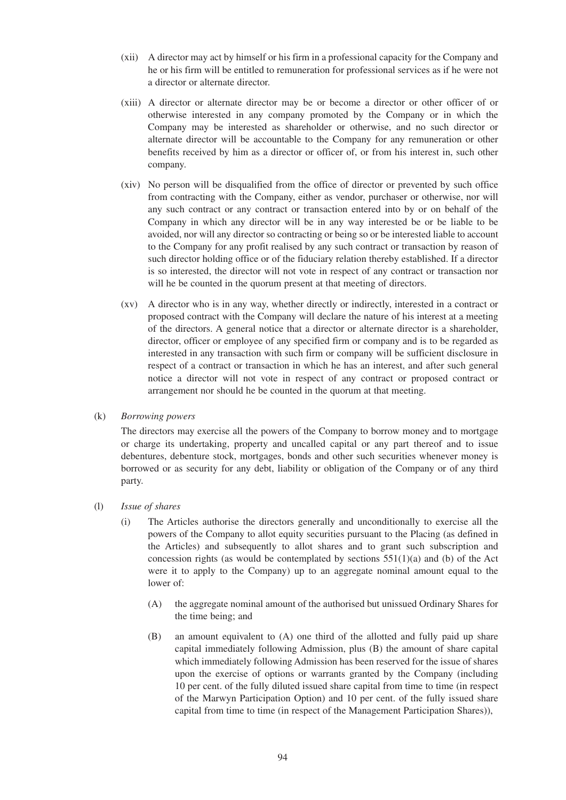- (xii) A director may act by himself or his firm in a professional capacity for the Company and he or his firm will be entitled to remuneration for professional services as if he were not a director or alternate director.
- (xiii) A director or alternate director may be or become a director or other officer of or otherwise interested in any company promoted by the Company or in which the Company may be interested as shareholder or otherwise, and no such director or alternate director will be accountable to the Company for any remuneration or other benefits received by him as a director or officer of, or from his interest in, such other company.
- (xiv) No person will be disqualified from the office of director or prevented by such office from contracting with the Company, either as vendor, purchaser or otherwise, nor will any such contract or any contract or transaction entered into by or on behalf of the Company in which any director will be in any way interested be or be liable to be avoided, nor will any director so contracting or being so or be interested liable to account to the Company for any profit realised by any such contract or transaction by reason of such director holding office or of the fiduciary relation thereby established. If a director is so interested, the director will not vote in respect of any contract or transaction nor will he be counted in the quorum present at that meeting of directors.
- (xv) A director who is in any way, whether directly or indirectly, interested in a contract or proposed contract with the Company will declare the nature of his interest at a meeting of the directors. A general notice that a director or alternate director is a shareholder, director, officer or employee of any specified firm or company and is to be regarded as interested in any transaction with such firm or company will be sufficient disclosure in respect of a contract or transaction in which he has an interest, and after such general notice a director will not vote in respect of any contract or proposed contract or arrangement nor should he be counted in the quorum at that meeting.

# (k) *Borrowing powers*

The directors may exercise all the powers of the Company to borrow money and to mortgage or charge its undertaking, property and uncalled capital or any part thereof and to issue debentures, debenture stock, mortgages, bonds and other such securities whenever money is borrowed or as security for any debt, liability or obligation of the Company or of any third party.

### (l) *Issue of shares*

- (i) The Articles authorise the directors generally and unconditionally to exercise all the powers of the Company to allot equity securities pursuant to the Placing (as defined in the Articles) and subsequently to allot shares and to grant such subscription and concession rights (as would be contemplated by sections  $551(1)(a)$  and (b) of the Act were it to apply to the Company) up to an aggregate nominal amount equal to the lower of:
	- (A) the aggregate nominal amount of the authorised but unissued Ordinary Shares for the time being; and
	- (B) an amount equivalent to (A) one third of the allotted and fully paid up share capital immediately following Admission, plus (B) the amount of share capital which immediately following Admission has been reserved for the issue of shares upon the exercise of options or warrants granted by the Company (including 10 per cent. of the fully diluted issued share capital from time to time (in respect of the Marwyn Participation Option) and 10 per cent. of the fully issued share capital from time to time (in respect of the Management Participation Shares)),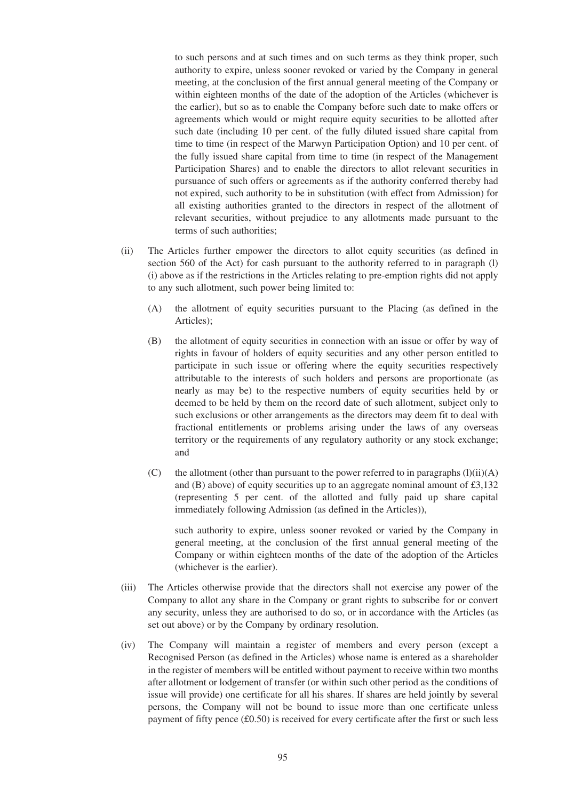to such persons and at such times and on such terms as they think proper, such authority to expire, unless sooner revoked or varied by the Company in general meeting, at the conclusion of the first annual general meeting of the Company or within eighteen months of the date of the adoption of the Articles (whichever is the earlier), but so as to enable the Company before such date to make offers or agreements which would or might require equity securities to be allotted after such date (including 10 per cent. of the fully diluted issued share capital from time to time (in respect of the Marwyn Participation Option) and 10 per cent. of the fully issued share capital from time to time (in respect of the Management Participation Shares) and to enable the directors to allot relevant securities in pursuance of such offers or agreements as if the authority conferred thereby had not expired, such authority to be in substitution (with effect from Admission) for all existing authorities granted to the directors in respect of the allotment of relevant securities, without prejudice to any allotments made pursuant to the terms of such authorities;

- (ii) The Articles further empower the directors to allot equity securities (as defined in section 560 of the Act) for cash pursuant to the authority referred to in paragraph (l) (i) above as if the restrictions in the Articles relating to pre-emption rights did not apply to any such allotment, such power being limited to:
	- (A) the allotment of equity securities pursuant to the Placing (as defined in the Articles);
	- (B) the allotment of equity securities in connection with an issue or offer by way of rights in favour of holders of equity securities and any other person entitled to participate in such issue or offering where the equity securities respectively attributable to the interests of such holders and persons are proportionate (as nearly as may be) to the respective numbers of equity securities held by or deemed to be held by them on the record date of such allotment, subject only to such exclusions or other arrangements as the directors may deem fit to deal with fractional entitlements or problems arising under the laws of any overseas territory or the requirements of any regulatory authority or any stock exchange; and
	- (C) the allotment (other than pursuant to the power referred to in paragraphs  $(l)(ii)(A)$ and (B) above) of equity securities up to an aggregate nominal amount of  $\text{\pounds}3.132$ (representing 5 per cent. of the allotted and fully paid up share capital immediately following Admission (as defined in the Articles)),

such authority to expire, unless sooner revoked or varied by the Company in general meeting, at the conclusion of the first annual general meeting of the Company or within eighteen months of the date of the adoption of the Articles (whichever is the earlier).

- (iii) The Articles otherwise provide that the directors shall not exercise any power of the Company to allot any share in the Company or grant rights to subscribe for or convert any security, unless they are authorised to do so, or in accordance with the Articles (as set out above) or by the Company by ordinary resolution.
- (iv) The Company will maintain a register of members and every person (except a Recognised Person (as defined in the Articles) whose name is entered as a shareholder in the register of members will be entitled without payment to receive within two months after allotment or lodgement of transfer (or within such other period as the conditions of issue will provide) one certificate for all his shares. If shares are held jointly by several persons, the Company will not be bound to issue more than one certificate unless payment of fifty pence  $(£0.50)$  is received for every certificate after the first or such less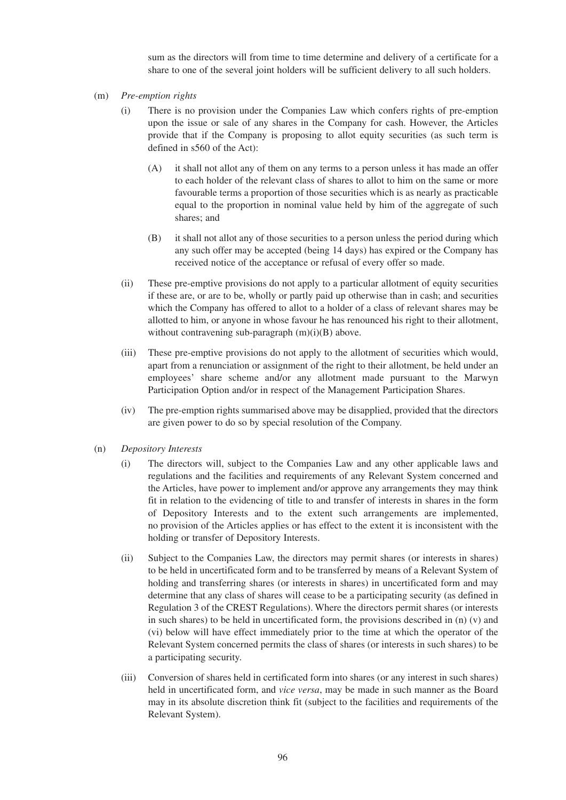sum as the directors will from time to time determine and delivery of a certificate for a share to one of the several joint holders will be sufficient delivery to all such holders.

- (m) *Pre-emption rights*
	- (i) There is no provision under the Companies Law which confers rights of pre-emption upon the issue or sale of any shares in the Company for cash. However, the Articles provide that if the Company is proposing to allot equity securities (as such term is defined in s560 of the Act):
		- (A) it shall not allot any of them on any terms to a person unless it has made an offer to each holder of the relevant class of shares to allot to him on the same or more favourable terms a proportion of those securities which is as nearly as practicable equal to the proportion in nominal value held by him of the aggregate of such shares; and
		- (B) it shall not allot any of those securities to a person unless the period during which any such offer may be accepted (being 14 days) has expired or the Company has received notice of the acceptance or refusal of every offer so made.
	- (ii) These pre-emptive provisions do not apply to a particular allotment of equity securities if these are, or are to be, wholly or partly paid up otherwise than in cash; and securities which the Company has offered to allot to a holder of a class of relevant shares may be allotted to him, or anyone in whose favour he has renounced his right to their allotment, without contravening sub-paragraph  $(m)(i)(B)$  above.
	- (iii) These pre-emptive provisions do not apply to the allotment of securities which would, apart from a renunciation or assignment of the right to their allotment, be held under an employees' share scheme and/or any allotment made pursuant to the Marwyn Participation Option and/or in respect of the Management Participation Shares.
	- (iv) The pre-emption rights summarised above may be disapplied, provided that the directors are given power to do so by special resolution of the Company.
- (n) *Depository Interests*
	- (i) The directors will, subject to the Companies Law and any other applicable laws and regulations and the facilities and requirements of any Relevant System concerned and the Articles, have power to implement and/or approve any arrangements they may think fit in relation to the evidencing of title to and transfer of interests in shares in the form of Depository Interests and to the extent such arrangements are implemented, no provision of the Articles applies or has effect to the extent it is inconsistent with the holding or transfer of Depository Interests.
	- (ii) Subject to the Companies Law, the directors may permit shares (or interests in shares) to be held in uncertificated form and to be transferred by means of a Relevant System of holding and transferring shares (or interests in shares) in uncertificated form and may determine that any class of shares will cease to be a participating security (as defined in Regulation 3 of the CREST Regulations). Where the directors permit shares (or interests in such shares) to be held in uncertificated form, the provisions described in  $(n)$  (v) and (vi) below will have effect immediately prior to the time at which the operator of the Relevant System concerned permits the class of shares (or interests in such shares) to be a participating security.
	- (iii) Conversion of shares held in certificated form into shares (or any interest in such shares) held in uncertificated form, and *vice versa*, may be made in such manner as the Board may in its absolute discretion think fit (subject to the facilities and requirements of the Relevant System).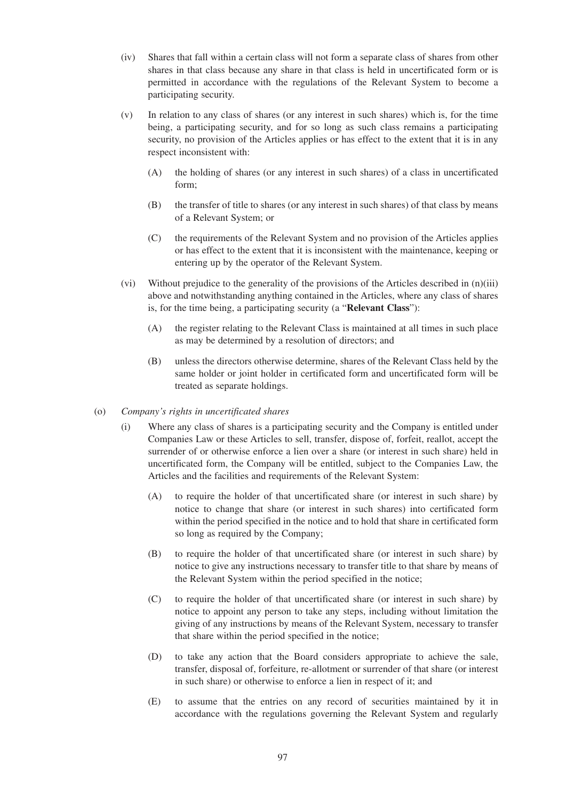- (iv) Shares that fall within a certain class will not form a separate class of shares from other shares in that class because any share in that class is held in uncertificated form or is permitted in accordance with the regulations of the Relevant System to become a participating security.
- (v) In relation to any class of shares (or any interest in such shares) which is, for the time being, a participating security, and for so long as such class remains a participating security, no provision of the Articles applies or has effect to the extent that it is in any respect inconsistent with:
	- (A) the holding of shares (or any interest in such shares) of a class in uncertificated form;
	- (B) the transfer of title to shares (or any interest in such shares) of that class by means of a Relevant System; or
	- (C) the requirements of the Relevant System and no provision of the Articles applies or has effect to the extent that it is inconsistent with the maintenance, keeping or entering up by the operator of the Relevant System.
- (vi) Without prejudice to the generality of the provisions of the Articles described in (n)(iii) above and notwithstanding anything contained in the Articles, where any class of shares is, for the time being, a participating security (a "**Relevant Class**"):
	- (A) the register relating to the Relevant Class is maintained at all times in such place as may be determined by a resolution of directors; and
	- (B) unless the directors otherwise determine, shares of the Relevant Class held by the same holder or joint holder in certificated form and uncertificated form will be treated as separate holdings.

### (o) *Company's rights in uncertificated shares*

- (i) Where any class of shares is a participating security and the Company is entitled under Companies Law or these Articles to sell, transfer, dispose of, forfeit, reallot, accept the surrender of or otherwise enforce a lien over a share (or interest in such share) held in uncertificated form, the Company will be entitled, subject to the Companies Law, the Articles and the facilities and requirements of the Relevant System:
	- (A) to require the holder of that uncertificated share (or interest in such share) by notice to change that share (or interest in such shares) into certificated form within the period specified in the notice and to hold that share in certificated form so long as required by the Company;
	- (B) to require the holder of that uncertificated share (or interest in such share) by notice to give any instructions necessary to transfer title to that share by means of the Relevant System within the period specified in the notice;
	- (C) to require the holder of that uncertificated share (or interest in such share) by notice to appoint any person to take any steps, including without limitation the giving of any instructions by means of the Relevant System, necessary to transfer that share within the period specified in the notice;
	- (D) to take any action that the Board considers appropriate to achieve the sale, transfer, disposal of, forfeiture, re-allotment or surrender of that share (or interest in such share) or otherwise to enforce a lien in respect of it; and
	- (E) to assume that the entries on any record of securities maintained by it in accordance with the regulations governing the Relevant System and regularly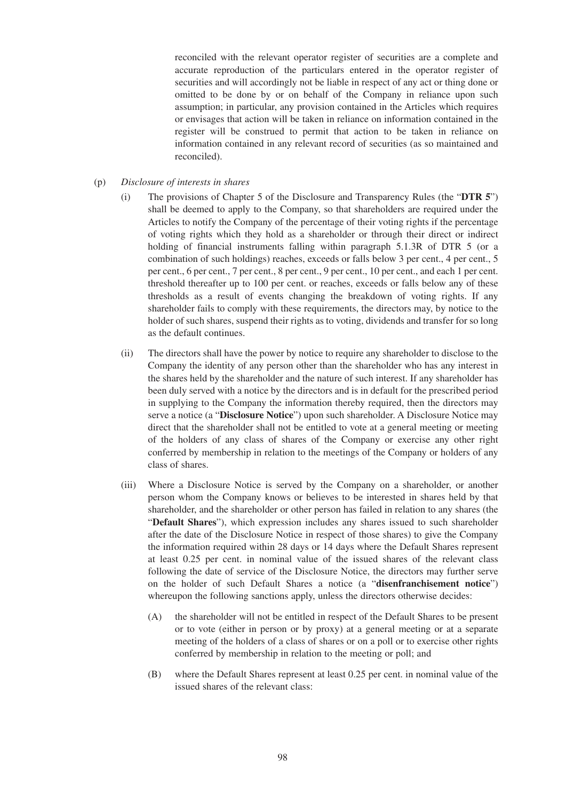reconciled with the relevant operator register of securities are a complete and accurate reproduction of the particulars entered in the operator register of securities and will accordingly not be liable in respect of any act or thing done or omitted to be done by or on behalf of the Company in reliance upon such assumption; in particular, any provision contained in the Articles which requires or envisages that action will be taken in reliance on information contained in the register will be construed to permit that action to be taken in reliance on information contained in any relevant record of securities (as so maintained and reconciled).

- (p) *Disclosure of interests in shares*
	- (i) The provisions of Chapter 5 of the Disclosure and Transparency Rules (the "**DTR 5**") shall be deemed to apply to the Company, so that shareholders are required under the Articles to notify the Company of the percentage of their voting rights if the percentage of voting rights which they hold as a shareholder or through their direct or indirect holding of financial instruments falling within paragraph 5.1.3R of DTR 5 (or a combination of such holdings) reaches, exceeds or falls below 3 per cent., 4 per cent., 5 per cent., 6 per cent., 7 per cent., 8 per cent., 9 per cent., 10 per cent., and each 1 per cent. threshold thereafter up to 100 per cent. or reaches, exceeds or falls below any of these thresholds as a result of events changing the breakdown of voting rights. If any shareholder fails to comply with these requirements, the directors may, by notice to the holder of such shares, suspend their rights as to voting, dividends and transfer for so long as the default continues.
	- (ii) The directors shall have the power by notice to require any shareholder to disclose to the Company the identity of any person other than the shareholder who has any interest in the shares held by the shareholder and the nature of such interest. If any shareholder has been duly served with a notice by the directors and is in default for the prescribed period in supplying to the Company the information thereby required, then the directors may serve a notice (a "**Disclosure Notice**") upon such shareholder. A Disclosure Notice may direct that the shareholder shall not be entitled to vote at a general meeting or meeting of the holders of any class of shares of the Company or exercise any other right conferred by membership in relation to the meetings of the Company or holders of any class of shares.
	- (iii) Where a Disclosure Notice is served by the Company on a shareholder, or another person whom the Company knows or believes to be interested in shares held by that shareholder, and the shareholder or other person has failed in relation to any shares (the "**Default Shares**"), which expression includes any shares issued to such shareholder after the date of the Disclosure Notice in respect of those shares) to give the Company the information required within 28 days or 14 days where the Default Shares represent at least 0.25 per cent. in nominal value of the issued shares of the relevant class following the date of service of the Disclosure Notice, the directors may further serve on the holder of such Default Shares a notice (a "**disenfranchisement notice**") whereupon the following sanctions apply, unless the directors otherwise decides:
		- (A) the shareholder will not be entitled in respect of the Default Shares to be present or to vote (either in person or by proxy) at a general meeting or at a separate meeting of the holders of a class of shares or on a poll or to exercise other rights conferred by membership in relation to the meeting or poll; and
		- (B) where the Default Shares represent at least 0.25 per cent. in nominal value of the issued shares of the relevant class: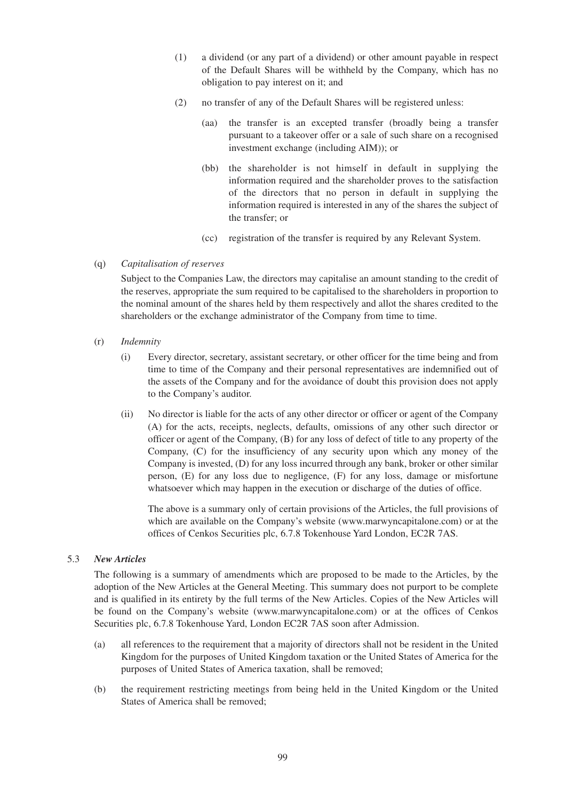- (1) a dividend (or any part of a dividend) or other amount payable in respect of the Default Shares will be withheld by the Company, which has no obligation to pay interest on it; and
- (2) no transfer of any of the Default Shares will be registered unless:
	- (aa) the transfer is an excepted transfer (broadly being a transfer pursuant to a takeover offer or a sale of such share on a recognised investment exchange (including AIM)); or
	- (bb) the shareholder is not himself in default in supplying the information required and the shareholder proves to the satisfaction of the directors that no person in default in supplying the information required is interested in any of the shares the subject of the transfer; or
	- (cc) registration of the transfer is required by any Relevant System.

# (q) *Capitalisation of reserves*

Subject to the Companies Law, the directors may capitalise an amount standing to the credit of the reserves, appropriate the sum required to be capitalised to the shareholders in proportion to the nominal amount of the shares held by them respectively and allot the shares credited to the shareholders or the exchange administrator of the Company from time to time.

- (r) *Indemnity*
	- (i) Every director, secretary, assistant secretary, or other officer for the time being and from time to time of the Company and their personal representatives are indemnified out of the assets of the Company and for the avoidance of doubt this provision does not apply to the Company's auditor.
	- (ii) No director is liable for the acts of any other director or officer or agent of the Company (A) for the acts, receipts, neglects, defaults, omissions of any other such director or officer or agent of the Company, (B) for any loss of defect of title to any property of the Company, (C) for the insufficiency of any security upon which any money of the Company is invested, (D) for any loss incurred through any bank, broker or other similar person, (E) for any loss due to negligence, (F) for any loss, damage or misfortune whatsoever which may happen in the execution or discharge of the duties of office.

The above is a summary only of certain provisions of the Articles, the full provisions of which are available on the Company's website (www.marwyncapitalone.com) or at the offices of Cenkos Securities plc, 6.7.8 Tokenhouse Yard London, EC2R 7AS.

# 5.3 *New Articles*

The following is a summary of amendments which are proposed to be made to the Articles, by the adoption of the New Articles at the General Meeting. This summary does not purport to be complete and is qualified in its entirety by the full terms of the New Articles. Copies of the New Articles will be found on the Company's website (www.marwyncapitalone.com) or at the offices of Cenkos Securities plc, 6.7.8 Tokenhouse Yard, London EC2R 7AS soon after Admission.

- (a) all references to the requirement that a majority of directors shall not be resident in the United Kingdom for the purposes of United Kingdom taxation or the United States of America for the purposes of United States of America taxation, shall be removed;
- (b) the requirement restricting meetings from being held in the United Kingdom or the United States of America shall be removed;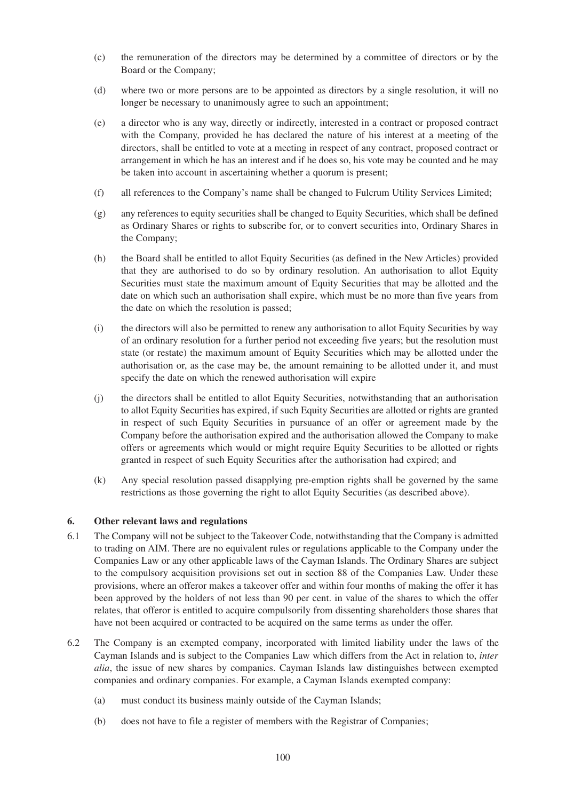- (c) the remuneration of the directors may be determined by a committee of directors or by the Board or the Company;
- (d) where two or more persons are to be appointed as directors by a single resolution, it will no longer be necessary to unanimously agree to such an appointment;
- (e) a director who is any way, directly or indirectly, interested in a contract or proposed contract with the Company, provided he has declared the nature of his interest at a meeting of the directors, shall be entitled to vote at a meeting in respect of any contract, proposed contract or arrangement in which he has an interest and if he does so, his vote may be counted and he may be taken into account in ascertaining whether a quorum is present;
- (f) all references to the Company's name shall be changed to Fulcrum Utility Services Limited;
- (g) any references to equity securities shall be changed to Equity Securities, which shall be defined as Ordinary Shares or rights to subscribe for, or to convert securities into, Ordinary Shares in the Company;
- (h) the Board shall be entitled to allot Equity Securities (as defined in the New Articles) provided that they are authorised to do so by ordinary resolution. An authorisation to allot Equity Securities must state the maximum amount of Equity Securities that may be allotted and the date on which such an authorisation shall expire, which must be no more than five years from the date on which the resolution is passed;
- (i) the directors will also be permitted to renew any authorisation to allot Equity Securities by way of an ordinary resolution for a further period not exceeding five years; but the resolution must state (or restate) the maximum amount of Equity Securities which may be allotted under the authorisation or, as the case may be, the amount remaining to be allotted under it, and must specify the date on which the renewed authorisation will expire
- (j) the directors shall be entitled to allot Equity Securities, notwithstanding that an authorisation to allot Equity Securities has expired, if such Equity Securities are allotted or rights are granted in respect of such Equity Securities in pursuance of an offer or agreement made by the Company before the authorisation expired and the authorisation allowed the Company to make offers or agreements which would or might require Equity Securities to be allotted or rights granted in respect of such Equity Securities after the authorisation had expired; and
- (k) Any special resolution passed disapplying pre-emption rights shall be governed by the same restrictions as those governing the right to allot Equity Securities (as described above).

# **6. Other relevant laws and regulations**

- 6.1 The Company will not be subject to the Takeover Code, notwithstanding that the Company is admitted to trading on AIM. There are no equivalent rules or regulations applicable to the Company under the Companies Law or any other applicable laws of the Cayman Islands. The Ordinary Shares are subject to the compulsory acquisition provisions set out in section 88 of the Companies Law. Under these provisions, where an offeror makes a takeover offer and within four months of making the offer it has been approved by the holders of not less than 90 per cent. in value of the shares to which the offer relates, that offeror is entitled to acquire compulsorily from dissenting shareholders those shares that have not been acquired or contracted to be acquired on the same terms as under the offer.
- 6.2 The Company is an exempted company, incorporated with limited liability under the laws of the Cayman Islands and is subject to the Companies Law which differs from the Act in relation to, *inter alia*, the issue of new shares by companies. Cayman Islands law distinguishes between exempted companies and ordinary companies. For example, a Cayman Islands exempted company:
	- (a) must conduct its business mainly outside of the Cayman Islands;
	- (b) does not have to file a register of members with the Registrar of Companies;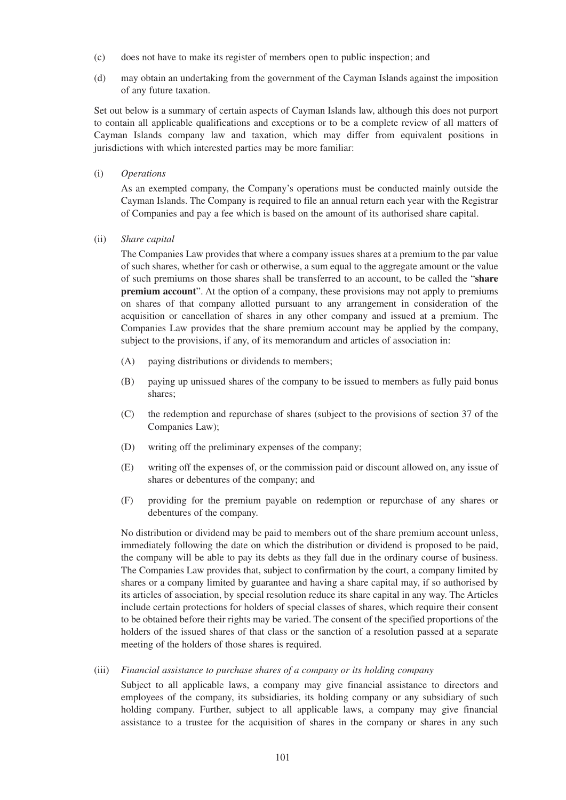- (c) does not have to make its register of members open to public inspection; and
- (d) may obtain an undertaking from the government of the Cayman Islands against the imposition of any future taxation.

Set out below is a summary of certain aspects of Cayman Islands law, although this does not purport to contain all applicable qualifications and exceptions or to be a complete review of all matters of Cayman Islands company law and taxation, which may differ from equivalent positions in jurisdictions with which interested parties may be more familiar:

(i) *Operations*

As an exempted company, the Company's operations must be conducted mainly outside the Cayman Islands. The Company is required to file an annual return each year with the Registrar of Companies and pay a fee which is based on the amount of its authorised share capital.

(ii) *Share capital*

The Companies Law provides that where a company issues shares at a premium to the par value of such shares, whether for cash or otherwise, a sum equal to the aggregate amount or the value of such premiums on those shares shall be transferred to an account, to be called the "**share premium account**". At the option of a company, these provisions may not apply to premiums on shares of that company allotted pursuant to any arrangement in consideration of the acquisition or cancellation of shares in any other company and issued at a premium. The Companies Law provides that the share premium account may be applied by the company, subject to the provisions, if any, of its memorandum and articles of association in:

- (A) paying distributions or dividends to members;
- (B) paying up unissued shares of the company to be issued to members as fully paid bonus shares;
- (C) the redemption and repurchase of shares (subject to the provisions of section 37 of the Companies Law);
- (D) writing off the preliminary expenses of the company;
- (E) writing off the expenses of, or the commission paid or discount allowed on, any issue of shares or debentures of the company; and
- (F) providing for the premium payable on redemption or repurchase of any shares or debentures of the company.

No distribution or dividend may be paid to members out of the share premium account unless, immediately following the date on which the distribution or dividend is proposed to be paid, the company will be able to pay its debts as they fall due in the ordinary course of business. The Companies Law provides that, subject to confirmation by the court, a company limited by shares or a company limited by guarantee and having a share capital may, if so authorised by its articles of association, by special resolution reduce its share capital in any way. The Articles include certain protections for holders of special classes of shares, which require their consent to be obtained before their rights may be varied. The consent of the specified proportions of the holders of the issued shares of that class or the sanction of a resolution passed at a separate meeting of the holders of those shares is required.

### (iii) *Financial assistance to purchase shares of a company or its holding company*

Subject to all applicable laws, a company may give financial assistance to directors and employees of the company, its subsidiaries, its holding company or any subsidiary of such holding company. Further, subject to all applicable laws, a company may give financial assistance to a trustee for the acquisition of shares in the company or shares in any such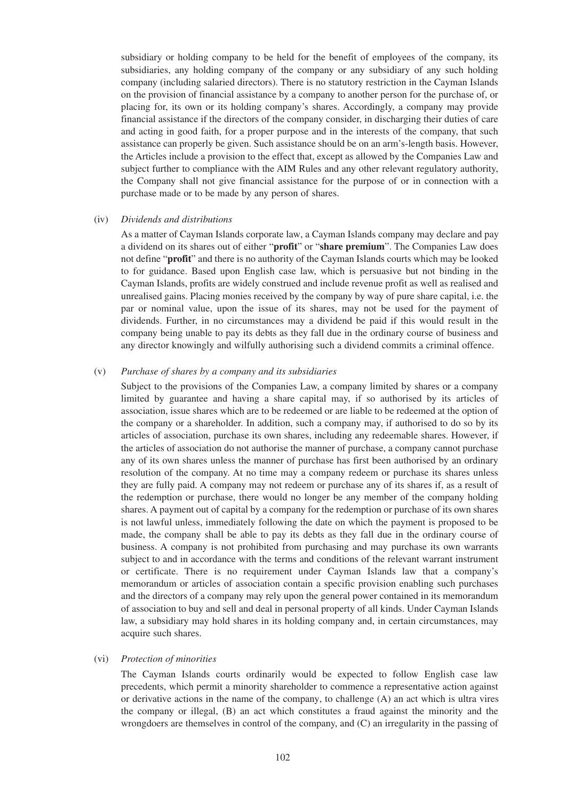subsidiary or holding company to be held for the benefit of employees of the company, its subsidiaries, any holding company of the company or any subsidiary of any such holding company (including salaried directors). There is no statutory restriction in the Cayman Islands on the provision of financial assistance by a company to another person for the purchase of, or placing for, its own or its holding company's shares. Accordingly, a company may provide financial assistance if the directors of the company consider, in discharging their duties of care and acting in good faith, for a proper purpose and in the interests of the company, that such assistance can properly be given. Such assistance should be on an arm's-length basis. However, the Articles include a provision to the effect that, except as allowed by the Companies Law and subject further to compliance with the AIM Rules and any other relevant regulatory authority, the Company shall not give financial assistance for the purpose of or in connection with a purchase made or to be made by any person of shares.

### (iv) *Dividends and distributions*

As a matter of Cayman Islands corporate law, a Cayman Islands company may declare and pay a dividend on its shares out of either "**profit**" or "**share premium**". The Companies Law does not define "**profit**" and there is no authority of the Cayman Islands courts which may be looked to for guidance. Based upon English case law, which is persuasive but not binding in the Cayman Islands, profits are widely construed and include revenue profit as well as realised and unrealised gains. Placing monies received by the company by way of pure share capital, i.e. the par or nominal value, upon the issue of its shares, may not be used for the payment of dividends. Further, in no circumstances may a dividend be paid if this would result in the company being unable to pay its debts as they fall due in the ordinary course of business and any director knowingly and wilfully authorising such a dividend commits a criminal offence.

### (v) *Purchase of shares by a company and its subsidiaries*

Subject to the provisions of the Companies Law, a company limited by shares or a company limited by guarantee and having a share capital may, if so authorised by its articles of association, issue shares which are to be redeemed or are liable to be redeemed at the option of the company or a shareholder. In addition, such a company may, if authorised to do so by its articles of association, purchase its own shares, including any redeemable shares. However, if the articles of association do not authorise the manner of purchase, a company cannot purchase any of its own shares unless the manner of purchase has first been authorised by an ordinary resolution of the company. At no time may a company redeem or purchase its shares unless they are fully paid. A company may not redeem or purchase any of its shares if, as a result of the redemption or purchase, there would no longer be any member of the company holding shares. A payment out of capital by a company for the redemption or purchase of its own shares is not lawful unless, immediately following the date on which the payment is proposed to be made, the company shall be able to pay its debts as they fall due in the ordinary course of business. A company is not prohibited from purchasing and may purchase its own warrants subject to and in accordance with the terms and conditions of the relevant warrant instrument or certificate. There is no requirement under Cayman Islands law that a company's memorandum or articles of association contain a specific provision enabling such purchases and the directors of a company may rely upon the general power contained in its memorandum of association to buy and sell and deal in personal property of all kinds. Under Cayman Islands law, a subsidiary may hold shares in its holding company and, in certain circumstances, may acquire such shares.

### (vi) *Protection of minorities*

The Cayman Islands courts ordinarily would be expected to follow English case law precedents, which permit a minority shareholder to commence a representative action against or derivative actions in the name of the company, to challenge (A) an act which is ultra vires the company or illegal, (B) an act which constitutes a fraud against the minority and the wrongdoers are themselves in control of the company, and (C) an irregularity in the passing of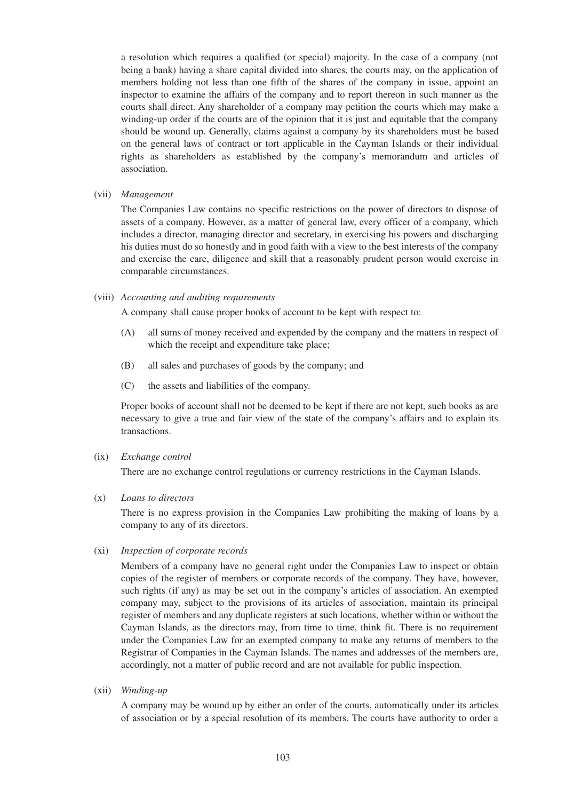a resolution which requires a qualified (or special) majority. In the case of a company (not being a bank) having a share capital divided into shares, the courts may, on the application of members holding not less than one fifth of the shares of the company in issue, appoint an inspector to examine the affairs of the company and to report thereon in such manner as the courts shall direct. Any shareholder of a company may petition the courts which may make a winding-up order if the courts are of the opinion that it is just and equitable that the company should be wound up. Generally, claims against a company by its shareholders must be based on the general laws of contract or tort applicable in the Cayman Islands or their individual rights as shareholders as established by the company's memorandum and articles of association.

### (vii) *Management*

The Companies Law contains no specific restrictions on the power of directors to dispose of assets of a company. However, as a matter of general law, every officer of a company, which includes a director, managing director and secretary, in exercising his powers and discharging his duties must do so honestly and in good faith with a view to the best interests of the company and exercise the care, diligence and skill that a reasonably prudent person would exercise in comparable circumstances.

### (viii) *Accounting and auditing requirements*

A company shall cause proper books of account to be kept with respect to:

- (A) all sums of money received and expended by the company and the matters in respect of which the receipt and expenditure take place;
- (B) all sales and purchases of goods by the company; and
- (C) the assets and liabilities of the company.

Proper books of account shall not be deemed to be kept if there are not kept, such books as are necessary to give a true and fair view of the state of the company's affairs and to explain its transactions.

### (ix) *Exchange control*

There are no exchange control regulations or currency restrictions in the Cayman Islands.

### (x) *Loans to directors*

There is no express provision in the Companies Law prohibiting the making of loans by a company to any of its directors.

#### (xi) *Inspection of corporate records*

Members of a company have no general right under the Companies Law to inspect or obtain copies of the register of members or corporate records of the company. They have, however, such rights (if any) as may be set out in the company's articles of association. An exempted company may, subject to the provisions of its articles of association, maintain its principal register of members and any duplicate registers at such locations, whether within or without the Cayman Islands, as the directors may, from time to time, think fit. There is no requirement under the Companies Law for an exempted company to make any returns of members to the Registrar of Companies in the Cayman Islands. The names and addresses of the members are, accordingly, not a matter of public record and are not available for public inspection.

(xii) *Winding-up*

A company may be wound up by either an order of the courts, automatically under its articles of association or by a special resolution of its members. The courts have authority to order a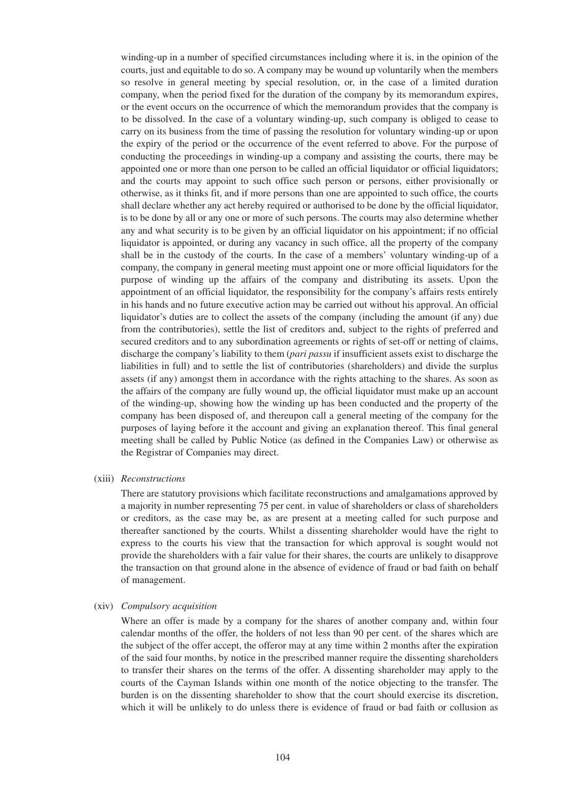winding-up in a number of specified circumstances including where it is, in the opinion of the courts, just and equitable to do so. A company may be wound up voluntarily when the members so resolve in general meeting by special resolution, or, in the case of a limited duration company, when the period fixed for the duration of the company by its memorandum expires, or the event occurs on the occurrence of which the memorandum provides that the company is to be dissolved. In the case of a voluntary winding-up, such company is obliged to cease to carry on its business from the time of passing the resolution for voluntary winding-up or upon the expiry of the period or the occurrence of the event referred to above. For the purpose of conducting the proceedings in winding-up a company and assisting the courts, there may be appointed one or more than one person to be called an official liquidator or official liquidators; and the courts may appoint to such office such person or persons, either provisionally or otherwise, as it thinks fit, and if more persons than one are appointed to such office, the courts shall declare whether any act hereby required or authorised to be done by the official liquidator, is to be done by all or any one or more of such persons. The courts may also determine whether any and what security is to be given by an official liquidator on his appointment; if no official liquidator is appointed, or during any vacancy in such office, all the property of the company shall be in the custody of the courts. In the case of a members' voluntary winding-up of a company, the company in general meeting must appoint one or more official liquidators for the purpose of winding up the affairs of the company and distributing its assets. Upon the appointment of an official liquidator, the responsibility for the company's affairs rests entirely in his hands and no future executive action may be carried out without his approval. An official liquidator's duties are to collect the assets of the company (including the amount (if any) due from the contributories), settle the list of creditors and, subject to the rights of preferred and secured creditors and to any subordination agreements or rights of set-off or netting of claims, discharge the company's liability to them (*pari passu* if insufficient assets exist to discharge the liabilities in full) and to settle the list of contributories (shareholders) and divide the surplus assets (if any) amongst them in accordance with the rights attaching to the shares. As soon as the affairs of the company are fully wound up, the official liquidator must make up an account of the winding-up, showing how the winding up has been conducted and the property of the company has been disposed of, and thereupon call a general meeting of the company for the purposes of laying before it the account and giving an explanation thereof. This final general meeting shall be called by Public Notice (as defined in the Companies Law) or otherwise as the Registrar of Companies may direct.

### (xiii) *Reconstructions*

There are statutory provisions which facilitate reconstructions and amalgamations approved by a majority in number representing 75 per cent. in value of shareholders or class of shareholders or creditors, as the case may be, as are present at a meeting called for such purpose and thereafter sanctioned by the courts. Whilst a dissenting shareholder would have the right to express to the courts his view that the transaction for which approval is sought would not provide the shareholders with a fair value for their shares, the courts are unlikely to disapprove the transaction on that ground alone in the absence of evidence of fraud or bad faith on behalf of management.

#### (xiv) *Compulsory acquisition*

Where an offer is made by a company for the shares of another company and, within four calendar months of the offer, the holders of not less than 90 per cent. of the shares which are the subject of the offer accept, the offeror may at any time within 2 months after the expiration of the said four months, by notice in the prescribed manner require the dissenting shareholders to transfer their shares on the terms of the offer. A dissenting shareholder may apply to the courts of the Cayman Islands within one month of the notice objecting to the transfer. The burden is on the dissenting shareholder to show that the court should exercise its discretion, which it will be unlikely to do unless there is evidence of fraud or bad faith or collusion as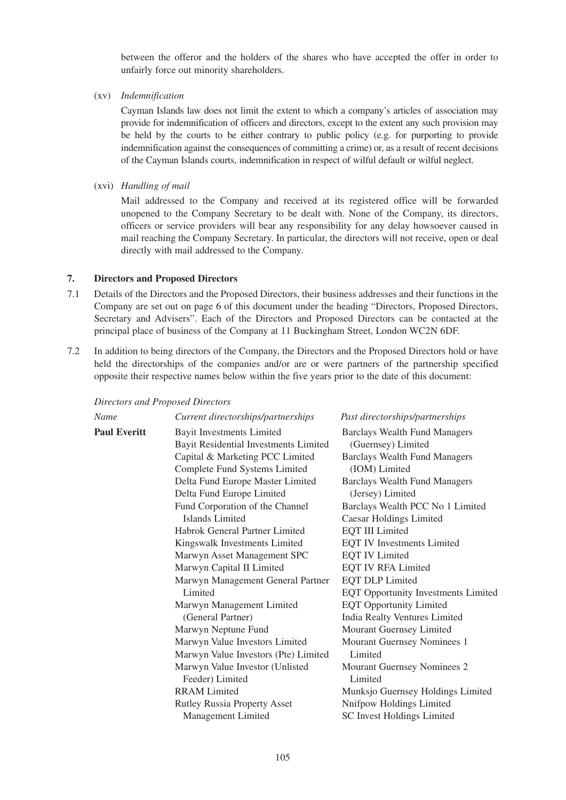between the offeror and the holders of the shares who have accepted the offer in order to unfairly force out minority shareholders.

(xv) *Indemnification*

Cayman Islands law does not limit the extent to which a company's articles of association may provide for indemnification of officers and directors, except to the extent any such provision may be held by the courts to be either contrary to public policy (e.g. for purporting to provide indemnification against the consequences of committing a crime) or, as a result of recent decisions of the Cayman Islands courts, indemnification in respect of wilful default or wilful neglect.

(xvi) *Handling of mail*

Mail addressed to the Company and received at its registered office will be forwarded unopened to the Company Secretary to be dealt with. None of the Company, its directors, officers or service providers will bear any responsibility for any delay howsoever caused in mail reaching the Company Secretary. In particular, the directors will not receive, open or deal directly with mail addressed to the Company.

# **7. Directors and Proposed Directors**

- 7.1 Details of the Directors and the Proposed Directors, their business addresses and their functions in the Company are set out on page 6 of this document under the heading "Directors, Proposed Directors, Secretary and Advisers". Each of the Directors and Proposed Directors can be contacted at the principal place of business of the Company at 11 Buckingham Street, London WC2N 6DF.
- 7.2 In addition to being directors of the Company, the Directors and the Proposed Directors hold or have held the directorships of the companies and/or are or were partners of the partnership specified opposite their respective names below within the five years prior to the date of this document:

### *Directors and Proposed Directors*

| Name                | Current directorships/partnerships                                        | Past directorships/partnerships                            |
|---------------------|---------------------------------------------------------------------------|------------------------------------------------------------|
| <b>Paul Everitt</b> | <b>Bayit Investments Limited</b><br>Bayit Residential Investments Limited | <b>Barclays Wealth Fund Managers</b><br>(Guernsey) Limited |
|                     | Capital & Marketing PCC Limited                                           | <b>Barclays Wealth Fund Managers</b>                       |
|                     | Complete Fund Systems Limited                                             | (IOM) Limited                                              |
|                     | Delta Fund Europe Master Limited                                          | <b>Barclays Wealth Fund Managers</b>                       |
|                     | Delta Fund Europe Limited                                                 | (Jersey) Limited                                           |
|                     | Fund Corporation of the Channel                                           | Barclays Wealth PCC No 1 Limited                           |
|                     | Islands Limited                                                           | <b>Caesar Holdings Limited</b>                             |
|                     | Habrok General Partner Limited                                            | <b>EQT III Limited</b>                                     |
|                     | Kingswalk Investments Limited                                             | <b>EQT IV Investments Limited</b>                          |
|                     | Marwyn Asset Management SPC                                               | <b>EQT IV Limited</b>                                      |
|                     | Marwyn Capital II Limited                                                 | EQT IV RFA Limited                                         |
|                     | Marwyn Management General Partner                                         | <b>EQT DLP Limited</b>                                     |
|                     | Limited                                                                   | <b>EQT Opportunity Investments Limited</b>                 |
|                     | Marwyn Management Limited                                                 | <b>EQT Opportunity Limited</b>                             |
|                     | (General Partner)                                                         | India Realty Ventures Limited                              |
|                     | Marwyn Neptune Fund                                                       | Mourant Guernsey Limited                                   |
|                     | Marwyn Value Investors Limited                                            | Mourant Guernsey Nominees 1                                |
|                     | Marwyn Value Investors (Pte) Limited                                      | Limited                                                    |
|                     | Marwyn Value Investor (Unlisted<br>Feeder) Limited                        | Mourant Guernsey Nominees 2<br>Limited                     |
|                     | <b>RRAM</b> Limited                                                       | Munksjo Guernsey Holdings Limited                          |
|                     | <b>Rutley Russia Property Asset</b>                                       | Nnifpow Holdings Limited                                   |
|                     | Management Limited                                                        | SC Invest Holdings Limited                                 |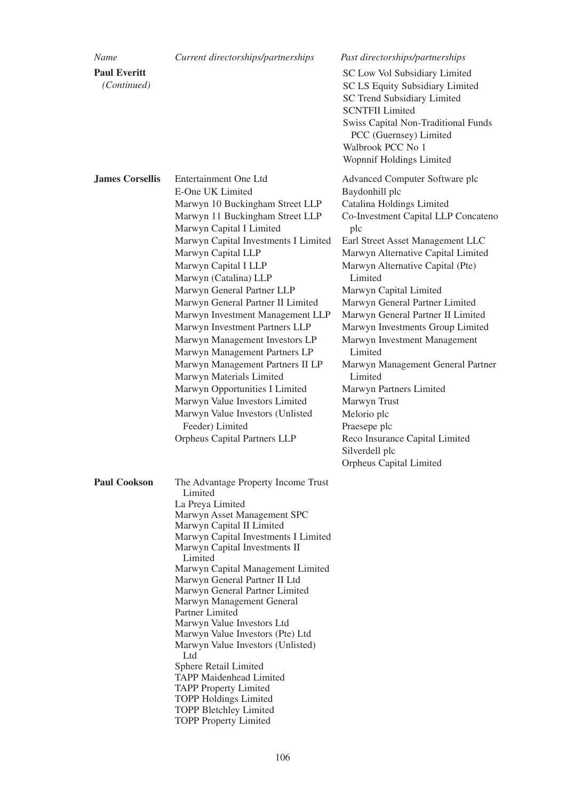| Name<br><b>Paul Everitt</b><br>(Continued) | Current directorships/partnerships                                                                                                                                                                                                                                                                                                                                                                                                                                                                                                                                                                                                                                                                       | Past directorships/partnerships<br>SC Low Vol Subsidiary Limited<br><b>SC LS Equity Subsidiary Limited</b><br><b>SC Trend Subsidiary Limited</b><br><b>SCNTFII Limited</b><br>Swiss Capital Non-Traditional Funds<br>PCC (Guernsey) Limited<br>Walbrook PCC No 1<br>Wopnnif Holdings Limited                                                                                                                                                                                                                                                                                                                                                  |
|--------------------------------------------|----------------------------------------------------------------------------------------------------------------------------------------------------------------------------------------------------------------------------------------------------------------------------------------------------------------------------------------------------------------------------------------------------------------------------------------------------------------------------------------------------------------------------------------------------------------------------------------------------------------------------------------------------------------------------------------------------------|-----------------------------------------------------------------------------------------------------------------------------------------------------------------------------------------------------------------------------------------------------------------------------------------------------------------------------------------------------------------------------------------------------------------------------------------------------------------------------------------------------------------------------------------------------------------------------------------------------------------------------------------------|
| <b>James Corsellis</b>                     | Entertainment One Ltd<br>E-One UK Limited<br>Marwyn 10 Buckingham Street LLP<br>Marwyn 11 Buckingham Street LLP<br>Marwyn Capital I Limited<br>Marwyn Capital Investments I Limited<br>Marwyn Capital LLP<br>Marwyn Capital I LLP<br>Marwyn (Catalina) LLP<br>Marwyn General Partner LLP<br>Marwyn General Partner II Limited<br>Marwyn Investment Management LLP<br>Marwyn Investment Partners LLP<br>Marwyn Management Investors LP<br>Marwyn Management Partners LP<br>Marwyn Management Partners II LP<br>Marwyn Materials Limited<br>Marwyn Opportunities I Limited<br>Marwyn Value Investors Limited<br>Marwyn Value Investors (Unlisted<br>Feeder) Limited<br><b>Orpheus Capital Partners LLP</b> | Advanced Computer Software plc<br>Baydonhill plc<br>Catalina Holdings Limited<br>Co-Investment Capital LLP Concateno<br>plc<br>Earl Street Asset Management LLC<br>Marwyn Alternative Capital Limited<br>Marwyn Alternative Capital (Pte)<br>Limited<br>Marwyn Capital Limited<br>Marwyn General Partner Limited<br>Marwyn General Partner II Limited<br>Marwyn Investments Group Limited<br>Marwyn Investment Management<br>Limited<br>Marwyn Management General Partner<br>Limited<br>Marwyn Partners Limited<br>Marwyn Trust<br>Melorio plc<br>Praesepe plc<br>Reco Insurance Capital Limited<br>Silverdell plc<br>Orpheus Capital Limited |
| <b>Paul Cookson</b>                        | The Advantage Property Income Trust<br>Limited<br>La Preya Limited<br>Marwyn Asset Management SPC<br>Marwyn Capital II Limited<br>Marwyn Capital Investments I Limited<br>Marwyn Capital Investments II<br>Limited<br>Marwyn Capital Management Limited<br>Marwyn General Partner II Ltd<br>Marwyn General Partner Limited<br>Marwyn Management General<br>Partner Limited<br>Marwyn Value Investors Ltd<br>Marwyn Value Investors (Pte) Ltd<br>Marwyn Value Investors (Unlisted)<br>Ltd<br>Sphere Retail Limited<br><b>TAPP Maidenhead Limited</b><br><b>TAPP Property Limited</b><br><b>TOPP Holdings Limited</b><br><b>TOPP Bletchley Limited</b><br><b>TOPP Property Limited</b>                     |                                                                                                                                                                                                                                                                                                                                                                                                                                                                                                                                                                                                                                               |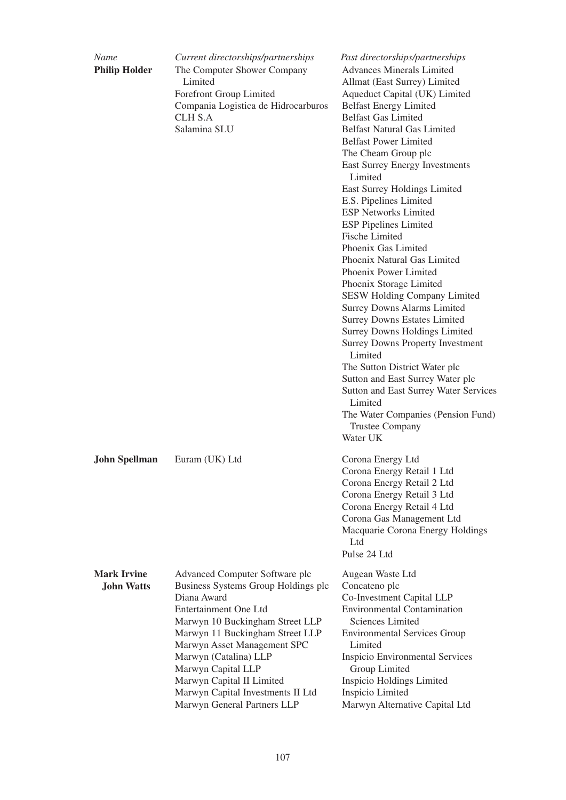| Name<br><b>Philip Holder</b>            | Current directorships/partnerships<br>The Computer Shower Company<br>Limited<br>Forefront Group Limited<br>Compania Logistica de Hidrocarburos<br><b>CLH S.A</b><br>Salamina SLU                                                                                                                                                                                   | Past directorships/partnerships<br><b>Advances Minerals Limited</b><br>Allmat (East Surrey) Limited<br>Aqueduct Capital (UK) Limited<br><b>Belfast Energy Limited</b><br><b>Belfast Gas Limited</b><br><b>Belfast Natural Gas Limited</b><br><b>Belfast Power Limited</b><br>The Cheam Group plc<br>East Surrey Energy Investments<br>Limited<br>East Surrey Holdings Limited<br>E.S. Pipelines Limited<br><b>ESP Networks Limited</b><br><b>ESP Pipelines Limited</b><br><b>Fische Limited</b><br>Phoenix Gas Limited<br>Phoenix Natural Gas Limited<br>Phoenix Power Limited<br>Phoenix Storage Limited<br><b>SESW Holding Company Limited</b><br><b>Surrey Downs Alarms Limited</b><br><b>Surrey Downs Estates Limited</b><br><b>Surrey Downs Holdings Limited</b><br><b>Surrey Downs Property Investment</b><br>Limited<br>The Sutton District Water plc<br>Sutton and East Surrey Water plc<br><b>Sutton and East Surrey Water Services</b><br>Limited<br>The Water Companies (Pension Fund) |
|-----------------------------------------|--------------------------------------------------------------------------------------------------------------------------------------------------------------------------------------------------------------------------------------------------------------------------------------------------------------------------------------------------------------------|---------------------------------------------------------------------------------------------------------------------------------------------------------------------------------------------------------------------------------------------------------------------------------------------------------------------------------------------------------------------------------------------------------------------------------------------------------------------------------------------------------------------------------------------------------------------------------------------------------------------------------------------------------------------------------------------------------------------------------------------------------------------------------------------------------------------------------------------------------------------------------------------------------------------------------------------------------------------------------------------------|
| <b>John Spellman</b>                    | Euram (UK) Ltd                                                                                                                                                                                                                                                                                                                                                     | Water UK<br>Corona Energy Ltd<br>Corona Energy Retail 1 Ltd<br>Corona Energy Retail 2 Ltd<br>Corona Energy Retail 3 Ltd<br>Corona Energy Retail 4 Ltd<br>Corona Gas Management Ltd<br>Macquarie Corona Energy Holdings<br>Ltd<br>Pulse 24 Ltd                                                                                                                                                                                                                                                                                                                                                                                                                                                                                                                                                                                                                                                                                                                                                     |
| <b>Mark Irvine</b><br><b>John Watts</b> | Advanced Computer Software plc<br>Business Systems Group Holdings plc<br>Diana Award<br>Entertainment One Ltd<br>Marwyn 10 Buckingham Street LLP<br>Marwyn 11 Buckingham Street LLP<br>Marwyn Asset Management SPC<br>Marwyn (Catalina) LLP<br>Marwyn Capital LLP<br>Marwyn Capital II Limited<br>Marwyn Capital Investments II Ltd<br>Marwyn General Partners LLP | Augean Waste Ltd<br>Concateno plc<br>Co-Investment Capital LLP<br><b>Environmental Contamination</b><br><b>Sciences Limited</b><br><b>Environmental Services Group</b><br>Limited<br><b>Inspicio Environmental Services</b><br>Group Limited<br>Inspicio Holdings Limited<br>Inspicio Limited<br>Marwyn Alternative Capital Ltd                                                                                                                                                                                                                                                                                                                                                                                                                                                                                                                                                                                                                                                                   |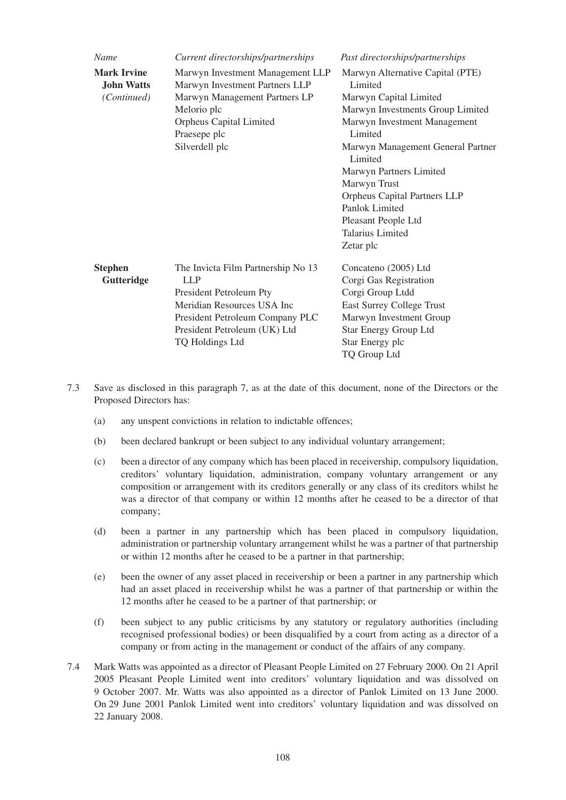| Name                                    | Current directorships/partnerships                                 | Past directorships/partnerships              |
|-----------------------------------------|--------------------------------------------------------------------|----------------------------------------------|
| <b>Mark Irvine</b><br><b>John Watts</b> | Marwyn Investment Management LLP<br>Marwyn Investment Partners LLP | Marwyn Alternative Capital (PTE)<br>Limited  |
| (Continued)                             | Marwyn Management Partners LP                                      | Marwyn Capital Limited                       |
|                                         | Melorio plc                                                        | Marwyn Investments Group Limited             |
|                                         | Orpheus Capital Limited                                            | Marwyn Investment Management                 |
|                                         | Praesepe plc                                                       | Limited                                      |
|                                         | Silverdell plc                                                     | Marwyn Management General Partner<br>Limited |
|                                         |                                                                    | Marwyn Partners Limited                      |
|                                         |                                                                    | Marwyn Trust                                 |
|                                         |                                                                    | Orpheus Capital Partners LLP                 |
|                                         |                                                                    | Panlok Limited                               |
|                                         |                                                                    | Pleasant People Ltd                          |
|                                         |                                                                    | <b>Talarius Limited</b>                      |
|                                         |                                                                    | Zetar plc                                    |
| <b>Stephen</b>                          | The Invicta Film Partnership No 13                                 | Concateno (2005) Ltd                         |
| Gutteridge                              | <b>LLP</b>                                                         | Corgi Gas Registration                       |
|                                         | President Petroleum Pty                                            | Corgi Group Ltdd                             |
|                                         | Meridian Resources USA Inc                                         | East Surrey College Trust                    |
|                                         | President Petroleum Company PLC                                    | Marwyn Investment Group                      |
|                                         | President Petroleum (UK) Ltd                                       | <b>Star Energy Group Ltd</b>                 |
|                                         | TQ Holdings Ltd                                                    | Star Energy plc                              |
|                                         |                                                                    | <b>TQ Group Ltd</b>                          |

- 7.3 Save as disclosed in this paragraph 7, as at the date of this document, none of the Directors or the Proposed Directors has:
	- (a) any unspent convictions in relation to indictable offences;
	- (b) been declared bankrupt or been subject to any individual voluntary arrangement;
	- (c) been a director of any company which has been placed in receivership, compulsory liquidation, creditors' voluntary liquidation, administration, company voluntary arrangement or any composition or arrangement with its creditors generally or any class of its creditors whilst he was a director of that company or within 12 months after he ceased to be a director of that company;
	- (d) been a partner in any partnership which has been placed in compulsory liquidation, administration or partnership voluntary arrangement whilst he was a partner of that partnership or within 12 months after he ceased to be a partner in that partnership;
	- (e) been the owner of any asset placed in receivership or been a partner in any partnership which had an asset placed in receivership whilst he was a partner of that partnership or within the 12 months after he ceased to be a partner of that partnership; or
	- (f) been subject to any public criticisms by any statutory or regulatory authorities (including recognised professional bodies) or been disqualified by a court from acting as a director of a company or from acting in the management or conduct of the affairs of any company.
- 7.4 Mark Watts was appointed as a director of Pleasant People Limited on 27 February 2000. On 21 April 2005 Pleasant People Limited went into creditors' voluntary liquidation and was dissolved on 9 October 2007. Mr. Watts was also appointed as a director of Panlok Limited on 13 June 2000. On 29 June 2001 Panlok Limited went into creditors' voluntary liquidation and was dissolved on 22 January 2008.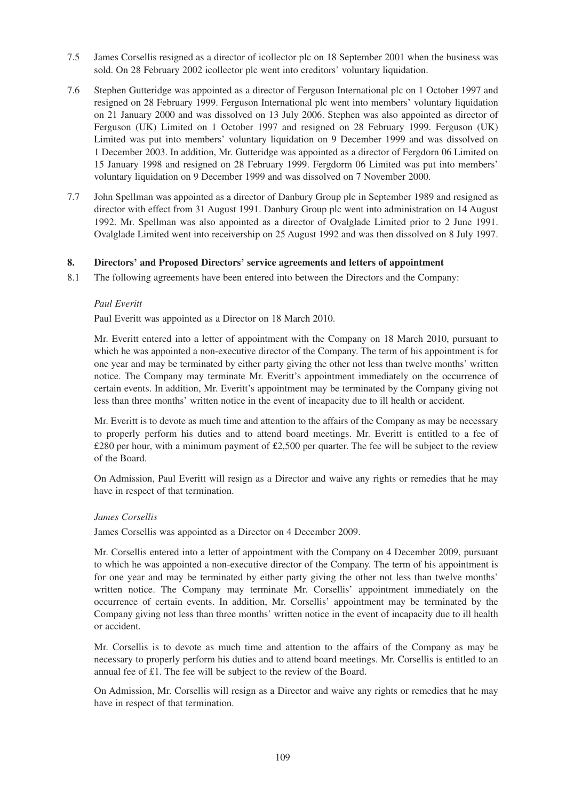- 7.5 James Corsellis resigned as a director of icollector plc on 18 September 2001 when the business was sold. On 28 February 2002 icollector plc went into creditors' voluntary liquidation.
- 7.6 Stephen Gutteridge was appointed as a director of Ferguson International plc on 1 October 1997 and resigned on 28 February 1999. Ferguson International plc went into members' voluntary liquidation on 21 January 2000 and was dissolved on 13 July 2006. Stephen was also appointed as director of Ferguson (UK) Limited on 1 October 1997 and resigned on 28 February 1999. Ferguson (UK) Limited was put into members' voluntary liquidation on 9 December 1999 and was dissolved on 1 December 2003. In addition, Mr. Gutteridge was appointed as a director of Fergdorn 06 Limited on 15 January 1998 and resigned on 28 February 1999. Fergdorm 06 Limited was put into members' voluntary liquidation on 9 December 1999 and was dissolved on 7 November 2000.
- 7.7 John Spellman was appointed as a director of Danbury Group plc in September 1989 and resigned as director with effect from 31 August 1991. Danbury Group plc went into administration on 14 August 1992. Mr. Spellman was also appointed as a director of Ovalglade Limited prior to 2 June 1991. Ovalglade Limited went into receivership on 25 August 1992 and was then dissolved on 8 July 1997.

#### **8. Directors' and Proposed Directors' service agreements and letters of appointment**

8.1 The following agreements have been entered into between the Directors and the Company:

#### *Paul Everitt*

Paul Everitt was appointed as a Director on 18 March 2010.

Mr. Everitt entered into a letter of appointment with the Company on 18 March 2010, pursuant to which he was appointed a non-executive director of the Company. The term of his appointment is for one year and may be terminated by either party giving the other not less than twelve months' written notice. The Company may terminate Mr. Everitt's appointment immediately on the occurrence of certain events. In addition, Mr. Everitt's appointment may be terminated by the Company giving not less than three months' written notice in the event of incapacity due to ill health or accident.

Mr. Everitt is to devote as much time and attention to the affairs of the Company as may be necessary to properly perform his duties and to attend board meetings. Mr. Everitt is entitled to a fee of £280 per hour, with a minimum payment of £2,500 per quarter. The fee will be subject to the review of the Board.

On Admission, Paul Everitt will resign as a Director and waive any rights or remedies that he may have in respect of that termination.

#### *James Corsellis*

James Corsellis was appointed as a Director on 4 December 2009.

Mr. Corsellis entered into a letter of appointment with the Company on 4 December 2009, pursuant to which he was appointed a non-executive director of the Company. The term of his appointment is for one year and may be terminated by either party giving the other not less than twelve months' written notice. The Company may terminate Mr. Corsellis' appointment immediately on the occurrence of certain events. In addition, Mr. Corsellis' appointment may be terminated by the Company giving not less than three months' written notice in the event of incapacity due to ill health or accident.

Mr. Corsellis is to devote as much time and attention to the affairs of the Company as may be necessary to properly perform his duties and to attend board meetings. Mr. Corsellis is entitled to an annual fee of £1. The fee will be subject to the review of the Board.

On Admission, Mr. Corsellis will resign as a Director and waive any rights or remedies that he may have in respect of that termination.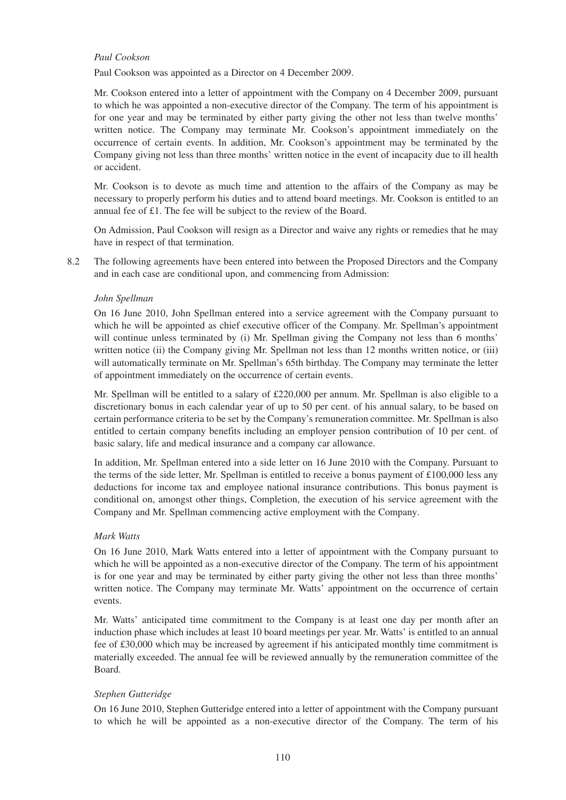#### *Paul Cookson*

Paul Cookson was appointed as a Director on 4 December 2009.

Mr. Cookson entered into a letter of appointment with the Company on 4 December 2009, pursuant to which he was appointed a non-executive director of the Company. The term of his appointment is for one year and may be terminated by either party giving the other not less than twelve months' written notice. The Company may terminate Mr. Cookson's appointment immediately on the occurrence of certain events. In addition, Mr. Cookson's appointment may be terminated by the Company giving not less than three months' written notice in the event of incapacity due to ill health or accident.

Mr. Cookson is to devote as much time and attention to the affairs of the Company as may be necessary to properly perform his duties and to attend board meetings. Mr. Cookson is entitled to an annual fee of £1. The fee will be subject to the review of the Board.

On Admission, Paul Cookson will resign as a Director and waive any rights or remedies that he may have in respect of that termination.

8.2 The following agreements have been entered into between the Proposed Directors and the Company and in each case are conditional upon, and commencing from Admission:

#### *John Spellman*

On 16 June 2010, John Spellman entered into a service agreement with the Company pursuant to which he will be appointed as chief executive officer of the Company. Mr. Spellman's appointment will continue unless terminated by (i) Mr. Spellman giving the Company not less than 6 months' written notice (ii) the Company giving Mr. Spellman not less than 12 months written notice, or (iii) will automatically terminate on Mr. Spellman's 65th birthday. The Company may terminate the letter of appointment immediately on the occurrence of certain events.

Mr. Spellman will be entitled to a salary of £220,000 per annum. Mr. Spellman is also eligible to a discretionary bonus in each calendar year of up to 50 per cent. of his annual salary, to be based on certain performance criteria to be set by the Company's remuneration committee. Mr. Spellman is also entitled to certain company benefits including an employer pension contribution of 10 per cent. of basic salary, life and medical insurance and a company car allowance.

In addition, Mr. Spellman entered into a side letter on 16 June 2010 with the Company. Pursuant to the terms of the side letter, Mr. Spellman is entitled to receive a bonus payment of £100,000 less any deductions for income tax and employee national insurance contributions. This bonus payment is conditional on, amongst other things, Completion, the execution of his service agreement with the Company and Mr. Spellman commencing active employment with the Company.

#### *Mark Watts*

On 16 June 2010, Mark Watts entered into a letter of appointment with the Company pursuant to which he will be appointed as a non-executive director of the Company. The term of his appointment is for one year and may be terminated by either party giving the other not less than three months' written notice. The Company may terminate Mr. Watts' appointment on the occurrence of certain events.

Mr. Watts' anticipated time commitment to the Company is at least one day per month after an induction phase which includes at least 10 board meetings per year. Mr. Watts' is entitled to an annual fee of £30,000 which may be increased by agreement if his anticipated monthly time commitment is materially exceeded. The annual fee will be reviewed annually by the remuneration committee of the Board.

#### *Stephen Gutteridge*

On 16 June 2010, Stephen Gutteridge entered into a letter of appointment with the Company pursuant to which he will be appointed as a non-executive director of the Company. The term of his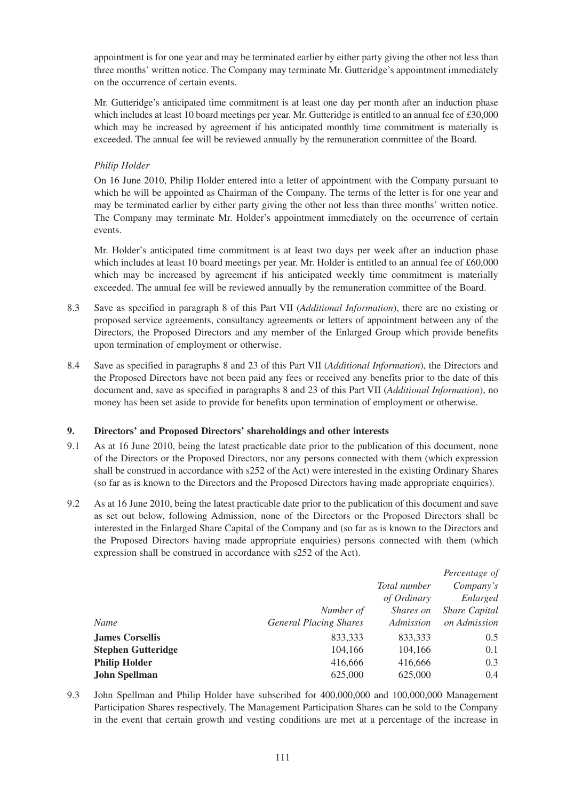appointment is for one year and may be terminated earlier by either party giving the other not less than three months' written notice. The Company may terminate Mr. Gutteridge's appointment immediately on the occurrence of certain events.

Mr. Gutteridge's anticipated time commitment is at least one day per month after an induction phase which includes at least 10 board meetings per year. Mr. Gutteridge is entitled to an annual fee of £30,000 which may be increased by agreement if his anticipated monthly time commitment is materially is exceeded. The annual fee will be reviewed annually by the remuneration committee of the Board.

### *Philip Holder*

On 16 June 2010, Philip Holder entered into a letter of appointment with the Company pursuant to which he will be appointed as Chairman of the Company. The terms of the letter is for one year and may be terminated earlier by either party giving the other not less than three months' written notice. The Company may terminate Mr. Holder's appointment immediately on the occurrence of certain events.

Mr. Holder's anticipated time commitment is at least two days per week after an induction phase which includes at least 10 board meetings per year. Mr. Holder is entitled to an annual fee of £60,000 which may be increased by agreement if his anticipated weekly time commitment is materially exceeded. The annual fee will be reviewed annually by the remuneration committee of the Board.

- 8.3 Save as specified in paragraph 8 of this Part VII (*Additional Information*), there are no existing or proposed service agreements, consultancy agreements or letters of appointment between any of the Directors, the Proposed Directors and any member of the Enlarged Group which provide benefits upon termination of employment or otherwise.
- 8.4 Save as specified in paragraphs 8 and 23 of this Part VII (*Additional Information*), the Directors and the Proposed Directors have not been paid any fees or received any benefits prior to the date of this document and, save as specified in paragraphs 8 and 23 of this Part VII (*Additional Information*), no money has been set aside to provide for benefits upon termination of employment or otherwise.

#### **9. Directors' and Proposed Directors' shareholdings and other interests**

- 9.1 As at 16 June 2010, being the latest practicable date prior to the publication of this document, none of the Directors or the Proposed Directors, nor any persons connected with them (which expression shall be construed in accordance with s252 of the Act) were interested in the existing Ordinary Shares (so far as is known to the Directors and the Proposed Directors having made appropriate enquiries).
- 9.2 As at 16 June 2010, being the latest practicable date prior to the publication of this document and save as set out below, following Admission, none of the Directors or the Proposed Directors shall be interested in the Enlarged Share Capital of the Company and (so far as is known to the Directors and the Proposed Directors having made appropriate enquiries) persons connected with them (which expression shall be construed in accordance with s252 of the Act).

|                           |                               |                  | Percentage of        |
|---------------------------|-------------------------------|------------------|----------------------|
|                           |                               | Total number     | Company's            |
|                           |                               | of Ordinary      | Enlarged             |
|                           | Number of                     | <i>Shares on</i> | <b>Share Capital</b> |
| Name                      | <b>General Placing Shares</b> | Admission        | on Admission         |
| <b>James Corsellis</b>    | 833,333                       | 833,333          | $0.5^{\circ}$        |
| <b>Stephen Gutteridge</b> | 104,166                       | 104,166          | 0.1                  |
| <b>Philip Holder</b>      | 416,666                       | 416,666          | 0.3                  |
| <b>John Spellman</b>      | 625,000                       | 625,000          | $0.4^{\circ}$        |

9.3 John Spellman and Philip Holder have subscribed for 400,000,000 and 100,000,000 Management Participation Shares respectively. The Management Participation Shares can be sold to the Company in the event that certain growth and vesting conditions are met at a percentage of the increase in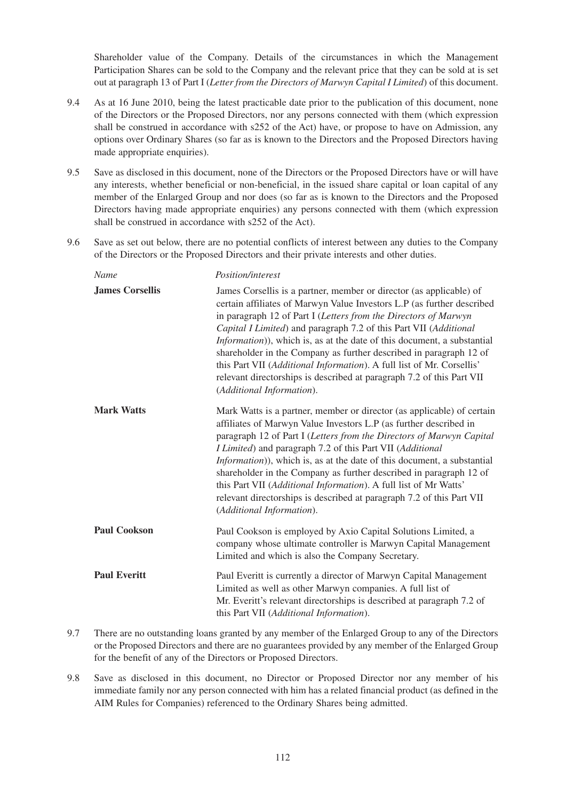Shareholder value of the Company. Details of the circumstances in which the Management Participation Shares can be sold to the Company and the relevant price that they can be sold at is set out at paragraph 13 of Part I (*Letter from the Directors of Marwyn Capital I Limited*) of this document.

- 9.4 As at 16 June 2010, being the latest practicable date prior to the publication of this document, none of the Directors or the Proposed Directors, nor any persons connected with them (which expression shall be construed in accordance with s252 of the Act) have, or propose to have on Admission, any options over Ordinary Shares (so far as is known to the Directors and the Proposed Directors having made appropriate enquiries).
- 9.5 Save as disclosed in this document, none of the Directors or the Proposed Directors have or will have any interests, whether beneficial or non-beneficial, in the issued share capital or loan capital of any member of the Enlarged Group and nor does (so far as is known to the Directors and the Proposed Directors having made appropriate enquiries) any persons connected with them (which expression shall be construed in accordance with s252 of the Act).
- 9.6 Save as set out below, there are no potential conflicts of interest between any duties to the Company of the Directors or the Proposed Directors and their private interests and other duties.

| Name                   | Position/interest                                                                                                                                                                                                                                                                                                                                                                                                                                                                                                                                                                                                     |
|------------------------|-----------------------------------------------------------------------------------------------------------------------------------------------------------------------------------------------------------------------------------------------------------------------------------------------------------------------------------------------------------------------------------------------------------------------------------------------------------------------------------------------------------------------------------------------------------------------------------------------------------------------|
| <b>James Corsellis</b> | James Corsellis is a partner, member or director (as applicable) of<br>certain affiliates of Marwyn Value Investors L.P (as further described<br>in paragraph 12 of Part I (Letters from the Directors of Marwyn<br>Capital I Limited) and paragraph 7.2 of this Part VII (Additional<br>Information)), which is, as at the date of this document, a substantial<br>shareholder in the Company as further described in paragraph 12 of<br>this Part VII (Additional Information). A full list of Mr. Corsellis'<br>relevant directorships is described at paragraph 7.2 of this Part VII<br>(Additional Information). |
| <b>Mark Watts</b>      | Mark Watts is a partner, member or director (as applicable) of certain<br>affiliates of Marwyn Value Investors L.P (as further described in<br>paragraph 12 of Part I (Letters from the Directors of Marwyn Capital<br>I Limited) and paragraph 7.2 of this Part VII (Additional<br><i>Information</i> ), which is, as at the date of this document, a substantial<br>shareholder in the Company as further described in paragraph 12 of<br>this Part VII (Additional Information). A full list of Mr Watts'<br>relevant directorships is described at paragraph 7.2 of this Part VII<br>(Additional Information).    |
| <b>Paul Cookson</b>    | Paul Cookson is employed by Axio Capital Solutions Limited, a<br>company whose ultimate controller is Marwyn Capital Management<br>Limited and which is also the Company Secretary.                                                                                                                                                                                                                                                                                                                                                                                                                                   |
| <b>Paul Everitt</b>    | Paul Everitt is currently a director of Marwyn Capital Management<br>Limited as well as other Marwyn companies. A full list of<br>Mr. Everitt's relevant directorships is described at paragraph 7.2 of<br>this Part VII (Additional Information).                                                                                                                                                                                                                                                                                                                                                                    |

- 9.7 There are no outstanding loans granted by any member of the Enlarged Group to any of the Directors or the Proposed Directors and there are no guarantees provided by any member of the Enlarged Group for the benefit of any of the Directors or Proposed Directors.
- 9.8 Save as disclosed in this document, no Director or Proposed Director nor any member of his immediate family nor any person connected with him has a related financial product (as defined in the AIM Rules for Companies) referenced to the Ordinary Shares being admitted.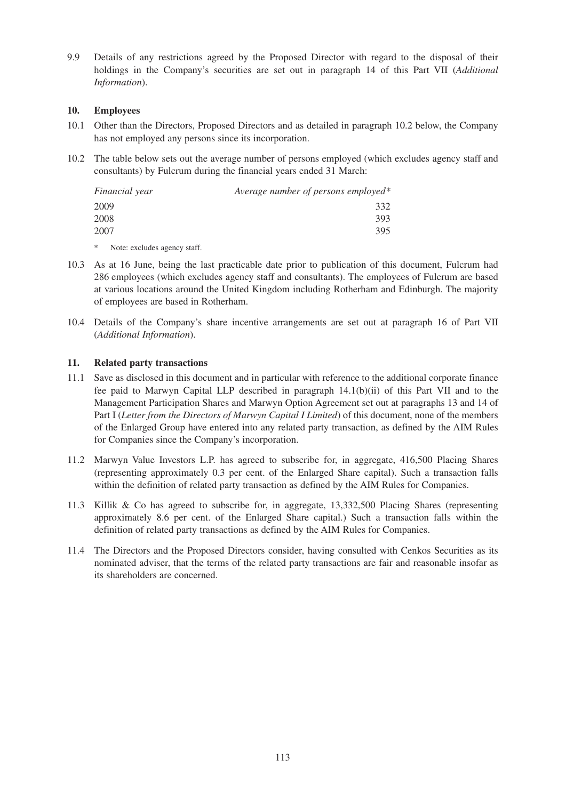9.9 Details of any restrictions agreed by the Proposed Director with regard to the disposal of their holdings in the Company's securities are set out in paragraph 14 of this Part VII (*Additional Information*).

### **10. Employees**

- 10.1 Other than the Directors, Proposed Directors and as detailed in paragraph 10.2 below, the Company has not employed any persons since its incorporation.
- 10.2 The table below sets out the average number of persons employed (which excludes agency staff and consultants) by Fulcrum during the financial years ended 31 March:

| Financial vear | Average number of persons employed* |
|----------------|-------------------------------------|
| 2009           | 332                                 |
| 2008           | 393                                 |
| 2007           | 395                                 |
|                |                                     |

\* Note: excludes agency staff.

- 10.3 As at 16 June, being the last practicable date prior to publication of this document, Fulcrum had 286 employees (which excludes agency staff and consultants). The employees of Fulcrum are based at various locations around the United Kingdom including Rotherham and Edinburgh. The majority of employees are based in Rotherham.
- 10.4 Details of the Company's share incentive arrangements are set out at paragraph 16 of Part VII (*Additional Information*).

# **11. Related party transactions**

- 11.1 Save as disclosed in this document and in particular with reference to the additional corporate finance fee paid to Marwyn Capital LLP described in paragraph 14.1(b)(ii) of this Part VII and to the Management Participation Shares and Marwyn Option Agreement set out at paragraphs 13 and 14 of Part I (*Letter from the Directors of Marwyn Capital I Limited*) of this document, none of the members of the Enlarged Group have entered into any related party transaction, as defined by the AIM Rules for Companies since the Company's incorporation.
- 11.2 Marwyn Value Investors L.P. has agreed to subscribe for, in aggregate, 416,500 Placing Shares (representing approximately 0.3 per cent. of the Enlarged Share capital). Such a transaction falls within the definition of related party transaction as defined by the AIM Rules for Companies.
- 11.3 Killik & Co has agreed to subscribe for, in aggregate, 13,332,500 Placing Shares (representing approximately 8.6 per cent. of the Enlarged Share capital.) Such a transaction falls within the definition of related party transactions as defined by the AIM Rules for Companies.
- 11.4 The Directors and the Proposed Directors consider, having consulted with Cenkos Securities as its nominated adviser, that the terms of the related party transactions are fair and reasonable insofar as its shareholders are concerned.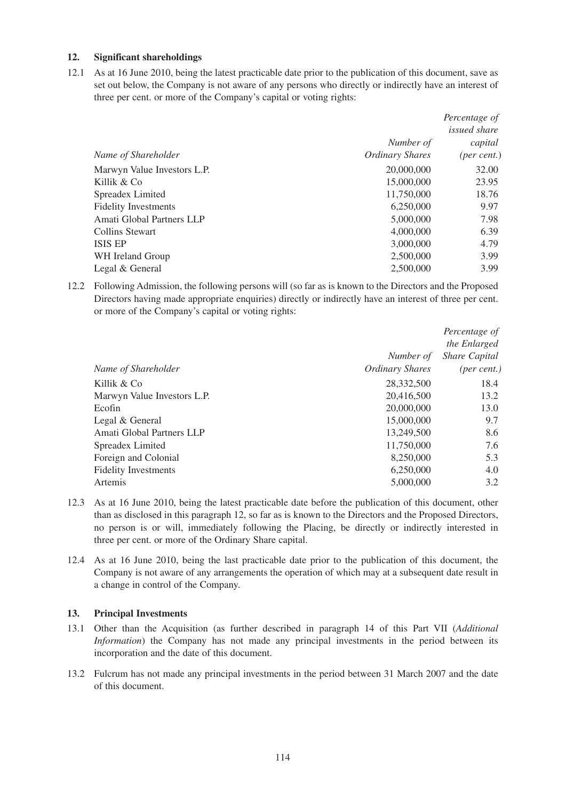#### **12. Significant shareholdings**

12.1 As at 16 June 2010, being the latest practicable date prior to the publication of this document, save as set out below, the Company is not aware of any persons who directly or indirectly have an interest of three per cent. or more of the Company's capital or voting rights:

|                             | Percentage of          |                      |
|-----------------------------|------------------------|----------------------|
|                             |                        | <i>issued share</i>  |
|                             | Number of              | capital              |
| Name of Shareholder         | <b>Ordinary Shares</b> | $(\text{per cent.})$ |
| Marwyn Value Investors L.P. | 20,000,000             | 32.00                |
| Killik & Co                 | 15,000,000             | 23.95                |
| Spreadex Limited            | 11,750,000             | 18.76                |
| <b>Fidelity Investments</b> | 6,250,000              | 9.97                 |
| Amati Global Partners LLP   | 5,000,000              | 7.98                 |
| <b>Collins Stewart</b>      | 4,000,000              | 6.39                 |
| <b>ISIS EP</b>              | 3,000,000              | 4.79                 |
| WH Ireland Group            | 2,500,000              | 3.99                 |
| Legal & General             | 2.500,000              | 3.99                 |

12.2 Following Admission, the following persons will (so far as is known to the Directors and the Proposed Directors having made appropriate enquiries) directly or indirectly have an interest of three per cent. or more of the Company's capital or voting rights:

|                             |                 | Percentage of        |
|-----------------------------|-----------------|----------------------|
|                             |                 | the Enlarged         |
|                             | Number of       | <b>Share Capital</b> |
| Name of Shareholder         | Ordinary Shares | (per cent.)          |
| Killik & Co                 | 28,332,500      | 18.4                 |
| Marwyn Value Investors L.P. | 20,416,500      | 13.2                 |
| Ecofin                      | 20,000,000      | 13.0                 |
| Legal & General             | 15,000,000      | 9.7                  |
| Amati Global Partners LLP   | 13.249.500      | 8.6                  |
| Spreadex Limited            | 11,750,000      | 7.6                  |
| Foreign and Colonial        | 8,250,000       | 5.3                  |
| <b>Fidelity Investments</b> | 6,250,000       | 4.0                  |
| Artemis                     | 5,000,000       | 3.2                  |
|                             |                 |                      |

- 12.3 As at 16 June 2010, being the latest practicable date before the publication of this document, other than as disclosed in this paragraph 12, so far as is known to the Directors and the Proposed Directors, no person is or will, immediately following the Placing, be directly or indirectly interested in three per cent. or more of the Ordinary Share capital.
- 12.4 As at 16 June 2010, being the last practicable date prior to the publication of this document, the Company is not aware of any arrangements the operation of which may at a subsequent date result in a change in control of the Company.

#### **13. Principal Investments**

- 13.1 Other than the Acquisition (as further described in paragraph 14 of this Part VII (*Additional Information*) the Company has not made any principal investments in the period between its incorporation and the date of this document.
- 13.2 Fulcrum has not made any principal investments in the period between 31 March 2007 and the date of this document.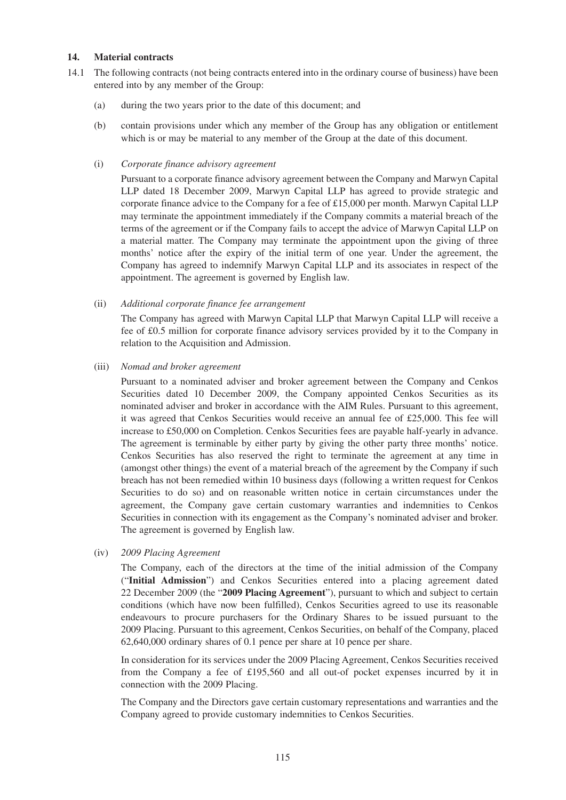#### **14. Material contracts**

- 14.1 The following contracts (not being contracts entered into in the ordinary course of business) have been entered into by any member of the Group:
	- (a) during the two years prior to the date of this document; and
	- (b) contain provisions under which any member of the Group has any obligation or entitlement which is or may be material to any member of the Group at the date of this document.

#### (i) *Corporate finance advisory agreement*

Pursuant to a corporate finance advisory agreement between the Company and Marwyn Capital LLP dated 18 December 2009, Marwyn Capital LLP has agreed to provide strategic and corporate finance advice to the Company for a fee of £15,000 per month. Marwyn Capital LLP may terminate the appointment immediately if the Company commits a material breach of the terms of the agreement or if the Company fails to accept the advice of Marwyn Capital LLP on a material matter. The Company may terminate the appointment upon the giving of three months' notice after the expiry of the initial term of one year. Under the agreement, the Company has agreed to indemnify Marwyn Capital LLP and its associates in respect of the appointment. The agreement is governed by English law.

#### (ii) *Additional corporate finance fee arrangement*

The Company has agreed with Marwyn Capital LLP that Marwyn Capital LLP will receive a fee of £0.5 million for corporate finance advisory services provided by it to the Company in relation to the Acquisition and Admission.

#### (iii) *Nomad and broker agreement*

Pursuant to a nominated adviser and broker agreement between the Company and Cenkos Securities dated 10 December 2009, the Company appointed Cenkos Securities as its nominated adviser and broker in accordance with the AIM Rules. Pursuant to this agreement, it was agreed that Cenkos Securities would receive an annual fee of £25,000. This fee will increase to £50,000 on Completion. Cenkos Securities fees are payable half-yearly in advance. The agreement is terminable by either party by giving the other party three months' notice. Cenkos Securities has also reserved the right to terminate the agreement at any time in (amongst other things) the event of a material breach of the agreement by the Company if such breach has not been remedied within 10 business days (following a written request for Cenkos Securities to do so) and on reasonable written notice in certain circumstances under the agreement, the Company gave certain customary warranties and indemnities to Cenkos Securities in connection with its engagement as the Company's nominated adviser and broker. The agreement is governed by English law.

#### (iv) *2009 Placing Agreement*

The Company, each of the directors at the time of the initial admission of the Company ("**Initial Admission**") and Cenkos Securities entered into a placing agreement dated 22 December 2009 (the "**2009 Placing Agreement**"), pursuant to which and subject to certain conditions (which have now been fulfilled), Cenkos Securities agreed to use its reasonable endeavours to procure purchasers for the Ordinary Shares to be issued pursuant to the 2009 Placing. Pursuant to this agreement, Cenkos Securities, on behalf of the Company, placed 62,640,000 ordinary shares of 0.1 pence per share at 10 pence per share.

In consideration for its services under the 2009 Placing Agreement, Cenkos Securities received from the Company a fee of £195,560 and all out-of pocket expenses incurred by it in connection with the 2009 Placing.

The Company and the Directors gave certain customary representations and warranties and the Company agreed to provide customary indemnities to Cenkos Securities.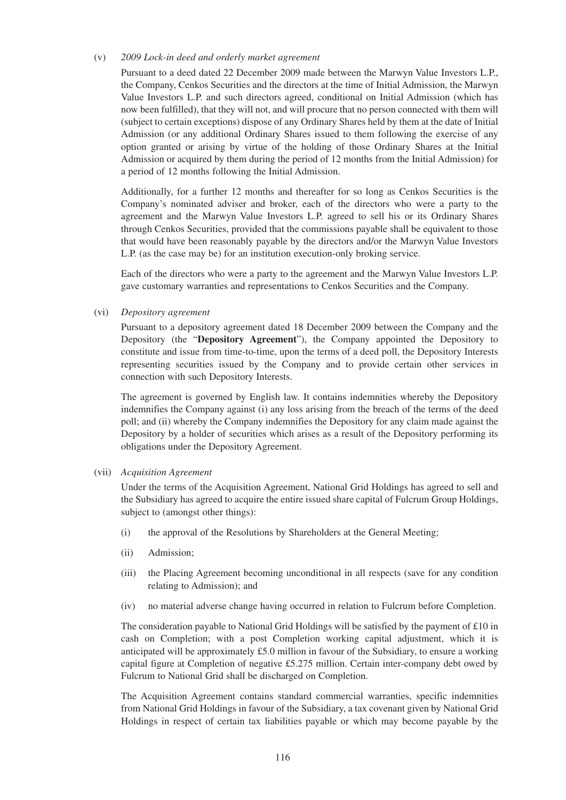#### (v) *2009 Lock-in deed and orderly market agreement*

Pursuant to a deed dated 22 December 2009 made between the Marwyn Value Investors L.P., the Company, Cenkos Securities and the directors at the time of Initial Admission, the Marwyn Value Investors L.P. and such directors agreed, conditional on Initial Admission (which has now been fulfilled), that they will not, and will procure that no person connected with them will (subject to certain exceptions) dispose of any Ordinary Shares held by them at the date of Initial Admission (or any additional Ordinary Shares issued to them following the exercise of any option granted or arising by virtue of the holding of those Ordinary Shares at the Initial Admission or acquired by them during the period of 12 months from the Initial Admission) for a period of 12 months following the Initial Admission.

Additionally, for a further 12 months and thereafter for so long as Cenkos Securities is the Company's nominated adviser and broker, each of the directors who were a party to the agreement and the Marwyn Value Investors L.P. agreed to sell his or its Ordinary Shares through Cenkos Securities, provided that the commissions payable shall be equivalent to those that would have been reasonably payable by the directors and/or the Marwyn Value Investors L.P. (as the case may be) for an institution execution-only broking service.

Each of the directors who were a party to the agreement and the Marwyn Value Investors L.P. gave customary warranties and representations to Cenkos Securities and the Company.

#### (vi) *Depository agreement*

Pursuant to a depository agreement dated 18 December 2009 between the Company and the Depository (the "**Depository Agreement**"), the Company appointed the Depository to constitute and issue from time-to-time, upon the terms of a deed poll, the Depository Interests representing securities issued by the Company and to provide certain other services in connection with such Depository Interests.

The agreement is governed by English law. It contains indemnities whereby the Depository indemnifies the Company against (i) any loss arising from the breach of the terms of the deed poll; and (ii) whereby the Company indemnifies the Depository for any claim made against the Depository by a holder of securities which arises as a result of the Depository performing its obligations under the Depository Agreement.

#### (vii) *Acquisition Agreement*

Under the terms of the Acquisition Agreement, National Grid Holdings has agreed to sell and the Subsidiary has agreed to acquire the entire issued share capital of Fulcrum Group Holdings, subject to (amongst other things):

- (i) the approval of the Resolutions by Shareholders at the General Meeting;
- (ii) Admission;
- (iii) the Placing Agreement becoming unconditional in all respects (save for any condition relating to Admission); and
- (iv) no material adverse change having occurred in relation to Fulcrum before Completion.

The consideration payable to National Grid Holdings will be satisfied by the payment of £10 in cash on Completion; with a post Completion working capital adjustment, which it is anticipated will be approximately £5.0 million in favour of the Subsidiary, to ensure a working capital figure at Completion of negative £5.275 million. Certain inter-company debt owed by Fulcrum to National Grid shall be discharged on Completion.

The Acquisition Agreement contains standard commercial warranties, specific indemnities from National Grid Holdings in favour of the Subsidiary, a tax covenant given by National Grid Holdings in respect of certain tax liabilities payable or which may become payable by the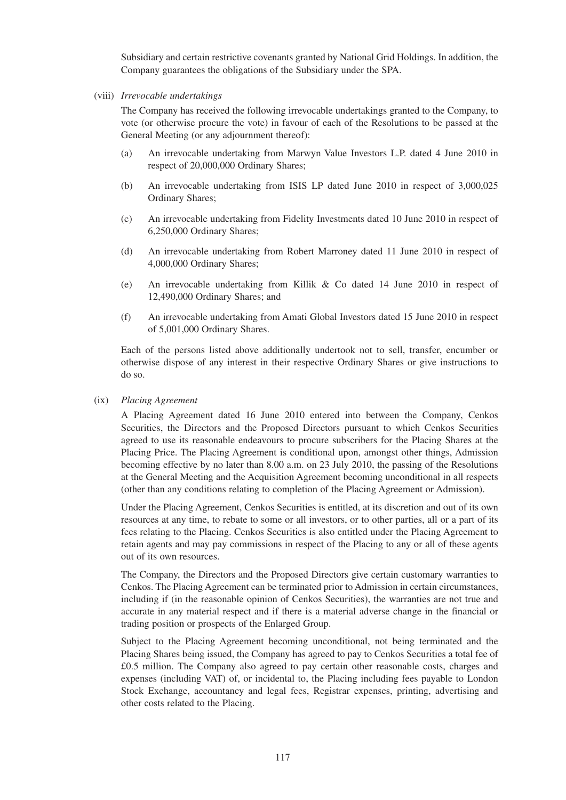Subsidiary and certain restrictive covenants granted by National Grid Holdings. In addition, the Company guarantees the obligations of the Subsidiary under the SPA.

#### (viii) *Irrevocable undertakings*

The Company has received the following irrevocable undertakings granted to the Company, to vote (or otherwise procure the vote) in favour of each of the Resolutions to be passed at the General Meeting (or any adjournment thereof):

- (a) An irrevocable undertaking from Marwyn Value Investors L.P. dated 4 June 2010 in respect of 20,000,000 Ordinary Shares;
- (b) An irrevocable undertaking from ISIS LP dated June 2010 in respect of 3,000,025 Ordinary Shares;
- (c) An irrevocable undertaking from Fidelity Investments dated 10 June 2010 in respect of 6,250,000 Ordinary Shares;
- (d) An irrevocable undertaking from Robert Marroney dated 11 June 2010 in respect of 4,000,000 Ordinary Shares;
- (e) An irrevocable undertaking from Killik & Co dated 14 June 2010 in respect of 12,490,000 Ordinary Shares; and
- (f) An irrevocable undertaking from Amati Global Investors dated 15 June 2010 in respect of 5,001,000 Ordinary Shares.

Each of the persons listed above additionally undertook not to sell, transfer, encumber or otherwise dispose of any interest in their respective Ordinary Shares or give instructions to do so.

#### (ix) *Placing Agreement*

A Placing Agreement dated 16 June 2010 entered into between the Company, Cenkos Securities, the Directors and the Proposed Directors pursuant to which Cenkos Securities agreed to use its reasonable endeavours to procure subscribers for the Placing Shares at the Placing Price. The Placing Agreement is conditional upon, amongst other things, Admission becoming effective by no later than 8.00 a.m. on 23 July 2010, the passing of the Resolutions at the General Meeting and the Acquisition Agreement becoming unconditional in all respects (other than any conditions relating to completion of the Placing Agreement or Admission).

Under the Placing Agreement, Cenkos Securities is entitled, at its discretion and out of its own resources at any time, to rebate to some or all investors, or to other parties, all or a part of its fees relating to the Placing. Cenkos Securities is also entitled under the Placing Agreement to retain agents and may pay commissions in respect of the Placing to any or all of these agents out of its own resources.

The Company, the Directors and the Proposed Directors give certain customary warranties to Cenkos. The Placing Agreement can be terminated prior to Admission in certain circumstances, including if (in the reasonable opinion of Cenkos Securities), the warranties are not true and accurate in any material respect and if there is a material adverse change in the financial or trading position or prospects of the Enlarged Group.

Subject to the Placing Agreement becoming unconditional, not being terminated and the Placing Shares being issued, the Company has agreed to pay to Cenkos Securities a total fee of £0.5 million. The Company also agreed to pay certain other reasonable costs, charges and expenses (including VAT) of, or incidental to, the Placing including fees payable to London Stock Exchange, accountancy and legal fees, Registrar expenses, printing, advertising and other costs related to the Placing.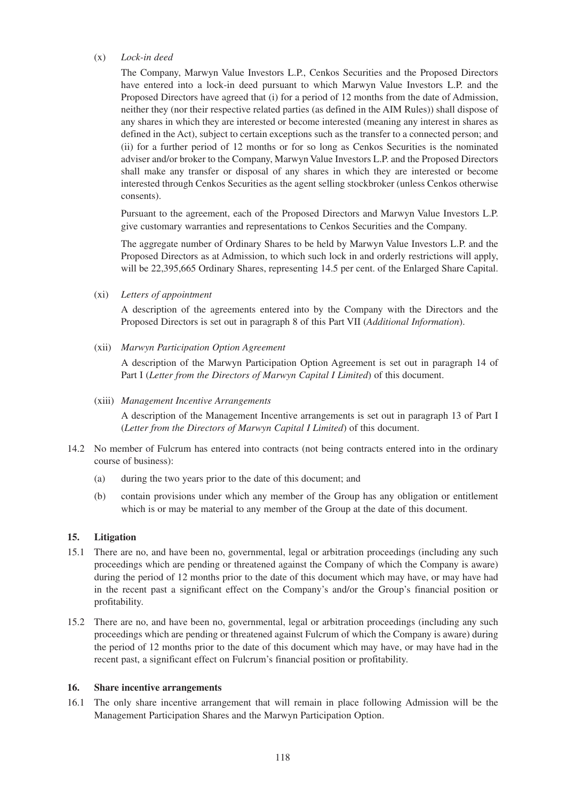#### (x) *Lock-in deed*

The Company, Marwyn Value Investors L.P., Cenkos Securities and the Proposed Directors have entered into a lock-in deed pursuant to which Marwyn Value Investors L.P. and the Proposed Directors have agreed that (i) for a period of 12 months from the date of Admission, neither they (nor their respective related parties (as defined in the AIM Rules)) shall dispose of any shares in which they are interested or become interested (meaning any interest in shares as defined in the Act), subject to certain exceptions such as the transfer to a connected person; and (ii) for a further period of 12 months or for so long as Cenkos Securities is the nominated adviser and/or broker to the Company, Marwyn Value Investors L.P. and the Proposed Directors shall make any transfer or disposal of any shares in which they are interested or become interested through Cenkos Securities as the agent selling stockbroker (unless Cenkos otherwise consents).

Pursuant to the agreement, each of the Proposed Directors and Marwyn Value Investors L.P. give customary warranties and representations to Cenkos Securities and the Company.

The aggregate number of Ordinary Shares to be held by Marwyn Value Investors L.P. and the Proposed Directors as at Admission, to which such lock in and orderly restrictions will apply, will be 22,395,665 Ordinary Shares, representing 14.5 per cent. of the Enlarged Share Capital.

#### (xi) *Letters of appointment*

A description of the agreements entered into by the Company with the Directors and the Proposed Directors is set out in paragraph 8 of this Part VII (*Additional Information*).

#### (xii) *Marwyn Participation Option Agreement*

A description of the Marwyn Participation Option Agreement is set out in paragraph 14 of Part I (*Letter from the Directors of Marwyn Capital I Limited*) of this document.

# (xiii) *Management Incentive Arrangements* A description of the Management Incentive arrangements is set out in paragraph 13 of Part I (*Letter from the Directors of Marwyn Capital I Limited*) of this document.

- 14.2 No member of Fulcrum has entered into contracts (not being contracts entered into in the ordinary course of business):
	- (a) during the two years prior to the date of this document; and
	- (b) contain provisions under which any member of the Group has any obligation or entitlement which is or may be material to any member of the Group at the date of this document.

### **15. Litigation**

- 15.1 There are no, and have been no, governmental, legal or arbitration proceedings (including any such proceedings which are pending or threatened against the Company of which the Company is aware) during the period of 12 months prior to the date of this document which may have, or may have had in the recent past a significant effect on the Company's and/or the Group's financial position or profitability.
- 15.2 There are no, and have been no, governmental, legal or arbitration proceedings (including any such proceedings which are pending or threatened against Fulcrum of which the Company is aware) during the period of 12 months prior to the date of this document which may have, or may have had in the recent past, a significant effect on Fulcrum's financial position or profitability.

#### **16. Share incentive arrangements**

16.1 The only share incentive arrangement that will remain in place following Admission will be the Management Participation Shares and the Marwyn Participation Option.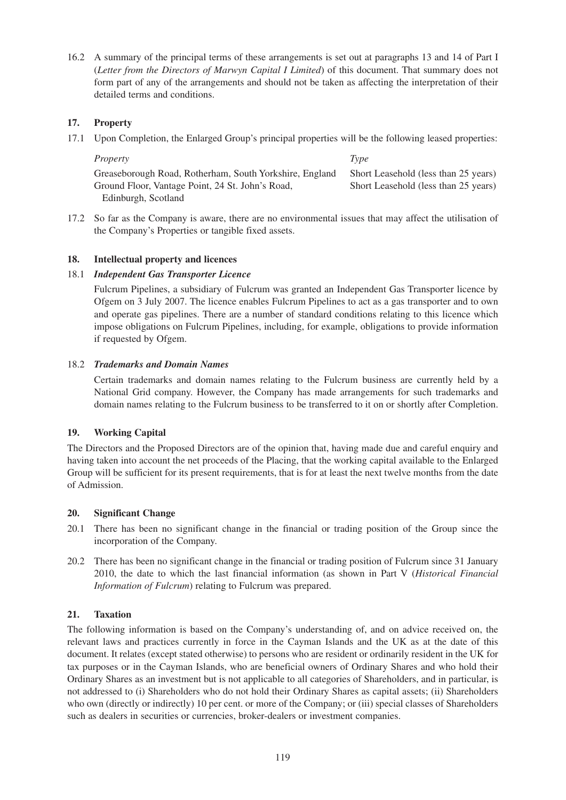16.2 A summary of the principal terms of these arrangements is set out at paragraphs 13 and 14 of Part I (*Letter from the Directors of Marwyn Capital I Limited*) of this document. That summary does not form part of any of the arrangements and should not be taken as affecting the interpretation of their detailed terms and conditions.

# **17. Property**

17.1 Upon Completion, the Enlarged Group's principal properties will be the following leased properties:

| <i>Property</i>                                         | Type                                 |
|---------------------------------------------------------|--------------------------------------|
| Greaseborough Road, Rotherham, South Yorkshire, England | Short Leasehold (less than 25 years) |
| Ground Floor, Vantage Point, 24 St. John's Road,        | Short Leasehold (less than 25 years) |
| Edinburgh, Scotland                                     |                                      |

17.2 So far as the Company is aware, there are no environmental issues that may affect the utilisation of the Company's Properties or tangible fixed assets.

#### **18. Intellectual property and licences**

#### 18.1 *Independent Gas Transporter Licence*

Fulcrum Pipelines, a subsidiary of Fulcrum was granted an Independent Gas Transporter licence by Ofgem on 3 July 2007. The licence enables Fulcrum Pipelines to act as a gas transporter and to own and operate gas pipelines. There are a number of standard conditions relating to this licence which impose obligations on Fulcrum Pipelines, including, for example, obligations to provide information if requested by Ofgem.

#### 18.2 *Trademarks and Domain Names*

Certain trademarks and domain names relating to the Fulcrum business are currently held by a National Grid company. However, the Company has made arrangements for such trademarks and domain names relating to the Fulcrum business to be transferred to it on or shortly after Completion.

### **19. Working Capital**

The Directors and the Proposed Directors are of the opinion that, having made due and careful enquiry and having taken into account the net proceeds of the Placing, that the working capital available to the Enlarged Group will be sufficient for its present requirements, that is for at least the next twelve months from the date of Admission.

#### **20. Significant Change**

- 20.1 There has been no significant change in the financial or trading position of the Group since the incorporation of the Company.
- 20.2 There has been no significant change in the financial or trading position of Fulcrum since 31 January 2010, the date to which the last financial information (as shown in Part V (*Historical Financial Information of Fulcrum*) relating to Fulcrum was prepared.

# **21. Taxation**

The following information is based on the Company's understanding of, and on advice received on, the relevant laws and practices currently in force in the Cayman Islands and the UK as at the date of this document. It relates (except stated otherwise) to persons who are resident or ordinarily resident in the UK for tax purposes or in the Cayman Islands, who are beneficial owners of Ordinary Shares and who hold their Ordinary Shares as an investment but is not applicable to all categories of Shareholders, and in particular, is not addressed to (i) Shareholders who do not hold their Ordinary Shares as capital assets; (ii) Shareholders who own (directly or indirectly) 10 per cent. or more of the Company; or (iii) special classes of Shareholders such as dealers in securities or currencies, broker-dealers or investment companies.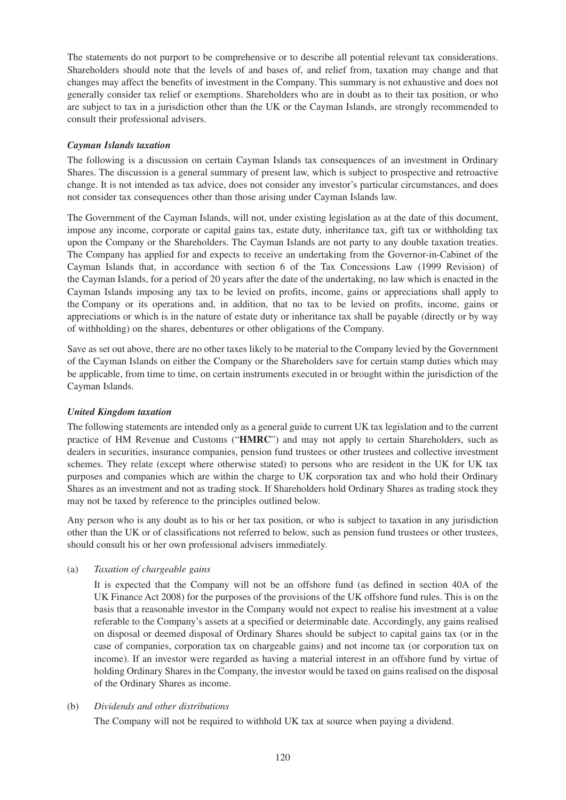The statements do not purport to be comprehensive or to describe all potential relevant tax considerations. Shareholders should note that the levels of and bases of, and relief from, taxation may change and that changes may affect the benefits of investment in the Company. This summary is not exhaustive and does not generally consider tax relief or exemptions. Shareholders who are in doubt as to their tax position, or who are subject to tax in a jurisdiction other than the UK or the Cayman Islands, are strongly recommended to consult their professional advisers.

#### *Cayman Islands taxation*

The following is a discussion on certain Cayman Islands tax consequences of an investment in Ordinary Shares. The discussion is a general summary of present law, which is subject to prospective and retroactive change. It is not intended as tax advice, does not consider any investor's particular circumstances, and does not consider tax consequences other than those arising under Cayman Islands law.

The Government of the Cayman Islands, will not, under existing legislation as at the date of this document, impose any income, corporate or capital gains tax, estate duty, inheritance tax, gift tax or withholding tax upon the Company or the Shareholders. The Cayman Islands are not party to any double taxation treaties. The Company has applied for and expects to receive an undertaking from the Governor-in-Cabinet of the Cayman Islands that, in accordance with section 6 of the Tax Concessions Law (1999 Revision) of the Cayman Islands, for a period of 20 years after the date of the undertaking, no law which is enacted in the Cayman Islands imposing any tax to be levied on profits, income, gains or appreciations shall apply to the Company or its operations and, in addition, that no tax to be levied on profits, income, gains or appreciations or which is in the nature of estate duty or inheritance tax shall be payable (directly or by way of withholding) on the shares, debentures or other obligations of the Company.

Save as set out above, there are no other taxes likely to be material to the Company levied by the Government of the Cayman Islands on either the Company or the Shareholders save for certain stamp duties which may be applicable, from time to time, on certain instruments executed in or brought within the jurisdiction of the Cayman Islands.

#### *United Kingdom taxation*

The following statements are intended only as a general guide to current UK tax legislation and to the current practice of HM Revenue and Customs ("**HMRC**") and may not apply to certain Shareholders, such as dealers in securities, insurance companies, pension fund trustees or other trustees and collective investment schemes. They relate (except where otherwise stated) to persons who are resident in the UK for UK tax purposes and companies which are within the charge to UK corporation tax and who hold their Ordinary Shares as an investment and not as trading stock. If Shareholders hold Ordinary Shares as trading stock they may not be taxed by reference to the principles outlined below.

Any person who is any doubt as to his or her tax position, or who is subject to taxation in any jurisdiction other than the UK or of classifications not referred to below, such as pension fund trustees or other trustees, should consult his or her own professional advisers immediately.

#### (a) *Taxation of chargeable gains*

It is expected that the Company will not be an offshore fund (as defined in section 40A of the UK Finance Act 2008) for the purposes of the provisions of the UK offshore fund rules. This is on the basis that a reasonable investor in the Company would not expect to realise his investment at a value referable to the Company's assets at a specified or determinable date. Accordingly, any gains realised on disposal or deemed disposal of Ordinary Shares should be subject to capital gains tax (or in the case of companies, corporation tax on chargeable gains) and not income tax (or corporation tax on income). If an investor were regarded as having a material interest in an offshore fund by virtue of holding Ordinary Shares in the Company, the investor would be taxed on gains realised on the disposal of the Ordinary Shares as income.

#### (b) *Dividends and other distributions*

The Company will not be required to withhold UK tax at source when paying a dividend.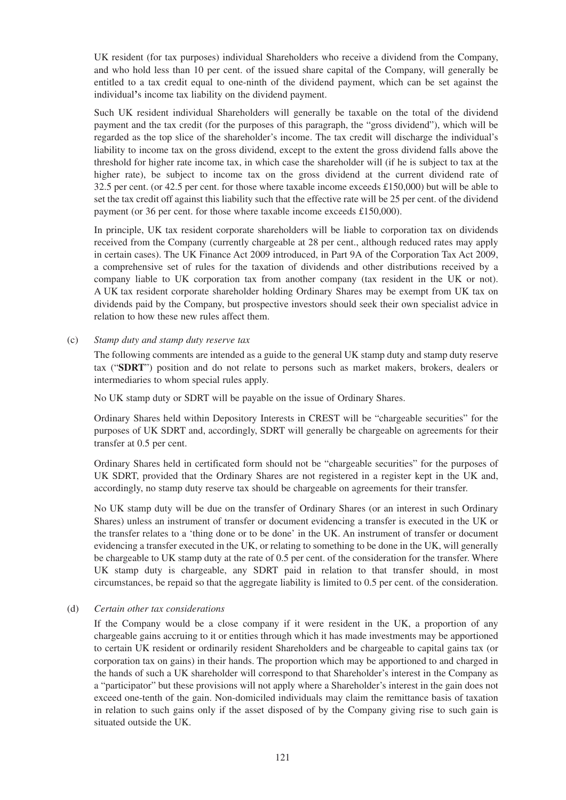UK resident (for tax purposes) individual Shareholders who receive a dividend from the Company, and who hold less than 10 per cent. of the issued share capital of the Company, will generally be entitled to a tax credit equal to one-ninth of the dividend payment, which can be set against the individual**'**s income tax liability on the dividend payment.

Such UK resident individual Shareholders will generally be taxable on the total of the dividend payment and the tax credit (for the purposes of this paragraph, the "gross dividend"), which will be regarded as the top slice of the shareholder's income. The tax credit will discharge the individual's liability to income tax on the gross dividend, except to the extent the gross dividend falls above the threshold for higher rate income tax, in which case the shareholder will (if he is subject to tax at the higher rate), be subject to income tax on the gross dividend at the current dividend rate of 32.5 per cent. (or 42.5 per cent. for those where taxable income exceeds £150,000) but will be able to set the tax credit off against this liability such that the effective rate will be 25 per cent. of the dividend payment (or 36 per cent. for those where taxable income exceeds £150,000).

In principle, UK tax resident corporate shareholders will be liable to corporation tax on dividends received from the Company (currently chargeable at 28 per cent., although reduced rates may apply in certain cases). The UK Finance Act 2009 introduced, in Part 9A of the Corporation Tax Act 2009, a comprehensive set of rules for the taxation of dividends and other distributions received by a company liable to UK corporation tax from another company (tax resident in the UK or not). A UK tax resident corporate shareholder holding Ordinary Shares may be exempt from UK tax on dividends paid by the Company, but prospective investors should seek their own specialist advice in relation to how these new rules affect them.

#### (c) *Stamp duty and stamp duty reserve tax*

The following comments are intended as a guide to the general UK stamp duty and stamp duty reserve tax ("**SDRT**") position and do not relate to persons such as market makers, brokers, dealers or intermediaries to whom special rules apply.

No UK stamp duty or SDRT will be payable on the issue of Ordinary Shares.

Ordinary Shares held within Depository Interests in CREST will be "chargeable securities" for the purposes of UK SDRT and, accordingly, SDRT will generally be chargeable on agreements for their transfer at 0.5 per cent.

Ordinary Shares held in certificated form should not be "chargeable securities" for the purposes of UK SDRT, provided that the Ordinary Shares are not registered in a register kept in the UK and, accordingly, no stamp duty reserve tax should be chargeable on agreements for their transfer.

No UK stamp duty will be due on the transfer of Ordinary Shares (or an interest in such Ordinary Shares) unless an instrument of transfer or document evidencing a transfer is executed in the UK or the transfer relates to a 'thing done or to be done' in the UK. An instrument of transfer or document evidencing a transfer executed in the UK, or relating to something to be done in the UK, will generally be chargeable to UK stamp duty at the rate of 0.5 per cent. of the consideration for the transfer. Where UK stamp duty is chargeable, any SDRT paid in relation to that transfer should, in most circumstances, be repaid so that the aggregate liability is limited to 0.5 per cent. of the consideration.

#### (d) *Certain other tax considerations*

If the Company would be a close company if it were resident in the UK, a proportion of any chargeable gains accruing to it or entities through which it has made investments may be apportioned to certain UK resident or ordinarily resident Shareholders and be chargeable to capital gains tax (or corporation tax on gains) in their hands. The proportion which may be apportioned to and charged in the hands of such a UK shareholder will correspond to that Shareholder's interest in the Company as a "participator" but these provisions will not apply where a Shareholder's interest in the gain does not exceed one-tenth of the gain. Non-domiciled individuals may claim the remittance basis of taxation in relation to such gains only if the asset disposed of by the Company giving rise to such gain is situated outside the UK.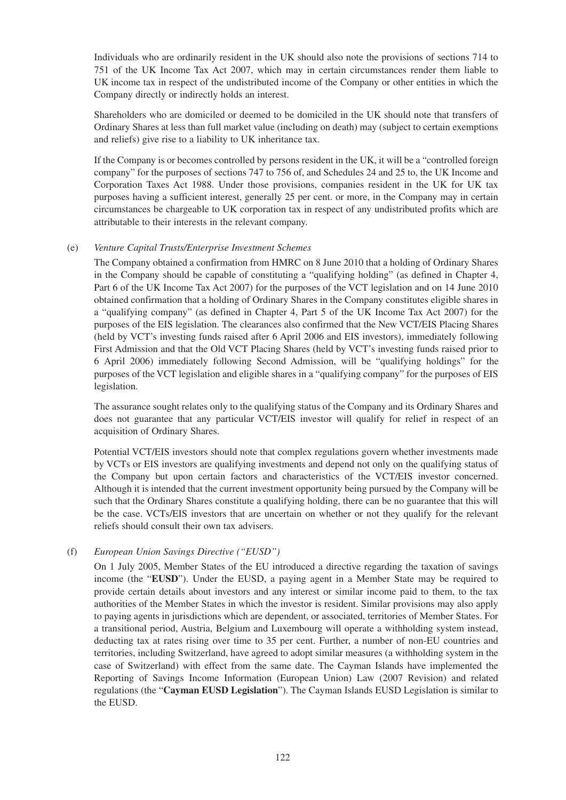Individuals who are ordinarily resident in the UK should also note the provisions of sections 714 to 751 of the UK Income Tax Act 2007, which may in certain circumstances render them liable to UK income tax in respect of the undistributed income of the Company or other entities in which the Company directly or indirectly holds an interest.

Shareholders who are domiciled or deemed to be domiciled in the UK should note that transfers of Ordinary Shares at less than full market value (including on death) may (subject to certain exemptions and reliefs) give rise to a liability to UK inheritance tax.

If the Company is or becomes controlled by persons resident in the UK, it will be a "controlled foreign company" for the purposes of sections 747 to 756 of, and Schedules 24 and 25 to, the UK Income and Corporation Taxes Act 1988. Under those provisions, companies resident in the UK for UK tax purposes having a sufficient interest, generally 25 per cent. or more, in the Company may in certain circumstances be chargeable to UK corporation tax in respect of any undistributed profits which are attributable to their interests in the relevant company.

#### (e) *Venture Capital Trusts/Enterprise Investment Schemes*

The Company obtained a confirmation from HMRC on 8 June 2010 that a holding of Ordinary Shares in the Company should be capable of constituting a "qualifying holding" (as defined in Chapter 4, Part 6 of the UK Income Tax Act 2007) for the purposes of the VCT legislation and on 14 June 2010 obtained confirmation that a holding of Ordinary Shares in the Company constitutes eligible shares in a "qualifying company" (as defined in Chapter 4, Part 5 of the UK Income Tax Act 2007) for the purposes of the EIS legislation. The clearances also confirmed that the New VCT/EIS Placing Shares (held by VCT's investing funds raised after 6 April 2006 and EIS investors), immediately following First Admission and that the Old VCT Placing Shares (held by VCT's investing funds raised prior to 6 April 2006) immediately following Second Admission, will be "qualifying holdings" for the purposes of the VCT legislation and eligible shares in a "qualifying company" for the purposes of EIS legislation.

The assurance sought relates only to the qualifying status of the Company and its Ordinary Shares and does not guarantee that any particular VCT/EIS investor will qualify for relief in respect of an acquisition of Ordinary Shares.

Potential VCT/EIS investors should note that complex regulations govern whether investments made by VCTs or EIS investors are qualifying investments and depend not only on the qualifying status of the Company but upon certain factors and characteristics of the VCT/EIS investor concerned. Although it is intended that the current investment opportunity being pursued by the Company will be such that the Ordinary Shares constitute a qualifying holding, there can be no guarantee that this will be the case. VCTs/EIS investors that are uncertain on whether or not they qualify for the relevant reliefs should consult their own tax advisers.

#### (f) *European Union Savings Directive ("EUSD")*

On 1 July 2005, Member States of the EU introduced a directive regarding the taxation of savings income (the "**EUSD**"). Under the EUSD, a paying agent in a Member State may be required to provide certain details about investors and any interest or similar income paid to them, to the tax authorities of the Member States in which the investor is resident. Similar provisions may also apply to paying agents in jurisdictions which are dependent, or associated, territories of Member States. For a transitional period, Austria, Belgium and Luxembourg will operate a withholding system instead, deducting tax at rates rising over time to 35 per cent. Further, a number of non-EU countries and territories, including Switzerland, have agreed to adopt similar measures (a withholding system in the case of Switzerland) with effect from the same date. The Cayman Islands have implemented the Reporting of Savings Income Information (European Union) Law (2007 Revision) and related regulations (the "**Cayman EUSD Legislation**"). The Cayman Islands EUSD Legislation is similar to the EUSD.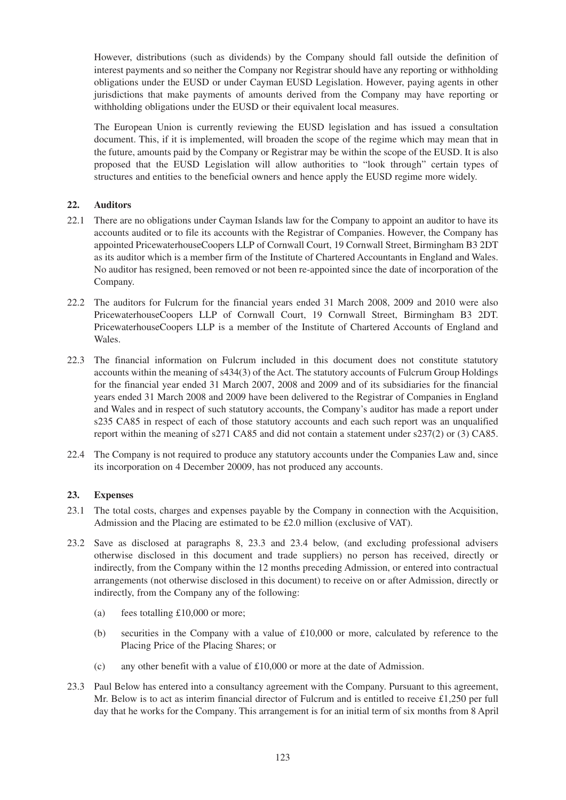However, distributions (such as dividends) by the Company should fall outside the definition of interest payments and so neither the Company nor Registrar should have any reporting or withholding obligations under the EUSD or under Cayman EUSD Legislation. However, paying agents in other jurisdictions that make payments of amounts derived from the Company may have reporting or withholding obligations under the EUSD or their equivalent local measures.

The European Union is currently reviewing the EUSD legislation and has issued a consultation document. This, if it is implemented, will broaden the scope of the regime which may mean that in the future, amounts paid by the Company or Registrar may be within the scope of the EUSD. It is also proposed that the EUSD Legislation will allow authorities to "look through" certain types of structures and entities to the beneficial owners and hence apply the EUSD regime more widely.

# **22. Auditors**

- 22.1 There are no obligations under Cayman Islands law for the Company to appoint an auditor to have its accounts audited or to file its accounts with the Registrar of Companies. However, the Company has appointed PricewaterhouseCoopers LLP of Cornwall Court, 19 Cornwall Street, Birmingham B3 2DT as its auditor which is a member firm of the Institute of Chartered Accountants in England and Wales. No auditor has resigned, been removed or not been re-appointed since the date of incorporation of the Company.
- 22.2 The auditors for Fulcrum for the financial years ended 31 March 2008, 2009 and 2010 were also PricewaterhouseCoopers LLP of Cornwall Court, 19 Cornwall Street, Birmingham B3 2DT. PricewaterhouseCoopers LLP is a member of the Institute of Chartered Accounts of England and Wales.
- 22.3 The financial information on Fulcrum included in this document does not constitute statutory accounts within the meaning of s434(3) of the Act. The statutory accounts of Fulcrum Group Holdings for the financial year ended 31 March 2007, 2008 and 2009 and of its subsidiaries for the financial years ended 31 March 2008 and 2009 have been delivered to the Registrar of Companies in England and Wales and in respect of such statutory accounts, the Company's auditor has made a report under s235 CA85 in respect of each of those statutory accounts and each such report was an unqualified report within the meaning of s271 CA85 and did not contain a statement under s237(2) or (3) CA85.
- 22.4 The Company is not required to produce any statutory accounts under the Companies Law and, since its incorporation on 4 December 20009, has not produced any accounts.

# **23. Expenses**

- 23.1 The total costs, charges and expenses payable by the Company in connection with the Acquisition, Admission and the Placing are estimated to be £2.0 million (exclusive of VAT).
- 23.2 Save as disclosed at paragraphs 8, 23.3 and 23.4 below, (and excluding professional advisers otherwise disclosed in this document and trade suppliers) no person has received, directly or indirectly, from the Company within the 12 months preceding Admission, or entered into contractual arrangements (not otherwise disclosed in this document) to receive on or after Admission, directly or indirectly, from the Company any of the following:
	- (a) fees totalling £10,000 or more;
	- (b) securities in the Company with a value of  $£10,000$  or more, calculated by reference to the Placing Price of the Placing Shares; or
	- (c) any other benefit with a value of £10,000 or more at the date of Admission.
- 23.3 Paul Below has entered into a consultancy agreement with the Company. Pursuant to this agreement, Mr. Below is to act as interim financial director of Fulcrum and is entitled to receive £1,250 per full day that he works for the Company. This arrangement is for an initial term of six months from 8 April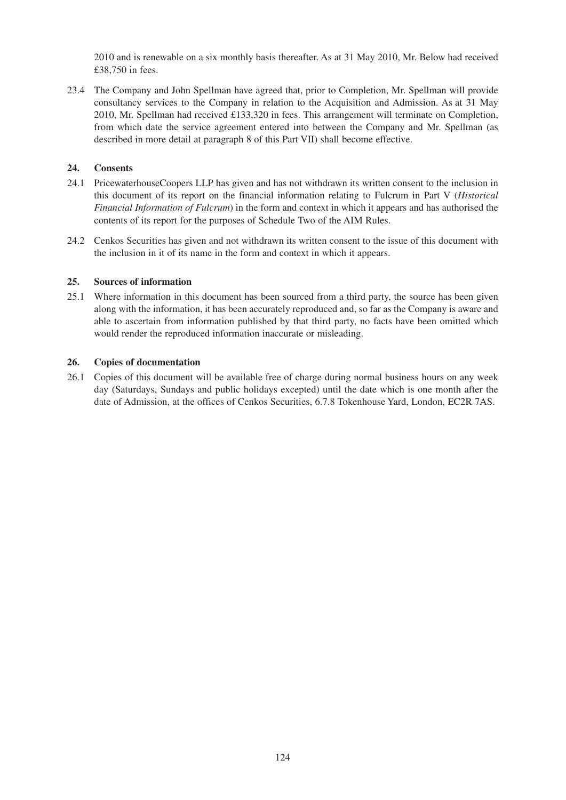2010 and is renewable on a six monthly basis thereafter. As at 31 May 2010, Mr. Below had received £38,750 in fees.

23.4 The Company and John Spellman have agreed that, prior to Completion, Mr. Spellman will provide consultancy services to the Company in relation to the Acquisition and Admission. As at 31 May 2010, Mr. Spellman had received £133,320 in fees. This arrangement will terminate on Completion, from which date the service agreement entered into between the Company and Mr. Spellman (as described in more detail at paragraph 8 of this Part VII) shall become effective.

#### **24. Consents**

- 24.1 PricewaterhouseCoopers LLP has given and has not withdrawn its written consent to the inclusion in this document of its report on the financial information relating to Fulcrum in Part V (*Historical Financial Information of Fulcrum*) in the form and context in which it appears and has authorised the contents of its report for the purposes of Schedule Two of the AIM Rules.
- 24.2 Cenkos Securities has given and not withdrawn its written consent to the issue of this document with the inclusion in it of its name in the form and context in which it appears.

# **25. Sources of information**

25.1 Where information in this document has been sourced from a third party, the source has been given along with the information, it has been accurately reproduced and, so far as the Company is aware and able to ascertain from information published by that third party, no facts have been omitted which would render the reproduced information inaccurate or misleading.

#### **26. Copies of documentation**

26.1 Copies of this document will be available free of charge during normal business hours on any week day (Saturdays, Sundays and public holidays excepted) until the date which is one month after the date of Admission, at the offices of Cenkos Securities, 6.7.8 Tokenhouse Yard, London, EC2R 7AS.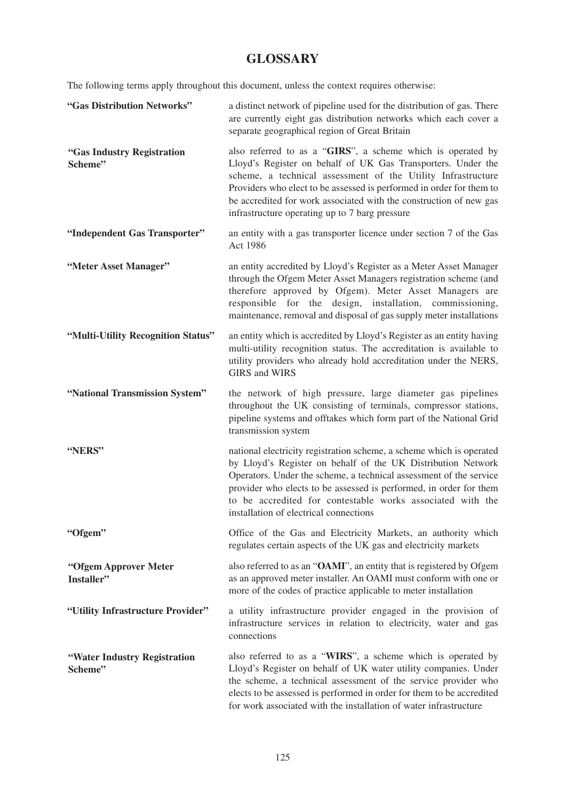# **GLOSSARY**

The following terms apply throughout this document, unless the context requires otherwise:

| "Gas Distribution Networks"             | a distinct network of pipeline used for the distribution of gas. There<br>are currently eight gas distribution networks which each cover a<br>separate geographical region of Great Britain                                                                                                                                                                                                 |
|-----------------------------------------|---------------------------------------------------------------------------------------------------------------------------------------------------------------------------------------------------------------------------------------------------------------------------------------------------------------------------------------------------------------------------------------------|
| "Gas Industry Registration<br>Scheme"   | also referred to as a "GIRS", a scheme which is operated by<br>Lloyd's Register on behalf of UK Gas Transporters. Under the<br>scheme, a technical assessment of the Utility Infrastructure<br>Providers who elect to be assessed is performed in order for them to<br>be accredited for work associated with the construction of new gas<br>infrastructure operating up to 7 barg pressure |
| "Independent Gas Transporter"           | an entity with a gas transporter licence under section 7 of the Gas<br>Act 1986                                                                                                                                                                                                                                                                                                             |
| "Meter Asset Manager"                   | an entity accredited by Lloyd's Register as a Meter Asset Manager<br>through the Ofgem Meter Asset Managers registration scheme (and<br>therefore approved by Ofgem). Meter Asset Managers are<br>responsible for the design, installation, commissioning,<br>maintenance, removal and disposal of gas supply meter installations                                                           |
| "Multi-Utility Recognition Status"      | an entity which is accredited by Lloyd's Register as an entity having<br>multi-utility recognition status. The accreditation is available to<br>utility providers who already hold accreditation under the NERS,<br><b>GIRS</b> and WIRS                                                                                                                                                    |
| "National Transmission System"          | the network of high pressure, large diameter gas pipelines<br>throughout the UK consisting of terminals, compressor stations,<br>pipeline systems and offtakes which form part of the National Grid<br>transmission system                                                                                                                                                                  |
| "NERS"                                  | national electricity registration scheme, a scheme which is operated<br>by Lloyd's Register on behalf of the UK Distribution Network<br>Operators. Under the scheme, a technical assessment of the service<br>provider who elects to be assessed is performed, in order for them<br>to be accredited for contestable works associated with the<br>installation of electrical connections    |
| "Ofgem"                                 | Office of the Gas and Electricity Markets, an authority which<br>regulates certain aspects of the UK gas and electricity markets                                                                                                                                                                                                                                                            |
| "Ofgem Approver Meter<br>Installer"     | also referred to as an "OAMI", an entity that is registered by Ofgem<br>as an approved meter installer. An OAMI must conform with one or<br>more of the codes of practice applicable to meter installation                                                                                                                                                                                  |
| "Utility Infrastructure Provider"       | a utility infrastructure provider engaged in the provision of<br>infrastructure services in relation to electricity, water and gas<br>connections                                                                                                                                                                                                                                           |
| "Water Industry Registration<br>Scheme" | also referred to as a "WIRS", a scheme which is operated by<br>Lloyd's Register on behalf of UK water utility companies. Under<br>the scheme, a technical assessment of the service provider who<br>elects to be assessed is performed in order for them to be accredited<br>for work associated with the installation of water infrastructure                                              |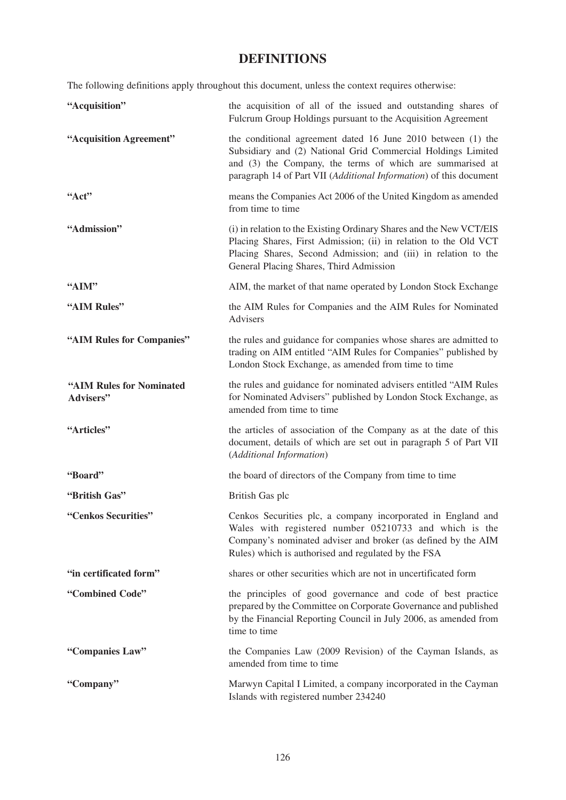# **DEFINITIONS**

The following definitions apply throughout this document, unless the context requires otherwise:

| "Acquisition"                         | the acquisition of all of the issued and outstanding shares of<br>Fulcrum Group Holdings pursuant to the Acquisition Agreement                                                                                                                                  |
|---------------------------------------|-----------------------------------------------------------------------------------------------------------------------------------------------------------------------------------------------------------------------------------------------------------------|
| "Acquisition Agreement"               | the conditional agreement dated 16 June 2010 between (1) the<br>Subsidiary and (2) National Grid Commercial Holdings Limited<br>and (3) the Company, the terms of which are summarised at<br>paragraph 14 of Part VII (Additional Information) of this document |
| "Act"                                 | means the Companies Act 2006 of the United Kingdom as amended<br>from time to time                                                                                                                                                                              |
| "Admission"                           | (i) in relation to the Existing Ordinary Shares and the New VCT/EIS<br>Placing Shares, First Admission; (ii) in relation to the Old VCT<br>Placing Shares, Second Admission; and (iii) in relation to the<br>General Placing Shares, Third Admission            |
| "AIM"                                 | AIM, the market of that name operated by London Stock Exchange                                                                                                                                                                                                  |
| "AIM Rules"                           | the AIM Rules for Companies and the AIM Rules for Nominated<br>Advisers                                                                                                                                                                                         |
| "AIM Rules for Companies"             | the rules and guidance for companies whose shares are admitted to<br>trading on AIM entitled "AIM Rules for Companies" published by<br>London Stock Exchange, as amended from time to time                                                                      |
| "AIM Rules for Nominated<br>Advisers" | the rules and guidance for nominated advisers entitled "AIM Rules"<br>for Nominated Advisers" published by London Stock Exchange, as<br>amended from time to time                                                                                               |
| "Articles"                            | the articles of association of the Company as at the date of this<br>document, details of which are set out in paragraph 5 of Part VII<br>(Additional Information)                                                                                              |
| "Board"                               | the board of directors of the Company from time to time                                                                                                                                                                                                         |
| "British Gas"                         | British Gas plc                                                                                                                                                                                                                                                 |
| "Cenkos Securities"                   | Cenkos Securities plc, a company incorporated in England and<br>Wales with registered number 05210733 and which is the<br>Company's nominated adviser and broker (as defined by the AIM<br>Rules) which is authorised and regulated by the FSA                  |
| "in certificated form"                | shares or other securities which are not in uncertificated form                                                                                                                                                                                                 |
| "Combined Code"                       | the principles of good governance and code of best practice<br>prepared by the Committee on Corporate Governance and published<br>by the Financial Reporting Council in July 2006, as amended from<br>time to time                                              |
| "Companies Law"                       | the Companies Law (2009 Revision) of the Cayman Islands, as<br>amended from time to time                                                                                                                                                                        |
| "Company"                             | Marwyn Capital I Limited, a company incorporated in the Cayman<br>Islands with registered number 234240                                                                                                                                                         |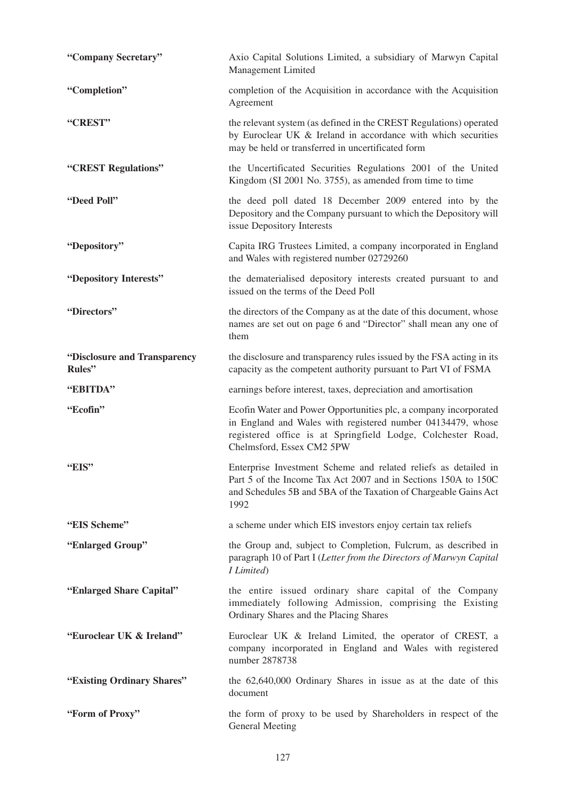| "Company Secretary"                    | Axio Capital Solutions Limited, a subsidiary of Marwyn Capital<br>Management Limited                                                                                                                                        |
|----------------------------------------|-----------------------------------------------------------------------------------------------------------------------------------------------------------------------------------------------------------------------------|
| "Completion"                           | completion of the Acquisition in accordance with the Acquisition<br>Agreement                                                                                                                                               |
| "CREST"                                | the relevant system (as defined in the CREST Regulations) operated<br>by Euroclear UK & Ireland in accordance with which securities<br>may be held or transferred in uncertificated form                                    |
| "CREST Regulations"                    | the Uncertificated Securities Regulations 2001 of the United<br>Kingdom (SI 2001 No. 3755), as amended from time to time                                                                                                    |
| "Deed Poll"                            | the deed poll dated 18 December 2009 entered into by the<br>Depository and the Company pursuant to which the Depository will<br>issue Depository Interests                                                                  |
| "Depository"                           | Capita IRG Trustees Limited, a company incorporated in England<br>and Wales with registered number 02729260                                                                                                                 |
| "Depository Interests"                 | the dematerialised depository interests created pursuant to and<br>issued on the terms of the Deed Poll                                                                                                                     |
| "Directors"                            | the directors of the Company as at the date of this document, whose<br>names are set out on page 6 and "Director" shall mean any one of<br>them                                                                             |
| "Disclosure and Transparency<br>Rules" | the disclosure and transparency rules issued by the FSA acting in its<br>capacity as the competent authority pursuant to Part VI of FSMA                                                                                    |
| "EBITDA"                               | earnings before interest, taxes, depreciation and amortisation                                                                                                                                                              |
| "Ecofin"                               | Ecofin Water and Power Opportunities plc, a company incorporated<br>in England and Wales with registered number 04134479, whose<br>registered office is at Springfield Lodge, Colchester Road,<br>Chelmsford, Essex CM2 5PW |
| "EIS"                                  | Enterprise Investment Scheme and related reliefs as detailed in<br>Part 5 of the Income Tax Act 2007 and in Sections 150A to 150C<br>and Schedules 5B and 5BA of the Taxation of Chargeable Gains Act<br>1992               |
| "EIS Scheme"                           | a scheme under which EIS investors enjoy certain tax reliefs                                                                                                                                                                |
| "Enlarged Group"                       | the Group and, subject to Completion, Fulcrum, as described in<br>paragraph 10 of Part I (Letter from the Directors of Marwyn Capital<br>I Limited)                                                                         |
| "Enlarged Share Capital"               | the entire issued ordinary share capital of the Company<br>immediately following Admission, comprising the Existing<br>Ordinary Shares and the Placing Shares                                                               |
| "Euroclear UK & Ireland"               | Euroclear UK & Ireland Limited, the operator of CREST, a<br>company incorporated in England and Wales with registered<br>number 2878738                                                                                     |
| "Existing Ordinary Shares"             | the 62,640,000 Ordinary Shares in issue as at the date of this<br>document                                                                                                                                                  |
| "Form of Proxy"                        | the form of proxy to be used by Shareholders in respect of the<br><b>General Meeting</b>                                                                                                                                    |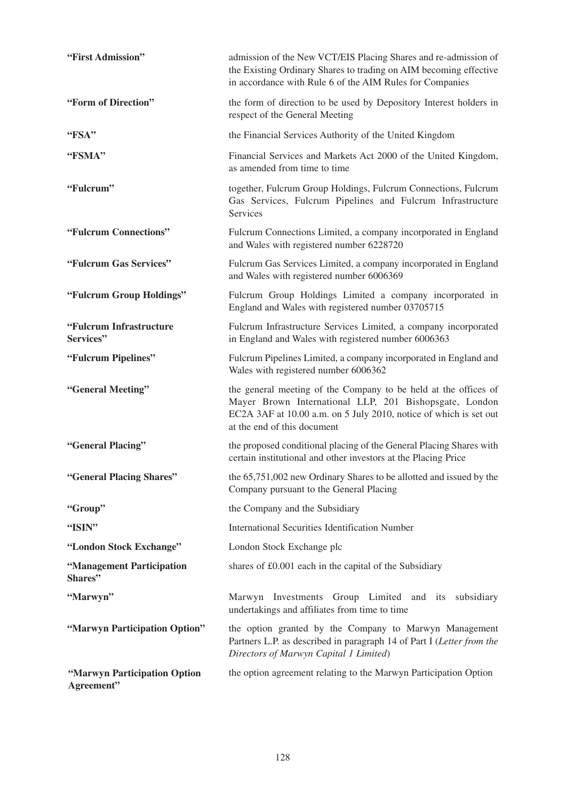| "First Admission"                          | admission of the New VCT/EIS Placing Shares and re-admission of<br>the Existing Ordinary Shares to trading on AIM becoming effective<br>in accordance with Rule 6 of the AIM Rules for Companies                              |
|--------------------------------------------|-------------------------------------------------------------------------------------------------------------------------------------------------------------------------------------------------------------------------------|
| "Form of Direction"                        | the form of direction to be used by Depository Interest holders in<br>respect of the General Meeting                                                                                                                          |
| "FSA"                                      | the Financial Services Authority of the United Kingdom                                                                                                                                                                        |
| "FSMA"                                     | Financial Services and Markets Act 2000 of the United Kingdom,<br>as amended from time to time                                                                                                                                |
| "Fulcrum"                                  | together, Fulcrum Group Holdings, Fulcrum Connections, Fulcrum<br>Gas Services, Fulcrum Pipelines and Fulcrum Infrastructure<br><b>Services</b>                                                                               |
| "Fulcrum Connections"                      | Fulcrum Connections Limited, a company incorporated in England<br>and Wales with registered number 6228720                                                                                                                    |
| "Fulcrum Gas Services"                     | Fulcrum Gas Services Limited, a company incorporated in England<br>and Wales with registered number 6006369                                                                                                                   |
| "Fulcrum Group Holdings"                   | Fulcrum Group Holdings Limited a company incorporated in<br>England and Wales with registered number 03705715                                                                                                                 |
| "Fulcrum Infrastructure<br>Services"       | Fulcrum Infrastructure Services Limited, a company incorporated<br>in England and Wales with registered number 6006363                                                                                                        |
| "Fulcrum Pipelines"                        | Fulcrum Pipelines Limited, a company incorporated in England and<br>Wales with registered number 6006362                                                                                                                      |
| "General Meeting"                          | the general meeting of the Company to be held at the offices of<br>Mayer Brown International LLP, 201 Bishopsgate, London<br>EC2A 3AF at 10.00 a.m. on 5 July 2010, notice of which is set out<br>at the end of this document |
| "General Placing"                          | the proposed conditional placing of the General Placing Shares with<br>certain institutional and other investors at the Placing Price                                                                                         |
| "General Placing Shares"                   | the 65,751,002 new Ordinary Shares to be allotted and issued by the<br>Company pursuant to the General Placing                                                                                                                |
| "Group"                                    | the Company and the Subsidiary                                                                                                                                                                                                |
| "ISIN"                                     | <b>International Securities Identification Number</b>                                                                                                                                                                         |
| "London Stock Exchange"                    | London Stock Exchange plc                                                                                                                                                                                                     |
| "Management Participation<br>Shares"       | shares of £0.001 each in the capital of the Subsidiary                                                                                                                                                                        |
| "Marwyn"                                   | Marwyn Investments Group Limited and its<br>subsidiary<br>undertakings and affiliates from time to time                                                                                                                       |
| "Marwyn Participation Option"              | the option granted by the Company to Marwyn Management<br>Partners L.P. as described in paragraph 14 of Part I (Letter from the<br>Directors of Marwyn Capital 1 Limited)                                                     |
| "Marwyn Participation Option<br>Agreement" | the option agreement relating to the Marwyn Participation Option                                                                                                                                                              |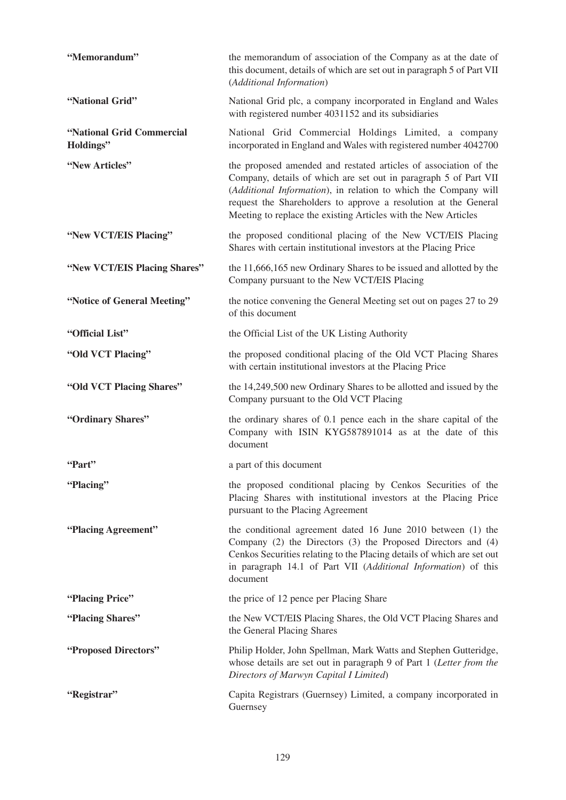| "Memorandum"                           | the memorandum of association of the Company as at the date of<br>this document, details of which are set out in paragraph 5 of Part VII<br>(Additional Information)                                                                                                                                                                         |
|----------------------------------------|----------------------------------------------------------------------------------------------------------------------------------------------------------------------------------------------------------------------------------------------------------------------------------------------------------------------------------------------|
| "National Grid"                        | National Grid plc, a company incorporated in England and Wales<br>with registered number 4031152 and its subsidiaries                                                                                                                                                                                                                        |
| "National Grid Commercial<br>Holdings" | National Grid Commercial Holdings Limited, a company<br>incorporated in England and Wales with registered number 4042700                                                                                                                                                                                                                     |
| "New Articles"                         | the proposed amended and restated articles of association of the<br>Company, details of which are set out in paragraph 5 of Part VII<br>(Additional Information), in relation to which the Company will<br>request the Shareholders to approve a resolution at the General<br>Meeting to replace the existing Articles with the New Articles |
| "New VCT/EIS Placing"                  | the proposed conditional placing of the New VCT/EIS Placing<br>Shares with certain institutional investors at the Placing Price                                                                                                                                                                                                              |
| "New VCT/EIS Placing Shares"           | the 11,666,165 new Ordinary Shares to be issued and allotted by the<br>Company pursuant to the New VCT/EIS Placing                                                                                                                                                                                                                           |
| "Notice of General Meeting"            | the notice convening the General Meeting set out on pages 27 to 29<br>of this document                                                                                                                                                                                                                                                       |
| "Official List"                        | the Official List of the UK Listing Authority                                                                                                                                                                                                                                                                                                |
| "Old VCT Placing"                      | the proposed conditional placing of the Old VCT Placing Shares<br>with certain institutional investors at the Placing Price                                                                                                                                                                                                                  |
| "Old VCT Placing Shares"               | the 14,249,500 new Ordinary Shares to be allotted and issued by the<br>Company pursuant to the Old VCT Placing                                                                                                                                                                                                                               |
| "Ordinary Shares"                      | the ordinary shares of 0.1 pence each in the share capital of the<br>Company with ISIN KYG587891014 as at the date of this<br>document                                                                                                                                                                                                       |
| "Part"                                 | a part of this document                                                                                                                                                                                                                                                                                                                      |
| "Placing"                              | the proposed conditional placing by Cenkos Securities of the<br>Placing Shares with institutional investors at the Placing Price<br>pursuant to the Placing Agreement                                                                                                                                                                        |
|                                        |                                                                                                                                                                                                                                                                                                                                              |
| "Placing Agreement"                    | the conditional agreement dated 16 June 2010 between (1) the<br>Company $(2)$ the Directors $(3)$ the Proposed Directors and $(4)$<br>Cenkos Securities relating to the Placing details of which are set out<br>in paragraph 14.1 of Part VII (Additional Information) of this<br>document                                                   |
| "Placing Price"                        | the price of 12 pence per Placing Share                                                                                                                                                                                                                                                                                                      |
| "Placing Shares"                       | the New VCT/EIS Placing Shares, the Old VCT Placing Shares and<br>the General Placing Shares                                                                                                                                                                                                                                                 |
| "Proposed Directors"                   | Philip Holder, John Spellman, Mark Watts and Stephen Gutteridge,<br>whose details are set out in paragraph 9 of Part 1 (Letter from the<br>Directors of Marwyn Capital I Limited)                                                                                                                                                            |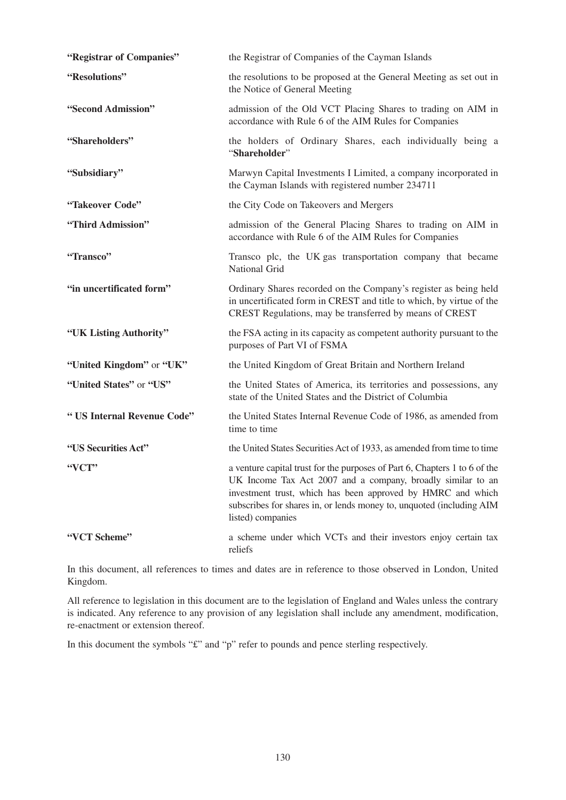| "Registrar of Companies"   | the Registrar of Companies of the Cayman Islands                                                                                                                                                                                                                                                      |
|----------------------------|-------------------------------------------------------------------------------------------------------------------------------------------------------------------------------------------------------------------------------------------------------------------------------------------------------|
| "Resolutions"              | the resolutions to be proposed at the General Meeting as set out in<br>the Notice of General Meeting                                                                                                                                                                                                  |
| "Second Admission"         | admission of the Old VCT Placing Shares to trading on AIM in<br>accordance with Rule 6 of the AIM Rules for Companies                                                                                                                                                                                 |
| "Shareholders"             | the holders of Ordinary Shares, each individually being a<br>"Shareholder"                                                                                                                                                                                                                            |
| "Subsidiary"               | Marwyn Capital Investments I Limited, a company incorporated in<br>the Cayman Islands with registered number 234711                                                                                                                                                                                   |
| "Takeover Code"            | the City Code on Takeovers and Mergers                                                                                                                                                                                                                                                                |
| "Third Admission"          | admission of the General Placing Shares to trading on AIM in<br>accordance with Rule 6 of the AIM Rules for Companies                                                                                                                                                                                 |
| "Transco"                  | Transco plc, the UK gas transportation company that became<br>National Grid                                                                                                                                                                                                                           |
| "in uncertificated form"   | Ordinary Shares recorded on the Company's register as being held<br>in uncertificated form in CREST and title to which, by virtue of the<br>CREST Regulations, may be transferred by means of CREST                                                                                                   |
| "UK Listing Authority"     | the FSA acting in its capacity as competent authority pursuant to the<br>purposes of Part VI of FSMA                                                                                                                                                                                                  |
| "United Kingdom" or "UK"   | the United Kingdom of Great Britain and Northern Ireland                                                                                                                                                                                                                                              |
| "United States" or "US"    | the United States of America, its territories and possessions, any<br>state of the United States and the District of Columbia                                                                                                                                                                         |
| "US Internal Revenue Code" | the United States Internal Revenue Code of 1986, as amended from<br>time to time                                                                                                                                                                                                                      |
| "US Securities Act"        | the United States Securities Act of 1933, as amended from time to time                                                                                                                                                                                                                                |
| "VCT"                      | a venture capital trust for the purposes of Part 6, Chapters 1 to 6 of the<br>UK Income Tax Act 2007 and a company, broadly similar to an<br>investment trust, which has been approved by HMRC and which<br>subscribes for shares in, or lends money to, unquoted (including AIM<br>listed) companies |
| "VCT Scheme"               | a scheme under which VCTs and their investors enjoy certain tax<br>reliefs                                                                                                                                                                                                                            |

In this document, all references to times and dates are in reference to those observed in London, United Kingdom.

All reference to legislation in this document are to the legislation of England and Wales unless the contrary is indicated. Any reference to any provision of any legislation shall include any amendment, modification, re-enactment or extension thereof.

In this document the symbols "£" and "p" refer to pounds and pence sterling respectively.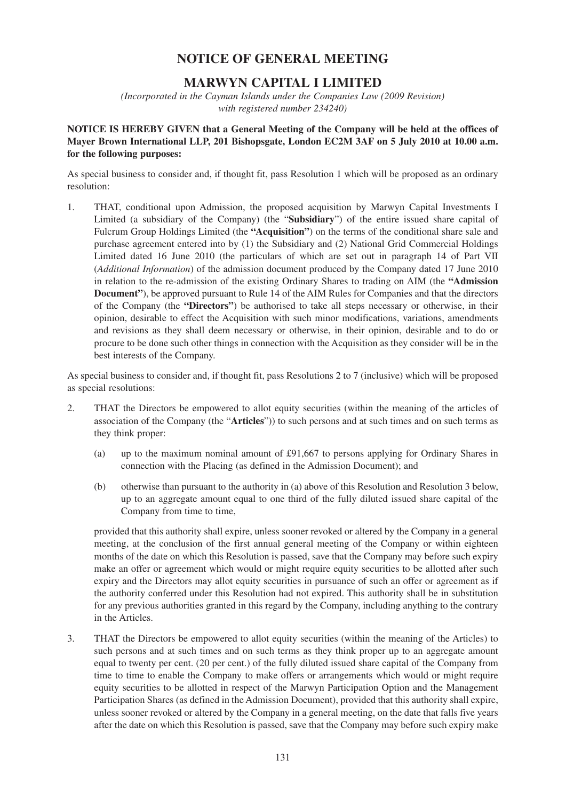# **NOTICE OF GENERAL MEETING**

# **MARWYN CAPITAL I LIMITED**

*(Incorporated in the Cayman Islands under the Companies Law (2009 Revision) with registered number 234240)*

#### **NOTICE IS HEREBY GIVEN that a General Meeting of the Company will be held at the offices of Mayer Brown International LLP, 201 Bishopsgate, London EC2M 3AF on 5 July 2010 at 10.00 a.m. for the following purposes:**

As special business to consider and, if thought fit, pass Resolution 1 which will be proposed as an ordinary resolution:

1. THAT, conditional upon Admission, the proposed acquisition by Marwyn Capital Investments I Limited (a subsidiary of the Company) (the "**Subsidiary**") of the entire issued share capital of Fulcrum Group Holdings Limited (the **"Acquisition"**) on the terms of the conditional share sale and purchase agreement entered into by (1) the Subsidiary and (2) National Grid Commercial Holdings Limited dated 16 June 2010 (the particulars of which are set out in paragraph 14 of Part VII (*Additional Information*) of the admission document produced by the Company dated 17 June 2010 in relation to the re-admission of the existing Ordinary Shares to trading on AIM (the **"Admission Document"**), be approved pursuant to Rule 14 of the AIM Rules for Companies and that the directors of the Company (the **"Directors"**) be authorised to take all steps necessary or otherwise, in their opinion, desirable to effect the Acquisition with such minor modifications, variations, amendments and revisions as they shall deem necessary or otherwise, in their opinion, desirable and to do or procure to be done such other things in connection with the Acquisition as they consider will be in the best interests of the Company.

As special business to consider and, if thought fit, pass Resolutions 2 to 7 (inclusive) which will be proposed as special resolutions:

- 2. THAT the Directors be empowered to allot equity securities (within the meaning of the articles of association of the Company (the "**Articles**")) to such persons and at such times and on such terms as they think proper:
	- (a) up to the maximum nominal amount of £91,667 to persons applying for Ordinary Shares in connection with the Placing (as defined in the Admission Document); and
	- (b) otherwise than pursuant to the authority in (a) above of this Resolution and Resolution 3 below, up to an aggregate amount equal to one third of the fully diluted issued share capital of the Company from time to time,

provided that this authority shall expire, unless sooner revoked or altered by the Company in a general meeting, at the conclusion of the first annual general meeting of the Company or within eighteen months of the date on which this Resolution is passed, save that the Company may before such expiry make an offer or agreement which would or might require equity securities to be allotted after such expiry and the Directors may allot equity securities in pursuance of such an offer or agreement as if the authority conferred under this Resolution had not expired. This authority shall be in substitution for any previous authorities granted in this regard by the Company, including anything to the contrary in the Articles.

3. THAT the Directors be empowered to allot equity securities (within the meaning of the Articles) to such persons and at such times and on such terms as they think proper up to an aggregate amount equal to twenty per cent. (20 per cent.) of the fully diluted issued share capital of the Company from time to time to enable the Company to make offers or arrangements which would or might require equity securities to be allotted in respect of the Marwyn Participation Option and the Management Participation Shares (as defined in the Admission Document), provided that this authority shall expire, unless sooner revoked or altered by the Company in a general meeting, on the date that falls five years after the date on which this Resolution is passed, save that the Company may before such expiry make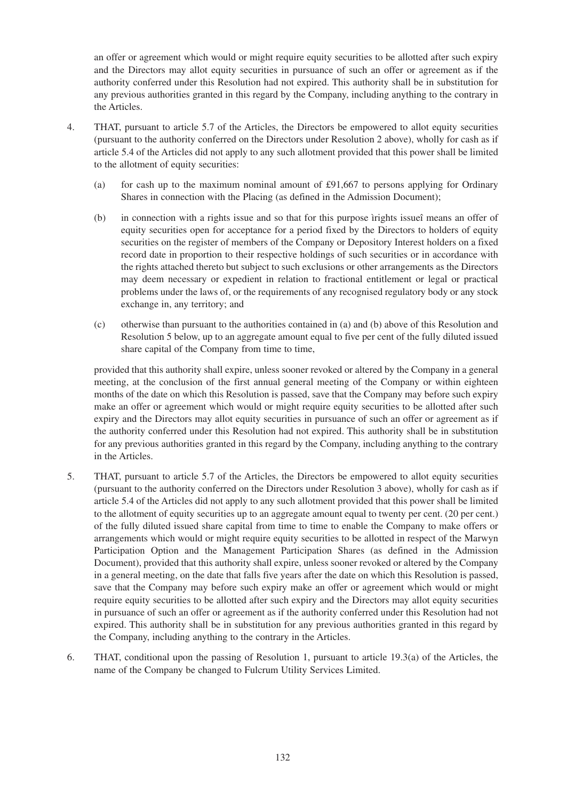an offer or agreement which would or might require equity securities to be allotted after such expiry and the Directors may allot equity securities in pursuance of such an offer or agreement as if the authority conferred under this Resolution had not expired. This authority shall be in substitution for any previous authorities granted in this regard by the Company, including anything to the contrary in the Articles.

- 4. THAT, pursuant to article 5.7 of the Articles, the Directors be empowered to allot equity securities (pursuant to the authority conferred on the Directors under Resolution 2 above), wholly for cash as if article 5.4 of the Articles did not apply to any such allotment provided that this power shall be limited to the allotment of equity securities:
	- (a) for cash up to the maximum nominal amount of £91,667 to persons applying for Ordinary Shares in connection with the Placing (as defined in the Admission Document);
	- (b) in connection with a rights issue and so that for this purpose ìrights issueî means an offer of equity securities open for acceptance for a period fixed by the Directors to holders of equity securities on the register of members of the Company or Depository Interest holders on a fixed record date in proportion to their respective holdings of such securities or in accordance with the rights attached thereto but subject to such exclusions or other arrangements as the Directors may deem necessary or expedient in relation to fractional entitlement or legal or practical problems under the laws of, or the requirements of any recognised regulatory body or any stock exchange in, any territory; and
	- (c) otherwise than pursuant to the authorities contained in (a) and (b) above of this Resolution and Resolution 5 below, up to an aggregate amount equal to five per cent of the fully diluted issued share capital of the Company from time to time,

provided that this authority shall expire, unless sooner revoked or altered by the Company in a general meeting, at the conclusion of the first annual general meeting of the Company or within eighteen months of the date on which this Resolution is passed, save that the Company may before such expiry make an offer or agreement which would or might require equity securities to be allotted after such expiry and the Directors may allot equity securities in pursuance of such an offer or agreement as if the authority conferred under this Resolution had not expired. This authority shall be in substitution for any previous authorities granted in this regard by the Company, including anything to the contrary in the Articles.

- 5. THAT, pursuant to article 5.7 of the Articles, the Directors be empowered to allot equity securities (pursuant to the authority conferred on the Directors under Resolution 3 above), wholly for cash as if article 5.4 of the Articles did not apply to any such allotment provided that this power shall be limited to the allotment of equity securities up to an aggregate amount equal to twenty per cent. (20 per cent.) of the fully diluted issued share capital from time to time to enable the Company to make offers or arrangements which would or might require equity securities to be allotted in respect of the Marwyn Participation Option and the Management Participation Shares (as defined in the Admission Document), provided that this authority shall expire, unless sooner revoked or altered by the Company in a general meeting, on the date that falls five years after the date on which this Resolution is passed, save that the Company may before such expiry make an offer or agreement which would or might require equity securities to be allotted after such expiry and the Directors may allot equity securities in pursuance of such an offer or agreement as if the authority conferred under this Resolution had not expired. This authority shall be in substitution for any previous authorities granted in this regard by the Company, including anything to the contrary in the Articles.
- 6. THAT, conditional upon the passing of Resolution 1, pursuant to article 19.3(a) of the Articles, the name of the Company be changed to Fulcrum Utility Services Limited.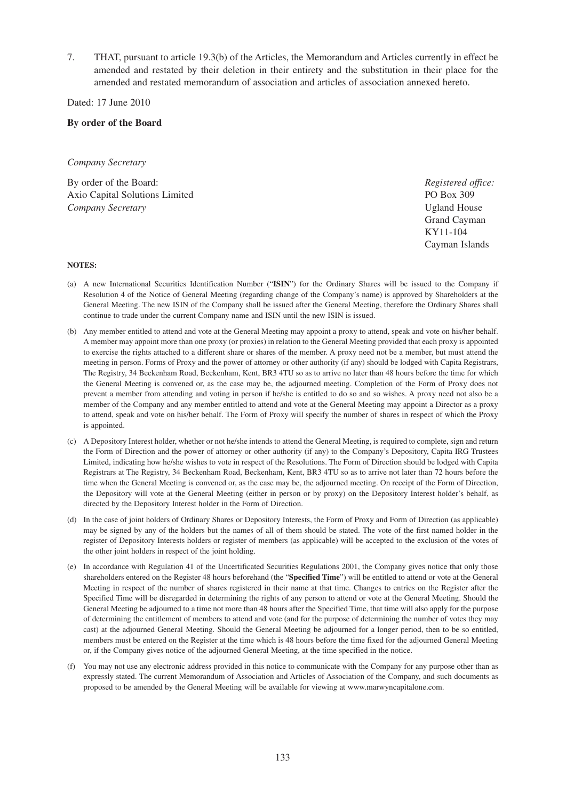7. THAT, pursuant to article 19.3(b) of the Articles, the Memorandum and Articles currently in effect be amended and restated by their deletion in their entirety and the substitution in their place for the amended and restated memorandum of association and articles of association annexed hereto.

Dated: 17 June 2010

#### **By order of the Board**

*Company Secretary*

By order of the Board: *Registered office:* Axio Capital Solutions Limited **PO** Box 309 *Company Secretary* Ugland House

Grand Cayman KY11-104 Cayman Islands

#### **NOTES:**

- (a) A new International Securities Identification Number ("**ISIN**") for the Ordinary Shares will be issued to the Company if Resolution 4 of the Notice of General Meeting (regarding change of the Company's name) is approved by Shareholders at the General Meeting. The new ISIN of the Company shall be issued after the General Meeting, therefore the Ordinary Shares shall continue to trade under the current Company name and ISIN until the new ISIN is issued.
- (b) Any member entitled to attend and vote at the General Meeting may appoint a proxy to attend, speak and vote on his/her behalf. A member may appoint more than one proxy (or proxies) in relation to the General Meeting provided that each proxy is appointed to exercise the rights attached to a different share or shares of the member. A proxy need not be a member, but must attend the meeting in person. Forms of Proxy and the power of attorney or other authority (if any) should be lodged with Capita Registrars, The Registry, 34 Beckenham Road, Beckenham, Kent, BR3 4TU so as to arrive no later than 48 hours before the time for which the General Meeting is convened or, as the case may be, the adjourned meeting. Completion of the Form of Proxy does not prevent a member from attending and voting in person if he/she is entitled to do so and so wishes. A proxy need not also be a member of the Company and any member entitled to attend and vote at the General Meeting may appoint a Director as a proxy to attend, speak and vote on his/her behalf. The Form of Proxy will specify the number of shares in respect of which the Proxy is appointed.
- (c) A Depository Interest holder, whether or not he/she intends to attend the General Meeting, is required to complete, sign and return the Form of Direction and the power of attorney or other authority (if any) to the Company's Depository, Capita IRG Trustees Limited, indicating how he/she wishes to vote in respect of the Resolutions. The Form of Direction should be lodged with Capita Registrars at The Registry, 34 Beckenham Road, Beckenham, Kent, BR3 4TU so as to arrive not later than 72 hours before the time when the General Meeting is convened or, as the case may be, the adjourned meeting. On receipt of the Form of Direction, the Depository will vote at the General Meeting (either in person or by proxy) on the Depository Interest holder's behalf, as directed by the Depository Interest holder in the Form of Direction.
- (d) In the case of joint holders of Ordinary Shares or Depository Interests, the Form of Proxy and Form of Direction (as applicable) may be signed by any of the holders but the names of all of them should be stated. The vote of the first named holder in the register of Depository Interests holders or register of members (as applicable) will be accepted to the exclusion of the votes of the other joint holders in respect of the joint holding.
- (e) In accordance with Regulation 41 of the Uncertificated Securities Regulations 2001, the Company gives notice that only those shareholders entered on the Register 48 hours beforehand (the "**Specified Time**") will be entitled to attend or vote at the General Meeting in respect of the number of shares registered in their name at that time. Changes to entries on the Register after the Specified Time will be disregarded in determining the rights of any person to attend or vote at the General Meeting. Should the General Meeting be adjourned to a time not more than 48 hours after the Specified Time, that time will also apply for the purpose of determining the entitlement of members to attend and vote (and for the purpose of determining the number of votes they may cast) at the adjourned General Meeting. Should the General Meeting be adjourned for a longer period, then to be so entitled, members must be entered on the Register at the time which is 48 hours before the time fixed for the adjourned General Meeting or, if the Company gives notice of the adjourned General Meeting, at the time specified in the notice.
- (f) You may not use any electronic address provided in this notice to communicate with the Company for any purpose other than as expressly stated. The current Memorandum of Association and Articles of Association of the Company, and such documents as proposed to be amended by the General Meeting will be available for viewing at www.marwyncapitalone.com.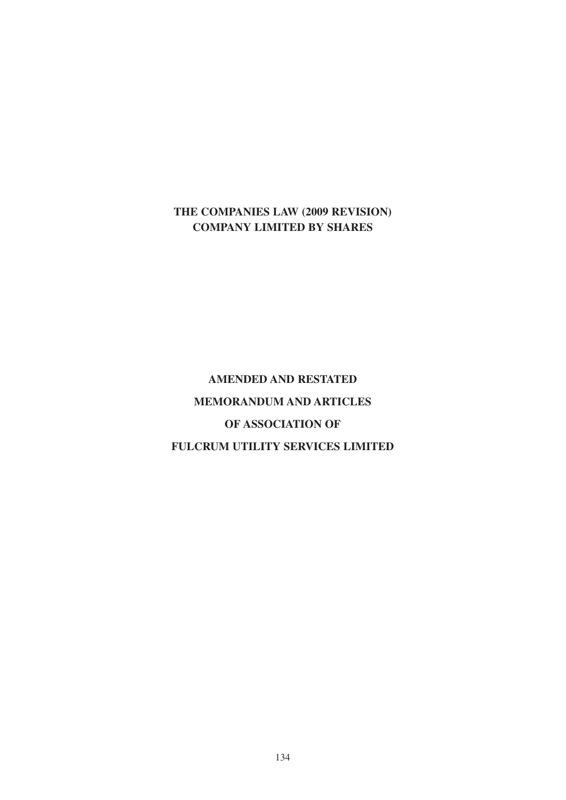# **THE COMPANIES LAW (2009 REVISION) COMPANY LIMITED BY SHARES**

# **AMENDED AND RESTATED MEMORANDUM AND ARTICLES OF ASSOCIATION OF FULCRUM UTILITY SERVICES LIMITED**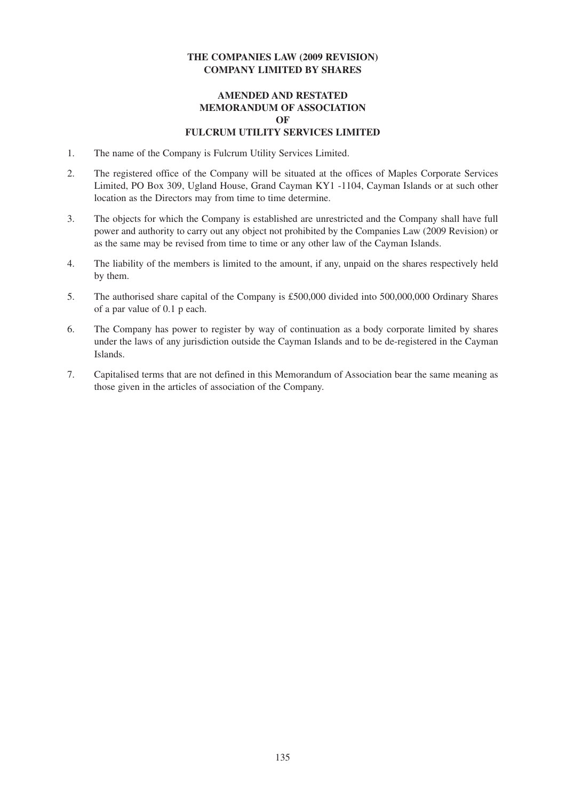# **THE COMPANIES LAW (2009 REVISION) COMPANY LIMITED BY SHARES**

# **AMENDED AND RESTATED MEMORANDUM OF ASSOCIATION OF FULCRUM UTILITY SERVICES LIMITED**

- 1. The name of the Company is Fulcrum Utility Services Limited.
- 2. The registered office of the Company will be situated at the offices of Maples Corporate Services Limited, PO Box 309, Ugland House, Grand Cayman KY1 -1104, Cayman Islands or at such other location as the Directors may from time to time determine.
- 3. The objects for which the Company is established are unrestricted and the Company shall have full power and authority to carry out any object not prohibited by the Companies Law (2009 Revision) or as the same may be revised from time to time or any other law of the Cayman Islands.
- 4. The liability of the members is limited to the amount, if any, unpaid on the shares respectively held by them.
- 5. The authorised share capital of the Company is £500,000 divided into 500,000,000 Ordinary Shares of a par value of 0.1 p each.
- 6. The Company has power to register by way of continuation as a body corporate limited by shares under the laws of any jurisdiction outside the Cayman Islands and to be de-registered in the Cayman Islands.
- 7. Capitalised terms that are not defined in this Memorandum of Association bear the same meaning as those given in the articles of association of the Company.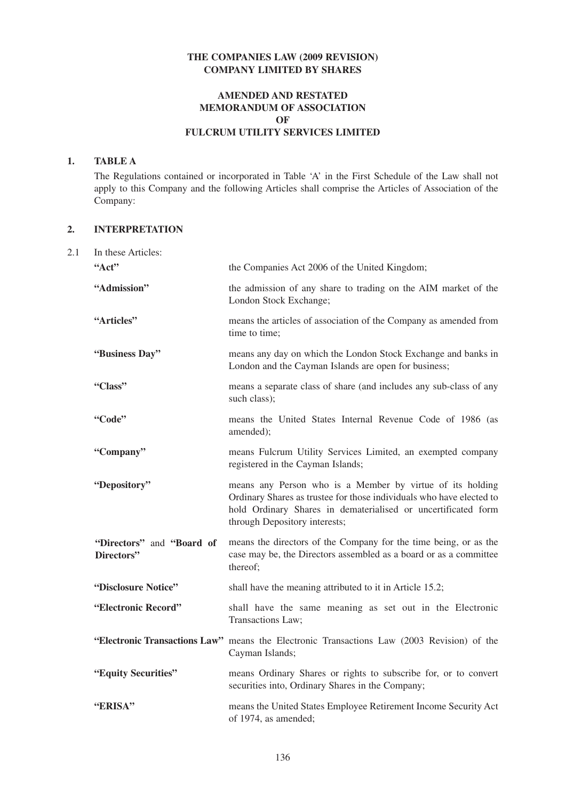# **THE COMPANIES LAW (2009 REVISION) COMPANY LIMITED BY SHARES**

# **AMENDED AND RESTATED MEMORANDUM OF ASSOCIATION OF FULCRUM UTILITY SERVICES LIMITED**

# **1. TABLE A**

The Regulations contained or incorporated in Table 'A' in the First Schedule of the Law shall not apply to this Company and the following Articles shall comprise the Articles of Association of the Company:

#### **2. INTERPRETATION**

| 2.1 | In these Articles:                      |                                                                                                                                                                                                                                     |
|-----|-----------------------------------------|-------------------------------------------------------------------------------------------------------------------------------------------------------------------------------------------------------------------------------------|
|     | "Act"                                   | the Companies Act 2006 of the United Kingdom;                                                                                                                                                                                       |
|     | "Admission"                             | the admission of any share to trading on the AIM market of the<br>London Stock Exchange;                                                                                                                                            |
|     | "Articles"                              | means the articles of association of the Company as amended from<br>time to time;                                                                                                                                                   |
|     | "Business Day"                          | means any day on which the London Stock Exchange and banks in<br>London and the Cayman Islands are open for business;                                                                                                               |
|     | "Class"                                 | means a separate class of share (and includes any sub-class of any<br>such class);                                                                                                                                                  |
|     | "Code"                                  | means the United States Internal Revenue Code of 1986 (as<br>amended);                                                                                                                                                              |
|     | "Company"                               | means Fulcrum Utility Services Limited, an exempted company<br>registered in the Cayman Islands;                                                                                                                                    |
|     | "Depository"                            | means any Person who is a Member by virtue of its holding<br>Ordinary Shares as trustee for those individuals who have elected to<br>hold Ordinary Shares in dematerialised or uncertificated form<br>through Depository interests; |
|     | "Directors" and "Board of<br>Directors" | means the directors of the Company for the time being, or as the<br>case may be, the Directors assembled as a board or as a committee<br>thereof;                                                                                   |
|     | "Disclosure Notice"                     | shall have the meaning attributed to it in Article 15.2;                                                                                                                                                                            |
|     | "Electronic Record"                     | shall have the same meaning as set out in the Electronic<br>Transactions Law;                                                                                                                                                       |
|     | "Electronic Transactions Law"           | means the Electronic Transactions Law (2003 Revision) of the<br>Cayman Islands;                                                                                                                                                     |
|     | "Equity Securities"                     | means Ordinary Shares or rights to subscribe for, or to convert<br>securities into, Ordinary Shares in the Company;                                                                                                                 |
|     | "ERISA"                                 | means the United States Employee Retirement Income Security Act<br>of 1974, as amended;                                                                                                                                             |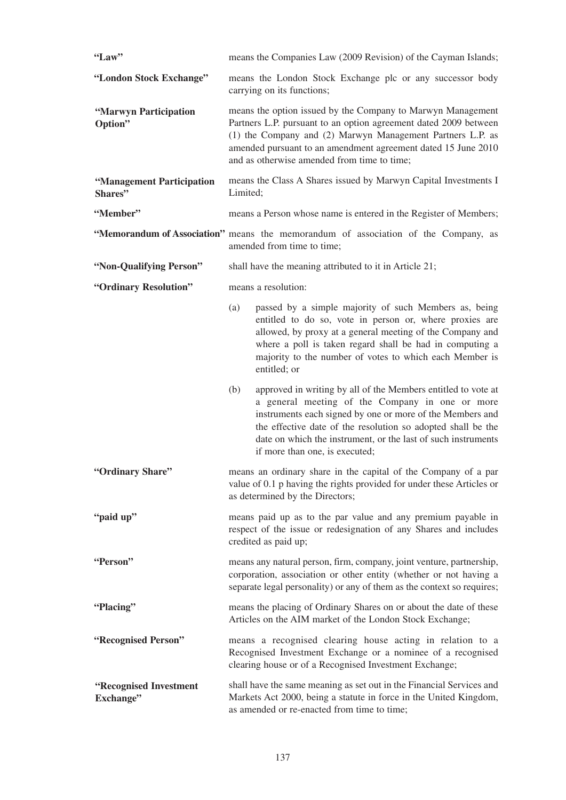| "Law"                                |                                                                                                                                | means the Companies Law (2009 Revision) of the Cayman Islands;                                                                                                                                                                                                                                                                                   |
|--------------------------------------|--------------------------------------------------------------------------------------------------------------------------------|--------------------------------------------------------------------------------------------------------------------------------------------------------------------------------------------------------------------------------------------------------------------------------------------------------------------------------------------------|
| "London Stock Exchange"              |                                                                                                                                | means the London Stock Exchange plc or any successor body<br>carrying on its functions;                                                                                                                                                                                                                                                          |
| "Marwyn Participation<br>Option"     |                                                                                                                                | means the option issued by the Company to Marwyn Management<br>Partners L.P. pursuant to an option agreement dated 2009 between<br>(1) the Company and (2) Marwyn Management Partners L.P. as<br>amended pursuant to an amendment agreement dated 15 June 2010<br>and as otherwise amended from time to time;                                    |
| "Management Participation<br>Shares" | Limited;                                                                                                                       | means the Class A Shares issued by Marwyn Capital Investments I                                                                                                                                                                                                                                                                                  |
| "Member"                             |                                                                                                                                | means a Person whose name is entered in the Register of Members;                                                                                                                                                                                                                                                                                 |
|                                      |                                                                                                                                | "Memorandum of Association" means the memorandum of association of the Company, as<br>amended from time to time;                                                                                                                                                                                                                                 |
| "Non-Qualifying Person"              |                                                                                                                                | shall have the meaning attributed to it in Article 21;                                                                                                                                                                                                                                                                                           |
| "Ordinary Resolution"                |                                                                                                                                | means a resolution:                                                                                                                                                                                                                                                                                                                              |
|                                      | (a)                                                                                                                            | passed by a simple majority of such Members as, being<br>entitled to do so, vote in person or, where proxies are<br>allowed, by proxy at a general meeting of the Company and<br>where a poll is taken regard shall be had in computing a<br>majority to the number of votes to which each Member is<br>entitled; or                             |
|                                      | (b)                                                                                                                            | approved in writing by all of the Members entitled to vote at<br>a general meeting of the Company in one or more<br>instruments each signed by one or more of the Members and<br>the effective date of the resolution so adopted shall be the<br>date on which the instrument, or the last of such instruments<br>if more than one, is executed; |
| "Ordinary Share"                     |                                                                                                                                | means an ordinary share in the capital of the Company of a par<br>value of 0.1 p having the rights provided for under these Articles or<br>as determined by the Directors;                                                                                                                                                                       |
| "paid up"                            |                                                                                                                                | means paid up as to the par value and any premium payable in<br>respect of the issue or redesignation of any Shares and includes<br>credited as paid up;                                                                                                                                                                                         |
| "Person"                             |                                                                                                                                | means any natural person, firm, company, joint venture, partnership,<br>corporation, association or other entity (whether or not having a<br>separate legal personality) or any of them as the context so requires;                                                                                                                              |
| "Placing"                            | means the placing of Ordinary Shares on or about the date of these<br>Articles on the AIM market of the London Stock Exchange; |                                                                                                                                                                                                                                                                                                                                                  |
| "Recognised Person"                  |                                                                                                                                | means a recognised clearing house acting in relation to a<br>Recognised Investment Exchange or a nominee of a recognised<br>clearing house or of a Recognised Investment Exchange;                                                                                                                                                               |
| "Recognised Investment<br>Exchange"  |                                                                                                                                | shall have the same meaning as set out in the Financial Services and<br>Markets Act 2000, being a statute in force in the United Kingdom,<br>as amended or re-enacted from time to time;                                                                                                                                                         |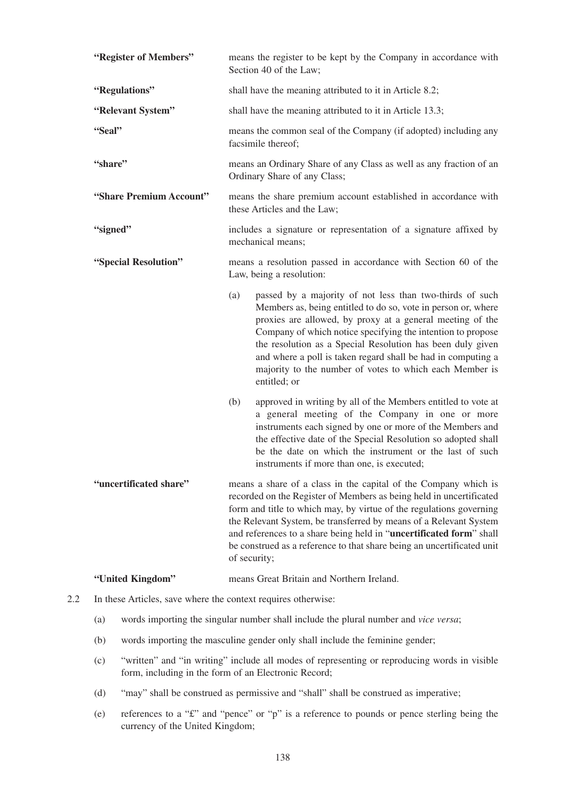| "Register of Members"   | means the register to be kept by the Company in accordance with<br>Section 40 of the Law;                                                                                                                                                                                                                                                                                                                                                                             |  |  |
|-------------------------|-----------------------------------------------------------------------------------------------------------------------------------------------------------------------------------------------------------------------------------------------------------------------------------------------------------------------------------------------------------------------------------------------------------------------------------------------------------------------|--|--|
| "Regulations"           | shall have the meaning attributed to it in Article 8.2;                                                                                                                                                                                                                                                                                                                                                                                                               |  |  |
| "Relevant System"       | shall have the meaning attributed to it in Article 13.3;                                                                                                                                                                                                                                                                                                                                                                                                              |  |  |
| "Seal"                  | means the common seal of the Company (if adopted) including any<br>facsimile thereof;                                                                                                                                                                                                                                                                                                                                                                                 |  |  |
| "share"                 | means an Ordinary Share of any Class as well as any fraction of an<br>Ordinary Share of any Class;                                                                                                                                                                                                                                                                                                                                                                    |  |  |
| "Share Premium Account" | means the share premium account established in accordance with<br>these Articles and the Law;                                                                                                                                                                                                                                                                                                                                                                         |  |  |
| "signed"                | includes a signature or representation of a signature affixed by<br>mechanical means;                                                                                                                                                                                                                                                                                                                                                                                 |  |  |
| "Special Resolution"    | means a resolution passed in accordance with Section 60 of the<br>Law, being a resolution:                                                                                                                                                                                                                                                                                                                                                                            |  |  |
|                         | passed by a majority of not less than two-thirds of such<br>(a)<br>Members as, being entitled to do so, vote in person or, where<br>proxies are allowed, by proxy at a general meeting of the<br>Company of which notice specifying the intention to propose<br>the resolution as a Special Resolution has been duly given<br>and where a poll is taken regard shall be had in computing a<br>majority to the number of votes to which each Member is<br>entitled; or |  |  |
|                         | approved in writing by all of the Members entitled to vote at<br>(b)<br>a general meeting of the Company in one or more<br>instruments each signed by one or more of the Members and<br>the effective date of the Special Resolution so adopted shall<br>be the date on which the instrument or the last of such<br>instruments if more than one, is executed;                                                                                                        |  |  |
| "uncertificated share"  | means a share of a class in the capital of the Company which is<br>recorded on the Register of Members as being held in uncertificated<br>form and title to which may, by virtue of the regulations governing<br>the Relevant System, be transferred by means of a Relevant System<br>and references to a share being held in "uncertificated form" shall<br>be construed as a reference to that share being an uncertificated unit<br>of security;                   |  |  |
| "United Kingdom"        | means Great Britain and Northern Ireland.                                                                                                                                                                                                                                                                                                                                                                                                                             |  |  |

- 2.2 In these Articles, save where the context requires otherwise:
	- (a) words importing the singular number shall include the plural number and *vice versa*;
	- (b) words importing the masculine gender only shall include the feminine gender;
	- (c) "written" and "in writing" include all modes of representing or reproducing words in visible form, including in the form of an Electronic Record;
	- (d) "may" shall be construed as permissive and "shall" shall be construed as imperative;
	- (e) references to a "£" and "pence" or "p" is a reference to pounds or pence sterling being the currency of the United Kingdom;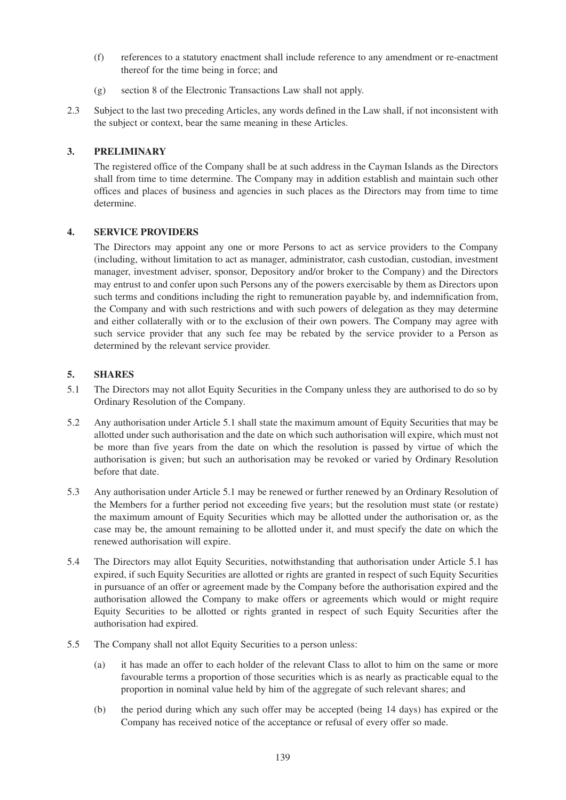- (f) references to a statutory enactment shall include reference to any amendment or re-enactment thereof for the time being in force; and
- (g) section 8 of the Electronic Transactions Law shall not apply.
- 2.3 Subject to the last two preceding Articles, any words defined in the Law shall, if not inconsistent with the subject or context, bear the same meaning in these Articles.

# **3. PRELIMINARY**

The registered office of the Company shall be at such address in the Cayman Islands as the Directors shall from time to time determine. The Company may in addition establish and maintain such other offices and places of business and agencies in such places as the Directors may from time to time determine.

# **4. SERVICE PROVIDERS**

The Directors may appoint any one or more Persons to act as service providers to the Company (including, without limitation to act as manager, administrator, cash custodian, custodian, investment manager, investment adviser, sponsor, Depository and/or broker to the Company) and the Directors may entrust to and confer upon such Persons any of the powers exercisable by them as Directors upon such terms and conditions including the right to remuneration payable by, and indemnification from, the Company and with such restrictions and with such powers of delegation as they may determine and either collaterally with or to the exclusion of their own powers. The Company may agree with such service provider that any such fee may be rebated by the service provider to a Person as determined by the relevant service provider.

# **5. SHARES**

- 5.1 The Directors may not allot Equity Securities in the Company unless they are authorised to do so by Ordinary Resolution of the Company.
- 5.2 Any authorisation under Article 5.1 shall state the maximum amount of Equity Securities that may be allotted under such authorisation and the date on which such authorisation will expire, which must not be more than five years from the date on which the resolution is passed by virtue of which the authorisation is given; but such an authorisation may be revoked or varied by Ordinary Resolution before that date.
- 5.3 Any authorisation under Article 5.1 may be renewed or further renewed by an Ordinary Resolution of the Members for a further period not exceeding five years; but the resolution must state (or restate) the maximum amount of Equity Securities which may be allotted under the authorisation or, as the case may be, the amount remaining to be allotted under it, and must specify the date on which the renewed authorisation will expire.
- 5.4 The Directors may allot Equity Securities, notwithstanding that authorisation under Article 5.1 has expired, if such Equity Securities are allotted or rights are granted in respect of such Equity Securities in pursuance of an offer or agreement made by the Company before the authorisation expired and the authorisation allowed the Company to make offers or agreements which would or might require Equity Securities to be allotted or rights granted in respect of such Equity Securities after the authorisation had expired.
- 5.5 The Company shall not allot Equity Securities to a person unless:
	- (a) it has made an offer to each holder of the relevant Class to allot to him on the same or more favourable terms a proportion of those securities which is as nearly as practicable equal to the proportion in nominal value held by him of the aggregate of such relevant shares; and
	- (b) the period during which any such offer may be accepted (being 14 days) has expired or the Company has received notice of the acceptance or refusal of every offer so made.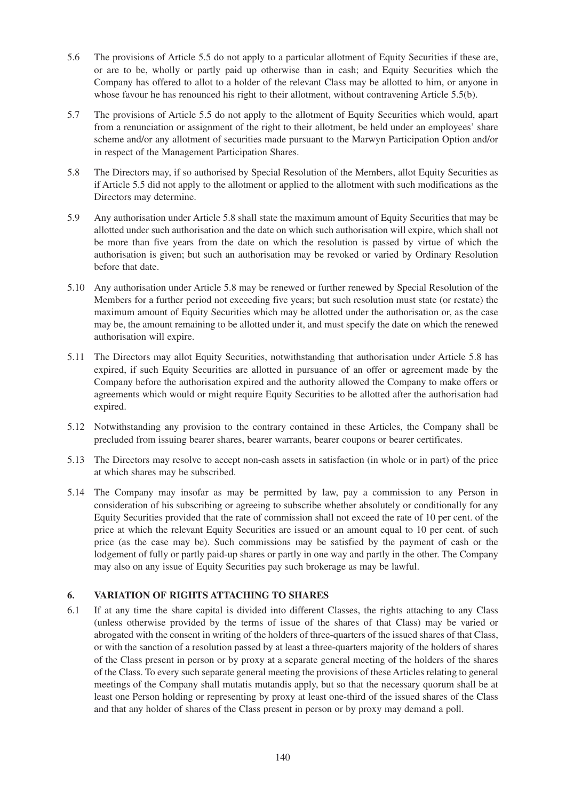- 5.6 The provisions of Article 5.5 do not apply to a particular allotment of Equity Securities if these are, or are to be, wholly or partly paid up otherwise than in cash; and Equity Securities which the Company has offered to allot to a holder of the relevant Class may be allotted to him, or anyone in whose favour he has renounced his right to their allotment, without contravening Article 5.5(b).
- 5.7 The provisions of Article 5.5 do not apply to the allotment of Equity Securities which would, apart from a renunciation or assignment of the right to their allotment, be held under an employees' share scheme and/or any allotment of securities made pursuant to the Marwyn Participation Option and/or in respect of the Management Participation Shares.
- 5.8 The Directors may, if so authorised by Special Resolution of the Members, allot Equity Securities as if Article 5.5 did not apply to the allotment or applied to the allotment with such modifications as the Directors may determine.
- 5.9 Any authorisation under Article 5.8 shall state the maximum amount of Equity Securities that may be allotted under such authorisation and the date on which such authorisation will expire, which shall not be more than five years from the date on which the resolution is passed by virtue of which the authorisation is given; but such an authorisation may be revoked or varied by Ordinary Resolution before that date.
- 5.10 Any authorisation under Article 5.8 may be renewed or further renewed by Special Resolution of the Members for a further period not exceeding five years; but such resolution must state (or restate) the maximum amount of Equity Securities which may be allotted under the authorisation or, as the case may be, the amount remaining to be allotted under it, and must specify the date on which the renewed authorisation will expire.
- 5.11 The Directors may allot Equity Securities, notwithstanding that authorisation under Article 5.8 has expired, if such Equity Securities are allotted in pursuance of an offer or agreement made by the Company before the authorisation expired and the authority allowed the Company to make offers or agreements which would or might require Equity Securities to be allotted after the authorisation had expired.
- 5.12 Notwithstanding any provision to the contrary contained in these Articles, the Company shall be precluded from issuing bearer shares, bearer warrants, bearer coupons or bearer certificates.
- 5.13 The Directors may resolve to accept non-cash assets in satisfaction (in whole or in part) of the price at which shares may be subscribed.
- 5.14 The Company may insofar as may be permitted by law, pay a commission to any Person in consideration of his subscribing or agreeing to subscribe whether absolutely or conditionally for any Equity Securities provided that the rate of commission shall not exceed the rate of 10 per cent. of the price at which the relevant Equity Securities are issued or an amount equal to 10 per cent. of such price (as the case may be). Such commissions may be satisfied by the payment of cash or the lodgement of fully or partly paid-up shares or partly in one way and partly in the other. The Company may also on any issue of Equity Securities pay such brokerage as may be lawful.

# **6. VARIATION OF RIGHTS ATTACHING TO SHARES**

6.1 If at any time the share capital is divided into different Classes, the rights attaching to any Class (unless otherwise provided by the terms of issue of the shares of that Class) may be varied or abrogated with the consent in writing of the holders of three-quarters of the issued shares of that Class, or with the sanction of a resolution passed by at least a three-quarters majority of the holders of shares of the Class present in person or by proxy at a separate general meeting of the holders of the shares of the Class. To every such separate general meeting the provisions of these Articles relating to general meetings of the Company shall mutatis mutandis apply, but so that the necessary quorum shall be at least one Person holding or representing by proxy at least one-third of the issued shares of the Class and that any holder of shares of the Class present in person or by proxy may demand a poll.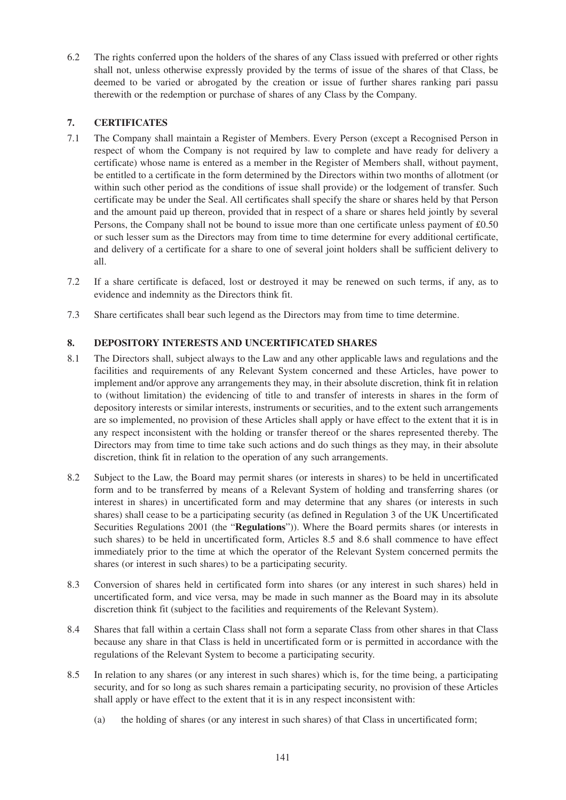6.2 The rights conferred upon the holders of the shares of any Class issued with preferred or other rights shall not, unless otherwise expressly provided by the terms of issue of the shares of that Class, be deemed to be varied or abrogated by the creation or issue of further shares ranking pari passu therewith or the redemption or purchase of shares of any Class by the Company.

# **7. CERTIFICATES**

- 7.1 The Company shall maintain a Register of Members. Every Person (except a Recognised Person in respect of whom the Company is not required by law to complete and have ready for delivery a certificate) whose name is entered as a member in the Register of Members shall, without payment, be entitled to a certificate in the form determined by the Directors within two months of allotment (or within such other period as the conditions of issue shall provide) or the lodgement of transfer. Such certificate may be under the Seal. All certificates shall specify the share or shares held by that Person and the amount paid up thereon, provided that in respect of a share or shares held jointly by several Persons, the Company shall not be bound to issue more than one certificate unless payment of £0.50 or such lesser sum as the Directors may from time to time determine for every additional certificate, and delivery of a certificate for a share to one of several joint holders shall be sufficient delivery to all.
- 7.2 If a share certificate is defaced, lost or destroyed it may be renewed on such terms, if any, as to evidence and indemnity as the Directors think fit.
- 7.3 Share certificates shall bear such legend as the Directors may from time to time determine.

# **8. DEPOSITORY INTERESTS AND UNCERTIFICATED SHARES**

- 8.1 The Directors shall, subject always to the Law and any other applicable laws and regulations and the facilities and requirements of any Relevant System concerned and these Articles, have power to implement and/or approve any arrangements they may, in their absolute discretion, think fit in relation to (without limitation) the evidencing of title to and transfer of interests in shares in the form of depository interests or similar interests, instruments or securities, and to the extent such arrangements are so implemented, no provision of these Articles shall apply or have effect to the extent that it is in any respect inconsistent with the holding or transfer thereof or the shares represented thereby. The Directors may from time to time take such actions and do such things as they may, in their absolute discretion, think fit in relation to the operation of any such arrangements.
- 8.2 Subject to the Law, the Board may permit shares (or interests in shares) to be held in uncertificated form and to be transferred by means of a Relevant System of holding and transferring shares (or interest in shares) in uncertificated form and may determine that any shares (or interests in such shares) shall cease to be a participating security (as defined in Regulation 3 of the UK Uncertificated Securities Regulations 2001 (the "**Regulations**")). Where the Board permits shares (or interests in such shares) to be held in uncertificated form, Articles 8.5 and 8.6 shall commence to have effect immediately prior to the time at which the operator of the Relevant System concerned permits the shares (or interest in such shares) to be a participating security.
- 8.3 Conversion of shares held in certificated form into shares (or any interest in such shares) held in uncertificated form, and vice versa, may be made in such manner as the Board may in its absolute discretion think fit (subject to the facilities and requirements of the Relevant System).
- 8.4 Shares that fall within a certain Class shall not form a separate Class from other shares in that Class because any share in that Class is held in uncertificated form or is permitted in accordance with the regulations of the Relevant System to become a participating security.
- 8.5 In relation to any shares (or any interest in such shares) which is, for the time being, a participating security, and for so long as such shares remain a participating security, no provision of these Articles shall apply or have effect to the extent that it is in any respect inconsistent with:
	- (a) the holding of shares (or any interest in such shares) of that Class in uncertificated form;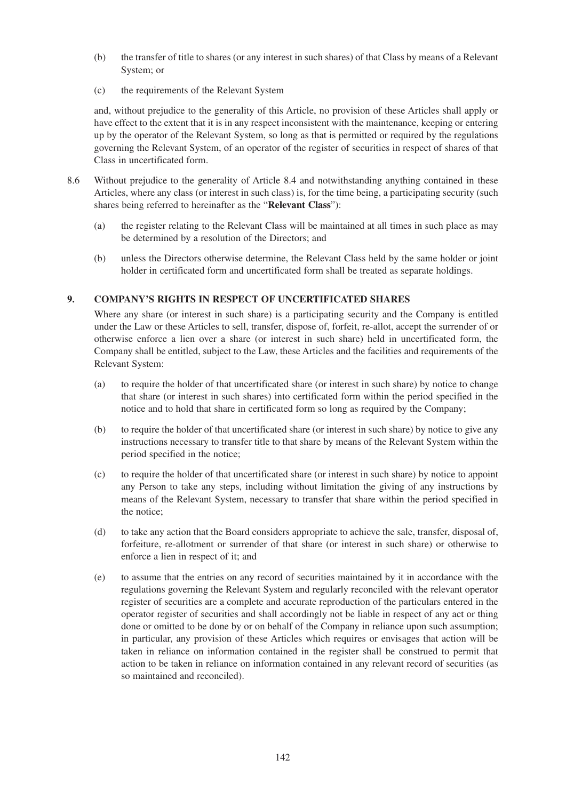- (b) the transfer of title to shares (or any interest in such shares) of that Class by means of a Relevant System; or
- (c) the requirements of the Relevant System

and, without prejudice to the generality of this Article, no provision of these Articles shall apply or have effect to the extent that it is in any respect inconsistent with the maintenance, keeping or entering up by the operator of the Relevant System, so long as that is permitted or required by the regulations governing the Relevant System, of an operator of the register of securities in respect of shares of that Class in uncertificated form.

- 8.6 Without prejudice to the generality of Article 8.4 and notwithstanding anything contained in these Articles, where any class (or interest in such class) is, for the time being, a participating security (such shares being referred to hereinafter as the "**Relevant Class**"):
	- (a) the register relating to the Relevant Class will be maintained at all times in such place as may be determined by a resolution of the Directors; and
	- (b) unless the Directors otherwise determine, the Relevant Class held by the same holder or joint holder in certificated form and uncertificated form shall be treated as separate holdings.

# **9. COMPANY'S RIGHTS IN RESPECT OF UNCERTIFICATED SHARES**

Where any share (or interest in such share) is a participating security and the Company is entitled under the Law or these Articles to sell, transfer, dispose of, forfeit, re-allot, accept the surrender of or otherwise enforce a lien over a share (or interest in such share) held in uncertificated form, the Company shall be entitled, subject to the Law, these Articles and the facilities and requirements of the Relevant System:

- (a) to require the holder of that uncertificated share (or interest in such share) by notice to change that share (or interest in such shares) into certificated form within the period specified in the notice and to hold that share in certificated form so long as required by the Company;
- (b) to require the holder of that uncertificated share (or interest in such share) by notice to give any instructions necessary to transfer title to that share by means of the Relevant System within the period specified in the notice;
- (c) to require the holder of that uncertificated share (or interest in such share) by notice to appoint any Person to take any steps, including without limitation the giving of any instructions by means of the Relevant System, necessary to transfer that share within the period specified in the notice;
- (d) to take any action that the Board considers appropriate to achieve the sale, transfer, disposal of, forfeiture, re-allotment or surrender of that share (or interest in such share) or otherwise to enforce a lien in respect of it; and
- (e) to assume that the entries on any record of securities maintained by it in accordance with the regulations governing the Relevant System and regularly reconciled with the relevant operator register of securities are a complete and accurate reproduction of the particulars entered in the operator register of securities and shall accordingly not be liable in respect of any act or thing done or omitted to be done by or on behalf of the Company in reliance upon such assumption; in particular, any provision of these Articles which requires or envisages that action will be taken in reliance on information contained in the register shall be construed to permit that action to be taken in reliance on information contained in any relevant record of securities (as so maintained and reconciled).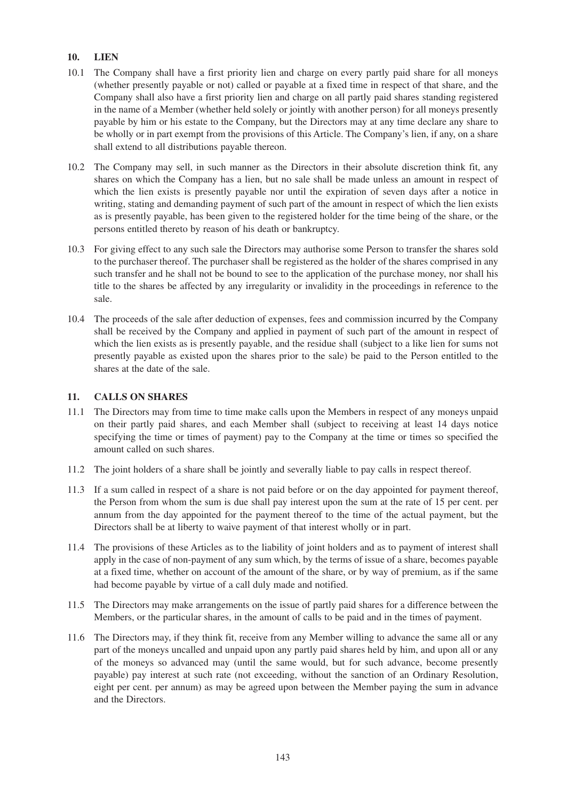# **10. LIEN**

- 10.1 The Company shall have a first priority lien and charge on every partly paid share for all moneys (whether presently payable or not) called or payable at a fixed time in respect of that share, and the Company shall also have a first priority lien and charge on all partly paid shares standing registered in the name of a Member (whether held solely or jointly with another person) for all moneys presently payable by him or his estate to the Company, but the Directors may at any time declare any share to be wholly or in part exempt from the provisions of this Article. The Company's lien, if any, on a share shall extend to all distributions payable thereon.
- 10.2 The Company may sell, in such manner as the Directors in their absolute discretion think fit, any shares on which the Company has a lien, but no sale shall be made unless an amount in respect of which the lien exists is presently payable nor until the expiration of seven days after a notice in writing, stating and demanding payment of such part of the amount in respect of which the lien exists as is presently payable, has been given to the registered holder for the time being of the share, or the persons entitled thereto by reason of his death or bankruptcy.
- 10.3 For giving effect to any such sale the Directors may authorise some Person to transfer the shares sold to the purchaser thereof. The purchaser shall be registered as the holder of the shares comprised in any such transfer and he shall not be bound to see to the application of the purchase money, nor shall his title to the shares be affected by any irregularity or invalidity in the proceedings in reference to the sale.
- 10.4 The proceeds of the sale after deduction of expenses, fees and commission incurred by the Company shall be received by the Company and applied in payment of such part of the amount in respect of which the lien exists as is presently payable, and the residue shall (subject to a like lien for sums not presently payable as existed upon the shares prior to the sale) be paid to the Person entitled to the shares at the date of the sale.

# **11. CALLS ON SHARES**

- 11.1 The Directors may from time to time make calls upon the Members in respect of any moneys unpaid on their partly paid shares, and each Member shall (subject to receiving at least 14 days notice specifying the time or times of payment) pay to the Company at the time or times so specified the amount called on such shares.
- 11.2 The joint holders of a share shall be jointly and severally liable to pay calls in respect thereof.
- 11.3 If a sum called in respect of a share is not paid before or on the day appointed for payment thereof, the Person from whom the sum is due shall pay interest upon the sum at the rate of 15 per cent. per annum from the day appointed for the payment thereof to the time of the actual payment, but the Directors shall be at liberty to waive payment of that interest wholly or in part.
- 11.4 The provisions of these Articles as to the liability of joint holders and as to payment of interest shall apply in the case of non-payment of any sum which, by the terms of issue of a share, becomes payable at a fixed time, whether on account of the amount of the share, or by way of premium, as if the same had become payable by virtue of a call duly made and notified.
- 11.5 The Directors may make arrangements on the issue of partly paid shares for a difference between the Members, or the particular shares, in the amount of calls to be paid and in the times of payment.
- 11.6 The Directors may, if they think fit, receive from any Member willing to advance the same all or any part of the moneys uncalled and unpaid upon any partly paid shares held by him, and upon all or any of the moneys so advanced may (until the same would, but for such advance, become presently payable) pay interest at such rate (not exceeding, without the sanction of an Ordinary Resolution, eight per cent. per annum) as may be agreed upon between the Member paying the sum in advance and the Directors.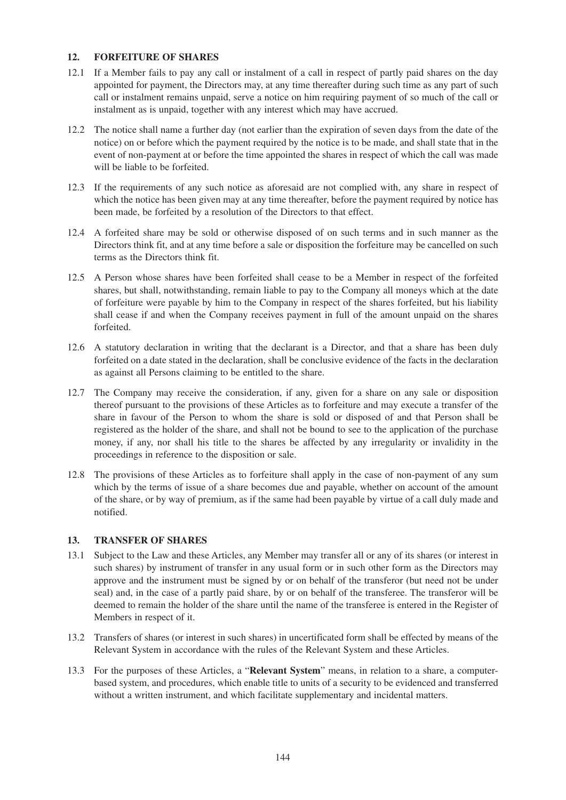#### **12. FORFEITURE OF SHARES**

- 12.1 If a Member fails to pay any call or instalment of a call in respect of partly paid shares on the day appointed for payment, the Directors may, at any time thereafter during such time as any part of such call or instalment remains unpaid, serve a notice on him requiring payment of so much of the call or instalment as is unpaid, together with any interest which may have accrued.
- 12.2 The notice shall name a further day (not earlier than the expiration of seven days from the date of the notice) on or before which the payment required by the notice is to be made, and shall state that in the event of non-payment at or before the time appointed the shares in respect of which the call was made will be liable to be forfeited.
- 12.3 If the requirements of any such notice as aforesaid are not complied with, any share in respect of which the notice has been given may at any time thereafter, before the payment required by notice has been made, be forfeited by a resolution of the Directors to that effect.
- 12.4 A forfeited share may be sold or otherwise disposed of on such terms and in such manner as the Directors think fit, and at any time before a sale or disposition the forfeiture may be cancelled on such terms as the Directors think fit.
- 12.5 A Person whose shares have been forfeited shall cease to be a Member in respect of the forfeited shares, but shall, notwithstanding, remain liable to pay to the Company all moneys which at the date of forfeiture were payable by him to the Company in respect of the shares forfeited, but his liability shall cease if and when the Company receives payment in full of the amount unpaid on the shares forfeited.
- 12.6 A statutory declaration in writing that the declarant is a Director, and that a share has been duly forfeited on a date stated in the declaration, shall be conclusive evidence of the facts in the declaration as against all Persons claiming to be entitled to the share.
- 12.7 The Company may receive the consideration, if any, given for a share on any sale or disposition thereof pursuant to the provisions of these Articles as to forfeiture and may execute a transfer of the share in favour of the Person to whom the share is sold or disposed of and that Person shall be registered as the holder of the share, and shall not be bound to see to the application of the purchase money, if any, nor shall his title to the shares be affected by any irregularity or invalidity in the proceedings in reference to the disposition or sale.
- 12.8 The provisions of these Articles as to forfeiture shall apply in the case of non-payment of any sum which by the terms of issue of a share becomes due and payable, whether on account of the amount of the share, or by way of premium, as if the same had been payable by virtue of a call duly made and notified.

#### **13. TRANSFER OF SHARES**

- 13.1 Subject to the Law and these Articles, any Member may transfer all or any of its shares (or interest in such shares) by instrument of transfer in any usual form or in such other form as the Directors may approve and the instrument must be signed by or on behalf of the transferor (but need not be under seal) and, in the case of a partly paid share, by or on behalf of the transferee. The transferor will be deemed to remain the holder of the share until the name of the transferee is entered in the Register of Members in respect of it.
- 13.2 Transfers of shares (or interest in such shares) in uncertificated form shall be effected by means of the Relevant System in accordance with the rules of the Relevant System and these Articles.
- 13.3 For the purposes of these Articles, a "**Relevant System**" means, in relation to a share, a computerbased system, and procedures, which enable title to units of a security to be evidenced and transferred without a written instrument, and which facilitate supplementary and incidental matters.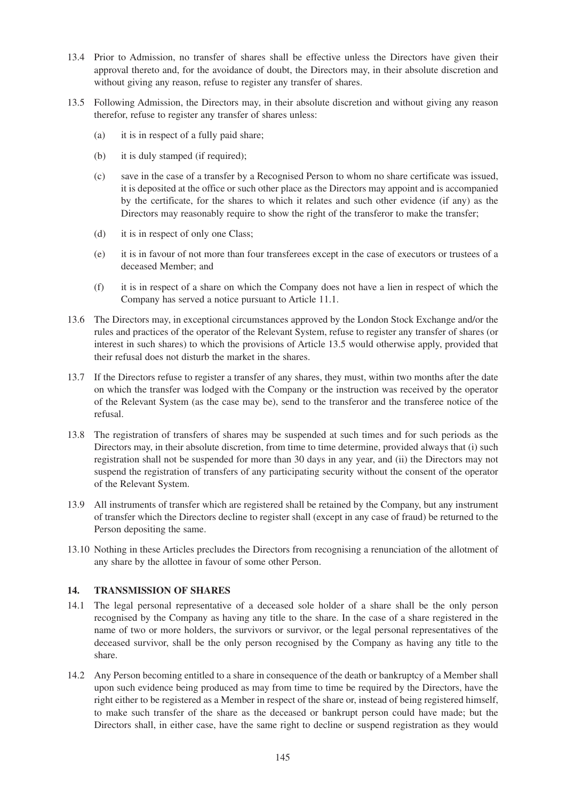- 13.4 Prior to Admission, no transfer of shares shall be effective unless the Directors have given their approval thereto and, for the avoidance of doubt, the Directors may, in their absolute discretion and without giving any reason, refuse to register any transfer of shares.
- 13.5 Following Admission, the Directors may, in their absolute discretion and without giving any reason therefor, refuse to register any transfer of shares unless:
	- (a) it is in respect of a fully paid share;
	- (b) it is duly stamped (if required);
	- (c) save in the case of a transfer by a Recognised Person to whom no share certificate was issued, it is deposited at the office or such other place as the Directors may appoint and is accompanied by the certificate, for the shares to which it relates and such other evidence (if any) as the Directors may reasonably require to show the right of the transferor to make the transfer;
	- (d) it is in respect of only one Class;
	- (e) it is in favour of not more than four transferees except in the case of executors or trustees of a deceased Member; and
	- (f) it is in respect of a share on which the Company does not have a lien in respect of which the Company has served a notice pursuant to Article 11.1.
- 13.6 The Directors may, in exceptional circumstances approved by the London Stock Exchange and/or the rules and practices of the operator of the Relevant System, refuse to register any transfer of shares (or interest in such shares) to which the provisions of Article 13.5 would otherwise apply, provided that their refusal does not disturb the market in the shares.
- 13.7 If the Directors refuse to register a transfer of any shares, they must, within two months after the date on which the transfer was lodged with the Company or the instruction was received by the operator of the Relevant System (as the case may be), send to the transferor and the transferee notice of the refusal.
- 13.8 The registration of transfers of shares may be suspended at such times and for such periods as the Directors may, in their absolute discretion, from time to time determine, provided always that (i) such registration shall not be suspended for more than 30 days in any year, and (ii) the Directors may not suspend the registration of transfers of any participating security without the consent of the operator of the Relevant System.
- 13.9 All instruments of transfer which are registered shall be retained by the Company, but any instrument of transfer which the Directors decline to register shall (except in any case of fraud) be returned to the Person depositing the same.
- 13.10 Nothing in these Articles precludes the Directors from recognising a renunciation of the allotment of any share by the allottee in favour of some other Person.

# **14. TRANSMISSION OF SHARES**

- 14.1 The legal personal representative of a deceased sole holder of a share shall be the only person recognised by the Company as having any title to the share. In the case of a share registered in the name of two or more holders, the survivors or survivor, or the legal personal representatives of the deceased survivor, shall be the only person recognised by the Company as having any title to the share.
- 14.2 Any Person becoming entitled to a share in consequence of the death or bankruptcy of a Member shall upon such evidence being produced as may from time to time be required by the Directors, have the right either to be registered as a Member in respect of the share or, instead of being registered himself, to make such transfer of the share as the deceased or bankrupt person could have made; but the Directors shall, in either case, have the same right to decline or suspend registration as they would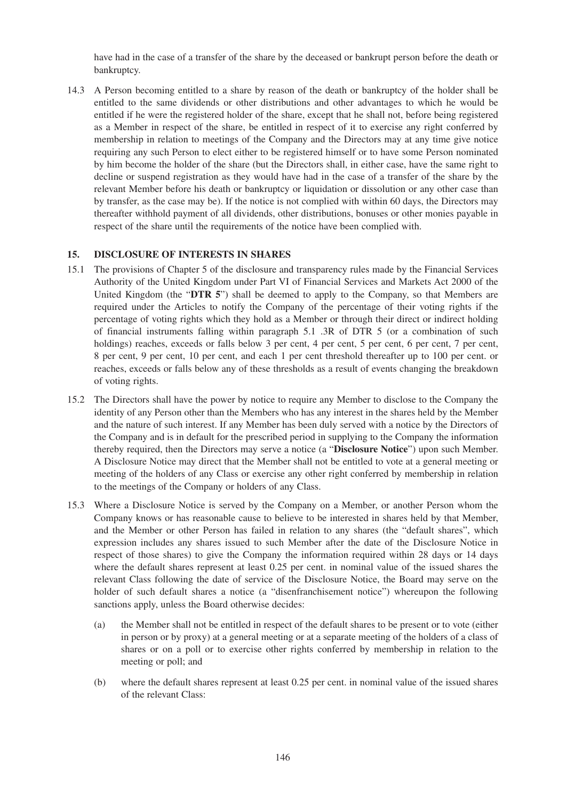have had in the case of a transfer of the share by the deceased or bankrupt person before the death or bankruptcy.

14.3 A Person becoming entitled to a share by reason of the death or bankruptcy of the holder shall be entitled to the same dividends or other distributions and other advantages to which he would be entitled if he were the registered holder of the share, except that he shall not, before being registered as a Member in respect of the share, be entitled in respect of it to exercise any right conferred by membership in relation to meetings of the Company and the Directors may at any time give notice requiring any such Person to elect either to be registered himself or to have some Person nominated by him become the holder of the share (but the Directors shall, in either case, have the same right to decline or suspend registration as they would have had in the case of a transfer of the share by the relevant Member before his death or bankruptcy or liquidation or dissolution or any other case than by transfer, as the case may be). If the notice is not complied with within 60 days, the Directors may thereafter withhold payment of all dividends, other distributions, bonuses or other monies payable in respect of the share until the requirements of the notice have been complied with.

### **15. DISCLOSURE OF INTERESTS IN SHARES**

- 15.1 The provisions of Chapter 5 of the disclosure and transparency rules made by the Financial Services Authority of the United Kingdom under Part VI of Financial Services and Markets Act 2000 of the United Kingdom (the "**DTR 5**") shall be deemed to apply to the Company, so that Members are required under the Articles to notify the Company of the percentage of their voting rights if the percentage of voting rights which they hold as a Member or through their direct or indirect holding of financial instruments falling within paragraph 5.1 .3R of DTR 5 (or a combination of such holdings) reaches, exceeds or falls below 3 per cent, 4 per cent, 5 per cent, 6 per cent, 7 per cent, 8 per cent, 9 per cent, 10 per cent, and each 1 per cent threshold thereafter up to 100 per cent. or reaches, exceeds or falls below any of these thresholds as a result of events changing the breakdown of voting rights.
- 15.2 The Directors shall have the power by notice to require any Member to disclose to the Company the identity of any Person other than the Members who has any interest in the shares held by the Member and the nature of such interest. If any Member has been duly served with a notice by the Directors of the Company and is in default for the prescribed period in supplying to the Company the information thereby required, then the Directors may serve a notice (a "**Disclosure Notice**") upon such Member. A Disclosure Notice may direct that the Member shall not be entitled to vote at a general meeting or meeting of the holders of any Class or exercise any other right conferred by membership in relation to the meetings of the Company or holders of any Class.
- 15.3 Where a Disclosure Notice is served by the Company on a Member, or another Person whom the Company knows or has reasonable cause to believe to be interested in shares held by that Member, and the Member or other Person has failed in relation to any shares (the "default shares", which expression includes any shares issued to such Member after the date of the Disclosure Notice in respect of those shares) to give the Company the information required within 28 days or 14 days where the default shares represent at least 0.25 per cent. in nominal value of the issued shares the relevant Class following the date of service of the Disclosure Notice, the Board may serve on the holder of such default shares a notice (a "disenfranchisement notice") whereupon the following sanctions apply, unless the Board otherwise decides:
	- (a) the Member shall not be entitled in respect of the default shares to be present or to vote (either in person or by proxy) at a general meeting or at a separate meeting of the holders of a class of shares or on a poll or to exercise other rights conferred by membership in relation to the meeting or poll; and
	- (b) where the default shares represent at least 0.25 per cent. in nominal value of the issued shares of the relevant Class: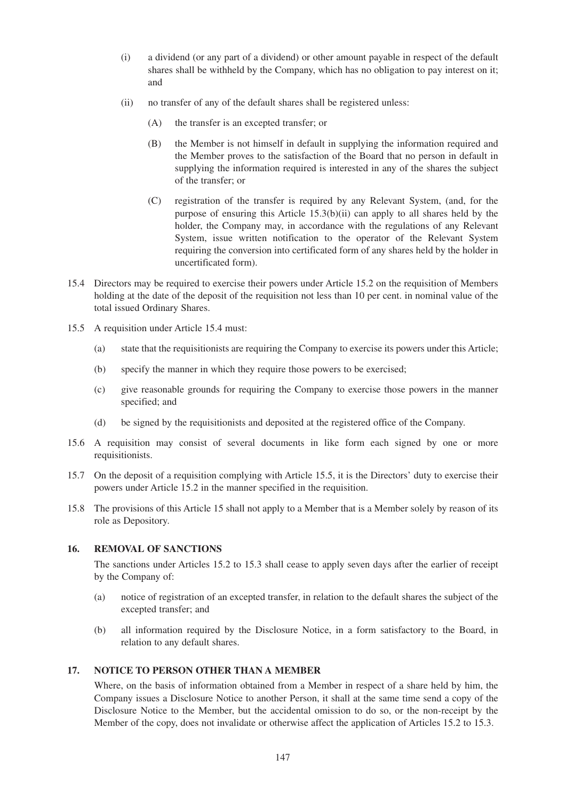- (i) a dividend (or any part of a dividend) or other amount payable in respect of the default shares shall be withheld by the Company, which has no obligation to pay interest on it; and
- (ii) no transfer of any of the default shares shall be registered unless:
	- (A) the transfer is an excepted transfer; or
	- (B) the Member is not himself in default in supplying the information required and the Member proves to the satisfaction of the Board that no person in default in supplying the information required is interested in any of the shares the subject of the transfer; or
	- (C) registration of the transfer is required by any Relevant System, (and, for the purpose of ensuring this Article 15.3(b)(ii) can apply to all shares held by the holder, the Company may, in accordance with the regulations of any Relevant System, issue written notification to the operator of the Relevant System requiring the conversion into certificated form of any shares held by the holder in uncertificated form).
- 15.4 Directors may be required to exercise their powers under Article 15.2 on the requisition of Members holding at the date of the deposit of the requisition not less than 10 per cent. in nominal value of the total issued Ordinary Shares.
- 15.5 A requisition under Article 15.4 must:
	- (a) state that the requisitionists are requiring the Company to exercise its powers under this Article;
	- (b) specify the manner in which they require those powers to be exercised;
	- (c) give reasonable grounds for requiring the Company to exercise those powers in the manner specified; and
	- (d) be signed by the requisitionists and deposited at the registered office of the Company.
- 15.6 A requisition may consist of several documents in like form each signed by one or more requisitionists.
- 15.7 On the deposit of a requisition complying with Article 15.5, it is the Directors' duty to exercise their powers under Article 15.2 in the manner specified in the requisition.
- 15.8 The provisions of this Article 15 shall not apply to a Member that is a Member solely by reason of its role as Depository.

### **16. REMOVAL OF SANCTIONS**

The sanctions under Articles 15.2 to 15.3 shall cease to apply seven days after the earlier of receipt by the Company of:

- (a) notice of registration of an excepted transfer, in relation to the default shares the subject of the excepted transfer; and
- (b) all information required by the Disclosure Notice, in a form satisfactory to the Board, in relation to any default shares.

### **17. NOTICE TO PERSON OTHER THAN A MEMBER**

Where, on the basis of information obtained from a Member in respect of a share held by him, the Company issues a Disclosure Notice to another Person, it shall at the same time send a copy of the Disclosure Notice to the Member, but the accidental omission to do so, or the non-receipt by the Member of the copy, does not invalidate or otherwise affect the application of Articles 15.2 to 15.3.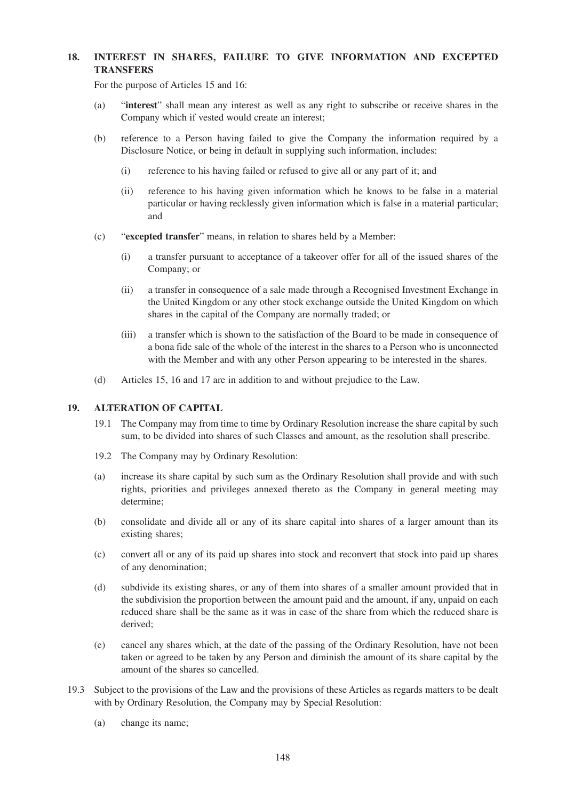# **18. INTEREST IN SHARES, FAILURE TO GIVE INFORMATION AND EXCEPTED TRANSFERS**

For the purpose of Articles 15 and 16:

- (a) "**interest**" shall mean any interest as well as any right to subscribe or receive shares in the Company which if vested would create an interest;
- (b) reference to a Person having failed to give the Company the information required by a Disclosure Notice, or being in default in supplying such information, includes:
	- (i) reference to his having failed or refused to give all or any part of it; and
	- (ii) reference to his having given information which he knows to be false in a material particular or having recklessly given information which is false in a material particular; and
- (c) "**excepted transfer**" means, in relation to shares held by a Member:
	- (i) a transfer pursuant to acceptance of a takeover offer for all of the issued shares of the Company; or
	- (ii) a transfer in consequence of a sale made through a Recognised Investment Exchange in the United Kingdom or any other stock exchange outside the United Kingdom on which shares in the capital of the Company are normally traded; or
	- (iii) a transfer which is shown to the satisfaction of the Board to be made in consequence of a bona fide sale of the whole of the interest in the shares to a Person who is unconnected with the Member and with any other Person appearing to be interested in the shares.
- (d) Articles 15, 16 and 17 are in addition to and without prejudice to the Law.

### **19. ALTERATION OF CAPITAL**

- 19.1 The Company may from time to time by Ordinary Resolution increase the share capital by such sum, to be divided into shares of such Classes and amount, as the resolution shall prescribe.
- 19.2 The Company may by Ordinary Resolution:
- (a) increase its share capital by such sum as the Ordinary Resolution shall provide and with such rights, priorities and privileges annexed thereto as the Company in general meeting may determine;
- (b) consolidate and divide all or any of its share capital into shares of a larger amount than its existing shares;
- (c) convert all or any of its paid up shares into stock and reconvert that stock into paid up shares of any denomination;
- (d) subdivide its existing shares, or any of them into shares of a smaller amount provided that in the subdivision the proportion between the amount paid and the amount, if any, unpaid on each reduced share shall be the same as it was in case of the share from which the reduced share is derived;
- (e) cancel any shares which, at the date of the passing of the Ordinary Resolution, have not been taken or agreed to be taken by any Person and diminish the amount of its share capital by the amount of the shares so cancelled.
- 19.3 Subject to the provisions of the Law and the provisions of these Articles as regards matters to be dealt with by Ordinary Resolution, the Company may by Special Resolution:
	- (a) change its name;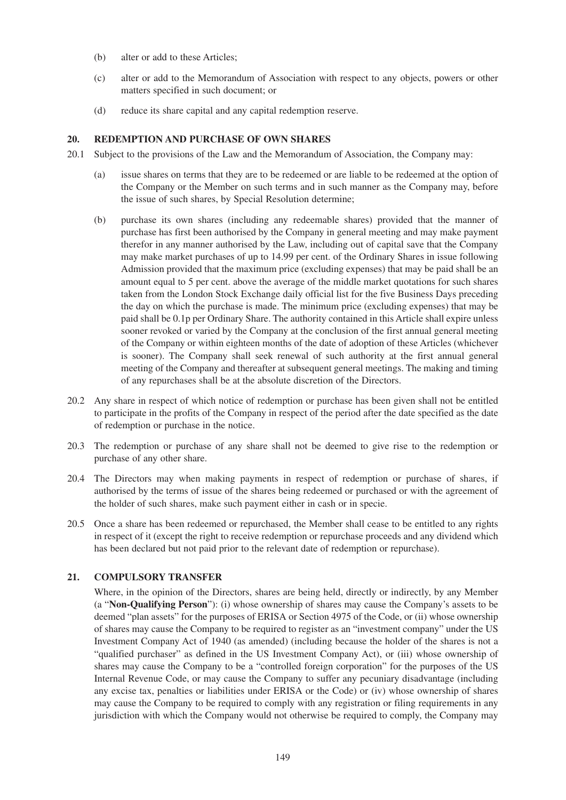- (b) alter or add to these Articles;
- (c) alter or add to the Memorandum of Association with respect to any objects, powers or other matters specified in such document; or
- (d) reduce its share capital and any capital redemption reserve.

### **20. REDEMPTION AND PURCHASE OF OWN SHARES**

- 20.1 Subject to the provisions of the Law and the Memorandum of Association, the Company may:
	- (a) issue shares on terms that they are to be redeemed or are liable to be redeemed at the option of the Company or the Member on such terms and in such manner as the Company may, before the issue of such shares, by Special Resolution determine;
	- (b) purchase its own shares (including any redeemable shares) provided that the manner of purchase has first been authorised by the Company in general meeting and may make payment therefor in any manner authorised by the Law, including out of capital save that the Company may make market purchases of up to 14.99 per cent. of the Ordinary Shares in issue following Admission provided that the maximum price (excluding expenses) that may be paid shall be an amount equal to 5 per cent. above the average of the middle market quotations for such shares taken from the London Stock Exchange daily official list for the five Business Days preceding the day on which the purchase is made. The minimum price (excluding expenses) that may be paid shall be 0.1p per Ordinary Share. The authority contained in this Article shall expire unless sooner revoked or varied by the Company at the conclusion of the first annual general meeting of the Company or within eighteen months of the date of adoption of these Articles (whichever is sooner). The Company shall seek renewal of such authority at the first annual general meeting of the Company and thereafter at subsequent general meetings. The making and timing of any repurchases shall be at the absolute discretion of the Directors.
- 20.2 Any share in respect of which notice of redemption or purchase has been given shall not be entitled to participate in the profits of the Company in respect of the period after the date specified as the date of redemption or purchase in the notice.
- 20.3 The redemption or purchase of any share shall not be deemed to give rise to the redemption or purchase of any other share.
- 20.4 The Directors may when making payments in respect of redemption or purchase of shares, if authorised by the terms of issue of the shares being redeemed or purchased or with the agreement of the holder of such shares, make such payment either in cash or in specie.
- 20.5 Once a share has been redeemed or repurchased, the Member shall cease to be entitled to any rights in respect of it (except the right to receive redemption or repurchase proceeds and any dividend which has been declared but not paid prior to the relevant date of redemption or repurchase).

# **21. COMPULSORY TRANSFER**

Where, in the opinion of the Directors, shares are being held, directly or indirectly, by any Member (a "**Non-Qualifying Person**"): (i) whose ownership of shares may cause the Company's assets to be deemed "plan assets" for the purposes of ERISA or Section 4975 of the Code, or (ii) whose ownership of shares may cause the Company to be required to register as an "investment company" under the US Investment Company Act of 1940 (as amended) (including because the holder of the shares is not a "qualified purchaser" as defined in the US Investment Company Act), or (iii) whose ownership of shares may cause the Company to be a "controlled foreign corporation" for the purposes of the US Internal Revenue Code, or may cause the Company to suffer any pecuniary disadvantage (including any excise tax, penalties or liabilities under ERISA or the Code) or (iv) whose ownership of shares may cause the Company to be required to comply with any registration or filing requirements in any jurisdiction with which the Company would not otherwise be required to comply, the Company may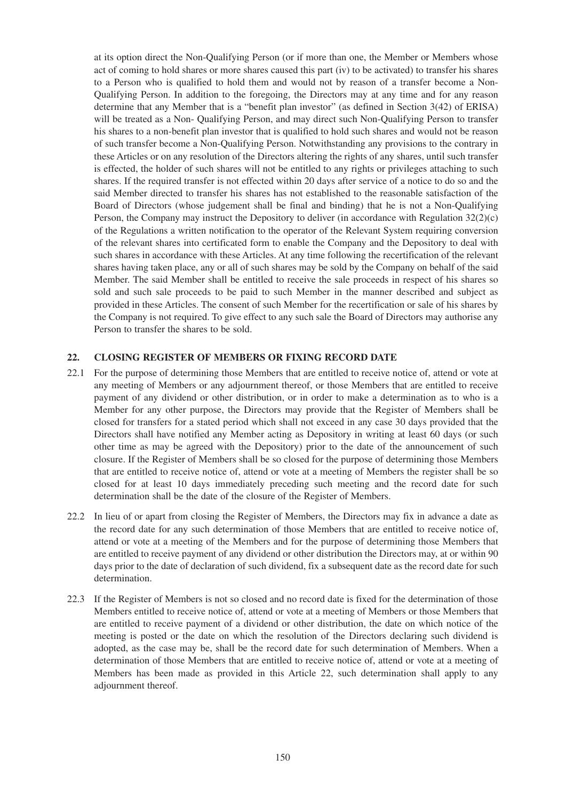at its option direct the Non-Qualifying Person (or if more than one, the Member or Members whose act of coming to hold shares or more shares caused this part (iv) to be activated) to transfer his shares to a Person who is qualified to hold them and would not by reason of a transfer become a Non-Qualifying Person. In addition to the foregoing, the Directors may at any time and for any reason determine that any Member that is a "benefit plan investor" (as defined in Section 3(42) of ERISA) will be treated as a Non- Qualifying Person, and may direct such Non-Qualifying Person to transfer his shares to a non-benefit plan investor that is qualified to hold such shares and would not be reason of such transfer become a Non-Qualifying Person. Notwithstanding any provisions to the contrary in these Articles or on any resolution of the Directors altering the rights of any shares, until such transfer is effected, the holder of such shares will not be entitled to any rights or privileges attaching to such shares. If the required transfer is not effected within 20 days after service of a notice to do so and the said Member directed to transfer his shares has not established to the reasonable satisfaction of the Board of Directors (whose judgement shall be final and binding) that he is not a Non-Qualifying Person, the Company may instruct the Depository to deliver (in accordance with Regulation  $32(2)(c)$ ) of the Regulations a written notification to the operator of the Relevant System requiring conversion of the relevant shares into certificated form to enable the Company and the Depository to deal with such shares in accordance with these Articles. At any time following the recertification of the relevant shares having taken place, any or all of such shares may be sold by the Company on behalf of the said Member. The said Member shall be entitled to receive the sale proceeds in respect of his shares so sold and such sale proceeds to be paid to such Member in the manner described and subject as provided in these Articles. The consent of such Member for the recertification or sale of his shares by the Company is not required. To give effect to any such sale the Board of Directors may authorise any Person to transfer the shares to be sold.

### **22. CLOSING REGISTER OF MEMBERS OR FIXING RECORD DATE**

- 22.1 For the purpose of determining those Members that are entitled to receive notice of, attend or vote at any meeting of Members or any adjournment thereof, or those Members that are entitled to receive payment of any dividend or other distribution, or in order to make a determination as to who is a Member for any other purpose, the Directors may provide that the Register of Members shall be closed for transfers for a stated period which shall not exceed in any case 30 days provided that the Directors shall have notified any Member acting as Depository in writing at least 60 days (or such other time as may be agreed with the Depository) prior to the date of the announcement of such closure. If the Register of Members shall be so closed for the purpose of determining those Members that are entitled to receive notice of, attend or vote at a meeting of Members the register shall be so closed for at least 10 days immediately preceding such meeting and the record date for such determination shall be the date of the closure of the Register of Members.
- 22.2 In lieu of or apart from closing the Register of Members, the Directors may fix in advance a date as the record date for any such determination of those Members that are entitled to receive notice of, attend or vote at a meeting of the Members and for the purpose of determining those Members that are entitled to receive payment of any dividend or other distribution the Directors may, at or within 90 days prior to the date of declaration of such dividend, fix a subsequent date as the record date for such determination.
- 22.3 If the Register of Members is not so closed and no record date is fixed for the determination of those Members entitled to receive notice of, attend or vote at a meeting of Members or those Members that are entitled to receive payment of a dividend or other distribution, the date on which notice of the meeting is posted or the date on which the resolution of the Directors declaring such dividend is adopted, as the case may be, shall be the record date for such determination of Members. When a determination of those Members that are entitled to receive notice of, attend or vote at a meeting of Members has been made as provided in this Article 22, such determination shall apply to any adjournment thereof.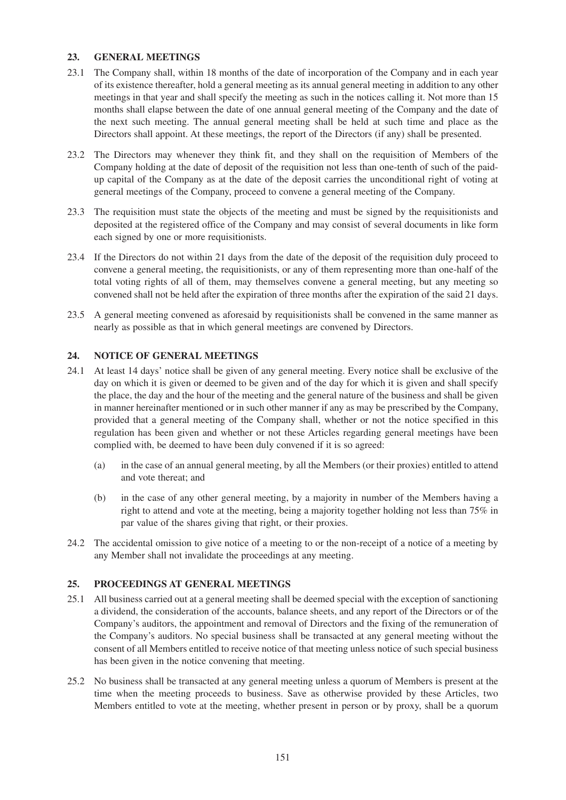### **23. GENERAL MEETINGS**

- 23.1 The Company shall, within 18 months of the date of incorporation of the Company and in each year of its existence thereafter, hold a general meeting as its annual general meeting in addition to any other meetings in that year and shall specify the meeting as such in the notices calling it. Not more than 15 months shall elapse between the date of one annual general meeting of the Company and the date of the next such meeting. The annual general meeting shall be held at such time and place as the Directors shall appoint. At these meetings, the report of the Directors (if any) shall be presented.
- 23.2 The Directors may whenever they think fit, and they shall on the requisition of Members of the Company holding at the date of deposit of the requisition not less than one-tenth of such of the paidup capital of the Company as at the date of the deposit carries the unconditional right of voting at general meetings of the Company, proceed to convene a general meeting of the Company.
- 23.3 The requisition must state the objects of the meeting and must be signed by the requisitionists and deposited at the registered office of the Company and may consist of several documents in like form each signed by one or more requisitionists.
- 23.4 If the Directors do not within 21 days from the date of the deposit of the requisition duly proceed to convene a general meeting, the requisitionists, or any of them representing more than one-half of the total voting rights of all of them, may themselves convene a general meeting, but any meeting so convened shall not be held after the expiration of three months after the expiration of the said 21 days.
- 23.5 A general meeting convened as aforesaid by requisitionists shall be convened in the same manner as nearly as possible as that in which general meetings are convened by Directors.

### **24. NOTICE OF GENERAL MEETINGS**

- 24.1 At least 14 days' notice shall be given of any general meeting. Every notice shall be exclusive of the day on which it is given or deemed to be given and of the day for which it is given and shall specify the place, the day and the hour of the meeting and the general nature of the business and shall be given in manner hereinafter mentioned or in such other manner if any as may be prescribed by the Company, provided that a general meeting of the Company shall, whether or not the notice specified in this regulation has been given and whether or not these Articles regarding general meetings have been complied with, be deemed to have been duly convened if it is so agreed:
	- (a) in the case of an annual general meeting, by all the Members (or their proxies) entitled to attend and vote thereat; and
	- (b) in the case of any other general meeting, by a majority in number of the Members having a right to attend and vote at the meeting, being a majority together holding not less than 75% in par value of the shares giving that right, or their proxies.
- 24.2 The accidental omission to give notice of a meeting to or the non-receipt of a notice of a meeting by any Member shall not invalidate the proceedings at any meeting.

#### **25. PROCEEDINGS AT GENERAL MEETINGS**

- 25.1 All business carried out at a general meeting shall be deemed special with the exception of sanctioning a dividend, the consideration of the accounts, balance sheets, and any report of the Directors or of the Company's auditors, the appointment and removal of Directors and the fixing of the remuneration of the Company's auditors. No special business shall be transacted at any general meeting without the consent of all Members entitled to receive notice of that meeting unless notice of such special business has been given in the notice convening that meeting.
- 25.2 No business shall be transacted at any general meeting unless a quorum of Members is present at the time when the meeting proceeds to business. Save as otherwise provided by these Articles, two Members entitled to vote at the meeting, whether present in person or by proxy, shall be a quorum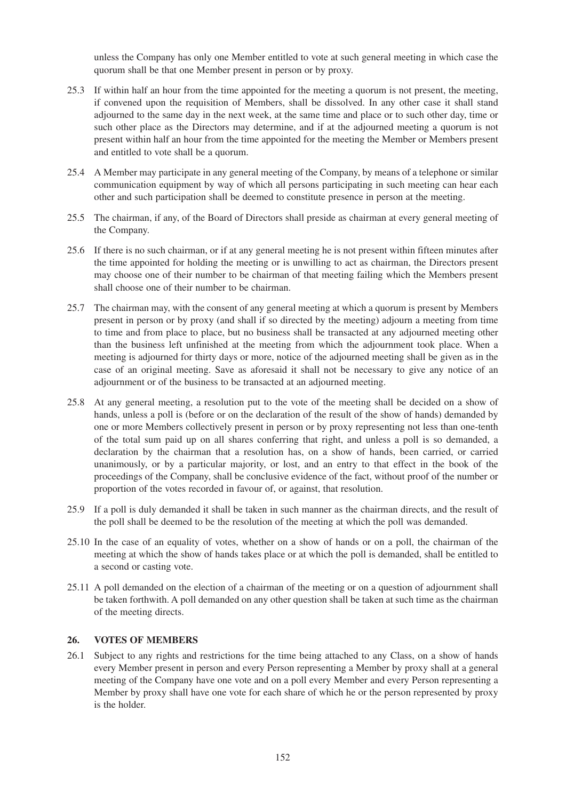unless the Company has only one Member entitled to vote at such general meeting in which case the quorum shall be that one Member present in person or by proxy.

- 25.3 If within half an hour from the time appointed for the meeting a quorum is not present, the meeting, if convened upon the requisition of Members, shall be dissolved. In any other case it shall stand adjourned to the same day in the next week, at the same time and place or to such other day, time or such other place as the Directors may determine, and if at the adjourned meeting a quorum is not present within half an hour from the time appointed for the meeting the Member or Members present and entitled to vote shall be a quorum.
- 25.4 A Member may participate in any general meeting of the Company, by means of a telephone or similar communication equipment by way of which all persons participating in such meeting can hear each other and such participation shall be deemed to constitute presence in person at the meeting.
- 25.5 The chairman, if any, of the Board of Directors shall preside as chairman at every general meeting of the Company.
- 25.6 If there is no such chairman, or if at any general meeting he is not present within fifteen minutes after the time appointed for holding the meeting or is unwilling to act as chairman, the Directors present may choose one of their number to be chairman of that meeting failing which the Members present shall choose one of their number to be chairman.
- 25.7 The chairman may, with the consent of any general meeting at which a quorum is present by Members present in person or by proxy (and shall if so directed by the meeting) adjourn a meeting from time to time and from place to place, but no business shall be transacted at any adjourned meeting other than the business left unfinished at the meeting from which the adjournment took place. When a meeting is adjourned for thirty days or more, notice of the adjourned meeting shall be given as in the case of an original meeting. Save as aforesaid it shall not be necessary to give any notice of an adjournment or of the business to be transacted at an adjourned meeting.
- 25.8 At any general meeting, a resolution put to the vote of the meeting shall be decided on a show of hands, unless a poll is (before or on the declaration of the result of the show of hands) demanded by one or more Members collectively present in person or by proxy representing not less than one-tenth of the total sum paid up on all shares conferring that right, and unless a poll is so demanded, a declaration by the chairman that a resolution has, on a show of hands, been carried, or carried unanimously, or by a particular majority, or lost, and an entry to that effect in the book of the proceedings of the Company, shall be conclusive evidence of the fact, without proof of the number or proportion of the votes recorded in favour of, or against, that resolution.
- 25.9 If a poll is duly demanded it shall be taken in such manner as the chairman directs, and the result of the poll shall be deemed to be the resolution of the meeting at which the poll was demanded.
- 25.10 In the case of an equality of votes, whether on a show of hands or on a poll, the chairman of the meeting at which the show of hands takes place or at which the poll is demanded, shall be entitled to a second or casting vote.
- 25.11 A poll demanded on the election of a chairman of the meeting or on a question of adjournment shall be taken forthwith. A poll demanded on any other question shall be taken at such time as the chairman of the meeting directs.

### **26. VOTES OF MEMBERS**

26.1 Subject to any rights and restrictions for the time being attached to any Class, on a show of hands every Member present in person and every Person representing a Member by proxy shall at a general meeting of the Company have one vote and on a poll every Member and every Person representing a Member by proxy shall have one vote for each share of which he or the person represented by proxy is the holder.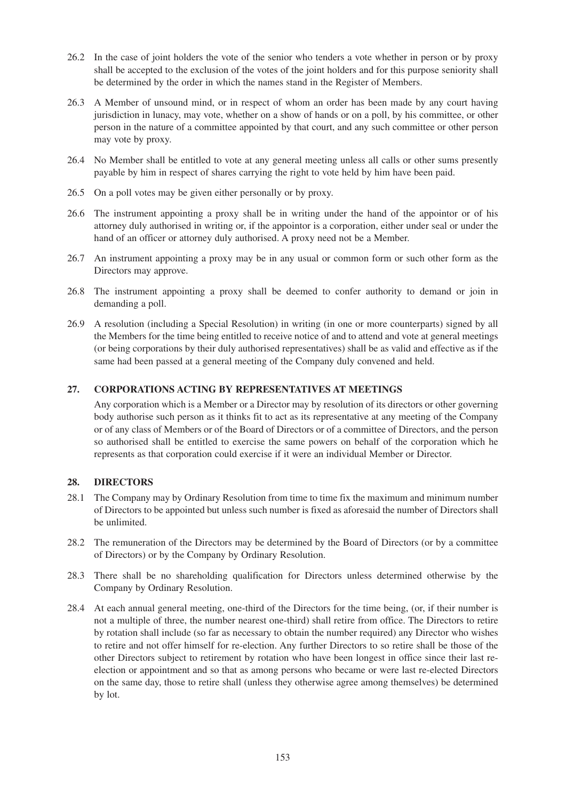- 26.2 In the case of joint holders the vote of the senior who tenders a vote whether in person or by proxy shall be accepted to the exclusion of the votes of the joint holders and for this purpose seniority shall be determined by the order in which the names stand in the Register of Members.
- 26.3 A Member of unsound mind, or in respect of whom an order has been made by any court having jurisdiction in lunacy, may vote, whether on a show of hands or on a poll, by his committee, or other person in the nature of a committee appointed by that court, and any such committee or other person may vote by proxy.
- 26.4 No Member shall be entitled to vote at any general meeting unless all calls or other sums presently payable by him in respect of shares carrying the right to vote held by him have been paid.
- 26.5 On a poll votes may be given either personally or by proxy.
- 26.6 The instrument appointing a proxy shall be in writing under the hand of the appointor or of his attorney duly authorised in writing or, if the appointor is a corporation, either under seal or under the hand of an officer or attorney duly authorised. A proxy need not be a Member.
- 26.7 An instrument appointing a proxy may be in any usual or common form or such other form as the Directors may approve.
- 26.8 The instrument appointing a proxy shall be deemed to confer authority to demand or join in demanding a poll.
- 26.9 A resolution (including a Special Resolution) in writing (in one or more counterparts) signed by all the Members for the time being entitled to receive notice of and to attend and vote at general meetings (or being corporations by their duly authorised representatives) shall be as valid and effective as if the same had been passed at a general meeting of the Company duly convened and held.

### **27. CORPORATIONS ACTING BY REPRESENTATIVES AT MEETINGS**

Any corporation which is a Member or a Director may by resolution of its directors or other governing body authorise such person as it thinks fit to act as its representative at any meeting of the Company or of any class of Members or of the Board of Directors or of a committee of Directors, and the person so authorised shall be entitled to exercise the same powers on behalf of the corporation which he represents as that corporation could exercise if it were an individual Member or Director.

### **28. DIRECTORS**

- 28.1 The Company may by Ordinary Resolution from time to time fix the maximum and minimum number of Directors to be appointed but unless such number is fixed as aforesaid the number of Directors shall be unlimited.
- 28.2 The remuneration of the Directors may be determined by the Board of Directors (or by a committee of Directors) or by the Company by Ordinary Resolution.
- 28.3 There shall be no shareholding qualification for Directors unless determined otherwise by the Company by Ordinary Resolution.
- 28.4 At each annual general meeting, one-third of the Directors for the time being, (or, if their number is not a multiple of three, the number nearest one-third) shall retire from office. The Directors to retire by rotation shall include (so far as necessary to obtain the number required) any Director who wishes to retire and not offer himself for re-election. Any further Directors to so retire shall be those of the other Directors subject to retirement by rotation who have been longest in office since their last reelection or appointment and so that as among persons who became or were last re-elected Directors on the same day, those to retire shall (unless they otherwise agree among themselves) be determined by lot.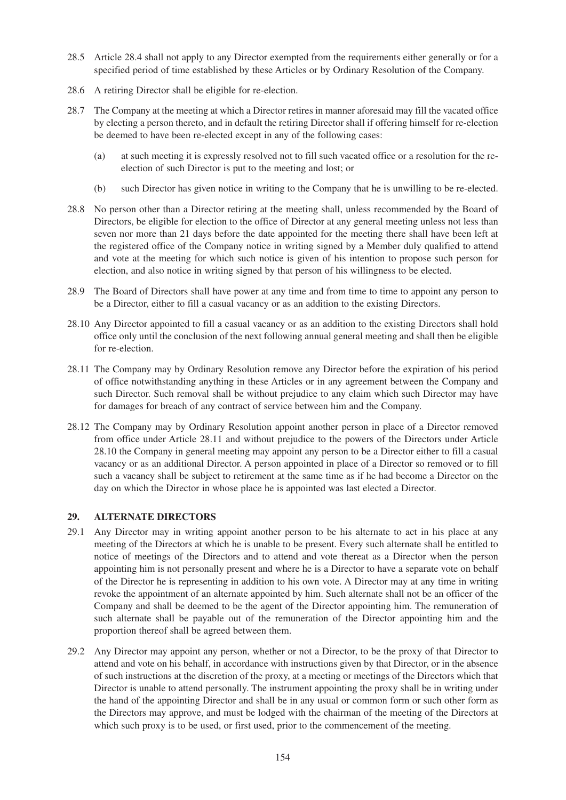- 28.5 Article 28.4 shall not apply to any Director exempted from the requirements either generally or for a specified period of time established by these Articles or by Ordinary Resolution of the Company.
- 28.6 A retiring Director shall be eligible for re-election.
- 28.7 The Company at the meeting at which a Director retires in manner aforesaid may fill the vacated office by electing a person thereto, and in default the retiring Director shall if offering himself for re-election be deemed to have been re-elected except in any of the following cases:
	- (a) at such meeting it is expressly resolved not to fill such vacated office or a resolution for the reelection of such Director is put to the meeting and lost; or
	- (b) such Director has given notice in writing to the Company that he is unwilling to be re-elected.
- 28.8 No person other than a Director retiring at the meeting shall, unless recommended by the Board of Directors, be eligible for election to the office of Director at any general meeting unless not less than seven nor more than 21 days before the date appointed for the meeting there shall have been left at the registered office of the Company notice in writing signed by a Member duly qualified to attend and vote at the meeting for which such notice is given of his intention to propose such person for election, and also notice in writing signed by that person of his willingness to be elected.
- 28.9 The Board of Directors shall have power at any time and from time to time to appoint any person to be a Director, either to fill a casual vacancy or as an addition to the existing Directors.
- 28.10 Any Director appointed to fill a casual vacancy or as an addition to the existing Directors shall hold office only until the conclusion of the next following annual general meeting and shall then be eligible for re-election.
- 28.11 The Company may by Ordinary Resolution remove any Director before the expiration of his period of office notwithstanding anything in these Articles or in any agreement between the Company and such Director. Such removal shall be without prejudice to any claim which such Director may have for damages for breach of any contract of service between him and the Company.
- 28.12 The Company may by Ordinary Resolution appoint another person in place of a Director removed from office under Article 28.11 and without prejudice to the powers of the Directors under Article 28.10 the Company in general meeting may appoint any person to be a Director either to fill a casual vacancy or as an additional Director. A person appointed in place of a Director so removed or to fill such a vacancy shall be subject to retirement at the same time as if he had become a Director on the day on which the Director in whose place he is appointed was last elected a Director.

# **29. ALTERNATE DIRECTORS**

- 29.1 Any Director may in writing appoint another person to be his alternate to act in his place at any meeting of the Directors at which he is unable to be present. Every such alternate shall be entitled to notice of meetings of the Directors and to attend and vote thereat as a Director when the person appointing him is not personally present and where he is a Director to have a separate vote on behalf of the Director he is representing in addition to his own vote. A Director may at any time in writing revoke the appointment of an alternate appointed by him. Such alternate shall not be an officer of the Company and shall be deemed to be the agent of the Director appointing him. The remuneration of such alternate shall be payable out of the remuneration of the Director appointing him and the proportion thereof shall be agreed between them.
- 29.2 Any Director may appoint any person, whether or not a Director, to be the proxy of that Director to attend and vote on his behalf, in accordance with instructions given by that Director, or in the absence of such instructions at the discretion of the proxy, at a meeting or meetings of the Directors which that Director is unable to attend personally. The instrument appointing the proxy shall be in writing under the hand of the appointing Director and shall be in any usual or common form or such other form as the Directors may approve, and must be lodged with the chairman of the meeting of the Directors at which such proxy is to be used, or first used, prior to the commencement of the meeting.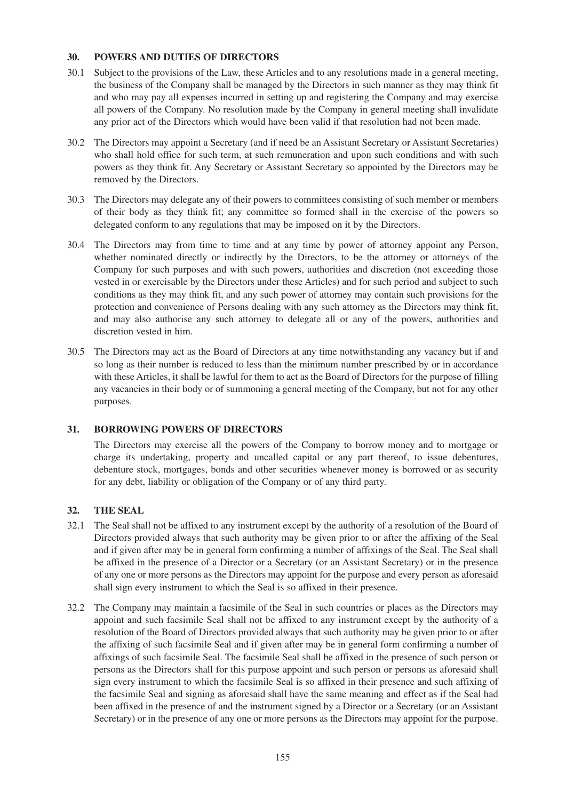### **30. POWERS AND DUTIES OF DIRECTORS**

- 30.1 Subject to the provisions of the Law, these Articles and to any resolutions made in a general meeting, the business of the Company shall be managed by the Directors in such manner as they may think fit and who may pay all expenses incurred in setting up and registering the Company and may exercise all powers of the Company. No resolution made by the Company in general meeting shall invalidate any prior act of the Directors which would have been valid if that resolution had not been made.
- 30.2 The Directors may appoint a Secretary (and if need be an Assistant Secretary or Assistant Secretaries) who shall hold office for such term, at such remuneration and upon such conditions and with such powers as they think fit. Any Secretary or Assistant Secretary so appointed by the Directors may be removed by the Directors.
- 30.3 The Directors may delegate any of their powers to committees consisting of such member or members of their body as they think fit; any committee so formed shall in the exercise of the powers so delegated conform to any regulations that may be imposed on it by the Directors.
- 30.4 The Directors may from time to time and at any time by power of attorney appoint any Person, whether nominated directly or indirectly by the Directors, to be the attorney or attorneys of the Company for such purposes and with such powers, authorities and discretion (not exceeding those vested in or exercisable by the Directors under these Articles) and for such period and subject to such conditions as they may think fit, and any such power of attorney may contain such provisions for the protection and convenience of Persons dealing with any such attorney as the Directors may think fit, and may also authorise any such attorney to delegate all or any of the powers, authorities and discretion vested in him.
- 30.5 The Directors may act as the Board of Directors at any time notwithstanding any vacancy but if and so long as their number is reduced to less than the minimum number prescribed by or in accordance with these Articles, it shall be lawful for them to act as the Board of Directors for the purpose of filling any vacancies in their body or of summoning a general meeting of the Company, but not for any other purposes.

# **31. BORROWING POWERS OF DIRECTORS**

The Directors may exercise all the powers of the Company to borrow money and to mortgage or charge its undertaking, property and uncalled capital or any part thereof, to issue debentures, debenture stock, mortgages, bonds and other securities whenever money is borrowed or as security for any debt, liability or obligation of the Company or of any third party.

# **32. THE SEAL**

- 32.1 The Seal shall not be affixed to any instrument except by the authority of a resolution of the Board of Directors provided always that such authority may be given prior to or after the affixing of the Seal and if given after may be in general form confirming a number of affixings of the Seal. The Seal shall be affixed in the presence of a Director or a Secretary (or an Assistant Secretary) or in the presence of any one or more persons as the Directors may appoint for the purpose and every person as aforesaid shall sign every instrument to which the Seal is so affixed in their presence.
- 32.2 The Company may maintain a facsimile of the Seal in such countries or places as the Directors may appoint and such facsimile Seal shall not be affixed to any instrument except by the authority of a resolution of the Board of Directors provided always that such authority may be given prior to or after the affixing of such facsimile Seal and if given after may be in general form confirming a number of affixings of such facsimile Seal. The facsimile Seal shall be affixed in the presence of such person or persons as the Directors shall for this purpose appoint and such person or persons as aforesaid shall sign every instrument to which the facsimile Seal is so affixed in their presence and such affixing of the facsimile Seal and signing as aforesaid shall have the same meaning and effect as if the Seal had been affixed in the presence of and the instrument signed by a Director or a Secretary (or an Assistant Secretary) or in the presence of any one or more persons as the Directors may appoint for the purpose.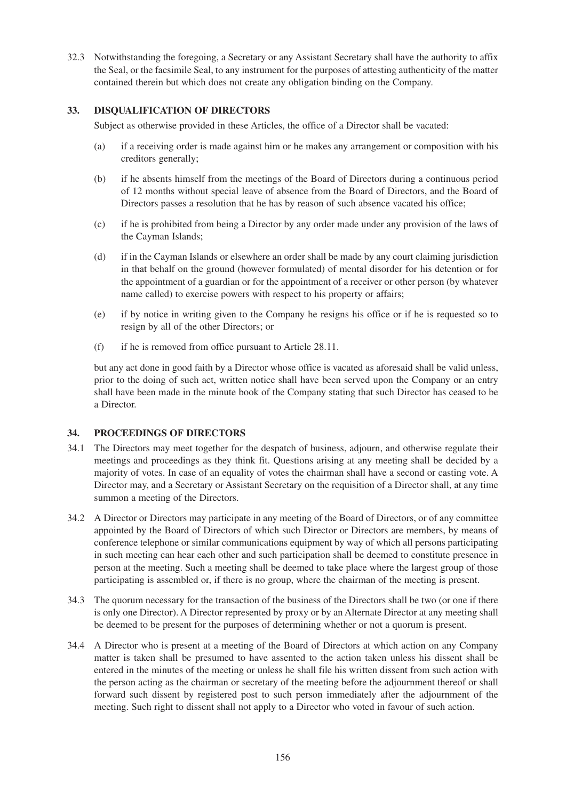32.3 Notwithstanding the foregoing, a Secretary or any Assistant Secretary shall have the authority to affix the Seal, or the facsimile Seal, to any instrument for the purposes of attesting authenticity of the matter contained therein but which does not create any obligation binding on the Company.

### **33. DISQUALIFICATION OF DIRECTORS**

Subject as otherwise provided in these Articles, the office of a Director shall be vacated:

- (a) if a receiving order is made against him or he makes any arrangement or composition with his creditors generally;
- (b) if he absents himself from the meetings of the Board of Directors during a continuous period of 12 months without special leave of absence from the Board of Directors, and the Board of Directors passes a resolution that he has by reason of such absence vacated his office;
- (c) if he is prohibited from being a Director by any order made under any provision of the laws of the Cayman Islands;
- (d) if in the Cayman Islands or elsewhere an order shall be made by any court claiming jurisdiction in that behalf on the ground (however formulated) of mental disorder for his detention or for the appointment of a guardian or for the appointment of a receiver or other person (by whatever name called) to exercise powers with respect to his property or affairs;
- (e) if by notice in writing given to the Company he resigns his office or if he is requested so to resign by all of the other Directors; or
- (f) if he is removed from office pursuant to Article 28.11.

but any act done in good faith by a Director whose office is vacated as aforesaid shall be valid unless, prior to the doing of such act, written notice shall have been served upon the Company or an entry shall have been made in the minute book of the Company stating that such Director has ceased to be a Director.

### **34. PROCEEDINGS OF DIRECTORS**

- 34.1 The Directors may meet together for the despatch of business, adjourn, and otherwise regulate their meetings and proceedings as they think fit. Questions arising at any meeting shall be decided by a majority of votes. In case of an equality of votes the chairman shall have a second or casting vote. A Director may, and a Secretary or Assistant Secretary on the requisition of a Director shall, at any time summon a meeting of the Directors.
- 34.2 A Director or Directors may participate in any meeting of the Board of Directors, or of any committee appointed by the Board of Directors of which such Director or Directors are members, by means of conference telephone or similar communications equipment by way of which all persons participating in such meeting can hear each other and such participation shall be deemed to constitute presence in person at the meeting. Such a meeting shall be deemed to take place where the largest group of those participating is assembled or, if there is no group, where the chairman of the meeting is present.
- 34.3 The quorum necessary for the transaction of the business of the Directors shall be two (or one if there is only one Director). A Director represented by proxy or by an Alternate Director at any meeting shall be deemed to be present for the purposes of determining whether or not a quorum is present.
- 34.4 A Director who is present at a meeting of the Board of Directors at which action on any Company matter is taken shall be presumed to have assented to the action taken unless his dissent shall be entered in the minutes of the meeting or unless he shall file his written dissent from such action with the person acting as the chairman or secretary of the meeting before the adjournment thereof or shall forward such dissent by registered post to such person immediately after the adjournment of the meeting. Such right to dissent shall not apply to a Director who voted in favour of such action.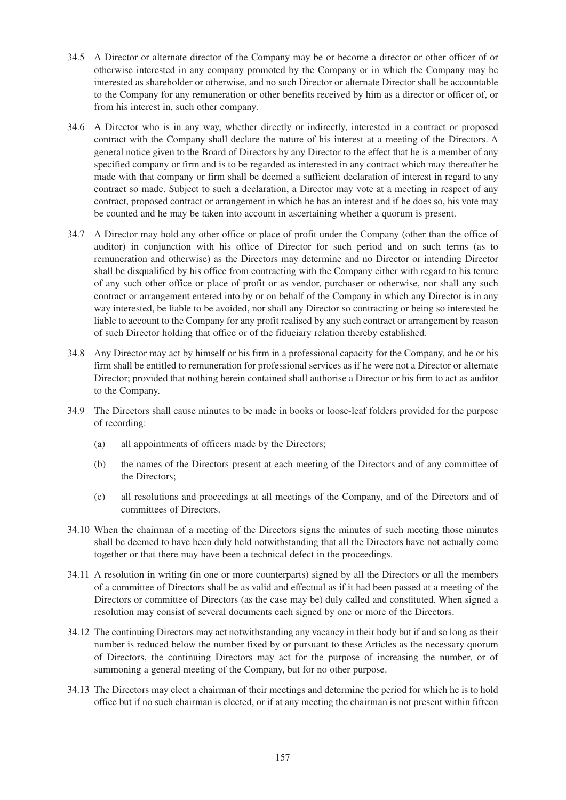- 34.5 A Director or alternate director of the Company may be or become a director or other officer of or otherwise interested in any company promoted by the Company or in which the Company may be interested as shareholder or otherwise, and no such Director or alternate Director shall be accountable to the Company for any remuneration or other benefits received by him as a director or officer of, or from his interest in, such other company.
- 34.6 A Director who is in any way, whether directly or indirectly, interested in a contract or proposed contract with the Company shall declare the nature of his interest at a meeting of the Directors. A general notice given to the Board of Directors by any Director to the effect that he is a member of any specified company or firm and is to be regarded as interested in any contract which may thereafter be made with that company or firm shall be deemed a sufficient declaration of interest in regard to any contract so made. Subject to such a declaration, a Director may vote at a meeting in respect of any contract, proposed contract or arrangement in which he has an interest and if he does so, his vote may be counted and he may be taken into account in ascertaining whether a quorum is present.
- 34.7 A Director may hold any other office or place of profit under the Company (other than the office of auditor) in conjunction with his office of Director for such period and on such terms (as to remuneration and otherwise) as the Directors may determine and no Director or intending Director shall be disqualified by his office from contracting with the Company either with regard to his tenure of any such other office or place of profit or as vendor, purchaser or otherwise, nor shall any such contract or arrangement entered into by or on behalf of the Company in which any Director is in any way interested, be liable to be avoided, nor shall any Director so contracting or being so interested be liable to account to the Company for any profit realised by any such contract or arrangement by reason of such Director holding that office or of the fiduciary relation thereby established.
- 34.8 Any Director may act by himself or his firm in a professional capacity for the Company, and he or his firm shall be entitled to remuneration for professional services as if he were not a Director or alternate Director; provided that nothing herein contained shall authorise a Director or his firm to act as auditor to the Company.
- 34.9 The Directors shall cause minutes to be made in books or loose-leaf folders provided for the purpose of recording:
	- (a) all appointments of officers made by the Directors;
	- (b) the names of the Directors present at each meeting of the Directors and of any committee of the Directors;
	- (c) all resolutions and proceedings at all meetings of the Company, and of the Directors and of committees of Directors.
- 34.10 When the chairman of a meeting of the Directors signs the minutes of such meeting those minutes shall be deemed to have been duly held notwithstanding that all the Directors have not actually come together or that there may have been a technical defect in the proceedings.
- 34.11 A resolution in writing (in one or more counterparts) signed by all the Directors or all the members of a committee of Directors shall be as valid and effectual as if it had been passed at a meeting of the Directors or committee of Directors (as the case may be) duly called and constituted. When signed a resolution may consist of several documents each signed by one or more of the Directors.
- 34.12 The continuing Directors may act notwithstanding any vacancy in their body but if and so long as their number is reduced below the number fixed by or pursuant to these Articles as the necessary quorum of Directors, the continuing Directors may act for the purpose of increasing the number, or of summoning a general meeting of the Company, but for no other purpose.
- 34.13 The Directors may elect a chairman of their meetings and determine the period for which he is to hold office but if no such chairman is elected, or if at any meeting the chairman is not present within fifteen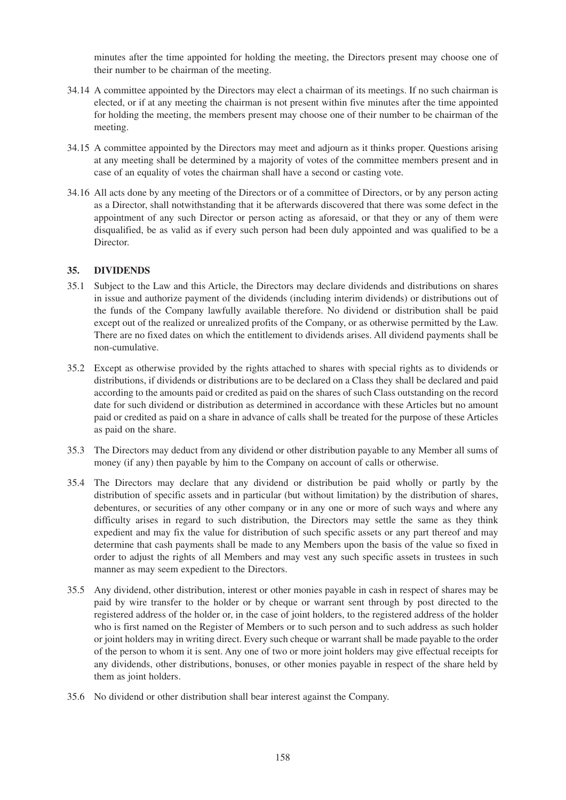minutes after the time appointed for holding the meeting, the Directors present may choose one of their number to be chairman of the meeting.

- 34.14 A committee appointed by the Directors may elect a chairman of its meetings. If no such chairman is elected, or if at any meeting the chairman is not present within five minutes after the time appointed for holding the meeting, the members present may choose one of their number to be chairman of the meeting.
- 34.15 A committee appointed by the Directors may meet and adjourn as it thinks proper. Questions arising at any meeting shall be determined by a majority of votes of the committee members present and in case of an equality of votes the chairman shall have a second or casting vote.
- 34.16 All acts done by any meeting of the Directors or of a committee of Directors, or by any person acting as a Director, shall notwithstanding that it be afterwards discovered that there was some defect in the appointment of any such Director or person acting as aforesaid, or that they or any of them were disqualified, be as valid as if every such person had been duly appointed and was qualified to be a Director.

### **35. DIVIDENDS**

- 35.1 Subject to the Law and this Article, the Directors may declare dividends and distributions on shares in issue and authorize payment of the dividends (including interim dividends) or distributions out of the funds of the Company lawfully available therefore. No dividend or distribution shall be paid except out of the realized or unrealized profits of the Company, or as otherwise permitted by the Law. There are no fixed dates on which the entitlement to dividends arises. All dividend payments shall be non-cumulative.
- 35.2 Except as otherwise provided by the rights attached to shares with special rights as to dividends or distributions, if dividends or distributions are to be declared on a Class they shall be declared and paid according to the amounts paid or credited as paid on the shares of such Class outstanding on the record date for such dividend or distribution as determined in accordance with these Articles but no amount paid or credited as paid on a share in advance of calls shall be treated for the purpose of these Articles as paid on the share.
- 35.3 The Directors may deduct from any dividend or other distribution payable to any Member all sums of money (if any) then payable by him to the Company on account of calls or otherwise.
- 35.4 The Directors may declare that any dividend or distribution be paid wholly or partly by the distribution of specific assets and in particular (but without limitation) by the distribution of shares, debentures, or securities of any other company or in any one or more of such ways and where any difficulty arises in regard to such distribution, the Directors may settle the same as they think expedient and may fix the value for distribution of such specific assets or any part thereof and may determine that cash payments shall be made to any Members upon the basis of the value so fixed in order to adjust the rights of all Members and may vest any such specific assets in trustees in such manner as may seem expedient to the Directors.
- 35.5 Any dividend, other distribution, interest or other monies payable in cash in respect of shares may be paid by wire transfer to the holder or by cheque or warrant sent through by post directed to the registered address of the holder or, in the case of joint holders, to the registered address of the holder who is first named on the Register of Members or to such person and to such address as such holder or joint holders may in writing direct. Every such cheque or warrant shall be made payable to the order of the person to whom it is sent. Any one of two or more joint holders may give effectual receipts for any dividends, other distributions, bonuses, or other monies payable in respect of the share held by them as joint holders.
- 35.6 No dividend or other distribution shall bear interest against the Company.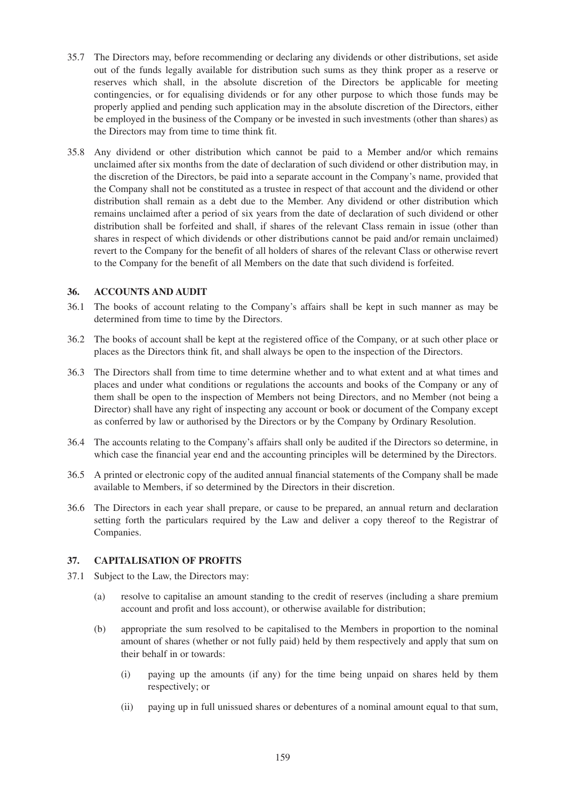- 35.7 The Directors may, before recommending or declaring any dividends or other distributions, set aside out of the funds legally available for distribution such sums as they think proper as a reserve or reserves which shall, in the absolute discretion of the Directors be applicable for meeting contingencies, or for equalising dividends or for any other purpose to which those funds may be properly applied and pending such application may in the absolute discretion of the Directors, either be employed in the business of the Company or be invested in such investments (other than shares) as the Directors may from time to time think fit.
- 35.8 Any dividend or other distribution which cannot be paid to a Member and/or which remains unclaimed after six months from the date of declaration of such dividend or other distribution may, in the discretion of the Directors, be paid into a separate account in the Company's name, provided that the Company shall not be constituted as a trustee in respect of that account and the dividend or other distribution shall remain as a debt due to the Member. Any dividend or other distribution which remains unclaimed after a period of six years from the date of declaration of such dividend or other distribution shall be forfeited and shall, if shares of the relevant Class remain in issue (other than shares in respect of which dividends or other distributions cannot be paid and/or remain unclaimed) revert to the Company for the benefit of all holders of shares of the relevant Class or otherwise revert to the Company for the benefit of all Members on the date that such dividend is forfeited.

#### **36. ACCOUNTS AND AUDIT**

- 36.1 The books of account relating to the Company's affairs shall be kept in such manner as may be determined from time to time by the Directors.
- 36.2 The books of account shall be kept at the registered office of the Company, or at such other place or places as the Directors think fit, and shall always be open to the inspection of the Directors.
- 36.3 The Directors shall from time to time determine whether and to what extent and at what times and places and under what conditions or regulations the accounts and books of the Company or any of them shall be open to the inspection of Members not being Directors, and no Member (not being a Director) shall have any right of inspecting any account or book or document of the Company except as conferred by law or authorised by the Directors or by the Company by Ordinary Resolution.
- 36.4 The accounts relating to the Company's affairs shall only be audited if the Directors so determine, in which case the financial year end and the accounting principles will be determined by the Directors.
- 36.5 A printed or electronic copy of the audited annual financial statements of the Company shall be made available to Members, if so determined by the Directors in their discretion.
- 36.6 The Directors in each year shall prepare, or cause to be prepared, an annual return and declaration setting forth the particulars required by the Law and deliver a copy thereof to the Registrar of Companies.

### **37. CAPITALISATION OF PROFITS**

- 37.1 Subject to the Law, the Directors may:
	- (a) resolve to capitalise an amount standing to the credit of reserves (including a share premium account and profit and loss account), or otherwise available for distribution;
	- (b) appropriate the sum resolved to be capitalised to the Members in proportion to the nominal amount of shares (whether or not fully paid) held by them respectively and apply that sum on their behalf in or towards:
		- (i) paying up the amounts (if any) for the time being unpaid on shares held by them respectively; or
		- (ii) paying up in full unissued shares or debentures of a nominal amount equal to that sum,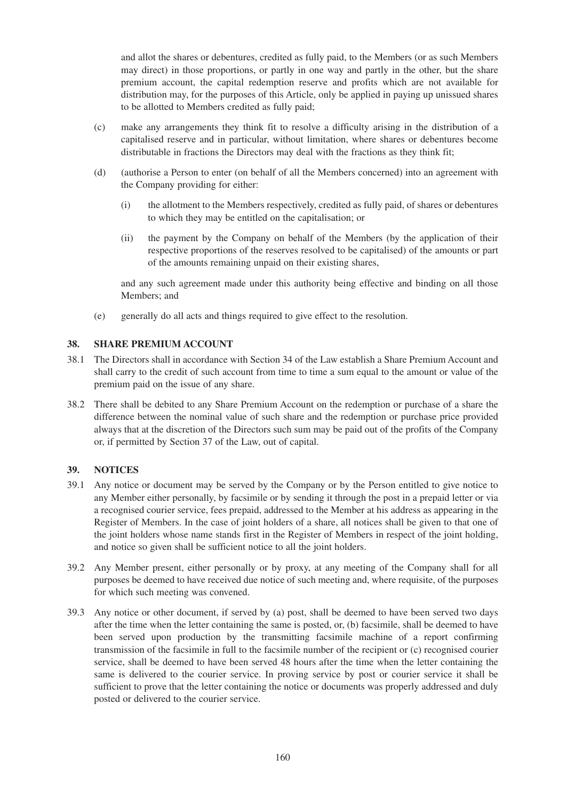and allot the shares or debentures, credited as fully paid, to the Members (or as such Members may direct) in those proportions, or partly in one way and partly in the other, but the share premium account, the capital redemption reserve and profits which are not available for distribution may, for the purposes of this Article, only be applied in paying up unissued shares to be allotted to Members credited as fully paid;

- (c) make any arrangements they think fit to resolve a difficulty arising in the distribution of a capitalised reserve and in particular, without limitation, where shares or debentures become distributable in fractions the Directors may deal with the fractions as they think fit;
- (d) (authorise a Person to enter (on behalf of all the Members concerned) into an agreement with the Company providing for either:
	- (i) the allotment to the Members respectively, credited as fully paid, of shares or debentures to which they may be entitled on the capitalisation; or
	- (ii) the payment by the Company on behalf of the Members (by the application of their respective proportions of the reserves resolved to be capitalised) of the amounts or part of the amounts remaining unpaid on their existing shares,

and any such agreement made under this authority being effective and binding on all those Members; and

(e) generally do all acts and things required to give effect to the resolution.

### **38. SHARE PREMIUM ACCOUNT**

- 38.1 The Directors shall in accordance with Section 34 of the Law establish a Share Premium Account and shall carry to the credit of such account from time to time a sum equal to the amount or value of the premium paid on the issue of any share.
- 38.2 There shall be debited to any Share Premium Account on the redemption or purchase of a share the difference between the nominal value of such share and the redemption or purchase price provided always that at the discretion of the Directors such sum may be paid out of the profits of the Company or, if permitted by Section 37 of the Law, out of capital.

### **39. NOTICES**

- 39.1 Any notice or document may be served by the Company or by the Person entitled to give notice to any Member either personally, by facsimile or by sending it through the post in a prepaid letter or via a recognised courier service, fees prepaid, addressed to the Member at his address as appearing in the Register of Members. In the case of joint holders of a share, all notices shall be given to that one of the joint holders whose name stands first in the Register of Members in respect of the joint holding, and notice so given shall be sufficient notice to all the joint holders.
- 39.2 Any Member present, either personally or by proxy, at any meeting of the Company shall for all purposes be deemed to have received due notice of such meeting and, where requisite, of the purposes for which such meeting was convened.
- 39.3 Any notice or other document, if served by (a) post, shall be deemed to have been served two days after the time when the letter containing the same is posted, or, (b) facsimile, shall be deemed to have been served upon production by the transmitting facsimile machine of a report confirming transmission of the facsimile in full to the facsimile number of the recipient or (c) recognised courier service, shall be deemed to have been served 48 hours after the time when the letter containing the same is delivered to the courier service. In proving service by post or courier service it shall be sufficient to prove that the letter containing the notice or documents was properly addressed and duly posted or delivered to the courier service.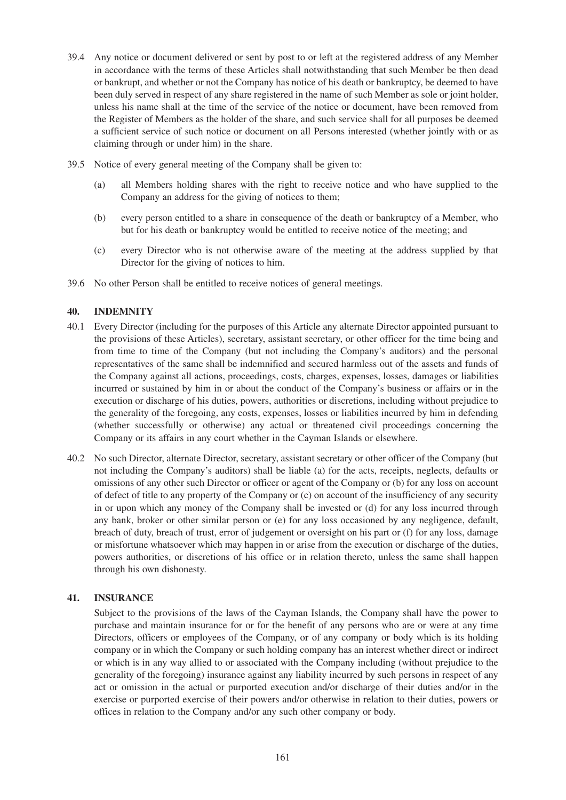- 39.4 Any notice or document delivered or sent by post to or left at the registered address of any Member in accordance with the terms of these Articles shall notwithstanding that such Member be then dead or bankrupt, and whether or not the Company has notice of his death or bankruptcy, be deemed to have been duly served in respect of any share registered in the name of such Member as sole or joint holder, unless his name shall at the time of the service of the notice or document, have been removed from the Register of Members as the holder of the share, and such service shall for all purposes be deemed a sufficient service of such notice or document on all Persons interested (whether jointly with or as claiming through or under him) in the share.
- 39.5 Notice of every general meeting of the Company shall be given to:
	- (a) all Members holding shares with the right to receive notice and who have supplied to the Company an address for the giving of notices to them;
	- (b) every person entitled to a share in consequence of the death or bankruptcy of a Member, who but for his death or bankruptcy would be entitled to receive notice of the meeting; and
	- (c) every Director who is not otherwise aware of the meeting at the address supplied by that Director for the giving of notices to him.
- 39.6 No other Person shall be entitled to receive notices of general meetings.

### **40. INDEMNITY**

- 40.1 Every Director (including for the purposes of this Article any alternate Director appointed pursuant to the provisions of these Articles), secretary, assistant secretary, or other officer for the time being and from time to time of the Company (but not including the Company's auditors) and the personal representatives of the same shall be indemnified and secured harmless out of the assets and funds of the Company against all actions, proceedings, costs, charges, expenses, losses, damages or liabilities incurred or sustained by him in or about the conduct of the Company's business or affairs or in the execution or discharge of his duties, powers, authorities or discretions, including without prejudice to the generality of the foregoing, any costs, expenses, losses or liabilities incurred by him in defending (whether successfully or otherwise) any actual or threatened civil proceedings concerning the Company or its affairs in any court whether in the Cayman Islands or elsewhere.
- 40.2 No such Director, alternate Director, secretary, assistant secretary or other officer of the Company (but not including the Company's auditors) shall be liable (a) for the acts, receipts, neglects, defaults or omissions of any other such Director or officer or agent of the Company or (b) for any loss on account of defect of title to any property of the Company or (c) on account of the insufficiency of any security in or upon which any money of the Company shall be invested or (d) for any loss incurred through any bank, broker or other similar person or (e) for any loss occasioned by any negligence, default, breach of duty, breach of trust, error of judgement or oversight on his part or (f) for any loss, damage or misfortune whatsoever which may happen in or arise from the execution or discharge of the duties, powers authorities, or discretions of his office or in relation thereto, unless the same shall happen through his own dishonesty.

### **41. INSURANCE**

Subject to the provisions of the laws of the Cayman Islands, the Company shall have the power to purchase and maintain insurance for or for the benefit of any persons who are or were at any time Directors, officers or employees of the Company, or of any company or body which is its holding company or in which the Company or such holding company has an interest whether direct or indirect or which is in any way allied to or associated with the Company including (without prejudice to the generality of the foregoing) insurance against any liability incurred by such persons in respect of any act or omission in the actual or purported execution and/or discharge of their duties and/or in the exercise or purported exercise of their powers and/or otherwise in relation to their duties, powers or offices in relation to the Company and/or any such other company or body.